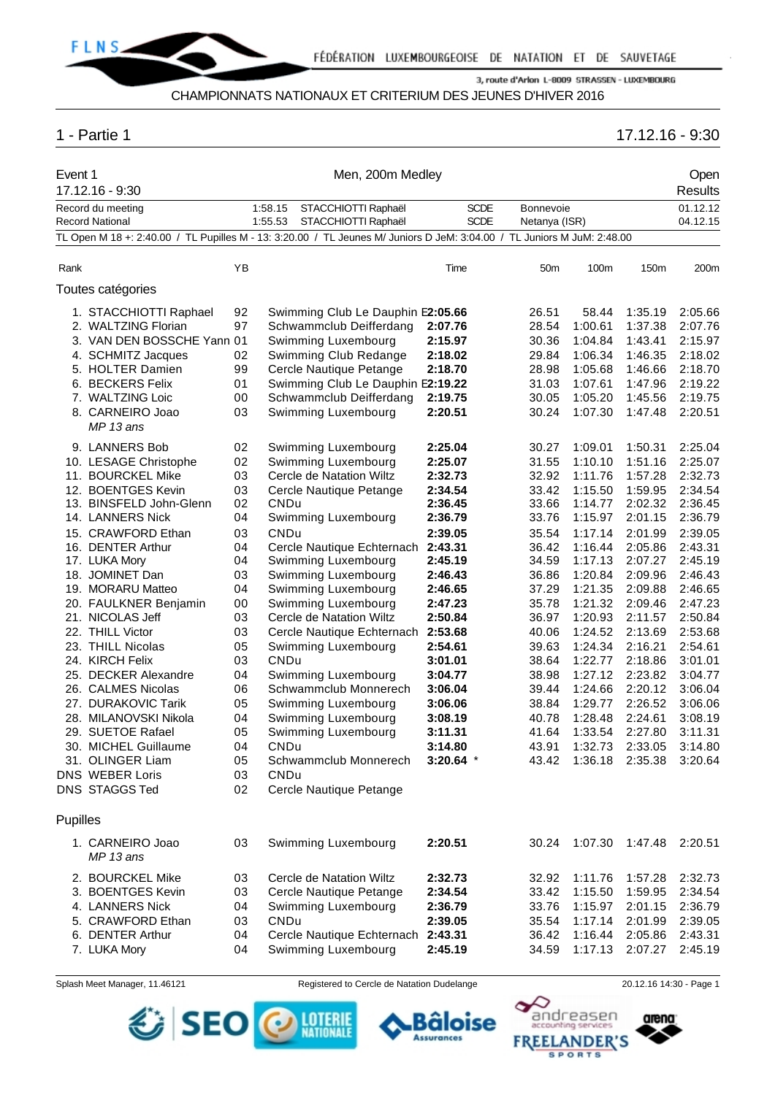

## CHAMPIONNATS NATIONAUX ET CRITERIUM DES JEUNES D'HIVER 2016

# 1 - Partie 1 17.12.16 - 9:30

| Event 1  | 17.12.16 - 9:30                                                                                                         |          |             | Men, 200m Medley                                       |                    |                |                    |                    | Open<br><b>Results</b> |
|----------|-------------------------------------------------------------------------------------------------------------------------|----------|-------------|--------------------------------------------------------|--------------------|----------------|--------------------|--------------------|------------------------|
|          | Record du meeting                                                                                                       |          | 1:58.15     | STACCHIOTTI Raphaël                                    | <b>SCDE</b>        | Bonnevoie      |                    |                    | 01.12.12               |
|          | Record National                                                                                                         |          | 1:55.53     | STACCHIOTTI Raphaël                                    | <b>SCDE</b>        | Netanya (ISR)  |                    |                    | 04.12.15               |
|          | TL Open M 18 +: 2:40.00 / TL Pupilles M - 13: 3:20.00 / TL Jeunes M/ Juniors D JeM: 3:04.00 / TL Juniors M JuM: 2:48.00 |          |             |                                                        |                    |                |                    |                    |                        |
| Rank     |                                                                                                                         | ΥB       |             |                                                        | Time               | 50m            | 100m               | 150m               | 200m                   |
|          | Toutes catégories                                                                                                       |          |             |                                                        |                    |                |                    |                    |                        |
|          | 1. STACCHIOTTI Raphael                                                                                                  | 92       |             | Swimming Club Le Dauphin E2:05.66                      |                    | 26.51          | 58.44              | 1:35.19            | 2:05.66                |
|          | 2. WALTZING Florian                                                                                                     | 97       |             | Schwammclub Deifferdang                                | 2:07.76            | 28.54          | 1:00.61            | 1:37.38            | 2:07.76                |
|          | 3. VAN DEN BOSSCHE Yann 01                                                                                              |          |             | Swimming Luxembourg                                    | 2:15.97            | 30.36          | 1:04.84            | 1:43.41            | 2:15.97                |
|          | 4. SCHMITZ Jacques                                                                                                      | 02       |             | Swimming Club Redange                                  | 2:18.02            | 29.84          | 1:06.34            | 1:46.35            | 2:18.02                |
|          | 5. HOLTER Damien                                                                                                        | 99       |             | Cercle Nautique Petange                                | 2:18.70            | 28.98          | 1:05.68            | 1:46.66            | 2:18.70                |
|          | 6. BECKERS Felix                                                                                                        | 01       |             | Swimming Club Le Dauphin E2:19.22                      |                    | 31.03          | 1:07.61            | 1:47.96            | 2:19.22                |
|          | 7. WALTZING Loic                                                                                                        | 00       |             | Schwammclub Deifferdang                                | 2:19.75            | 30.05          | 1:05.20            | 1:45.56            | 2:19.75                |
|          | 8. CARNEIRO Joao<br>MP 13 ans                                                                                           | 03       |             | Swimming Luxembourg                                    | 2:20.51            | 30.24          | 1:07.30            | 1:47.48            | 2:20.51                |
|          | 9. LANNERS Bob                                                                                                          | 02       |             | Swimming Luxembourg                                    | 2:25.04            | 30.27          | 1:09.01            | 1:50.31            | 2:25.04                |
|          | 10. LESAGE Christophe                                                                                                   | 02       |             | Swimming Luxembourg                                    | 2:25.07            | 31.55          | 1:10.10            | 1:51.16            | 2:25.07                |
|          | 11. BOURCKEL Mike                                                                                                       | 03       |             | Cercle de Natation Wiltz                               | 2:32.73            | 32.92          | 1:11.76            | 1:57.28            | 2:32.73                |
|          | 12. BOENTGES Kevin                                                                                                      | 03       |             | Cercle Nautique Petange                                | 2:34.54            | 33.42          | 1:15.50            | 1:59.95            | 2:34.54                |
|          | 13. BINSFELD John-Glenn                                                                                                 | 02       | CNDu        |                                                        | 2:36.45            | 33.66          | 1:14.77            | 2:02.32            | 2:36.45                |
|          | 14. LANNERS Nick                                                                                                        | 04       |             | Swimming Luxembourg                                    | 2:36.79            | 33.76          | 1:15.97            | 2:01.15            | 2:36.79                |
|          | 15. CRAWFORD Ethan                                                                                                      | 03       | <b>CNDu</b> |                                                        | 2:39.05            | 35.54          | 1:17.14            | 2:01.99            | 2:39.05                |
|          | 16. DENTER Arthur                                                                                                       | 04       |             | Cercle Nautique Echternach                             | 2:43.31            | 36.42          | 1:16.44            | 2:05.86            | 2:43.31                |
|          | 17. LUKA Mory                                                                                                           | 04       |             | Swimming Luxembourg                                    | 2:45.19            | 34.59          | 1:17.13            | 2:07.27            | 2:45.19                |
|          | 18. JOMINET Dan                                                                                                         | 03       |             | Swimming Luxembourg                                    | 2:46.43            | 36.86          | 1:20.84            | 2:09.96            | 2:46.43                |
|          | 19. MORARU Matteo                                                                                                       | 04       |             | Swimming Luxembourg                                    | 2:46.65            | 37.29          | 1:21.35            | 2:09.88            | 2:46.65                |
|          | 20. FAULKNER Benjamin                                                                                                   | 00       |             | Swimming Luxembourg                                    | 2:47.23            | 35.78          | 1:21.32            | 2:09.46            | 2:47.23                |
|          | 21. NICOLAS Jeff<br>22. THILL Victor                                                                                    | 03<br>03 |             | Cercle de Natation Wiltz<br>Cercle Nautique Echternach | 2:50.84<br>2:53.68 | 36.97<br>40.06 | 1:20.93<br>1:24.52 | 2:11.57<br>2:13.69 | 2:50.84<br>2:53.68     |
|          | 23. THILL Nicolas                                                                                                       | 05       |             | Swimming Luxembourg                                    | 2:54.61            | 39.63          | 1:24.34            | 2:16.21            | 2:54.61                |
|          | 24. KIRCH Felix                                                                                                         | 03       | CNDu        |                                                        | 3:01.01            | 38.64          | 1:22.77            | 2:18.86            | 3:01.01                |
|          | 25. DECKER Alexandre                                                                                                    | 04       |             | Swimming Luxembourg                                    | 3:04.77            | 38.98          | 1:27.12            | 2:23.82            | 3:04.77                |
|          | 26. CALMES Nicolas                                                                                                      | 06       |             | Schwammclub Monnerech                                  | 3:06.04            | 39.44          | 1:24.66            | 2:20.12            | 3:06.04                |
|          | 27. DURAKOVIC Tarik                                                                                                     | 05       |             | Swimming Luxembourg                                    | 3:06.06            | 38.84          | 1:29.77            | 2:26.52            | 3:06.06                |
|          | 28. MILANOVSKI Nikola                                                                                                   | 04       |             | Swimming Luxembourg                                    | 3:08.19            | 40.78          | 1:28.48            | 2:24.61            | 3:08.19                |
|          | 29. SUETOE Rafael                                                                                                       | 05       |             | Swimming Luxembourg                                    | 3:11.31            | 41.64          | 1:33.54            | 2:27.80            | 3:11.31                |
|          | 30. MICHEL Guillaume                                                                                                    | 04       | <b>CNDu</b> |                                                        | 3:14.80            | 43.91          | 1:32.73            | 2:33.05            | 3:14.80                |
|          | 31. OLINGER Liam                                                                                                        | 05       |             | Schwammclub Monnerech                                  | $3:20.64$ *        | 43.42          | 1:36.18            | 2:35.38            | 3:20.64                |
|          | DNS WEBER Loris                                                                                                         | 03       | CNDu        |                                                        |                    |                |                    |                    |                        |
|          | DNS STAGGS Ted                                                                                                          | 02       |             | Cercle Nautique Petange                                |                    |                |                    |                    |                        |
| Pupilles |                                                                                                                         |          |             |                                                        |                    |                |                    |                    |                        |
|          | 1. CARNEIRO Joao<br>MP 13 ans                                                                                           | 03       |             | Swimming Luxembourg                                    | 2:20.51            | 30.24          | 1:07.30            | 1:47.48            | 2:20.51                |
|          | 2. BOURCKEL Mike                                                                                                        | 03       |             | Cercle de Natation Wiltz                               | 2:32.73            | 32.92          | 1:11.76            | 1:57.28            | 2:32.73                |
|          | 3. BOENTGES Kevin                                                                                                       | 03       |             | Cercle Nautique Petange                                | 2:34.54            | 33.42          | 1:15.50            | 1:59.95            | 2:34.54                |
|          | 4. LANNERS Nick                                                                                                         | 04       |             | Swimming Luxembourg                                    | 2:36.79            | 33.76          | 1:15.97            | 2:01.15            | 2:36.79                |
|          | 5. CRAWFORD Ethan                                                                                                       | 03       | CNDu        |                                                        | 2:39.05            | 35.54          | 1:17.14            | 2:01.99            | 2:39.05                |
|          | 6. DENTER Arthur                                                                                                        | 04       |             | Cercle Nautique Echternach                             | 2:43.31            | 36.42          | 1:16.44            | 2:05.86            | 2:43.31                |
|          | 7. LUKA Mory                                                                                                            | 04       |             | Swimming Luxembourg                                    | 2:45.19            | 34.59          | 1:17.13            | 2:07.27            | 2:45.19                |

SEO O MENT

Splash Meet Manager, 11.46121 Registered to Cercle de Natation Dudelange 20.12.16 14:30 - Page 1

Bâloise

**Assurances** 

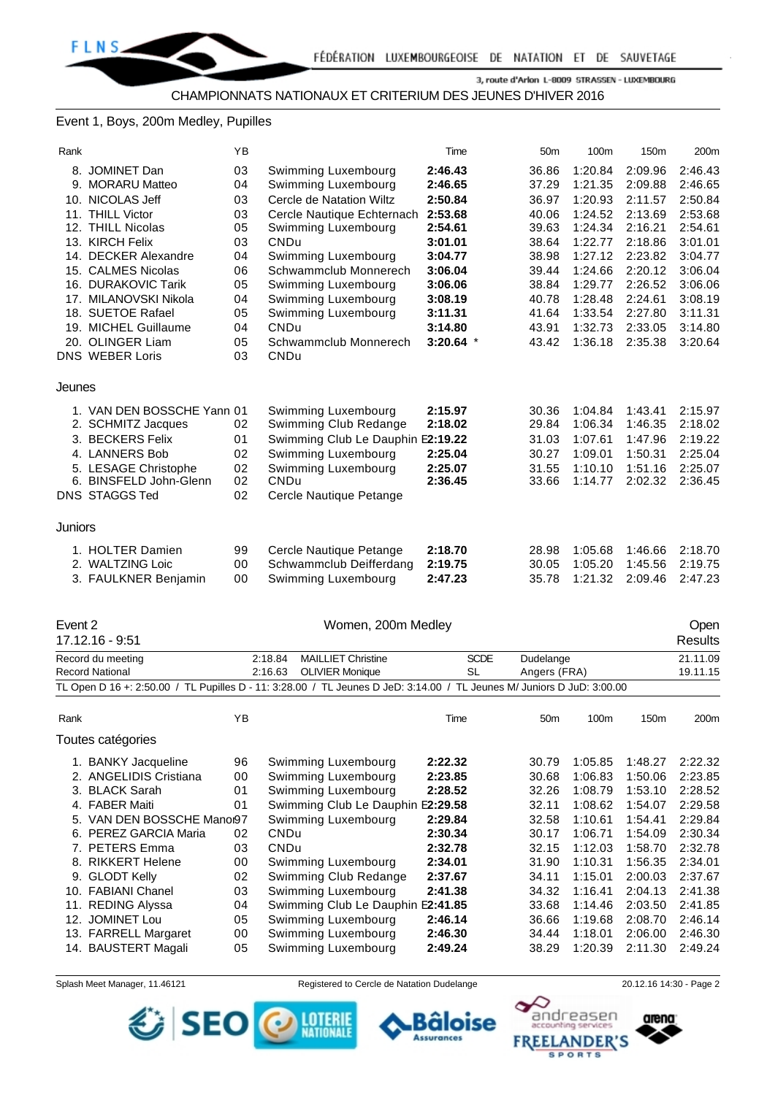#### Event 1, Boys, 200m Medley, Pupilles

| Rank    |                            | YB |                                   | Time        | 50 <sub>m</sub> | 100m    | 150 <sub>m</sub> | 200m    |
|---------|----------------------------|----|-----------------------------------|-------------|-----------------|---------|------------------|---------|
|         | 8. JOMINET Dan             | 03 | Swimming Luxembourg               | 2:46.43     | 36.86           | 1:20.84 | 2:09.96          | 2:46.43 |
|         | 9. MORARU Matteo           | 04 | Swimming Luxembourg               | 2:46.65     | 37.29           | 1:21.35 | 2:09.88          | 2:46.65 |
| 10.     | NICOLAS Jeff               | 03 | Cercle de Natation Wiltz          | 2:50.84     | 36.97           | 1:20.93 | 2:11.57          | 2:50.84 |
|         | 11. THILL Victor           | 03 | Cercle Nautique Echternach        | 2:53.68     | 40.06           | 1:24.52 | 2:13.69          | 2:53.68 |
|         | 12. THILL Nicolas          | 05 | Swimming Luxembourg               | 2:54.61     | 39.63           | 1:24.34 | 2:16.21          | 2:54.61 |
|         | 13. KIRCH Felix            | 03 | CNDu                              | 3:01.01     | 38.64           | 1:22.77 | 2:18.86          | 3:01.01 |
| 14.     | <b>DECKER Alexandre</b>    | 04 | Swimming Luxembourg               | 3:04.77     | 38.98           | 1:27.12 | 2:23.82          | 3:04.77 |
|         | 15. CALMES Nicolas         | 06 | Schwammclub Monnerech             | 3:06.04     | 39.44           | 1:24.66 | 2:20.12          | 3:06.04 |
| 16.     | <b>DURAKOVIC Tarik</b>     | 05 | Swimming Luxembourg               | 3:06.06     | 38.84           | 1:29.77 | 2:26.52          | 3:06.06 |
|         | 17. MILANOVSKI Nikola      | 04 | Swimming Luxembourg               | 3:08.19     | 40.78           | 1:28.48 | 2:24.61          | 3:08.19 |
|         | 18. SUETOE Rafael          | 05 | Swimming Luxembourg               | 3:11.31     | 41.64           | 1:33.54 | 2:27.80          | 3:11.31 |
|         | 19. MICHEL Guillaume       | 04 | CNDu                              | 3:14.80     | 43.91           | 1:32.73 | 2:33.05          | 3:14.80 |
|         | 20. OLINGER Liam           | 05 | Schwammclub Monnerech             | $3:20.64$ * | 43.42           | 1:36.18 | 2:35.38          | 3:20.64 |
|         | <b>DNS WEBER Loris</b>     | 03 | CNDu                              |             |                 |         |                  |         |
| Jeunes  |                            |    |                                   |             |                 |         |                  |         |
|         | 1. VAN DEN BOSSCHE Yann 01 |    | Swimming Luxembourg               | 2:15.97     | 30.36           | 1:04.84 | 1:43.41          | 2:15.97 |
|         | 2. SCHMITZ Jacques         | 02 | Swimming Club Redange             | 2:18.02     | 29.84           | 1:06.34 | 1:46.35          | 2:18.02 |
|         | 3. BECKERS Felix           | 01 | Swimming Club Le Dauphin E2:19.22 |             | 31.03           | 1:07.61 | 1:47.96          | 2:19.22 |
|         | 4. LANNERS Bob             | 02 | Swimming Luxembourg               | 2:25.04     | 30.27           | 1:09.01 | 1:50.31          | 2:25.04 |
|         | 5. LESAGE Christophe       | 02 | Swimming Luxembourg               | 2:25.07     | 31.55           | 1:10.10 | 1:51.16          | 2:25.07 |
|         | 6. BINSFELD John-Glenn     | 02 | CNDu                              | 2:36.45     | 33.66           | 1:14.77 | 2:02.32          | 2:36.45 |
|         | <b>DNS STAGGS Ted</b>      | 02 | Cercle Nautique Petange           |             |                 |         |                  |         |
|         |                            |    |                                   |             |                 |         |                  |         |
| Juniors |                            |    |                                   |             |                 |         |                  |         |
|         | 1. HOLTER Damien           | 99 | Cercle Nautique Petange           | 2:18.70     | 28.98           | 1:05.68 | 1:46.66          | 2:18.70 |
|         | 2. WALTZING Loic           | 00 | Schwammclub Deifferdang           | 2:19.75     | 30.05           | 1:05.20 | 1:45.56          | 2:19.75 |
|         | 3. FAULKNER Benjamin       | 00 | Swimming Luxembourg               | 2:47.23     | 35.78           | 1:21.32 | 2:09.46          | 2:47.23 |
|         |                            |    |                                   |             |                 |         |                  |         |

| Event 2 | 17.12.16 - 9:51                             |    | Women, 200m Medley                                                                                                     |                   |                           |         |                  | Open<br><b>Results</b> |
|---------|---------------------------------------------|----|------------------------------------------------------------------------------------------------------------------------|-------------------|---------------------------|---------|------------------|------------------------|
|         | Record du meeting<br><b>Record National</b> |    | <b>MAILLIET Christine</b><br>2:18.84<br><b>OLIVIER Monique</b><br>2:16.63                                              | <b>SCDE</b><br>SL | Dudelange<br>Angers (FRA) |         |                  | 21.11.09<br>19.11.15   |
|         |                                             |    | TL Open D 16 +: 2:50.00 / TL Pupilles D - 11: 3:28.00 / TL Jeunes D JeD: 3:14.00 / TL Jeunes M/ Juniors D JuD: 3:00.00 |                   |                           |         |                  |                        |
| Rank    |                                             | YB |                                                                                                                        | Time              | 50 <sub>m</sub>           | 100m    | 150 <sub>m</sub> | 200 <sub>m</sub>       |
|         | Toutes catégories                           |    |                                                                                                                        |                   |                           |         |                  |                        |
|         | 1. BANKY Jacqueline                         | 96 | Swimming Luxembourg                                                                                                    | 2:22.32           | 30.79                     | 1:05.85 | 1:48.27          | 2:22.32                |
| 2.      | <b>ANGELIDIS Cristiana</b>                  | 00 | Swimming Luxembourg                                                                                                    | 2:23.85           | 30.68                     | 1:06.83 | 1:50.06          | 2:23.85                |
| 3.      | <b>BLACK Sarah</b>                          | 01 | Swimming Luxembourg                                                                                                    | 2:28.52           | 32.26                     | 1:08.79 | 1:53.10          | 2:28.52                |
|         | 4. FABER Maiti                              | 01 | Swimming Club Le Dauphin E2:29.58                                                                                      |                   | 32.11                     | 1:08.62 | 1:54.07          | 2:29.58                |
| 5.      | VAN DEN BOSSCHE Manor97                     |    | Swimming Luxembourg                                                                                                    | 2:29.84           | 32.58                     | 1:10.61 | 1:54.41          | 2:29.84                |
| 6.      | PEREZ GARCIA Maria                          | 02 | <b>CNDu</b>                                                                                                            | 2:30.34           | 30.17                     | 1:06.71 | 1:54.09          | 2:30.34                |
|         | 7. PETERS Emma                              | 03 | <b>CNDu</b>                                                                                                            | 2:32.78           | 32.15                     | 1:12.03 | 1:58.70          | 2:32.78                |
|         | 8. RIKKERT Helene                           | 00 | Swimming Luxembourg                                                                                                    | 2:34.01           | 31.90                     | 1:10.31 | 1:56.35          | 2:34.01                |
| 9.      | <b>GLODT Kelly</b>                          | 02 | Swimming Club Redange                                                                                                  | 2:37.67           | 34.11                     | 1:15.01 | 2:00.03          | 2:37.67                |
|         | 10. FABIANI Chanel                          | 03 | Swimming Luxembourg                                                                                                    | 2:41.38           | 34.32                     | 1:16.41 | 2:04.13          | 2:41.38                |
| 11.     | <b>REDING Alyssa</b>                        | 04 | Swimming Club Le Dauphin E2:41.85                                                                                      |                   | 33.68                     | 1:14.46 | 2:03.50          | 2:41.85                |
|         | 12. JOMINET Lou                             | 05 | Swimming Luxembourg                                                                                                    | 2:46.14           | 36.66                     | 1:19.68 | 2:08.70          | 2:46.14                |
|         | 13. FARRELL Margaret                        | 00 | Swimming Luxembourg                                                                                                    | 2:46.30           | 34.44                     | 1:18.01 | 2:06.00          | 2:46.30                |
|         | 14. BAUSTERT Magali                         | 05 | Swimming Luxembourg                                                                                                    | 2:49.24           | 38.29                     | 1:20.39 | 2:11.30          | 2:49.24                |

Splash Meet Manager, 11.46121 Registered to Cercle de Natation Dudelange 20.12.16 14:30 - Page 2





arena:

andreasen

**SPORTS**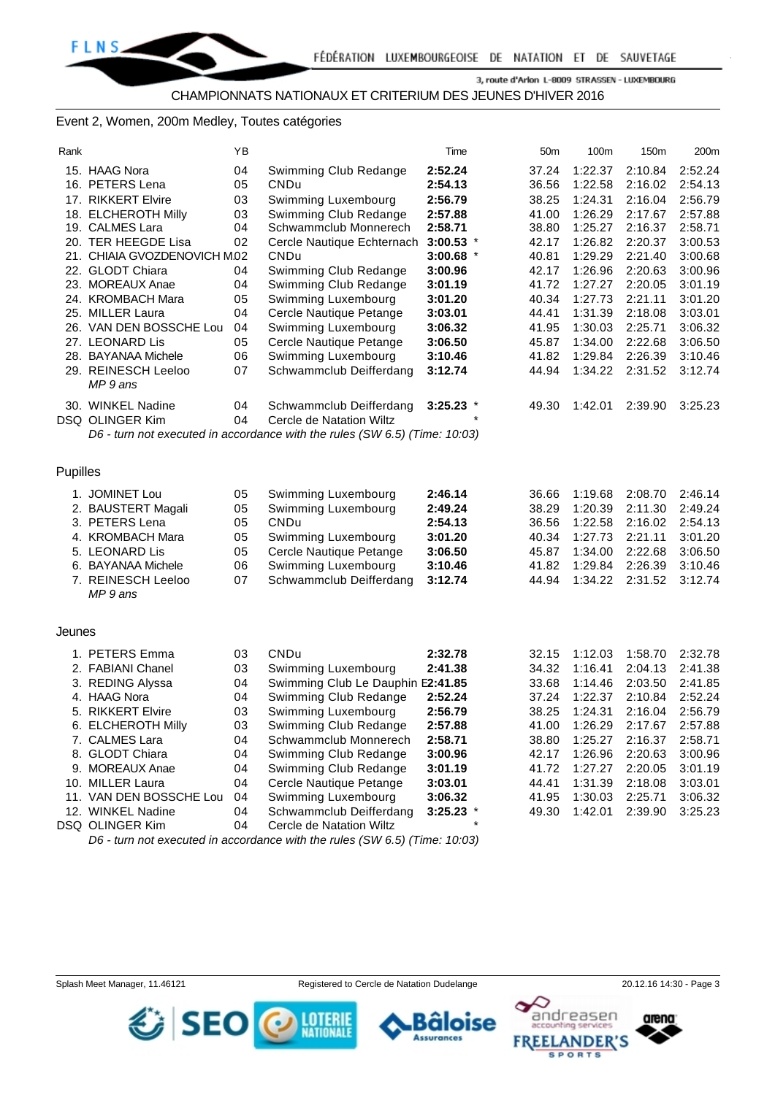#### Event 2, Women, 200m Medley, Toutes catégories

| Rank     |                                                  | ΥB |                                                                            | Time                   | 50 <sub>m</sub> | 100m               | 150m               | 200m               |
|----------|--------------------------------------------------|----|----------------------------------------------------------------------------|------------------------|-----------------|--------------------|--------------------|--------------------|
|          | 15. HAAG Nora                                    | 04 | Swimming Club Redange                                                      | 2:52.24                | 37.24           | 1:22.37            | 2:10.84            | 2:52.24            |
|          | 16. PETERS Lena                                  | 05 | CNDu                                                                       | 2:54.13                | 36.56           | 1:22.58            | 2:16.02            | 2:54.13            |
|          | 17. RIKKERT Elvire                               | 03 | Swimming Luxembourg                                                        | 2:56.79                | 38.25           | 1:24.31            | 2:16.04            | 2:56.79            |
|          | 18. ELCHEROTH Milly                              | 03 | Swimming Club Redange                                                      | 2:57.88                | 41.00           | 1:26.29            | 2:17.67            | 2:57.88            |
|          | 19. CALMES Lara                                  | 04 | Schwammclub Monnerech                                                      | 2:58.71                | 38.80           | 1:25.27            | 2:16.37            | 2:58.71            |
|          | 20. TER HEEGDE Lisa                              | 02 | Cercle Nautique Echternach                                                 | $3:00.53$ *            | 42.17           | 1:26.82            | 2:20.37            | 3:00.53            |
|          | 21. CHIAIA GVOZDENOVICH M.02<br>22. GLODT Chiara | 04 | CNDu<br>Swimming Club Redange                                              | $3:00.68$ *<br>3:00.96 | 40.81<br>42.17  | 1:29.29<br>1:26.96 | 2:21.40<br>2:20.63 | 3:00.68<br>3:00.96 |
|          | 23. MOREAUX Anae                                 | 04 | Swimming Club Redange                                                      | 3:01.19                | 41.72           | 1:27.27            | 2:20.05            | 3:01.19            |
|          | 24. KROMBACH Mara                                | 05 | Swimming Luxembourg                                                        | 3:01.20                | 40.34           | 1:27.73            | 2:21.11            | 3:01.20            |
|          | 25. MILLER Laura                                 | 04 | Cercle Nautique Petange                                                    | 3:03.01                | 44.41           | 1:31.39            | 2:18.08            | 3:03.01            |
|          | 26. VAN DEN BOSSCHE Lou                          | 04 | Swimming Luxembourg                                                        | 3:06.32                | 41.95           | 1:30.03            | 2:25.71            | 3:06.32            |
|          | 27. LEONARD Lis                                  | 05 | Cercle Nautique Petange                                                    | 3:06.50                | 45.87           | 1:34.00            | 2:22.68            | 3:06.50            |
|          | 28. BAYANAA Michele                              | 06 | Swimming Luxembourg                                                        | 3:10.46                | 41.82           | 1:29.84            | 2:26.39            | 3:10.46            |
|          | 29. REINESCH Leeloo                              | 07 | Schwammclub Deifferdang                                                    | 3:12.74                | 44.94           | 1:34.22            | 2:31.52            | 3:12.74            |
|          | MP 9 ans                                         |    |                                                                            |                        |                 |                    |                    |                    |
|          | 30. WINKEL Nadine                                | 04 | Schwammclub Deifferdang                                                    | $3:25.23$ *            | 49.30           | 1:42.01            | 2:39.90            | 3:25.23            |
|          | DSQ OLINGER Kim                                  | 04 | Cercle de Natation Wiltz                                                   |                        |                 |                    |                    |                    |
|          |                                                  |    | D6 - turn not executed in accordance with the rules (SW 6.5) (Time: 10:03) |                        |                 |                    |                    |                    |
|          |                                                  |    |                                                                            |                        |                 |                    |                    |                    |
|          |                                                  |    |                                                                            |                        |                 |                    |                    |                    |
| Pupilles |                                                  |    |                                                                            |                        |                 |                    |                    |                    |
|          | 1. JOMINET Lou                                   | 05 | Swimming Luxembourg                                                        | 2:46.14                | 36.66           | 1:19.68            | 2:08.70            | 2:46.14            |
|          | 2. BAUSTERT Magali                               | 05 | Swimming Luxembourg                                                        | 2:49.24                | 38.29           | 1:20.39            | 2:11.30            | 2:49.24            |
|          | 3. PETERS Lena                                   | 05 | CNDu                                                                       | 2:54.13                | 36.56           | 1:22.58            | 2:16.02            | 2:54.13            |
|          | 4. KROMBACH Mara                                 | 05 | Swimming Luxembourg                                                        | 3:01.20                | 40.34           | 1:27.73            | 2:21.11            | 3:01.20            |
|          | 5. LEONARD Lis                                   | 05 | Cercle Nautique Petange                                                    | 3:06.50                | 45.87           | 1:34.00            | 2:22.68            | 3:06.50            |
|          | 6. BAYANAA Michele                               | 06 | Swimming Luxembourg                                                        | 3:10.46                | 41.82           | 1:29.84            | 2:26.39            | 3:10.46            |
|          | 7. REINESCH Leeloo                               | 07 | Schwammclub Deifferdang                                                    | 3:12.74                | 44.94           | 1:34.22            | 2:31.52            | 3:12.74            |
|          | MP 9 ans                                         |    |                                                                            |                        |                 |                    |                    |                    |
|          |                                                  |    |                                                                            |                        |                 |                    |                    |                    |
| Jeunes   |                                                  |    |                                                                            |                        |                 |                    |                    |                    |
|          | 1. PETERS Emma                                   | 03 | CNDu                                                                       | 2:32.78                | 32.15           | 1:12.03            | 1:58.70            | 2:32.78            |
|          | 2. FABIANI Chanel                                | 03 | Swimming Luxembourg                                                        | 2:41.38                | 34.32           | 1:16.41            | 2:04.13            | 2:41.38            |
|          | 3. REDING Alyssa                                 | 04 | Swimming Club Le Dauphin E2:41.85                                          |                        | 33.68           | 1:14.46            | 2:03.50            | 2:41.85            |
|          | 4. HAAG Nora                                     | 04 | Swimming Club Redange                                                      | 2:52.24                | 37.24           | 1:22.37            | 2:10.84            | 2:52.24            |
|          | 5. RIKKERT Elvire                                | 03 | Swimming Luxembourg                                                        | 2:56.79                | 38.25           | 1:24.31            | 2:16.04            | 2:56.79            |
|          | 6. ELCHEROTH Milly                               | 03 | Swimming Club Redange                                                      | 2:57.88                | 41.00           | 1:26.29            | 2:17.67            | 2:57.88            |
|          | 7. CALMES Lara                                   | 04 | Schwammclub Monnerech                                                      | 2:58.71                | 38.80           | 1:25.27            | 2:16.37            | 2:58.71            |
|          | 8. GLODT Chiara                                  | 04 | Swimming Club Redange                                                      | 3:00.96                | 42.17           | 1:26.96            | 2:20.63            | 3:00.96            |
|          | 9. MOREAUX Anae                                  | 04 | Swimming Club Redange                                                      | 3:01.19                | 41.72           | 1:27.27            | 2:20.05            | 3:01.19            |
|          | 10. MILLER Laura                                 | 04 | Cercle Nautique Petange                                                    | 3:03.01                | 44.41           | 1:31.39            | 2:18.08            | 3:03.01            |
|          | 11. VAN DEN BOSSCHE Lou                          | 04 | Swimming Luxembourg                                                        | 3:06.32                | 41.95           | 1:30.03            | 2:25.71            | 3:06.32            |
|          | 12. WINKEL Nadine                                | 04 | Schwammclub Deifferdang                                                    | $3:25.23$ *            | 49.30           | 1:42.01            | 2:39.90            | 3:25.23            |
|          | DSQ OLINGER Kim                                  | 04 | Cercle de Natation Wiltz                                                   |                        |                 |                    |                    |                    |

*D6 - turn not executed in accordance with the rules (SW 6.5) (Time: 10:03)*



Splash Meet Manager, 11.46121 Registered to Cercle de Natation Dudelange 20.12.16 14:30 - Page 3





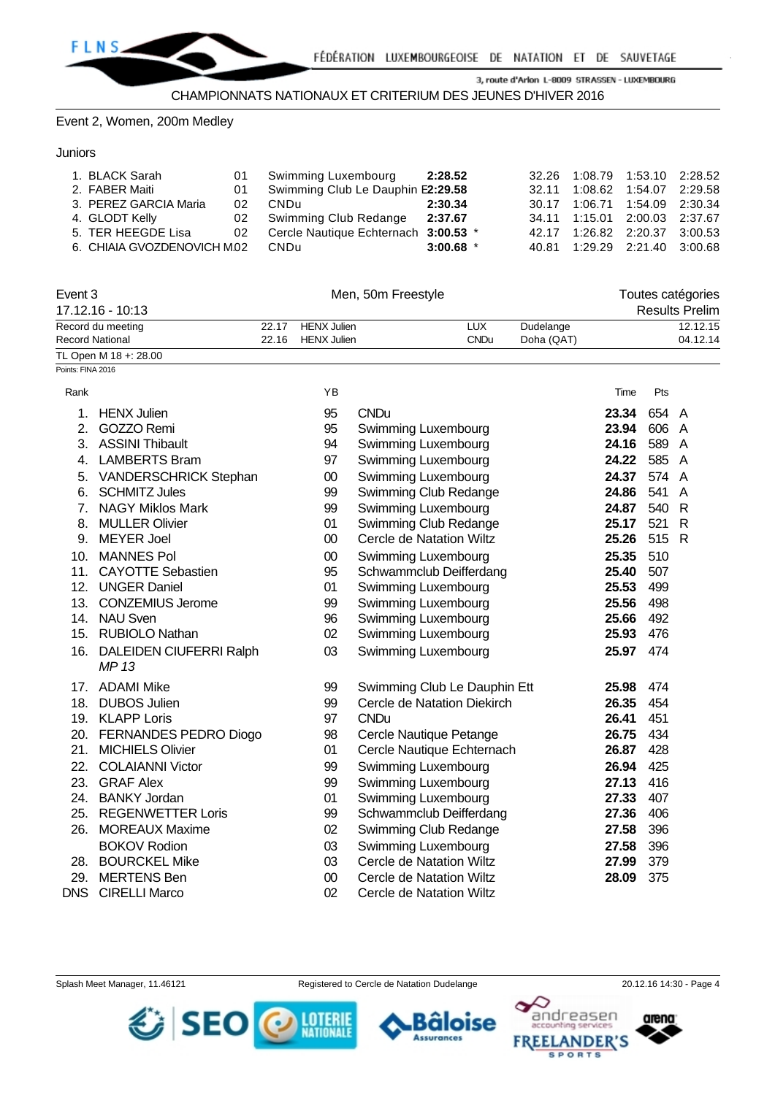

Event 2, Women, 200m Medley

#### **Juniors**

| 1. BLACK Sarah<br>2. FABER Maiti<br>3. PEREZ GARCIA Maria<br>4. GLODT Kelly<br>5. TER HEEGDE Lisa<br>6. CHIAIA GVOZDENOVICH M.02 CNDu | 01 | Swimming Luxembourg<br>Swimming Club Le Dauphin E2:29.58<br>02 CNDu<br>02 Swimming Club Redange 2:37.67<br>02 Cercle Nautique Echternach 3:00.53 * | 2:28.52<br>2:30.34<br>$3:00.68$ * | 32.26 1:08.79 1:53.10 2:28.52<br>32.11 1:08.62 1:54.07 2:29.58<br>30.17 1:06.71 1:54.09 2:30.34<br>34.11 1:15.01 2:00.03 2:37.67<br>42.17 1:26.82 2:20.37 3:00.53<br>40.81 1:29.29 2:21.40 3:00.68 |  |
|---------------------------------------------------------------------------------------------------------------------------------------|----|----------------------------------------------------------------------------------------------------------------------------------------------------|-----------------------------------|----------------------------------------------------------------------------------------------------------------------------------------------------------------------------------------------------|--|
|                                                                                                                                       |    |                                                                                                                                                    |                                   |                                                                                                                                                                                                    |  |

| Event 3               |       | Men, 50m Freestyle | Toutes catégories |            |                       |
|-----------------------|-------|--------------------|-------------------|------------|-----------------------|
| 17.12.16 - 10:13      |       |                    |                   |            | <b>Results Prelim</b> |
| Record du meeting     | 22.17 | HENX Julien        | LUX               | Dudelange  | 12.12.15              |
| Record National       | 22.16 | HENX Julien        | <b>CNDu</b>       | Doha (QAT) | 04.12.14              |
| TL Open M 18 +: 28.00 |       |                    |                   |            |                       |
| Points: FINA 2016     |       |                    |                   |            |                       |

| Rank           |                                | ΥB     |                                 | Time  | Pts   |                |
|----------------|--------------------------------|--------|---------------------------------|-------|-------|----------------|
| 1.             | <b>HENX Julien</b>             | 95     | <b>CNDu</b>                     | 23.34 | 654 A |                |
| 2.             | GOZZO Remi                     | 95     | Swimming Luxembourg             | 23.94 | 606   | A              |
| 3.             | <b>ASSINI Thibault</b>         | 94     | Swimming Luxembourg             | 24.16 | 589   | A              |
| 4.             | <b>LAMBERTS Bram</b>           | 97     | Swimming Luxembourg             | 24.22 | 585   | A              |
| 5.             | VANDERSCHRICK Stephan          | $00\,$ | Swimming Luxembourg             | 24.37 | 574   | $\overline{A}$ |
| 6.             | <b>SCHMITZ Jules</b>           | 99     | Swimming Club Redange           | 24.86 | 541   | A              |
| 7 <sub>1</sub> | <b>NAGY Miklos Mark</b>        | 99     | Swimming Luxembourg             | 24.87 | 540   | R              |
| 8.             | <b>MULLER Olivier</b>          | 01     | Swimming Club Redange           | 25.17 | 521   | $\mathsf{R}$   |
| 9.             | <b>MEYER Joel</b>              | 00     | Cercle de Natation Wiltz        | 25.26 | 515   | R              |
| 10.            | <b>MANNES Pol</b>              | $00\,$ | Swimming Luxembourg             | 25.35 | 510   |                |
| 11.            | <b>CAYOTTE Sebastien</b>       | 95     | Schwammclub Deifferdang         | 25.40 | 507   |                |
| 12.            | <b>UNGER Daniel</b>            | 01     | Swimming Luxembourg             | 25.53 | 499   |                |
| 13.            | <b>CONZEMIUS Jerome</b>        | 99     | Swimming Luxembourg             | 25.56 | 498   |                |
| 14.            | <b>NAU Sven</b>                | 96     | Swimming Luxembourg             | 25.66 | 492   |                |
| 15.            | <b>RUBIOLO Nathan</b>          | 02     | Swimming Luxembourg             | 25.93 | 476   |                |
| 16.            | <b>DALEIDEN CIUFERRI Ralph</b> | 03     | Swimming Luxembourg             | 25.97 | 474   |                |
|                | MP 13                          |        |                                 |       |       |                |
| 17.            | <b>ADAMI Mike</b>              | 99     | Swimming Club Le Dauphin Ett    | 25.98 | 474   |                |
| 18.            | <b>DUBOS Julien</b>            | 99     | Cercle de Natation Diekirch     | 26.35 | 454   |                |
| 19.            | <b>KLAPP Loris</b>             | 97     | <b>CNDu</b>                     | 26.41 | 451   |                |
| 20.            | FERNANDES PEDRO Diogo          | 98     | Cercle Nautique Petange         | 26.75 | 434   |                |
| 21.            | <b>MICHIELS Olivier</b>        | 01     | Cercle Nautique Echternach      | 26.87 | 428   |                |
| 22.            | <b>COLAIANNI Victor</b>        | 99     | Swimming Luxembourg             | 26.94 | 425   |                |
| 23.            | <b>GRAF Alex</b>               | 99     | Swimming Luxembourg             | 27.13 | 416   |                |
| 24.            | <b>BANKY Jordan</b>            | 01     | Swimming Luxembourg             | 27.33 | 407   |                |
| 25.            | <b>REGENWETTER Loris</b>       | 99     | Schwammclub Deifferdang         | 27.36 | 406   |                |
| 26.            | <b>MOREAUX Maxime</b>          | 02     | Swimming Club Redange           | 27.58 | 396   |                |
|                | <b>BOKOV Rodion</b>            | 03     | Swimming Luxembourg             | 27.58 | 396   |                |
| 28.            | <b>BOURCKEL Mike</b>           | 03     | Cercle de Natation Wiltz        | 27.99 | 379   |                |
| 29.            | <b>MERTENS Ben</b>             | $00\,$ | <b>Cercle de Natation Wiltz</b> | 28.09 | 375   |                |
| <b>DNS</b>     | <b>CIRELLI Marco</b>           | 02     | Cercle de Natation Wiltz        |       |       |                |

arena:

andreasen



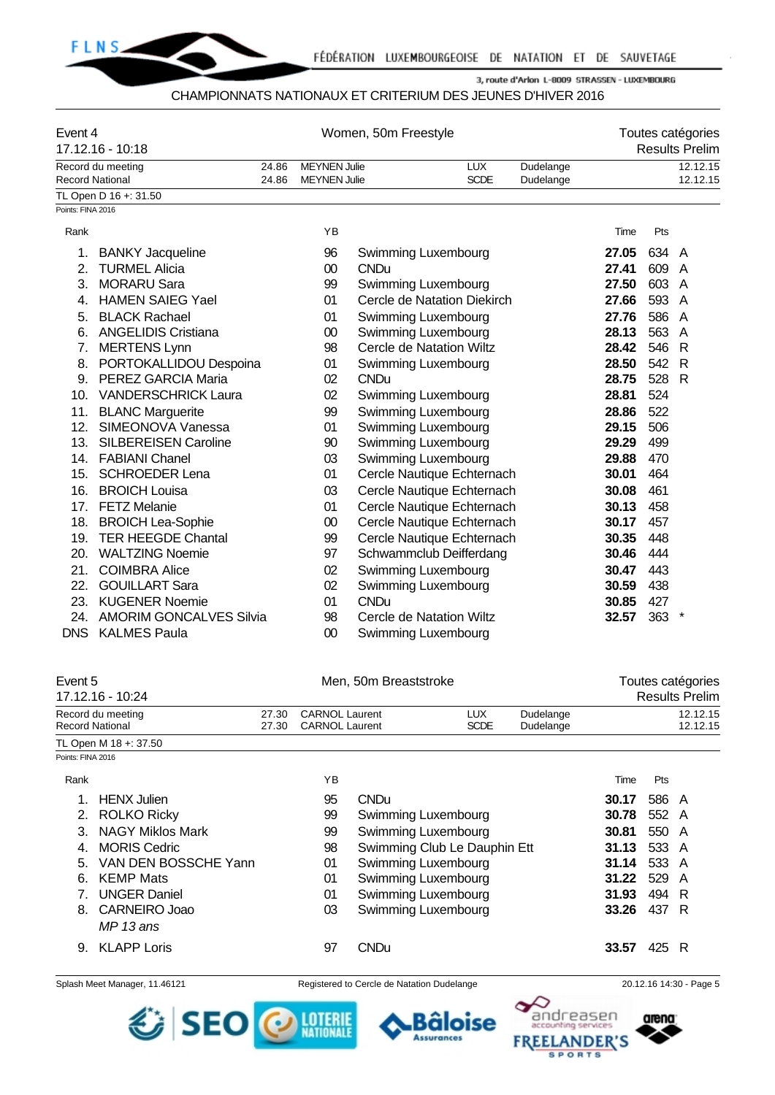

#### CHAMPIONNATS NATIONAUX ET CRITERIUM DES JEUNES D'HIVER 2016

| Event 4<br>17.12.16 - 10:18 |                                |       | Women, 50m Freestyle |                             |             |           |       | Toutes catégories<br><b>Results Prelim</b> |                |
|-----------------------------|--------------------------------|-------|----------------------|-----------------------------|-------------|-----------|-------|--------------------------------------------|----------------|
|                             | Record du meeting              | 24.86 | <b>MEYNEN Julie</b>  |                             | <b>LUX</b>  | Dudelange |       |                                            | 12.12.15       |
| <b>Record National</b>      |                                | 24.86 | <b>MEYNEN Julie</b>  |                             | <b>SCDE</b> | Dudelange |       |                                            | 12.12.15       |
| Points: FINA 2016           | TL Open D 16 +: 31.50          |       |                      |                             |             |           |       |                                            |                |
|                             |                                |       |                      |                             |             |           |       |                                            |                |
| Rank                        |                                |       | YB                   |                             |             |           | Time  | Pts                                        |                |
| 1.                          | <b>BANKY Jacqueline</b>        |       | 96                   | Swimming Luxembourg         |             |           | 27.05 | 634                                        | A              |
| 2.                          | <b>TURMEL Alicia</b>           |       | 00                   | <b>CNDu</b>                 |             |           | 27.41 | 609                                        | A              |
| 3.                          | <b>MORARU Sara</b>             |       | 99                   | Swimming Luxembourg         |             |           | 27.50 | 603                                        | $\overline{A}$ |
| 4.                          | <b>HAMEN SAIEG Yael</b>        |       | 01                   | Cercle de Natation Diekirch |             |           | 27.66 | 593                                        | $\overline{A}$ |
| 5.                          | <b>BLACK Rachael</b>           |       | 01                   | Swimming Luxembourg         |             |           | 27.76 | 586                                        | A              |
| 6.                          | <b>ANGELIDIS Cristiana</b>     |       | 00                   | Swimming Luxembourg         |             |           | 28.13 | 563                                        | A              |
| 7.                          | <b>MERTENS Lynn</b>            |       | 98                   | Cercle de Natation Wiltz    |             |           | 28.42 | 546                                        | $\mathsf{R}$   |
| 8.                          | PORTOKALLIDOU Despoina         |       | 01                   | Swimming Luxembourg         |             |           | 28.50 | 542                                        | $\mathsf{R}$   |
| 9.                          | PEREZ GARCIA Maria             |       | 02                   | <b>CNDu</b>                 |             |           | 28.75 | 528 R                                      |                |
| 10.                         | <b>VANDERSCHRICK Laura</b>     |       | 02                   | Swimming Luxembourg         |             |           | 28.81 | 524                                        |                |
| 11.                         | <b>BLANC Marguerite</b>        |       | 99                   | Swimming Luxembourg         |             |           | 28.86 | 522                                        |                |
| 12.                         | SIMEONOVA Vanessa              |       | 01                   | Swimming Luxembourg         |             |           | 29.15 | 506                                        |                |
| 13.                         | <b>SILBEREISEN Caroline</b>    |       | 90                   | Swimming Luxembourg         |             |           | 29.29 | 499                                        |                |
| 14.                         | <b>FABIANI Chanel</b>          |       | 03                   | Swimming Luxembourg         |             |           | 29.88 | 470                                        |                |
| 15.                         | <b>SCHROEDER Lena</b>          |       | 01                   | Cercle Nautique Echternach  |             |           | 30.01 | 464                                        |                |
| 16.                         | <b>BROICH Louisa</b>           |       | 03                   | Cercle Nautique Echternach  |             |           | 30.08 | 461                                        |                |
| 17.                         | <b>FETZ Melanie</b>            |       | 01                   | Cercle Nautique Echternach  |             |           | 30.13 | 458                                        |                |
| 18.                         | <b>BROICH Lea-Sophie</b>       |       | 00                   | Cercle Nautique Echternach  |             |           | 30.17 | 457                                        |                |
| 19.                         | <b>TER HEEGDE Chantal</b>      |       | 99                   | Cercle Nautique Echternach  |             |           | 30.35 | 448                                        |                |
| 20.                         | <b>WALTZING Noemie</b>         |       | 97                   | Schwammclub Deifferdang     |             |           | 30.46 | 444                                        |                |
| 21.                         | <b>COIMBRA Alice</b>           |       | 02                   | Swimming Luxembourg         |             |           | 30.47 | 443                                        |                |
| 22.                         | <b>GOUILLART Sara</b>          |       | 02                   | Swimming Luxembourg         |             |           | 30.59 | 438                                        |                |
| 23.                         | <b>KUGENER Noemie</b>          |       | 01                   | <b>CNDu</b>                 |             |           | 30.85 | 427                                        |                |
| 24.                         | <b>AMORIM GONCALVES Silvia</b> |       | 98                   | Cercle de Natation Wiltz    |             |           | 32.57 | 363                                        |                |
| <b>DNS</b>                  | <b>KALMES Paula</b>            |       | 00                   | Swimming Luxembourg         |             |           |       |                                            |                |

| Event 5                |                            |                | Men, 50m Breaststroke                          |                              |                     |                        |       | Toutes catégories |                       |  |  |
|------------------------|----------------------------|----------------|------------------------------------------------|------------------------------|---------------------|------------------------|-------|-------------------|-----------------------|--|--|
|                        | 17.12.16 - 10:24           |                |                                                |                              |                     |                        |       |                   | <b>Results Prelim</b> |  |  |
| <b>Record National</b> | Record du meeting          | 27.30<br>27.30 | <b>CARNOL Laurent</b><br><b>CARNOL Laurent</b> |                              | LUX.<br><b>SCDE</b> | Dudelange<br>Dudelange |       |                   | 12.12.15<br>12.12.15  |  |  |
|                        | TL Open M 18 +: 37.50      |                |                                                |                              |                     |                        |       |                   |                       |  |  |
| Points: FINA 2016      |                            |                |                                                |                              |                     |                        |       |                   |                       |  |  |
| Rank                   |                            |                | ΥB                                             |                              |                     |                        | Time  | Pts               |                       |  |  |
|                        | <b>HENX Julien</b>         |                | 95                                             | <b>CNDu</b>                  |                     |                        | 30.17 | 586 A             |                       |  |  |
| 2.                     | <b>ROLKO Ricky</b>         |                | 99                                             | Swimming Luxembourg          |                     |                        | 30.78 | 552 A             |                       |  |  |
| 3.                     | <b>NAGY Miklos Mark</b>    |                | 99                                             | Swimming Luxembourg          |                     |                        | 30.81 | 550 A             |                       |  |  |
| 4.                     | <b>MORIS Cedric</b>        |                | 98                                             | Swimming Club Le Dauphin Ett |                     |                        | 31.13 | 533 A             |                       |  |  |
| 5.                     | VAN DEN BOSSCHE Yann       |                | 01                                             | Swimming Luxembourg          |                     |                        | 31.14 | 533 A             |                       |  |  |
| 6.                     | <b>KEMP Mats</b>           |                | 01                                             | Swimming Luxembourg          |                     |                        | 31.22 | 529               | A                     |  |  |
|                        | <b>UNGER Daniel</b>        |                | 01                                             | Swimming Luxembourg          |                     |                        | 31.93 | 494 R             |                       |  |  |
| 8.                     | CARNEIRO Joao<br>MP 13 ans |                | 03                                             | Swimming Luxembourg          |                     |                        | 33.26 | 437 R             |                       |  |  |
| 9.                     | <b>KLAPP Loris</b>         |                | 97                                             | <b>CNDu</b>                  |                     |                        | 33.57 | 425               | R                     |  |  |

Splash Meet Manager, 11.46121 Registered to Cercle de Natation Dudelange 20.12.16 14:30 - Page 5



arena:

andreasen



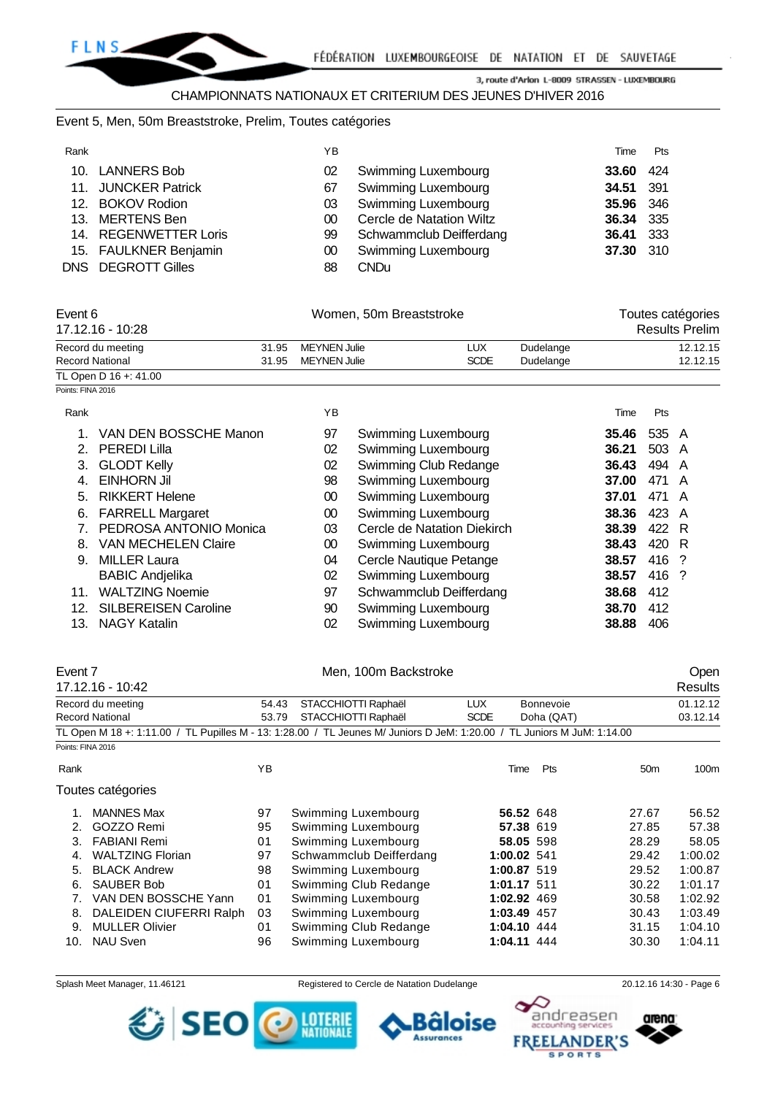#### CHAMPIONNATS NATIONAUX ET CRITERIUM DES JEUNES D'HIVER 2016

#### Event 5, Men, 50m Breaststroke, Prelim, Toutes catégories

| Rank |                       | ΥB            |                            | Time             | Pts   |
|------|-----------------------|---------------|----------------------------|------------------|-------|
|      | 10. LANNERS Bob       | 02            | Swimming Luxembourg        | 33.60            | -424  |
|      | 11. JUNCKER Patrick   | 67            | Swimming Luxembourg        | 34.51 391        |       |
|      | 12. BOKOV Rodion      | 03            | <b>Swimming Luxembourg</b> | <b>35.96</b> 346 |       |
|      | 13. MERTENS Ben       | <sub>00</sub> | Cercle de Natation Wiltz   | 36.34 335        |       |
|      | 14. REGENWETTER Loris | 99            | Schwammclub Deifferdang    | 36.41            | - 333 |
|      | 15. FAULKNER Benjamin | 00            | <b>Swimming Luxembourg</b> | 37.30 310        |       |
|      | DNS DEGROTT Gilles    | 88            | <b>CNDu</b>                |                  |       |

| Event 6                |  | Women, 50m Breaststroke | Toutes catégories |           |                       |
|------------------------|--|-------------------------|-------------------|-----------|-----------------------|
| 17.12.16 - 10:28       |  |                         |                   |           | <b>Results Prelim</b> |
| Record du meeting      |  | 31.95 MEYNEN Julie      | LUX               | Dudelange | 12.12.15              |
| <b>Record National</b> |  | 31.95 MEYNEN Julie      | <b>SCDE</b>       | Dudelange | 12.12.15              |
| TL Open D 16 +: 41.00  |  |                         |                   |           |                       |
| Points: FINA 2016      |  |                         |                   |           |                       |

Rank Time Pts 1. VAN DEN BOSSCHE Manon 97 Swimming Luxembourg **35.46** 535 A 2. PEREDI Lilla 02 Swimming Luxembourg **36.21** 503 A 3. GLODT Kelly 02 Swimming Club Redange **36.43** 494 A 4. EINHORN Jil 98 Swimming Luxembourg **37.00** 471 A 5. RIKKERT Helene 00 Swimming Luxembourg **37.01** 471 A 6. FARRELL Margaret 00 Swimming Luxembourg **38.36** 423 A 7. PEDROSA ANTONIO Monica 03 Cercle de Natation Diekirch **38.39** 422 R 8. VAN MECHELEN Claire 00 Swimming Luxembourg **38.43** 420 R 9. MILLER Laura 04 Cercle Nautique Petange **38.57** 416 ? BABIC Andjelika 02 Swimming Luxembourg **38.57** 416 ? 11. WALTZING Noemie 97 Schwammclub Deifferdang **38.68** 412 12. SILBEREISEN Caroline 90 Swimming Luxembourg **38.70** 412 13. NAGY Katalin 02 Swimming Luxembourg **38.88** 406

|                        | Event 7                 |       | Men, 100m Backstroke                                                                                                    |             |                  |                 | Open     |
|------------------------|-------------------------|-------|-------------------------------------------------------------------------------------------------------------------------|-------------|------------------|-----------------|----------|
|                        | 17.12.16 - 10:42        |       |                                                                                                                         |             |                  |                 | Results  |
|                        | Record du meeting       | 54.43 | STACCHIOTTI Raphaël                                                                                                     | LUX.        | <b>Bonnevoie</b> |                 | 01.12.12 |
| <b>Record National</b> |                         | 53.79 | STACCHIOTTI Raphaël                                                                                                     | <b>SCDE</b> | Doha (QAT)       |                 | 03.12.14 |
|                        |                         |       | TL Open M 18 +: 1:11.00 / TL Pupilles M - 13: 1:28.00 / TL Jeunes M/ Juniors D JeM: 1:20.00 / TL Juniors M JuM: 1:14.00 |             |                  |                 |          |
| Points: FINA 2016      |                         |       |                                                                                                                         |             |                  |                 |          |
| Rank                   |                         | YB    |                                                                                                                         | Time        | Pts              | 50 <sub>m</sub> | 100m     |
|                        | Toutes catégories       |       |                                                                                                                         |             |                  |                 |          |
| 1.                     | <b>MANNES Max</b>       | 97    | Swimming Luxembourg                                                                                                     |             | 56.52 648        | 27.67           | 56.52    |
| 2.                     | GOZZO Remi              | 95    | Swimming Luxembourg                                                                                                     |             | 57.38 619        | 27.85           | 57.38    |
| 3.                     | <b>FABIANI Remi</b>     | 01    | Swimming Luxembourg                                                                                                     |             | 58.05 598        | 28.29           | 58.05    |
| 4.                     | <b>WALTZING Florian</b> | 97    | Schwammclub Deifferdang                                                                                                 |             | 1:00.02 541      | 29.42           | 1:00.02  |
| 5.                     | <b>BLACK Andrew</b>     | 98    | Swimming Luxembourg                                                                                                     |             | 1:00.87 519      | 29.52           | 1:00.87  |
| 6.                     | <b>SAUBER Bob</b>       | 01    | Swimming Club Redange                                                                                                   |             | 1:01.17 511      | 30.22           | 1:01.17  |
| 7.                     | VAN DEN BOSSCHE Yann    | 01    | Swimming Luxembourg                                                                                                     |             | 1:02.92 469      | 30.58           | 1:02.92  |
| 8.                     | DALEIDEN CIUFERRI Ralph | 03    | Swimming Luxembourg                                                                                                     |             | 1:03.49 457      | 30.43           | 1:03.49  |
| 9.                     | <b>MULLER Olivier</b>   | 01    | Swimming Club Redange                                                                                                   |             | 1:04.10 444      | 31.15           | 1:04.10  |
| 10.                    | <b>NAU Sven</b>         | 96    | Swimming Luxembourg                                                                                                     |             | 1:04.11 444      | 30.30           | 1:04.11  |

Splash Meet Manager, 11.46121 Registered to Cercle de Natation Dudelange 20.12.16 14:30 - Page 6

aloise

**Assurances** 

LOTERII





SEO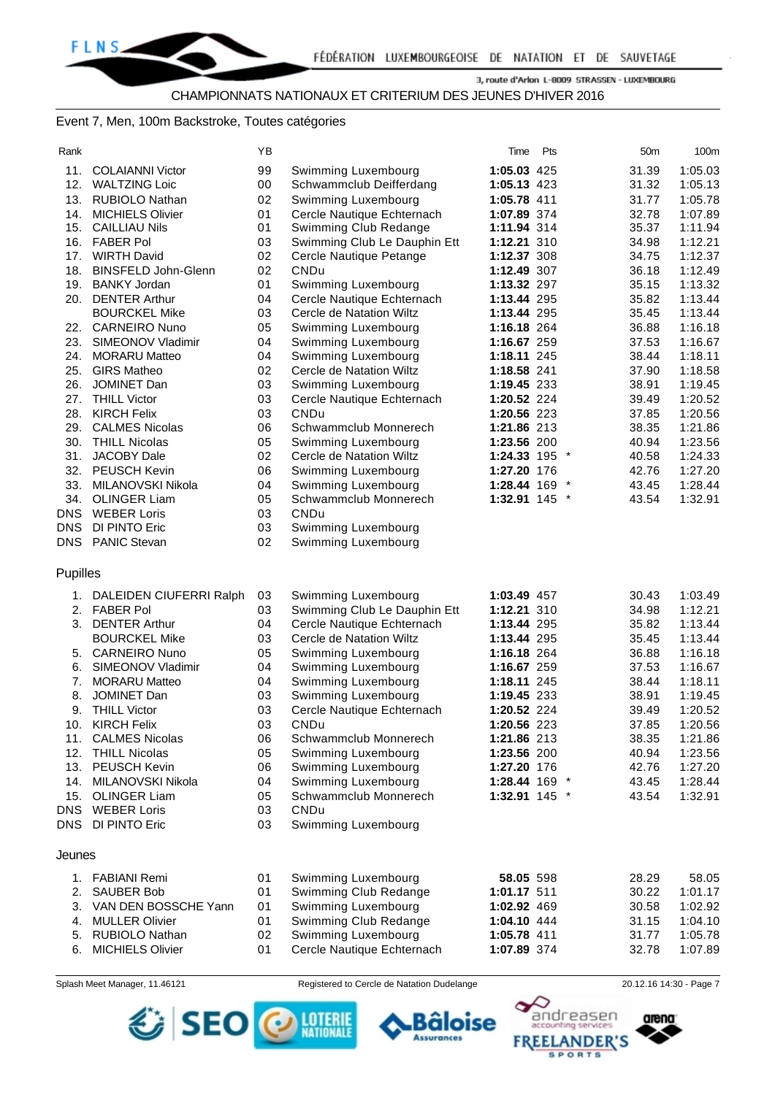#### Event 7, Men, 100m Backstroke, Toutes catégories

| Rank       |                                           | YB       |                                                            | Time                       | Pts | 50 <sub>m</sub> | 100m               |
|------------|-------------------------------------------|----------|------------------------------------------------------------|----------------------------|-----|-----------------|--------------------|
| 11.        | <b>COLAIANNI Victor</b>                   | 99       | Swimming Luxembourg                                        | 1:05.03 425                |     | 31.39           | 1:05.03            |
| 12.        | <b>WALTZING Loic</b>                      | 00       | Schwammclub Deifferdang                                    | 1:05.13 423                |     | 31.32           | 1:05.13            |
| 13.        | <b>RUBIOLO Nathan</b>                     | 02       | Swimming Luxembourg                                        | 1:05.78 411                |     | 31.77           | 1:05.78            |
| 14.        | <b>MICHIELS Olivier</b>                   | 01       | Cercle Nautique Echternach                                 | 1:07.89 374                |     | 32.78           | 1:07.89            |
| 15.        | <b>CAILLIAU Nils</b>                      | 01       | Swimming Club Redange                                      | 1:11.94 314                |     | 35.37           | 1:11.94            |
| 16.        | <b>FABER Pol</b>                          | 03       | Swimming Club Le Dauphin Ett                               | 1:12.21 310                |     | 34.98           | 1:12.21            |
| 17.        | <b>WIRTH David</b>                        | 02       | Cercle Nautique Petange                                    | 1:12.37 308                |     | 34.75           | 1:12.37            |
| 18.        | <b>BINSFELD John-Glenn</b>                | 02       | CNDu                                                       | 1:12.49 307                |     | 36.18           | 1:12.49            |
| 19.        | <b>BANKY Jordan</b>                       | 01       | Swimming Luxembourg                                        | 1:13.32 297                |     | 35.15           | 1:13.32            |
| 20.        | <b>DENTER Arthur</b>                      | 04       | Cercle Nautique Echternach                                 | 1:13.44 295                |     | 35.82           | 1:13.44            |
|            | <b>BOURCKEL Mike</b>                      | 03       | Cercle de Natation Wiltz                                   | 1:13.44 295                |     | 35.45           | 1:13.44            |
| 22.        | <b>CARNEIRO Nuno</b>                      | 05       | Swimming Luxembourg                                        | 1:16.18 264                |     | 36.88           | 1:16.18            |
| 23.        | SIMEONOV Vladimir                         | 04       | Swimming Luxembourg                                        | 1:16.67 259                |     | 37.53           | 1:16.67            |
| 24.        | <b>MORARU Matteo</b>                      | 04       | Swimming Luxembourg                                        | 1:18.11 245                |     | 38.44           | 1:18.11            |
| 25.        | <b>GIRS Matheo</b>                        | 02       | Cercle de Natation Wiltz                                   | 1:18.58 241                |     | 37.90           | 1:18.58            |
| 26.        | JOMINET Dan                               | 03       | Swimming Luxembourg                                        | 1:19.45 233                |     | 38.91           | 1:19.45            |
| 27.        | <b>THILL Victor</b>                       | 03       | Cercle Nautique Echternach                                 | 1:20.52 224                |     | 39.49           | 1:20.52            |
| 28.        | <b>KIRCH Felix</b>                        | 03       | <b>CNDu</b>                                                | 1:20.56 223                |     | 37.85           | 1:20.56            |
| 29.        | <b>CALMES Nicolas</b>                     | 06       | Schwammclub Monnerech                                      | 1:21.86 213                |     | 38.35           | 1:21.86            |
| 30.        | <b>THILL Nicolas</b>                      | 05       | Swimming Luxembourg                                        | 1:23.56 200                |     | 40.94           | 1:23.56            |
| 31.        | JACOBY Dale                               | 02       | Cercle de Natation Wiltz                                   | 1:24.33 195 *              |     | 40.58           | 1:24.33            |
|            | 32. PEUSCH Kevin                          | 06       | Swimming Luxembourg                                        | 1:27.20 176                |     | 42.76           | 1:27.20            |
| 33.        | MILANOVSKI Nikola                         | 04       | Swimming Luxembourg                                        | 1:28.44 169 *              |     | 43.45           | 1:28.44            |
| 34.        | <b>OLINGER Liam</b>                       | 05       | Schwammclub Monnerech                                      | 1:32.91 145 *              |     | 43.54           | 1:32.91            |
| <b>DNS</b> | <b>WEBER Loris</b>                        | 03       | <b>CNDu</b>                                                |                            |     |                 |                    |
| DNS        | DI PINTO Eric                             | 03       | Swimming Luxembourg                                        |                            |     |                 |                    |
| DNS        | <b>PANIC Stevan</b>                       | 02       | Swimming Luxembourg                                        |                            |     |                 |                    |
| Pupilles   |                                           |          |                                                            |                            |     |                 |                    |
|            |                                           |          |                                                            |                            |     |                 |                    |
| 1.         | DALEIDEN CIUFERRI Ralph                   | 03       | Swimming Luxembourg                                        | 1:03.49 457                |     | 30.43           | 1:03.49            |
| 2.<br>3.   | <b>FABER Pol</b><br><b>DENTER Arthur</b>  | 03<br>04 | Swimming Club Le Dauphin Ett<br>Cercle Nautique Echternach | 1:12.21 310                |     | 34.98<br>35.82  | 1:12.21<br>1:13.44 |
|            | <b>BOURCKEL Mike</b>                      | 03       | Cercle de Natation Wiltz                                   | 1:13.44 295<br>1:13.44 295 |     | 35.45           | 1:13.44            |
|            | <b>CARNEIRO Nuno</b>                      |          |                                                            |                            |     |                 |                    |
| 5.         |                                           | 05<br>04 | Swimming Luxembourg                                        | 1:16.18 264                |     | 36.88           | 1:16.18<br>1:16.67 |
| 6.<br>7.   | SIMEONOV Vladimir<br><b>MORARU Matteo</b> | 04       | Swimming Luxembourg                                        | 1:16.67 259<br>1:18.11 245 |     | 37.53           | 1:18.11            |
|            | JOMINET Dan                               |          | Swimming Luxembourg                                        |                            |     | 38.44           | 1:19.45            |
| 8.<br>9.   | <b>THILL Victor</b>                       | 03<br>03 | Swimming Luxembourg<br>Cercle Nautique Echternach          | 1:19.45 233<br>1:20.52 224 |     | 38.91<br>39.49  |                    |
| 10.        | <b>KIRCH Felix</b>                        | 03       | <b>CNDu</b>                                                | 1:20.56 223                |     |                 | 1:20.52<br>1:20.56 |
|            |                                           |          | Schwammclub Monnerech                                      |                            |     | 37.85           | 1:21.86            |
|            | 11. CALMES Nicolas<br>12. THILL Nicolas   | 06<br>05 | Swimming Luxembourg                                        | 1:21.86 213                |     | 38.35           |                    |
|            | 13. PEUSCH Kevin                          | 06       | Swimming Luxembourg                                        | 1:23.56 200<br>1:27.20 176 |     | 40.94<br>42.76  | 1:23.56<br>1:27.20 |
|            | 14. MILANOVSKI Nikola                     | 04       | Swimming Luxembourg                                        | 1:28.44 169 *              |     | 43.45           | 1:28.44            |
|            | 15. OLINGER Liam                          | 05       | Schwammclub Monnerech                                      | 1:32.91 145 $*$            |     | 43.54           | 1:32.91            |
|            | DNS WEBER Loris                           | 03       | <b>CNDu</b>                                                |                            |     |                 |                    |
|            | DNS DI PINTO Eric                         | 03       | Swimming Luxembourg                                        |                            |     |                 |                    |
|            |                                           |          |                                                            |                            |     |                 |                    |
| Jeunes     |                                           |          |                                                            |                            |     |                 |                    |
|            | 1. FABIANI Remi                           | 01       | Swimming Luxembourg                                        | 58.05 598                  |     | 28.29           | 58.05              |
| 2.         | <b>SAUBER Bob</b>                         | 01       | Swimming Club Redange                                      | 1:01.17 511                |     | 30.22           | 1:01.17            |
| 3.         | VAN DEN BOSSCHE Yann                      | 01       | Swimming Luxembourg                                        | 1:02.92 469                |     | 30.58           | 1:02.92            |
| 4.         | <b>MULLER Olivier</b>                     | 01       | Swimming Club Redange                                      | 1:04.10 444                |     | 31.15           | 1:04.10            |
| 5.         | RUBIOLO Nathan                            | 02       | Swimming Luxembourg                                        | 1:05.78 411                |     | 31.77           | 1:05.78            |
| 6.         | <b>MICHIELS Olivier</b>                   | 01       | Cercle Nautique Echternach                                 | 1:07.89 374                |     | 32.78           | 1:07.89            |

SEO

Splash Meet Manager, 11.46121 Registered to Cercle de Natation Dudelange 20.12.16 14:30 - Page 7

**LOTERIE**<br>NATIONALE





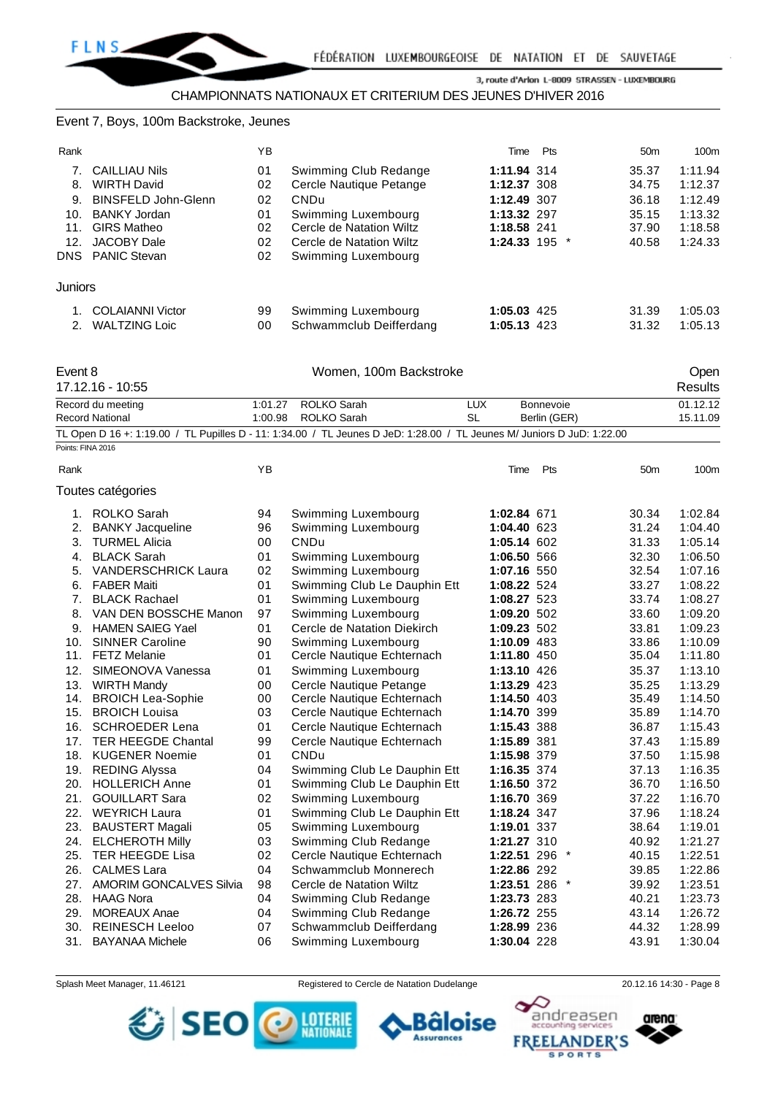#### Event 7, Boys, 100m Backstroke, Jeunes

| Rank                            |                                                                                 | ΥB                   |                                                                                                    | Time                                          | Pts | 50 <sub>m</sub>         | 100m                          |
|---------------------------------|---------------------------------------------------------------------------------|----------------------|----------------------------------------------------------------------------------------------------|-----------------------------------------------|-----|-------------------------|-------------------------------|
|                                 | <b>CAILLIAU Nils</b>                                                            | 01                   | Swimming Club Redange                                                                              | 1:11.94 314                                   |     | 35.37                   | 1:11.94                       |
| 8.                              | <b>WIRTH David</b>                                                              | 02                   | Cercle Nautique Petange                                                                            | 1:12.37 308                                   |     | 34.75                   | 1:12.37                       |
| 9.                              | BINSFELD John-Glenn                                                             | 02                   | CNDu                                                                                               | 1:12.49 307                                   |     | 36.18                   | 1:12.49                       |
| 10.<br>11.<br>12.<br><b>DNS</b> | BANKY Jordan<br><b>GIRS Matheo</b><br><b>JACOBY Dale</b><br><b>PANIC Stevan</b> | 01<br>02<br>02<br>02 | Swimming Luxembourg<br>Cercle de Natation Wiltz<br>Cercle de Natation Wiltz<br>Swimming Luxembourg | 1:13.32 297<br>1:18.58 241<br>1:24.33 195 $*$ |     | 35.15<br>37.90<br>40.58 | 1:13.32<br>1:18.58<br>1:24.33 |
| <b>Juniors</b>                  |                                                                                 |                      |                                                                                                    |                                               |     |                         |                               |
|                                 | <b>COLAIANNI Victor</b>                                                         | 99                   | Swimming Luxembourg                                                                                | 1:05.03 425                                   |     | 31.39                   | 1:05.03                       |
| 2.                              | <b>WALTZING Loic</b>                                                            | 00                   | Schwammclub Deifferdang                                                                            | 1:05.13 423                                   |     | 31.32                   | 1:05.13                       |

| Event 8<br>17.12.16 - 10:55                                                                                            |         |                     | Women, 100m Backstroke |              |          |  |  |
|------------------------------------------------------------------------------------------------------------------------|---------|---------------------|------------------------|--------------|----------|--|--|
| Record du meeting                                                                                                      | 1:01.27 | ROLKO Sarah         | LUX                    | Bonnevoie    | 01.12.12 |  |  |
| Record National                                                                                                        |         | 1:00.98 ROLKO Sarah | SL                     | Berlin (GER) | 15.11.09 |  |  |
| TL Open D 16 +: 1:19.00 / TL Pupilles D - 11: 1:34.00 / TL Jeunes D JeD: 1:28.00 / TL Jeunes M/ Juniors D JuD: 1:22.00 |         |                     |                        |              |          |  |  |

|      | Points: FINA 2016              |    |                              |               |     |                 |         |
|------|--------------------------------|----|------------------------------|---------------|-----|-----------------|---------|
| Rank |                                | ΥB |                              | Time          | Pts | 50 <sub>m</sub> | 100m    |
|      | Toutes catégories              |    |                              |               |     |                 |         |
| 1.   | <b>ROLKO Sarah</b>             | 94 | Swimming Luxembourg          | 1:02.84 671   |     | 30.34           | 1:02.84 |
| 2.   | <b>BANKY Jacqueline</b>        | 96 | Swimming Luxembourg          | 1:04.40 623   |     | 31.24           | 1:04.40 |
| 3.   | <b>TURMEL Alicia</b>           | 00 | <b>CNDu</b>                  | 1:05.14 602   |     | 31.33           | 1:05.14 |
| 4.   | <b>BLACK Sarah</b>             | 01 | Swimming Luxembourg          | 1:06.50 566   |     | 32.30           | 1:06.50 |
| 5.   | <b>VANDERSCHRICK Laura</b>     | 02 | Swimming Luxembourg          | 1:07.16 550   |     | 32.54           | 1:07.16 |
| 6.   | <b>FABER Maiti</b>             | 01 | Swimming Club Le Dauphin Ett | 1:08.22 524   |     | 33.27           | 1:08.22 |
| 7.   | <b>BLACK Rachael</b>           | 01 | Swimming Luxembourg          | 1:08.27 523   |     | 33.74           | 1:08.27 |
| 8.   | VAN DEN BOSSCHE Manon          | 97 | Swimming Luxembourg          | 1:09.20 502   |     | 33.60           | 1:09.20 |
| 9.   | <b>HAMEN SAIEG Yael</b>        | 01 | Cercle de Natation Diekirch  | 1:09.23 502   |     | 33.81           | 1:09.23 |
| 10.  | <b>SINNER Caroline</b>         | 90 | Swimming Luxembourg          | 1:10.09 483   |     | 33.86           | 1:10.09 |
| 11.  | <b>FETZ Melanie</b>            | 01 | Cercle Nautique Echternach   | 1:11.80 450   |     | 35.04           | 1:11.80 |
| 12.  | SIMEONOVA Vanessa              | 01 | Swimming Luxembourg          | 1:13.10 426   |     | 35.37           | 1:13.10 |
| 13.  | <b>WIRTH Mandy</b>             | 00 | Cercle Nautique Petange      | 1:13.29 423   |     | 35.25           | 1:13.29 |
| 14.  | <b>BROICH Lea-Sophie</b>       | 00 | Cercle Nautique Echternach   | 1:14.50 403   |     | 35.49           | 1:14.50 |
| 15.  | <b>BROICH Louisa</b>           | 03 | Cercle Nautique Echternach   | 1:14.70 399   |     | 35.89           | 1:14.70 |
| 16.  | <b>SCHROEDER Lena</b>          | 01 | Cercle Nautique Echternach   | 1:15.43 388   |     | 36.87           | 1:15.43 |
| 17.  | <b>TER HEEGDE Chantal</b>      | 99 | Cercle Nautique Echternach   | 1:15.89 381   |     | 37.43           | 1:15.89 |
| 18.  | <b>KUGENER Noemie</b>          | 01 | CNDu                         | 1:15.98 379   |     | 37.50           | 1:15.98 |
| 19.  | <b>REDING Alyssa</b>           | 04 | Swimming Club Le Dauphin Ett | 1:16.35 374   |     | 37.13           | 1:16.35 |
| 20.  | <b>HOLLERICH Anne</b>          | 01 | Swimming Club Le Dauphin Ett | 1:16.50 372   |     | 36.70           | 1:16.50 |
| 21.  | <b>GOUILLART Sara</b>          | 02 | Swimming Luxembourg          | 1:16.70 369   |     | 37.22           | 1:16.70 |
| 22.  | <b>WEYRICH Laura</b>           | 01 | Swimming Club Le Dauphin Ett | 1:18.24 347   |     | 37.96           | 1:18.24 |
| 23.  | <b>BAUSTERT Magali</b>         | 05 | Swimming Luxembourg          | 1:19.01 337   |     | 38.64           | 1:19.01 |
| 24.  | <b>ELCHEROTH Milly</b>         | 03 | Swimming Club Redange        | 1:21.27 310   |     | 40.92           | 1:21.27 |
| 25.  | <b>TER HEEGDE Lisa</b>         | 02 | Cercle Nautique Echternach   | 1:22.51 296 * |     | 40.15           | 1:22.51 |
| 26.  | <b>CALMES Lara</b>             | 04 | Schwammclub Monnerech        | 1:22.86 292   |     | 39.85           | 1:22.86 |
| 27.  | <b>AMORIM GONCALVES Silvia</b> | 98 | Cercle de Natation Wiltz     | 1:23.51 286 * |     | 39.92           | 1:23.51 |
| 28.  | <b>HAAG Nora</b>               | 04 | Swimming Club Redange        | 1:23.73 283   |     | 40.21           | 1:23.73 |
| 29.  | <b>MOREAUX Anae</b>            | 04 | Swimming Club Redange        | 1:26.72 255   |     | 43.14           | 1:26.72 |
| 30.  | <b>REINESCH Leeloo</b>         | 07 | Schwammclub Deifferdang      | 1:28.99 236   |     | 44.32           | 1:28.99 |
| 31.  | <b>BAYANAA Michele</b>         | 06 | Swimming Luxembourg          | 1:30.04 228   |     | 43.91           | 1:30.04 |

SEO O MERE

Splash Meet Manager, 11.46121 Registered to Cercle de Natation Dudelange 20.12.16 14:30 - Page 8

в

**Assurances** 

äloise

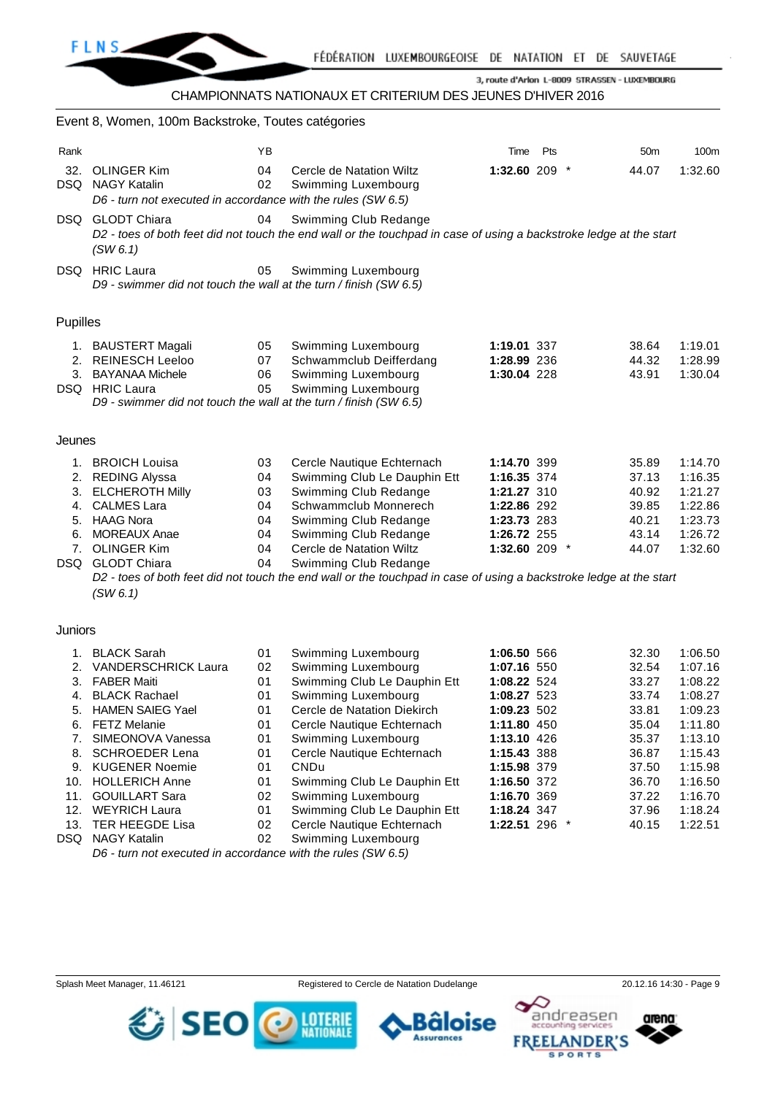

### CHAMPIONNATS NATIONAUX ET CRITERIUM DES JEUNES D'HIVER 2016

# Event 8, Women, 100m Backstroke, Toutes catégories Rank **Time Pts** 50m 100m 32. OLINGER Kim 04 Cercle de Natation Wiltz **1:32.60** 209 \* 44.07 1:32.60 DSQ NAGY Katalin 02 Swimming Luxembourg *D6 - turn not executed in accordance with the rules (SW 6.5)* DSQ GLODT Chiara 04 Swimming Club Redange *D2 - toes of both feet did not touch the end wall or the touchpad in case of using a backstroke ledge at the start (SW 6.1)* DSQ HRIC Laura 05 Swimming Luxembourg *D9 - swimmer did not touch the wall at the turn / finish (SW 6.5)* Pupilles 1. BAUSTERT Magali 05 Swimming Luxembourg **1:19.01** 337 38.64 1:19.01 2. REINESCH Leeloo 07 Schwammclub Deifferdang **1:28.99** 236 44.32 1:28.99 3. BAYANAA Michele 06 Swimming Luxembourg **1:30.04** 228 43.91 1:30.04 DSQ HRIC Laura 05 Swimming Luxembourg *D9 - swimmer did not touch the wall at the turn / finish (SW 6.5)* Jeunes 1. BROICH Louisa 03 Cercle Nautique Echternach **1:14.70** 399 35.89 1:14.70 2. REDING Alyssa 04 Swimming Club Le Dauphin Ett **1:16.35** 374 37.13 1:16.35 3. ELCHEROTH Milly 03 Swimming Club Redange **1:21.27** 310 40.92 1:21.27 4. CALMES Lara 04 Schwammclub Monnerech **1:22.86** 292 39.85 1:22.86 5. HAAG Nora 04 Swimming Club Redange **1:23.73** 283 40.21 1:23.73 6. MOREAUX Anae 04 Swimming Club Redange **1:26.72** 255 43.14 1:26.72 7. OLINGER Kim 04 Cercle de Natation Wiltz **1:32.60** 209 \* 44.07 1:32.60 DSQ GLODT Chiara 04 Swimming Club Redange *D2 - toes of both feet did not touch the end wall or the touchpad in case of using a backstroke ledge at the start (SW 6.1)*

#### **Juniors**

|      | <b>BLACK Sarah</b>         | 01 | Swimming Luxembourg          | 1:06.50 566     | 32.30 | 1:06.50 |
|------|----------------------------|----|------------------------------|-----------------|-------|---------|
| 2.   | <b>VANDERSCHRICK Laura</b> | 02 | Swimming Luxembourg          | 1:07.16 550     | 32.54 | 1:07.16 |
| 3.   | <b>FABER Maiti</b>         | 01 | Swimming Club Le Dauphin Ett | 1:08.22 524     | 33.27 | 1:08.22 |
| 4.   | <b>BLACK Rachael</b>       | 01 | Swimming Luxembourg          | 1:08.27 523     | 33.74 | 1:08.27 |
| 5.   | <b>HAMEN SAIEG Yael</b>    | 01 | Cercle de Natation Diekirch  | 1:09.23 502     | 33.81 | 1:09.23 |
| 6.   | <b>FETZ Melanie</b>        | 01 | Cercle Nautique Echternach   | 1:11.80 450     | 35.04 | 1:11.80 |
|      | SIMEONOVA Vanessa          | 01 | Swimming Luxembourg          | 1:13.10 426     | 35.37 | 1:13.10 |
| 8.   | <b>SCHROEDER Lena</b>      | 01 | Cercle Nautique Echternach   | 1:15.43 388     | 36.87 | 1:15.43 |
| 9.   | <b>KUGENER Noemie</b>      | 01 | <b>CNDu</b>                  | 1:15.98 379     | 37.50 | 1:15.98 |
|      | 10. HOLLERICH Anne         | 01 | Swimming Club Le Dauphin Ett | 1:16.50 372     | 36.70 | 1:16.50 |
| 11.  | <b>GOUILLART Sara</b>      | 02 | Swimming Luxembourg          | 1:16.70 369     | 37.22 | 1:16.70 |
| 12.  | <b>WEYRICH Laura</b>       | 01 | Swimming Club Le Dauphin Ett | 1:18.24 347     | 37.96 | 1:18.24 |
| 13.  | TER HEEGDE Lisa            | 02 | Cercle Nautique Echternach   | 1:22.51 296 $*$ | 40.15 | 1:22.51 |
| DSQ. | NAGY Katalin               | 02 | Swimming Luxembourg          |                 |       |         |
|      |                            |    |                              |                 |       |         |

*D6 - turn not executed in accordance with the rules (SW 6.5)*



SEO انگ

*ssurances* 

LOTER



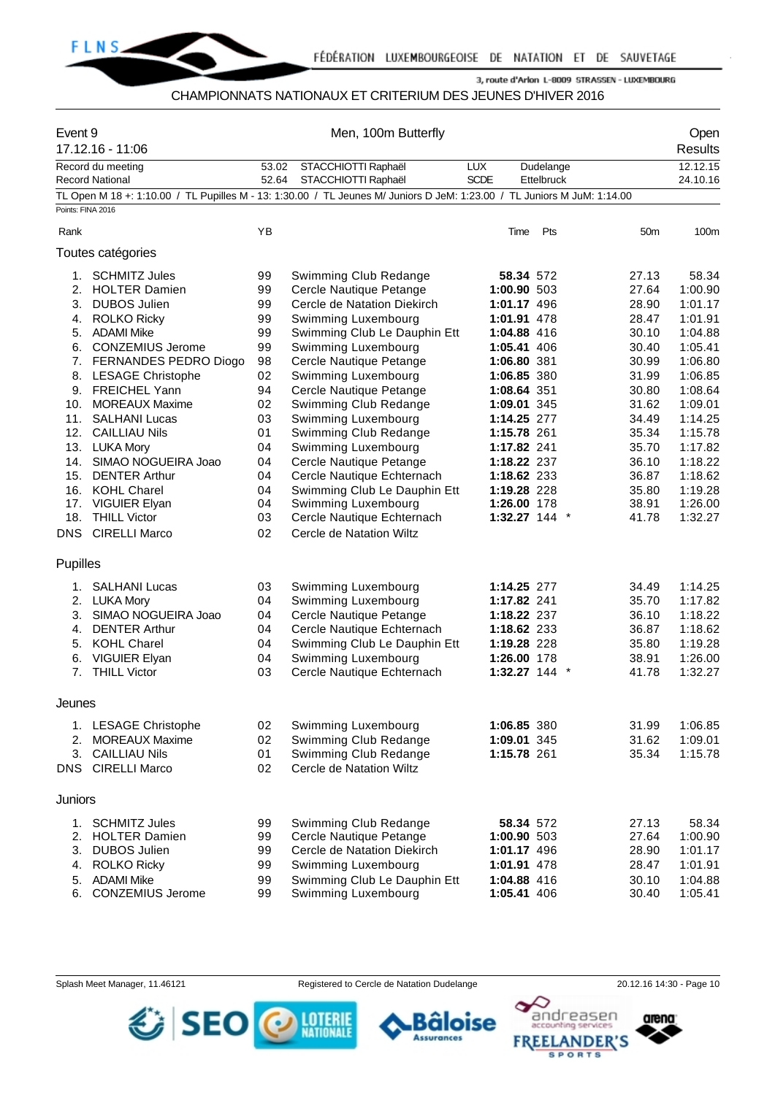

#### CHAMPIONNATS NATIONAUX ET CRITERIUM DES JEUNES D'HIVER 2016

| Event 9           | 17.12.16 - 11:06                            |                | Men, 100m Butterfly                                                                                                     |                           | Open<br>Results                |                 |                      |
|-------------------|---------------------------------------------|----------------|-------------------------------------------------------------------------------------------------------------------------|---------------------------|--------------------------------|-----------------|----------------------|
|                   | Record du meeting<br><b>Record National</b> | 53.02<br>52.64 | STACCHIOTTI Raphaël<br>STACCHIOTTI Raphaël                                                                              | <b>LUX</b><br><b>SCDE</b> | Dudelange<br><b>Ettelbruck</b> |                 | 12.12.15<br>24.10.16 |
|                   |                                             |                | TL Open M 18 +: 1:10.00 / TL Pupilles M - 13: 1:30.00 / TL Jeunes M/ Juniors D JeM: 1:23.00 / TL Juniors M JuM: 1:14.00 |                           |                                |                 |                      |
| Points: FINA 2016 |                                             |                |                                                                                                                         |                           |                                |                 |                      |
| Rank              |                                             | ΥB             |                                                                                                                         | Time                      | Pts                            | 50 <sub>m</sub> | 100m                 |
|                   | Toutes catégories                           |                |                                                                                                                         |                           |                                |                 |                      |
| 1.                | <b>SCHMITZ Jules</b>                        | 99             | Swimming Club Redange                                                                                                   | 58.34 572                 |                                | 27.13           | 58.34                |
| 2.                | <b>HOLTER Damien</b>                        | 99             | Cercle Nautique Petange                                                                                                 | 1:00.90 503               |                                | 27.64           | 1:00.90              |
| 3.                | <b>DUBOS Julien</b>                         | 99             | Cercle de Natation Diekirch                                                                                             | 1:01.17 496               |                                | 28.90           | 1:01.17              |
|                   | 4. ROLKO Ricky                              | 99             | Swimming Luxembourg                                                                                                     | 1:01.91 478               |                                | 28.47           | 1:01.91              |
| 5.                | <b>ADAMI Mike</b>                           | 99             | Swimming Club Le Dauphin Ett                                                                                            | 1:04.88 416               |                                | 30.10           | 1:04.88              |
|                   | 6. CONZEMIUS Jerome                         | 99             | Swimming Luxembourg                                                                                                     | 1:05.41 406               |                                | 30.40           | 1:05.41              |
|                   | 7. FERNANDES PEDRO Diogo                    | 98             | Cercle Nautique Petange                                                                                                 | 1:06.80 381               |                                | 30.99           | 1:06.80              |
| 8.                | <b>LESAGE Christophe</b>                    | 02             | Swimming Luxembourg                                                                                                     | 1:06.85 380               |                                | 31.99           | 1:06.85              |
|                   | 9. FREICHEL Yann                            | 94             | Cercle Nautique Petange                                                                                                 | 1:08.64 351               |                                | 30.80           | 1:08.64              |
| 10.               | <b>MOREAUX Maxime</b>                       | 02             | Swimming Club Redange                                                                                                   | 1:09.01 345               |                                | 31.62           | 1:09.01              |
| 11.               | <b>SALHANI Lucas</b>                        | 03             | Swimming Luxembourg                                                                                                     | 1:14.25 277               |                                | 34.49           | 1:14.25              |
|                   | 12. CAILLIAU Nils                           | 01             | Swimming Club Redange                                                                                                   | 1:15.78 261               |                                | 35.34           | 1:15.78              |
|                   | 13. LUKA Mory                               | 04             | Swimming Luxembourg                                                                                                     | 1:17.82 241               |                                | 35.70           | 1:17.82              |
| 14.               | SIMAO NOGUEIRA Joao                         | 04             | Cercle Nautique Petange                                                                                                 | 1:18.22 237               |                                | 36.10           | 1:18.22              |
| 15.               | <b>DENTER Arthur</b>                        | 04             | Cercle Nautique Echternach                                                                                              | 1:18.62 233               |                                | 36.87           | 1:18.62              |
|                   | 16. KOHL Charel                             | 04             | Swimming Club Le Dauphin Ett                                                                                            | 1:19.28 228               |                                | 35.80           | 1:19.28              |
| 17.               | <b>VIGUIER Elyan</b>                        | 04             | Swimming Luxembourg                                                                                                     | 1:26.00 178               |                                | 38.91           | 1:26.00              |
| 18.               | <b>THILL Victor</b>                         | 03             | Cercle Nautique Echternach                                                                                              | $1:32.27$ 144 $*$         |                                | 41.78           | 1:32.27              |
|                   | <b>DNS</b> CIRELLI Marco                    | 02             | Cercle de Natation Wiltz                                                                                                |                           |                                |                 |                      |
| Pupilles          |                                             |                |                                                                                                                         |                           |                                |                 |                      |
| 1.                | <b>SALHANI Lucas</b>                        | 03             | Swimming Luxembourg                                                                                                     | 1:14.25 277               |                                | 34.49           | 1:14.25              |
|                   | 2. LUKA Mory                                | 04             | Swimming Luxembourg                                                                                                     | 1:17.82 241               |                                | 35.70           | 1:17.82              |
| 3.                | SIMAO NOGUEIRA Joao                         | 04             | Cercle Nautique Petange                                                                                                 | 1:18.22 237               |                                | 36.10           | 1:18.22              |
| 4.                | <b>DENTER Arthur</b>                        | 04             | Cercle Nautique Echternach                                                                                              | 1:18.62 233               |                                | 36.87           | 1:18.62              |
|                   | 5. KOHL Charel                              | 04             | Swimming Club Le Dauphin Ett                                                                                            | 1:19.28 228               |                                | 35.80           | 1:19.28              |
| 6.                | <b>VIGUIER Elyan</b>                        | 04             | Swimming Luxembourg                                                                                                     | 1:26.00 178               |                                | 38.91           | 1:26.00              |
| 7.                | <b>THILL Victor</b>                         | 03             | Cercle Nautique Echternach                                                                                              | $1:32.27$ 144 $*$         |                                | 41.78           | 1:32.27              |
| Jeunes            |                                             |                |                                                                                                                         |                           |                                |                 |                      |
|                   | 1. LESAGE Christophe                        | 02             | Swimming Luxembourg                                                                                                     | 1:06.85 380               |                                | 31.99           | 1:06.85              |
| 2.                | <b>MOREAUX Maxime</b>                       | 02             | Swimming Club Redange                                                                                                   | 1:09.01 345               |                                | 31.62           | 1:09.01              |
| 3.                | <b>CAILLIAU Nils</b>                        | 01             | Swimming Club Redange                                                                                                   | 1:15.78 261               |                                | 35.34           | 1:15.78              |
| DNS               | <b>CIRELLI Marco</b>                        | 02             | Cercle de Natation Wiltz                                                                                                |                           |                                |                 |                      |
| <b>Juniors</b>    |                                             |                |                                                                                                                         |                           |                                |                 |                      |
|                   | 1. SCHMITZ Jules                            | 99             | Swimming Club Redange                                                                                                   | 58.34 572                 |                                | 27.13           | 58.34                |
| 2.                | <b>HOLTER Damien</b>                        | 99             | Cercle Nautique Petange                                                                                                 | 1:00.90 503               |                                | 27.64           | 1:00.90              |
| 3.                | <b>DUBOS Julien</b>                         | 99             | Cercle de Natation Diekirch                                                                                             | 1:01.17 496               |                                | 28.90           | 1:01.17              |
| 4.                | <b>ROLKO Ricky</b>                          | 99             | Swimming Luxembourg                                                                                                     | 1:01.91 478               |                                | 28.47           | 1:01.91              |
| 5.                | <b>ADAMI Mike</b>                           | 99             | Swimming Club Le Dauphin Ett                                                                                            | 1:04.88 416               |                                | 30.10           | 1:04.88              |
| 6.                | <b>CONZEMIUS Jerome</b>                     | 99             | Swimming Luxembourg                                                                                                     | 1:05.41 406               |                                | 30.40           | 1:05.41              |

**卷 SEO ⓒ** 

Splash Meet Manager, 11.46121 **Registered to Cercle de Natation Dudelange** 20.12.16 14:30 - Page 10

Bâloise

**Assurances** 

LOTERIE



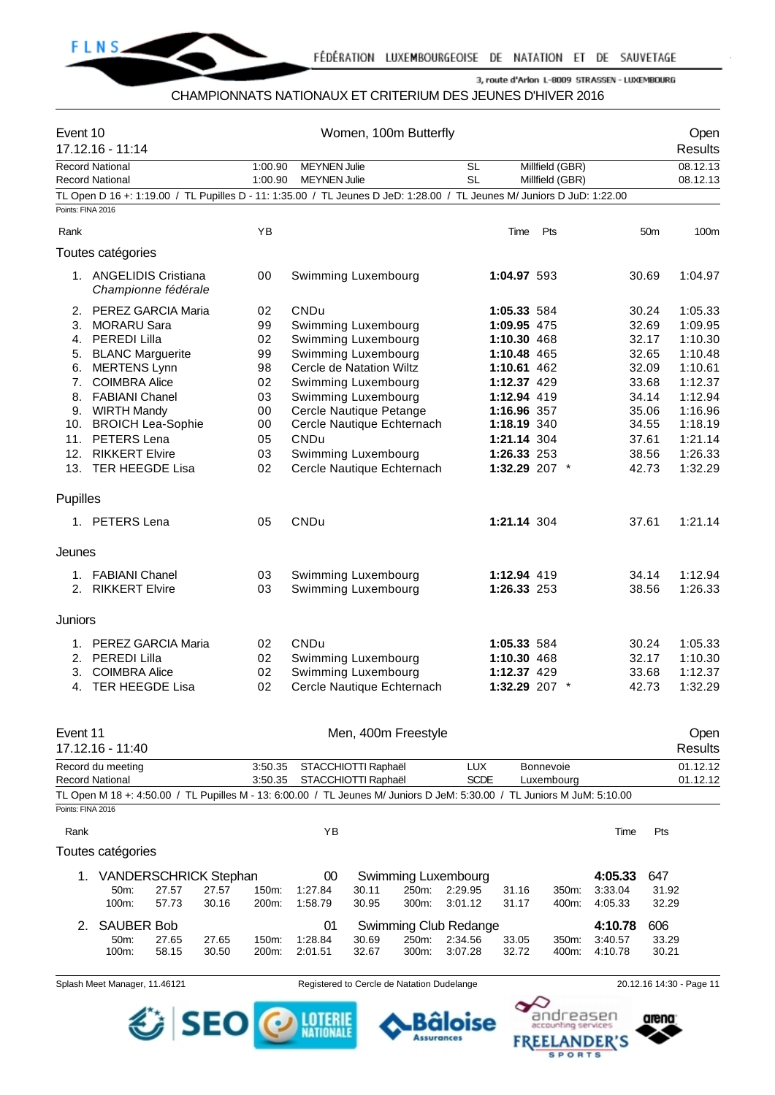

## CHAMPIONNATS NATIONAUX ET CRITERIUM DES JEUNES D'HIVER 2016

| Event 10          | 17.12.16 - 11:14                                                                                                        |                |          | Women, 100m Butterfly                             |                     |       |                       |                              |                 |         |                 | Open<br>Results    |  |  |
|-------------------|-------------------------------------------------------------------------------------------------------------------------|----------------|----------|---------------------------------------------------|---------------------|-------|-----------------------|------------------------------|-----------------|---------|-----------------|--------------------|--|--|
|                   | <b>Record National</b>                                                                                                  |                | 1:00.90  | <b>MEYNEN Julie</b>                               |                     |       | <b>SL</b>             |                              | Millfield (GBR) |         |                 | 08.12.13           |  |  |
|                   | <b>Record National</b>                                                                                                  |                | 1:00.90  | <b>MEYNEN Julie</b>                               |                     |       | <b>SL</b>             |                              | Millfield (GBR) |         |                 | 08.12.13           |  |  |
| Points: FINA 2016 | TL Open D 16 +: 1:19.00 / TL Pupilles D - 11: 1:35.00 / TL Jeunes D JeD: 1:28.00 / TL Jeunes M/ Juniors D JuD: 1:22.00  |                |          |                                                   |                     |       |                       |                              |                 |         |                 |                    |  |  |
|                   |                                                                                                                         |                |          |                                                   |                     |       |                       |                              |                 |         |                 |                    |  |  |
| Rank              |                                                                                                                         |                | YB       |                                                   |                     |       |                       | Time                         | Pts             |         | 50 <sub>m</sub> | 100m               |  |  |
|                   | Toutes catégories                                                                                                       |                |          |                                                   |                     |       |                       |                              |                 |         |                 |                    |  |  |
|                   | 1. ANGELIDIS Cristiana<br>Championne fédérale                                                                           |                | 00       | Swimming Luxembourg                               |                     |       |                       | 1:04.97 593                  |                 |         | 30.69           | 1:04.97            |  |  |
| 2.                | PEREZ GARCIA Maria                                                                                                      |                | 02       | <b>CNDu</b>                                       |                     |       |                       | 1:05.33 584                  |                 |         | 30.24           | 1:05.33            |  |  |
| 3.                | <b>MORARU Sara</b>                                                                                                      |                | 99       | Swimming Luxembourg                               |                     |       |                       | 1:09.95 475                  |                 |         | 32.69           | 1:09.95            |  |  |
| 4.                | PEREDI Lilla                                                                                                            |                | 02       | Swimming Luxembourg                               |                     |       |                       | 1:10.30 468                  |                 |         | 32.17           | 1:10.30            |  |  |
| 5.                | <b>BLANC Marguerite</b>                                                                                                 |                | 99       | Swimming Luxembourg                               |                     |       |                       | 1:10.48 465                  |                 |         | 32.65           | 1:10.48            |  |  |
| 6.                | <b>MERTENS Lynn</b>                                                                                                     |                | 98       | Cercle de Natation Wiltz                          |                     |       |                       | 1:10.61 462                  |                 |         | 32.09           | 1:10.61            |  |  |
| 7.                | <b>COIMBRA Alice</b>                                                                                                    |                | 02       | Swimming Luxembourg                               |                     |       |                       | 1:12.37 429                  |                 |         | 33.68           | 1:12.37            |  |  |
| 8.                | <b>FABIANI Chanel</b>                                                                                                   |                | 03       | Swimming Luxembourg                               |                     |       |                       | 1:12.94 419                  |                 |         | 34.14           | 1:12.94            |  |  |
|                   | 9. WIRTH Mandy                                                                                                          |                | 00       | Cercle Nautique Petange                           |                     |       |                       | 1:16.96 357                  |                 |         | 35.06           | 1:16.96            |  |  |
|                   | 10. BROICH Lea-Sophie                                                                                                   |                | 00       | Cercle Nautique Echternach                        |                     |       |                       | 1:18.19 340                  |                 |         | 34.55           | 1:18.19            |  |  |
| 11.               | PETERS Lena                                                                                                             |                | 05       | <b>CNDu</b>                                       |                     |       |                       | 1:21.14 304                  |                 |         | 37.61           | 1:21.14            |  |  |
| 12.<br>13.        | <b>RIKKERT Elvire</b><br><b>TER HEEGDE Lisa</b>                                                                         |                | 03<br>02 | Swimming Luxembourg<br>Cercle Nautique Echternach |                     |       |                       | 1:26.33 253<br>1:32.29 207 * |                 |         | 38.56<br>42.73  | 1:26.33<br>1:32.29 |  |  |
|                   |                                                                                                                         |                |          |                                                   |                     |       |                       |                              |                 |         |                 |                    |  |  |
| Pupilles          |                                                                                                                         |                |          |                                                   |                     |       |                       |                              |                 |         |                 |                    |  |  |
|                   | 1. PETERS Lena                                                                                                          |                | 05       | <b>CNDu</b>                                       |                     |       |                       | 1:21.14 304                  |                 |         | 37.61           | 1:21.14            |  |  |
| Jeunes            |                                                                                                                         |                |          |                                                   |                     |       |                       |                              |                 |         |                 |                    |  |  |
| 1.                | <b>FABIANI Chanel</b>                                                                                                   |                | 03       | Swimming Luxembourg                               |                     |       |                       | 1:12.94 419                  |                 |         | 34.14           | 1:12.94            |  |  |
|                   | 2. RIKKERT Elvire                                                                                                       |                | 03       | Swimming Luxembourg                               |                     |       |                       | 1:26.33 253                  |                 |         | 38.56           | 1:26.33            |  |  |
| Juniors           |                                                                                                                         |                |          |                                                   |                     |       |                       |                              |                 |         |                 |                    |  |  |
| 1.                | PEREZ GARCIA Maria                                                                                                      |                | 02       | CNDu                                              |                     |       |                       | 1:05.33 584                  |                 |         | 30.24           | 1:05.33            |  |  |
| 2.                | <b>PEREDI Lilla</b>                                                                                                     |                | 02       | Swimming Luxembourg                               |                     |       |                       | 1:10.30 468                  |                 |         | 32.17           | 1:10.30            |  |  |
| 3.                | <b>COIMBRA Alice</b>                                                                                                    |                | 02       | Swimming Luxembourg                               |                     |       |                       | 1:12.37 429                  |                 |         | 33.68           | 1:12.37            |  |  |
|                   | 4. TER HEEGDE Lisa                                                                                                      |                | 02       | Cercle Nautique Echternach                        |                     |       |                       | 1:32.29 207 *                |                 |         | 42.73           | 1:32.29            |  |  |
| Event 11          |                                                                                                                         |                |          |                                                   | Men, 400m Freestyle |       |                       |                              |                 |         |                 |                    |  |  |
|                   | 17.12.16 - 11:40                                                                                                        |                |          |                                                   |                     |       |                       |                              |                 |         |                 | Open<br>Results    |  |  |
|                   | Record du meeting                                                                                                       |                | 3:50.35  |                                                   | STACCHIOTTI Raphaël |       | LUX                   |                              | Bonnevoie       |         |                 | 01.12.12           |  |  |
|                   | <b>Record National</b>                                                                                                  |                | 3:50.35  |                                                   | STACCHIOTTI Raphaël |       | <b>SCDE</b>           |                              | Luxembourg      |         |                 | 01.12.12           |  |  |
| Points: FINA 2016 | TL Open M 18 +: 4:50.00 / TL Pupilles M - 13: 6:00.00 / TL Jeunes M/ Juniors D JeM: 5:30.00 / TL Juniors M JuM: 5:10.00 |                |          |                                                   |                     |       |                       |                              |                 |         |                 |                    |  |  |
| Rank              |                                                                                                                         |                |          | YB                                                |                     |       |                       |                              |                 | Time    | Pts             |                    |  |  |
|                   | Toutes catégories                                                                                                       |                |          |                                                   |                     |       |                       |                              |                 |         |                 |                    |  |  |
| 1.                | <b>VANDERSCHRICK Stephan</b>                                                                                            |                |          | 00                                                |                     |       | Swimming Luxembourg   |                              |                 | 4:05.33 | 647             |                    |  |  |
|                   | 50m:                                                                                                                    | 27.57<br>27.57 | 150m:    | 1:27.84                                           | 30.11               | 250m: | 2:29.95               | 31.16                        | 350m:           | 3:33.04 | 31.92           |                    |  |  |
|                   | 100m:                                                                                                                   | 57.73<br>30.16 | 200m:    | 1:58.79                                           | 30.95               | 300m: | 3:01.12               | 31.17                        | 400m:           | 4:05.33 | 32.29           |                    |  |  |
| 2.                | <b>SAUBER Bob</b>                                                                                                       |                |          | 01                                                |                     |       | Swimming Club Redange |                              |                 | 4:10.78 | 606             |                    |  |  |
|                   | 50m:                                                                                                                    | 27.65<br>27.65 | 150m:    | 1:28.84                                           | 30.69               | 250m: | 2:34.56               | 33.05                        | 350m:           | 3:40.57 | 33.29           |                    |  |  |
|                   | 100m:                                                                                                                   | 58.15<br>30.50 | 200m:    | 2:01.51                                           | 32.67               | 300m: | 3:07.28               | 32.72                        | 400m:           | 4:10.78 | 30.21           |                    |  |  |

Splash Meet Manager, 11.46121 Registered to Cercle de Natation Dudelange 20.12.16 14:30 - Page 11

arena:

andreasen

١Q



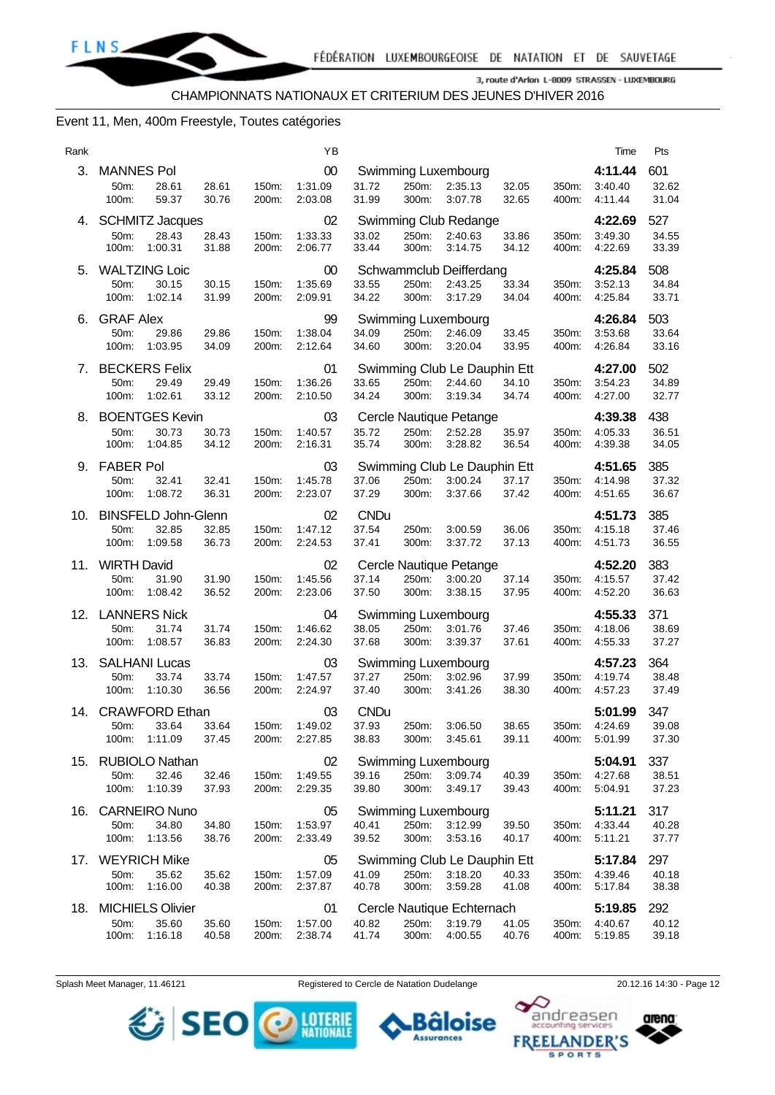#### Event 11, Men, 400m Freestyle, Toutes catégories

| Rank |                                                                 |                |                | ΥB                             |                               |                |                                                    |                |                | Time                          | Pts                   |
|------|-----------------------------------------------------------------|----------------|----------------|--------------------------------|-------------------------------|----------------|----------------------------------------------------|----------------|----------------|-------------------------------|-----------------------|
| 3.   | <b>MANNES Pol</b><br>50m:<br>28.61<br>100m:<br>59.37            | 28.61<br>30.76 | 150m:<br>200m: | 00<br>1:31.09<br>2:03.08       | 31.72<br>31.99                | 250m:<br>300m: | Swimming Luxembourg<br>2:35.13<br>3:07.78          | 32.05<br>32.65 | 350m:<br>400m: | 4:11.44<br>3:40.40<br>4:11.44 | 601<br>32.62<br>31.04 |
|      | 4. SCHMITZ Jacques<br>50m:<br>28.43<br>100m:<br>1:00.31         | 28.43<br>31.88 | 150m:<br>200m: | 02<br>1:33.33<br>2:06.77       | 33.02<br>33.44                | 250m:<br>300m: | Swimming Club Redange<br>2:40.63<br>3:14.75        | 33.86<br>34.12 | 350m:<br>400m: | 4:22.69<br>3:49.30<br>4:22.69 | 527<br>34.55<br>33.39 |
| 5.   | <b>WALTZING Loic</b><br>50m:<br>30.15<br>100m:<br>1:02.14       | 30.15<br>31.99 | 150m:<br>200m: | 00<br>1:35.69<br>2:09.91       | 33.55<br>34.22                | 250m:<br>300m: | Schwammclub Deifferdang<br>2:43.25<br>3:17.29      | 33.34<br>34.04 | 350m:<br>400m: | 4:25.84<br>3:52.13<br>4:25.84 | 508<br>34.84<br>33.71 |
| 6.   | <b>GRAF Alex</b><br>29.86<br>50m:<br>100m:<br>1:03.95           | 29.86<br>34.09 | 150m:<br>200m: | 99<br>1:38.04<br>2:12.64       | 34.09<br>34.60                | 250m:<br>300m: | Swimming Luxembourg<br>2:46.09<br>3:20.04          | 33.45<br>33.95 | 350m:<br>400m: | 4:26.84<br>3:53.68<br>4:26.84 | 503<br>33.64<br>33.16 |
|      | 7. BECKERS Felix<br>50m:<br>29.49<br>1:02.61<br>100m:           | 29.49<br>33.12 | 150m:<br>200m: | 01<br>1:36.26<br>2:10.50       | 33.65<br>34.24                | 250m:<br>300m: | Swimming Club Le Dauphin Ett<br>2:44.60<br>3:19.34 | 34.10<br>34.74 | 350m:<br>400m: | 4:27.00<br>3:54.23<br>4:27.00 | 502<br>34.89<br>32.77 |
| 8.   | <b>BOENTGES Kevin</b><br>50m:<br>30.73<br>1:04.85<br>100m:      | 30.73<br>34.12 | 150m:<br>200m: | 03<br>1:40.57<br>2:16.31       | 35.72<br>35.74                | 250m:<br>300m: | Cercle Nautique Petange<br>2:52.28<br>3:28.82      | 35.97<br>36.54 | 350m:<br>400m: | 4:39.38<br>4:05.33<br>4:39.38 | 438<br>36.51<br>34.05 |
| 9.   | <b>FABER Pol</b><br>50m:<br>32.41<br>1:08.72<br>100m:           | 32.41<br>36.31 | 150m:<br>200m: | 03<br>1:45.78<br>2:23.07       | 37.06<br>37.29                | 250m:<br>300m: | Swimming Club Le Dauphin Ett<br>3:00.24<br>3.37.66 | 37.17<br>37.42 | 350m:<br>400m: | 4:51.65<br>4:14.98<br>4:51.65 | 385<br>37.32<br>36.67 |
| 10.  | <b>BINSFELD John-Glenn</b><br>50m:<br>32.85<br>100m:<br>1:09.58 | 32.85<br>36.73 | 150m:<br>200m: | 02<br>1:47.12<br>2:24.53       | <b>CNDu</b><br>37.54<br>37.41 | 250m:<br>300m: | 3:00.59<br>3:37.72                                 | 36.06<br>37.13 | 350m:<br>400m: | 4:51.73<br>4:15.18<br>4:51.73 | 385<br>37.46<br>36.55 |
| 11.  | <b>WIRTH David</b><br>50m:<br>31.90<br>100m:<br>1:08.42         | 31.90<br>36.52 | 150m:<br>200m: | 02<br>1:45.56<br>2:23.06       | 37.14<br>37.50                | 250m:<br>300m: | Cercle Nautique Petange<br>3:00.20<br>3:38.15      | 37.14<br>37.95 | 350m:<br>400m: | 4:52.20<br>4:15.57<br>4:52.20 | 383<br>37.42<br>36.63 |
| 12.  | <b>LANNERS Nick</b><br>50m:<br>31.74<br>100m:<br>1:08.57        | 31.74<br>36.83 | 150m:<br>200m: | 04<br>1:46.62<br>2:24.30       | 38.05<br>37.68                | 250m:<br>300m: | Swimming Luxembourg<br>3:01.76<br>3:39.37          | 37.46<br>37.61 | 350m:<br>400m: | 4:55.33<br>4:18.06<br>4:55.33 | 371<br>38.69<br>37.27 |
| 13.  | SALHANI Lucas<br>50m:<br>33.74<br>100m:<br>1:10.30              | 33.74<br>36.56 | 150m:<br>200m: | 03<br>1:47.57<br>2:24.97       | 37.27<br>37.40                | 250m:<br>300m: | Swimming Luxembourg<br>3:02.96<br>3:41.26          | 37.99<br>38.30 | 350m:<br>400m: | 4:57.23<br>4:19.74<br>4:57.23 | 364<br>38.48<br>37.49 |
|      | 14. CRAWFORD Ethan<br>33.64<br>50m:<br>100m:<br>1:11.09         | 33.64<br>37.45 | 200m:          | 03<br>150m: 1:49.02<br>2:27.85 | <b>CNDu</b><br>37.93<br>38.83 | 250m:<br>300m: | 3:06.50<br>3:45.61                                 | 38.65<br>39.11 | 350m:<br>400m: | 5:01.99<br>4:24.69<br>5:01.99 | 347<br>39.08<br>37.30 |
| 15.  | <b>RUBIOLO Nathan</b><br>32.46<br>50m:<br>100m:<br>1:10.39      | 32.46<br>37.93 | 150m:<br>200m: | 02<br>1:49.55<br>2:29.35       | 39.16<br>39.80                | 250m:<br>300m: | Swimming Luxembourg<br>3:09.74<br>3:49.17          | 40.39<br>39.43 | 350m:<br>400m: | 5:04.91<br>4:27.68<br>5:04.91 | 337<br>38.51<br>37.23 |
| 16.  | <b>CARNEIRO Nuno</b><br>34.80<br>50m:<br>100m:<br>1:13.56       | 34.80<br>38.76 | 150m:<br>200m: | 05<br>1:53.97<br>2:33.49       | 40.41<br>39.52                | 250m:<br>300m: | Swimming Luxembourg<br>3:12.99<br>3:53.16          | 39.50<br>40.17 | 350m:<br>400m: | 5:11.21<br>4:33.44<br>5:11.21 | 317<br>40.28<br>37.77 |
|      | 17. WEYRICH Mike<br>50m:<br>35.62<br>100m:<br>1:16.00           | 35.62<br>40.38 | 150m:<br>200m: | 05<br>1:57.09<br>2:37.87       | 41.09<br>40.78                | 250m:<br>300m: | Swimming Club Le Dauphin Ett<br>3:18.20<br>3:59.28 | 40.33<br>41.08 | 350m:<br>400m: | 5:17.84<br>4:39.46<br>5.17.84 | 297<br>40.18<br>38.38 |
| 18.  | <b>MICHIELS Olivier</b><br>50m:<br>35.60<br>1:16.18<br>100m:    | 35.60<br>40.58 | 150m:<br>200m: | 01<br>1:57.00<br>2:38.74       | 40.82<br>41.74                | 250m:<br>300m: | Cercle Nautique Echternach<br>3:19.79<br>4:00.55   | 41.05<br>40.76 | 350m:<br>400m: | 5:19.85<br>4:40.67<br>5:19.85 | 292<br>40.12<br>39.18 |

Splash Meet Manager, 11.46121 Registered to Cercle de Natation Dudelange 20.12.16 14:30 - Page 12



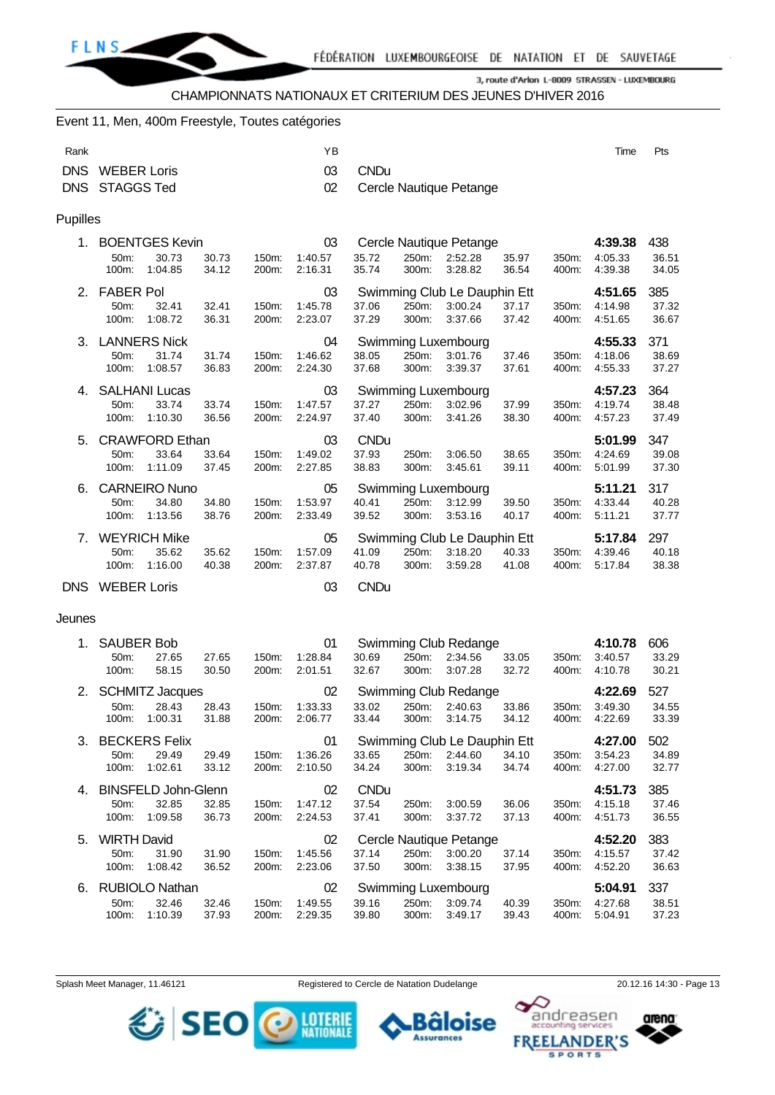

CHAMPIONNATS NATIONAUX ET CRITERIUM DES JEUNES D'HIVER 2016

#### Event 11, Men, 400m Freestyle, Toutes catégories

| Rank       |                                         |                                  | ΥB                 |                      |                |                                  |                |                | Time               | Pts            |
|------------|-----------------------------------------|----------------------------------|--------------------|----------------------|----------------|----------------------------------|----------------|----------------|--------------------|----------------|
| <b>DNS</b> | <b>WEBER Loris</b>                      |                                  | 03                 | <b>CNDu</b>          |                |                                  |                |                |                    |                |
| <b>DNS</b> | <b>STAGGS Ted</b>                       |                                  | 02                 |                      |                | Cercle Nautique Petange          |                |                |                    |                |
| Pupilles   |                                         |                                  |                    |                      |                |                                  |                |                |                    |                |
| 1.         | <b>BOENTGES Kevin</b>                   |                                  | 03                 |                      |                | Cercle Nautique Petange          |                |                | 4:39.38            | 438            |
|            | 50m:<br>30.73<br>100m:<br>1:04.85       | 30.73<br>150m:<br>34.12<br>200m: | 1:40.57<br>2:16.31 | 35.72<br>35.74       | 250m:<br>300m: | 2:52.28<br>3:28.82               | 35.97<br>36.54 | 350m:<br>400m: | 4:05.33<br>4:39.38 | 36.51<br>34.05 |
|            | 2. FABER Pol                            |                                  | 03                 |                      |                | Swimming Club Le Dauphin Ett     |                |                | 4:51.65            | 385            |
|            | 50m:<br>32.41<br>100m:<br>1:08.72       | 32.41<br>150m:<br>36.31<br>200m: | 1:45.78<br>2:23.07 | 37.06<br>37.29       | 250m:<br>300m: | 3:00.24<br>3:37.66               | 37.17<br>37.42 | 350m:<br>400m: | 4:14.98<br>4:51.65 | 37.32<br>36.67 |
| 3.         | <b>LANNERS Nick</b>                     |                                  | 04                 |                      |                | Swimming Luxembourg              |                |                | 4:55.33            | 371            |
|            | 50m:<br>31.74<br>1:08.57<br>100m:       | 31.74<br>150m:<br>36.83<br>200m: | 1:46.62<br>2.24.30 | 38.05<br>37.68       | 250m:<br>300m: | 3:01.76<br>3:39.37               | 37.46<br>37.61 | 350m:<br>400m: | 4:18.06<br>4:55.33 | 38.69<br>37.27 |
| 4.         | <b>SALHANI Lucas</b>                    |                                  | 03                 |                      |                | Swimming Luxembourg              |                |                | 4:57.23            | 364            |
|            | 33.74<br>50m:<br>100m:<br>1:10.30       | 33.74<br>150m:<br>36.56<br>200m: | 1:47.57<br>2:24.97 | 37.27<br>37.40       | 250m:<br>300m: | 3:02.96<br>3:41.26               | 37.99<br>38.30 | 350m:<br>400m: | 4:19.74<br>4:57.23 | 38.48<br>37.49 |
| 5.         | <b>CRAWFORD Ethan</b>                   |                                  | 03                 | <b>CNDu</b>          |                |                                  |                |                | 5:01.99            | 347            |
|            | 50m:<br>33.64<br>100m:<br>1:11.09       | 33.64<br>150m:<br>37.45<br>200m: | 1:49.02<br>2:27.85 | 37.93<br>38.83       | 250m:<br>300m: | 3:06.50<br>3:45.61               | 38.65<br>39.11 | 350m:<br>400m: | 4:24.69<br>5:01.99 | 39.08<br>37.30 |
| 6.         | <b>CARNEIRO Nuno</b>                    |                                  | 05                 |                      |                | Swimming Luxembourg              |                |                | 5:11.21            | 317            |
|            | 50m:<br>34.80<br>100m:<br>1:13.56       | 34.80<br>150m:<br>38.76<br>200m: | 1:53.97<br>2:33.49 | 40.41<br>39.52       | 250m:<br>300m: | 3:12.99<br>3:53.16               | 39.50<br>40.17 | 350m:<br>400m: | 4:33.44<br>5:11.21 | 40.28<br>37.77 |
| 7.         | <b>WEYRICH Mike</b>                     |                                  | 05                 |                      |                | Swimming Club Le Dauphin Ett     |                |                | 5:17.84            | 297            |
|            | 35.62<br>50m:<br>100m:<br>1:16.00       | 35.62<br>150m:<br>40.38<br>200m: | 1:57.09<br>2:37.87 | 41.09<br>40.78       | 250m:<br>300m: | 3:18.20<br>3:59.28               | 40.33<br>41.08 | 350m:<br>400m: | 4:39.46<br>5:17.84 | 40.18<br>38.38 |
|            | DNS WEBER Loris                         |                                  | 03                 | <b>CNDu</b>          |                |                                  |                |                |                    |                |
| Jeunes     |                                         |                                  |                    |                      |                |                                  |                |                |                    |                |
| 1.         | <b>SAUBER Bob</b>                       |                                  | 01                 |                      |                | Swimming Club Redange            |                |                | 4:10.78            | 606            |
|            | 50m:<br>27.65<br>58.15<br>100m:         | 27.65<br>150m:<br>30.50<br>200m: | 1:28.84<br>2:01.51 | 30.69<br>32.67       | 250m:<br>300m: | 2:34.56<br>3:07.28               | 33.05<br>32.72 | 350m:<br>400m: | 3:40.57<br>4:10.78 | 33.29<br>30.21 |
| 2.         |                                         |                                  |                    |                      |                |                                  |                |                |                    |                |
|            |                                         |                                  |                    |                      |                |                                  |                |                |                    |                |
|            | <b>SCHMITZ Jacques</b><br>50m:<br>28.43 | 28.43<br>150m:                   | 02<br>1:33.33      | 33.02                | 250m:          | Swimming Club Redange<br>2:40.63 | 33.86          | 350m:          | 4:22.69<br>3:49.30 | 527<br>34.55   |
|            | 100m:<br>1:00.31                        | 31.88<br>200m:                   | 2:06.77            | 33.44                | 300m:          | 3:14.75                          | 34.12          | 400m:          | 4:22.69            | 33.39          |
|            | 3. BECKERS Felix                        |                                  | 01                 |                      |                | Swimming Club Le Dauphin Ett     |                |                | 4:27.00            | 502            |
|            | 29.49<br>50m:<br>100m:<br>1:02.61       | 29.49<br>150m:<br>33.12<br>200m: | 1:36.26<br>2:10.50 | 33.65<br>34.24       | 250m:<br>300m: | 2:44.60<br>3:19.34               | 34.10<br>34.74 | 350m:<br>400m: | 3:54.23<br>4:27.00 | 34.89<br>32.77 |
|            |                                         |                                  |                    |                      |                |                                  |                |                |                    |                |
|            | 4. BINSFELD John-Glenn<br>32.85<br>50m: | 32.85<br>150m:                   | 02<br>1:47.12      | <b>CNDu</b><br>37.54 | 250m:          | 3:00.59                          | 36.06          | 350m:          | 4:51.73<br>4:15.18 | 385<br>37.46   |
|            | 1:09.58<br>100m:                        | 36.73<br>200m:                   | 2:24.53            | 37.41                | 300m:          | 3:37.72                          | 37.13          | 400m:          | 4:51.73            | 36.55          |
| 5.         | <b>WIRTH David</b>                      |                                  | 02                 |                      |                | Cercle Nautique Petange          |                |                | 4:52.20            | 383            |
|            | 50m:<br>31.90<br>100m:<br>1:08.42       | 31.90<br>150m:<br>36.52<br>200m: | 1:45.56<br>2:23.06 | 37.14<br>37.50       | 250m:<br>300m: | 3:00.20<br>3:38.15               | 37.14<br>37.95 | 350m:<br>400m: | 4:15.57<br>4:52.20 | 37.42<br>36.63 |
| 6.         | <b>RUBIOLO Nathan</b>                   |                                  | 02                 |                      |                | Swimming Luxembourg              |                |                | 5:04.91            | 337            |

SEO O MERE

Splash Meet Manager, 11.46121 **Registered to Cercle de Natation Dudelange** 20.12.16 14:30 - Page 13



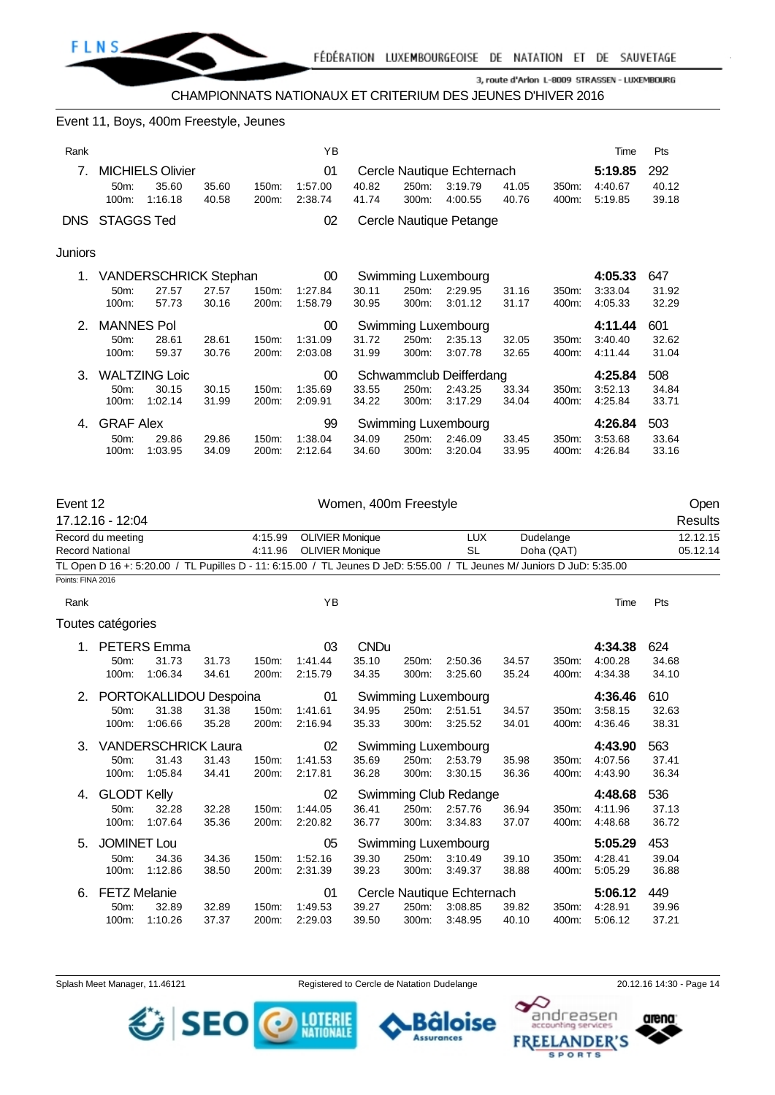

CHAMPIONNATS NATIONAUX ET CRITERIUM DES JEUNES D'HIVER 2016

#### Event 11, Boys, 400m Freestyle, Jeunes

| Rank    |                            |                                             |                |                | ΥB                       |                |                |                                                  |                |                | Time                          | Pts                   |
|---------|----------------------------|---------------------------------------------|----------------|----------------|--------------------------|----------------|----------------|--------------------------------------------------|----------------|----------------|-------------------------------|-----------------------|
| 7.      | 50 <sub>m</sub> :<br>100m: | <b>MICHIELS Olivier</b><br>35.60<br>1:16.18 | 35.60<br>40.58 | 150m:<br>200m: | 01<br>1:57.00<br>2:38.74 | 40.82<br>41.74 | 250m:<br>300m: | Cercle Nautique Echternach<br>3:19.79<br>4:00.55 | 41.05<br>40.76 | 350m:<br>400m: | 5:19.85<br>4:40.67<br>5:19.85 | 292<br>40.12<br>39.18 |
| DNS.    | STAGGS Ted                 |                                             |                |                | 02                       |                |                | Cercle Nautique Petange                          |                |                |                               |                       |
| Juniors |                            |                                             |                |                |                          |                |                |                                                  |                |                |                               |                       |
| 1.      |                            | <b>VANDERSCHRICK Stephan</b>                |                |                | $00\,$                   |                |                | Swimming Luxembourg                              |                |                | 4:05.33                       | 647                   |
|         | $50m$ :                    | 27.57                                       | 27.57          | 150m:          | 1:27.84                  | 30.11          | 250m:          | 2:29.95                                          | 31.16          | 350m:          | 3:33.04                       | 31.92                 |
|         | 100m:                      | 57.73                                       | 30.16          | 200m:          | 1:58.79                  | 30.95          | 300m:          | 3:01.12                                          | 31.17          | 400m:          | 4:05.33                       | 32.29                 |
| 2.      | <b>MANNES Pol</b>          |                                             |                |                | 00 <sup>°</sup>          |                |                | Swimming Luxembourg                              |                |                | 4:11.44                       | 601                   |
|         | 50 <sub>m</sub> :          | 28.61                                       | 28.61          | 150m:          | 1:31.09                  | 31.72          | 250m:          | 2:35.13                                          | 32.05          | 350m:          | 3:40.40                       | 32.62                 |
|         | 100m:                      | 59.37                                       | 30.76          | 200m:          | 2:03.08                  | 31.99          | 300m:          | 3:07.78                                          | 32.65          | 400m:          | 4.11.44                       | 31.04                 |
| 3.      |                            | <b>WALTZING Loic</b>                        |                |                | 00                       |                |                | Schwammclub Deifferdang                          |                |                | 4:25.84                       | 508                   |
|         | 50m:                       | 30.15                                       | 30.15          | 150m:          | 1:35.69                  | 33.55          | 250m:          | 2:43.25                                          | 33.34          | 350m:          | 3:52.13                       | 34.84                 |
|         | 100m:                      | 1:02.14                                     | 31.99          | 200m:          | 2:09.91                  | 34.22          | 300m:          | 3:17.29                                          | 34.04          | 400m:          | 4:25.84                       | 33.71                 |
| 4.      | <b>GRAF Alex</b>           |                                             |                |                | 99                       |                |                | <b>Swimming Luxembourg</b>                       |                |                | 4:26.84                       | 503                   |
|         | 50m:                       | 29.86                                       | 29.86          | 150m:          | 1:38.04                  | 34.09          | 250m:          | 2:46.09                                          | 33.45          | 350m:          | 3:53.68                       | 33.64                 |
|         | 100m:                      | 1:03.95                                     | 34.09          | 200m:          | 2:12.64                  | 34.60          | 300m:          | 3:20.04                                          | 33.95          | 400m:          | 4:26.84                       | 33.16                 |

| Event 12          |                        |                            |       |         |                        | Women, 400m Freestyle |       |                                                                                                                        |       |            |         |       | Open     |
|-------------------|------------------------|----------------------------|-------|---------|------------------------|-----------------------|-------|------------------------------------------------------------------------------------------------------------------------|-------|------------|---------|-------|----------|
|                   | 17.12.16 - 12:04       |                            |       |         |                        |                       |       |                                                                                                                        |       |            |         |       | Results  |
|                   | Record du meeting      |                            |       | 4:15.99 | <b>OLIVIER Monique</b> |                       |       | <b>LUX</b>                                                                                                             |       | Dudelange  |         |       | 12.12.15 |
|                   | <b>Record National</b> |                            |       | 4:11.96 | <b>OLIVIER Monique</b> |                       |       | <b>SL</b>                                                                                                              |       | Doha (QAT) |         |       | 05.12.14 |
|                   |                        |                            |       |         |                        |                       |       | TL Open D 16 +: 5:20.00 / TL Pupilles D - 11: 6:15.00 / TL Jeunes D JeD: 5:55.00 / TL Jeunes M/ Juniors D JuD: 5:35.00 |       |            |         |       |          |
| Points: FINA 2016 |                        |                            |       |         |                        |                       |       |                                                                                                                        |       |            |         |       |          |
| Rank              |                        |                            |       |         | YB                     |                       |       |                                                                                                                        |       |            | Time    | Pts   |          |
|                   | Toutes catégories      |                            |       |         |                        |                       |       |                                                                                                                        |       |            |         |       |          |
|                   |                        | <b>PETERS</b> Emma         |       |         | 03                     | <b>CNDu</b>           |       |                                                                                                                        |       |            | 4:34.38 | 624   |          |
|                   | 50m:                   | 31.73                      | 31.73 | 150m:   | 1:41.44                | 35.10                 | 250m: | 2:50.36                                                                                                                | 34.57 | 350m:      | 4:00.28 | 34.68 |          |
|                   | 100m:                  | 1:06.34                    | 34.61 | 200m:   | 2:15.79                | 34.35                 | 300m: | 3:25.60                                                                                                                | 35.24 | 400m:      | 4:34.38 | 34.10 |          |
| 2.                |                        | PORTOKALLIDOU Despoina     |       |         | 01                     |                       |       | Swimming Luxembourg                                                                                                    |       |            | 4:36.46 | 610   |          |
|                   | 50m:                   | 31.38                      | 31.38 | 150m:   | 1:41.61                | 34.95                 | 250m: | 2:51.51                                                                                                                | 34.57 | 350m:      | 3:58.15 | 32.63 |          |
|                   | 100m:                  | 1:06.66                    | 35.28 | 200m:   | 2:16.94                | 35.33                 | 300m: | 3:25.52                                                                                                                | 34.01 | 400m:      | 4:36.46 | 38.31 |          |
| 3.                |                        | <b>VANDERSCHRICK Laura</b> |       |         | 02                     |                       |       | Swimming Luxembourg                                                                                                    |       |            | 4:43.90 | 563   |          |
|                   | 50m:                   | 31.43                      | 31.43 | 150m:   | 1:41.53                | 35.69                 | 250m: | 2:53.79                                                                                                                | 35.98 | 350m:      | 4:07.56 | 37.41 |          |
|                   | 100m:                  | 1:05.84                    | 34.41 | 200m:   | 2:17.81                | 36.28                 | 300m: | 3:30.15                                                                                                                | 36.36 | 400m:      | 4:43.90 | 36.34 |          |
| 4.                | <b>GLODT Kelly</b>     |                            |       |         | 02                     |                       |       | Swimming Club Redange                                                                                                  |       |            | 4:48.68 | 536   |          |
|                   | 50m:                   | 32.28                      | 32.28 | 150m:   | 1:44.05                | 36.41                 | 250m: | 2:57.76                                                                                                                | 36.94 | 350m:      | 4:11.96 | 37.13 |          |
|                   | 100m:                  | 1:07.64                    | 35.36 | 200m:   | 2:20.82                | 36.77                 | 300m: | 3:34.83                                                                                                                | 37.07 | 400m:      | 4:48.68 | 36.72 |          |
| 5.                | <b>JOMINET Lou</b>     |                            |       |         | 05                     |                       |       | Swimming Luxembourg                                                                                                    |       |            | 5:05.29 | 453   |          |
|                   | 50m:                   | 34.36                      | 34.36 | 150m:   | 1:52.16                | 39.30                 | 250m: | 3:10.49                                                                                                                | 39.10 | 350m:      | 4:28.41 | 39.04 |          |
|                   | 100m:                  | 1:12.86                    | 38.50 | 200m:   | 2:31.39                | 39.23                 | 300m: | 3:49.37                                                                                                                | 38.88 | 400m:      | 5:05.29 | 36.88 |          |
| 6.                | <b>FETZ Melanie</b>    |                            |       |         | 01                     |                       |       | Cercle Nautique Echternach                                                                                             |       |            | 5:06.12 | 449   |          |
|                   | 50m:                   | 32.89                      | 32.89 | 150m:   | 1:49.53                | 39.27                 | 250m: | 3:08.85                                                                                                                | 39.82 | 350m:      | 4:28.91 | 39.96 |          |
|                   | 100m:                  | 1:10.26                    | 37.37 | 200m:   | 2:29.03                | 39.50                 | 300m: | 3:48.95                                                                                                                | 40.10 | 400m:      | 5:06.12 | 37.21 |          |

Splash Meet Manager, 11.46121 **Registered to Cercle de Natation Dudelange** 20.12.16 14:30 - Page 14



arena:

andreasen

**FREELANDER'S SPORTS** 

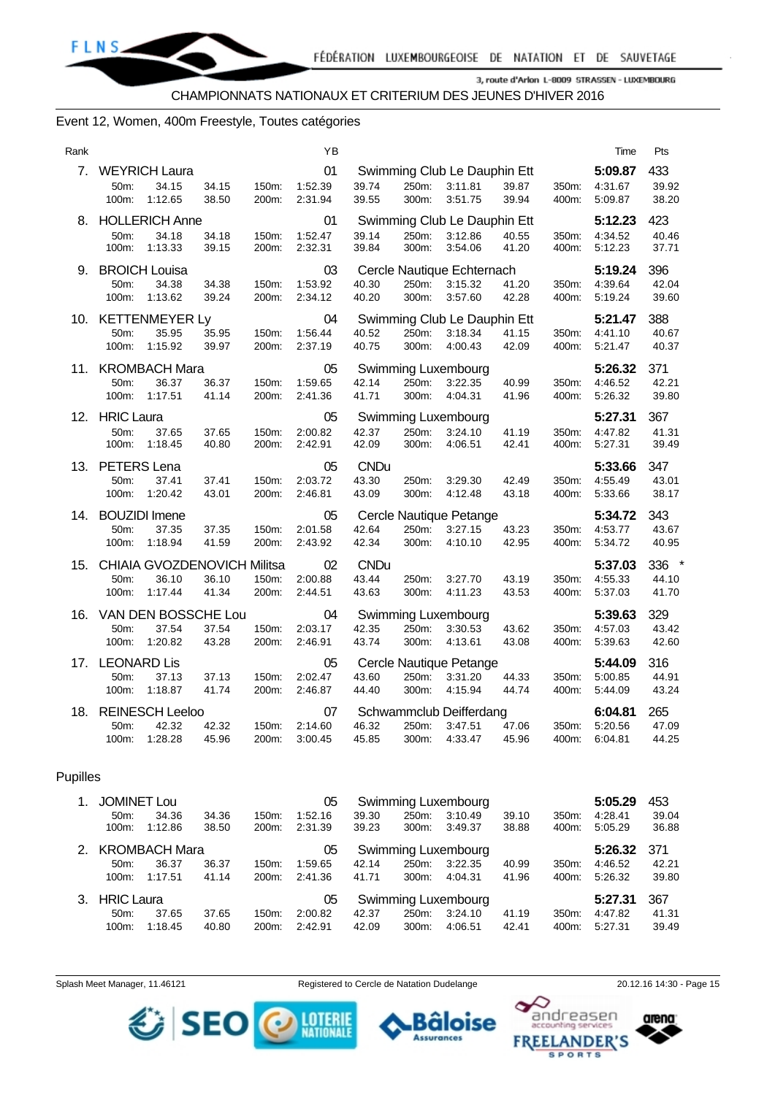#### Event 12, Women, 400m Freestyle, Toutes catégories

| Rank        |                                                                                    |                | YB                       |                               |                |                                                    |                |                | Time                          | Pts                                               |
|-------------|------------------------------------------------------------------------------------|----------------|--------------------------|-------------------------------|----------------|----------------------------------------------------|----------------|----------------|-------------------------------|---------------------------------------------------|
| $7_{\cdot}$ | <b>WEYRICH Laura</b><br>34.15<br>34.15<br>50m:<br>38.50<br>100m:<br>1:12.65        | 150m:<br>200m: | 01<br>1:52.39<br>2:31.94 | 39.74<br>39.55                | 250m:<br>300m: | Swimming Club Le Dauphin Ett<br>3:11.81<br>3:51.75 | 39.87<br>39.94 | 350m:<br>400m: | 5:09.87<br>4:31.67<br>5:09.87 | 433<br>39.92<br>38.20                             |
|             | 8. HOLLERICH Anne<br>50m:<br>34.18<br>34.18<br>100m:<br>39.15<br>1:13.33           | 150m:<br>200m: | 01<br>1:52.47<br>2:32.31 | 39.14<br>39.84                | 250m:<br>300m: | Swimming Club Le Dauphin Ett<br>3:12.86<br>3:54.06 | 40.55<br>41.20 | 350m:<br>400m: | 5:12.23<br>4:34.52<br>5:12.23 | 423<br>40.46<br>37.71                             |
|             | 9. BROICH Louisa<br>34.38<br>50m:<br>34.38<br>100m:<br>1:13.62<br>39.24            | 150m:<br>200m: | 03<br>1:53.92<br>2:34.12 | 40.30<br>40.20                | 250m:<br>300m: | Cercle Nautique Echternach<br>3:15.32<br>3:57.60   | 41.20<br>42.28 | 350m:<br>400m: | 5:19.24<br>4:39.64<br>5:19.24 | 396<br>42.04<br>39.60                             |
|             | 10. KETTENMEYER Ly<br>35.95<br>35.95<br>50m:<br>100m:<br>1:15.92<br>39.97          | 150m:<br>200m: | 04<br>1:56.44<br>2:37.19 | 40.52<br>40.75                | 250m:<br>300m: | Swimming Club Le Dauphin Ett<br>3:18.34<br>4:00.43 | 41.15<br>42.09 | 350m:<br>400m: | 5:21.47<br>4:41.10<br>5:21.47 | 388<br>40.67<br>40.37                             |
|             | 11. KROMBACH Mara<br>36.37<br>50m:<br>36.37<br>100m:<br>1:17.51<br>41.14           | 150m:<br>200m: | 05<br>1:59.65<br>2:41.36 | 42.14<br>41.71                | 250m:<br>300m: | Swimming Luxembourg<br>3:22.35<br>4:04.31          | 40.99<br>41.96 | 350m:<br>400m: | 5:26.32<br>4:46.52<br>5:26.32 | 371<br>42.21<br>39.80                             |
|             | 12. HRIC Laura<br>50m:<br>37.65<br>37.65<br>100m:<br>1:18.45<br>40.80              | 150m:<br>200m: | 05<br>2:00.82<br>2:42.91 | 42.37<br>42.09                | 250m:<br>300m: | Swimming Luxembourg<br>3:24.10<br>4:06.51          | 41.19<br>42.41 | 350m:<br>400m: | 5:27.31<br>4:47.82<br>5:27.31 | 367<br>41.31<br>39.49                             |
|             | 13. PETERS Lena<br>50m:<br>37.41<br>37.41<br>1:20.42<br>43.01<br>100m:             | 150m:<br>200m: | 05<br>2:03.72<br>2:46.81 | <b>CNDu</b><br>43.30<br>43.09 | 250m:<br>300m: | 3:29.30<br>4:12.48                                 | 42.49<br>43.18 | 350m:<br>400m: | 5:33.66<br>4:55.49<br>5:33.66 | 347<br>43.01<br>38.17                             |
| 14.         | <b>BOUZIDI</b> Imene<br>50m:<br>37.35<br>37.35<br>1:18.94<br>41.59<br>100m:        | 150m:<br>200m: | 05<br>2:01.58<br>2:43.92 | 42.64<br>42.34                | 250m:<br>300m: | Cercle Nautique Petange<br>3:27.15<br>4:10.10      | 43.23<br>42.95 | 350m:<br>400m: | 5:34.72<br>4:53.77<br>5:34.72 | 343<br>43.67<br>40.95                             |
| 15.         | CHIAIA GVOZDENOVICH Militsa<br>36.10<br>36.10<br>50m:<br>1:17.44<br>41.34<br>100m: | 150m:<br>200m: | 02<br>2:00.88<br>2:44.51 | <b>CNDu</b><br>43.44<br>43.63 | 250m:<br>300m: | 3:27.70<br>4:11.23                                 | 43.19<br>43.53 | 350m:<br>400m: | 5:37.03<br>4:55.33<br>5:37.03 | $\overline{\phantom{a}}$<br>336<br>44.10<br>41.70 |
| 16.         | VAN DEN BOSSCHE Lou<br>37.54<br>37.54<br>50m:<br>1:20.82<br>43.28<br>100m:         | 150m:<br>200m: | 04<br>2:03.17<br>2:46.91 | 42.35<br>43.74                | 250m:<br>300m: | Swimming Luxembourg<br>3:30.53<br>4:13.61          | 43.62<br>43.08 | 350m:<br>400m: | 5:39.63<br>4:57.03<br>5.39.63 | 329<br>43.42<br>42.60                             |
| 17.         | <b>LEONARD Lis</b><br>50m:<br>37.13<br>37.13<br>1:18.87<br>41.74<br>100m:          | 150m:<br>200m: | 05<br>2:02.47<br>2:46.87 | 43.60<br>44.40                | 250m:<br>300m: | Cercle Nautique Petange<br>3:31.20<br>4:15.94      | 44.33<br>44.74 | 350m:<br>400m: | 5:44.09<br>5:00.85<br>5:44.09 | 316<br>44.91<br>43.24                             |
| 18.         | <b>REINESCH Leeloo</b><br>50m:<br>42.32<br>42.32<br>100m:<br>1:28.28<br>45.96      | 150m:<br>200m: | 07<br>2:14.60<br>3:00.45 | 46.32<br>45.85                | 250m:<br>300m: | Schwammclub Deifferdang<br>3:47.51<br>4:33.47      | 47.06<br>45.96 | 350m:<br>400m: | 6:04.81<br>5:20.56<br>6:04.81 | 265<br>47.09<br>44.25                             |

#### Pupilles

| $1_{-}$ | <b>JOMINET Lou</b> |                  |                |                    | 05                 |                |                | Swimming Luxembourg |                |                    | 5:05.29            | 453            |
|---------|--------------------|------------------|----------------|--------------------|--------------------|----------------|----------------|---------------------|----------------|--------------------|--------------------|----------------|
|         | $50m$ :<br>100m:   | 34.36<br>1:12.86 | 34.36<br>38.50 | 150m:<br>200m:     | 1:52.16<br>2:31.39 | 39.30<br>39.23 | 250m:<br>300m: | 3:10.49<br>3:49.37  | 39.10<br>38.88 | 350m:<br>400m:     | 4:28.41<br>5:05.29 | 39.04<br>36.88 |
|         |                    | 2. KROMBACH Mara |                |                    | 05                 |                |                | Swimming Luxembourg |                |                    | 5:26.32            | 371            |
|         | $50m$ :            | 36.37            | 36.37          | 150m:              | 1:59.65            | 42.14          | 250m:          | 3:22.35             | 40.99          | 350 <sub>m</sub> : | 4:46.52            | 42.21          |
|         | 100m:              | 1:17.51          | 41.14          | 200m:              | 2:41.36            | 41.71          | 300m:          | 4:04.31             | 41.96          | 400m:              | 5:26.32            | 39.80          |
|         | 3. HRIC Laura      |                  |                |                    | 05                 |                |                | Swimming Luxembourg |                |                    | 5:27.31            | 367            |
|         | 50 <sub>m</sub>    | 37.65            | 37.65          | 150m:              | 2:00.82            | 42.37          | 250m:          | 3:24.10             | 41.19          | 350m:              | 4:47.82            | 41.31          |
|         | 100m:              | 1:18.45          | 40.80          | 200 <sub>m</sub> : | 2:42.91            | 42.09          | 300m:          | 4:06.51             | 42.41          | 400m:              | 5:27.31            | 39.49          |

Splash Meet Manager, 11.46121 **Registered to Cercle de Natation Dudelange** 20.12.16 14:30 - Page 15





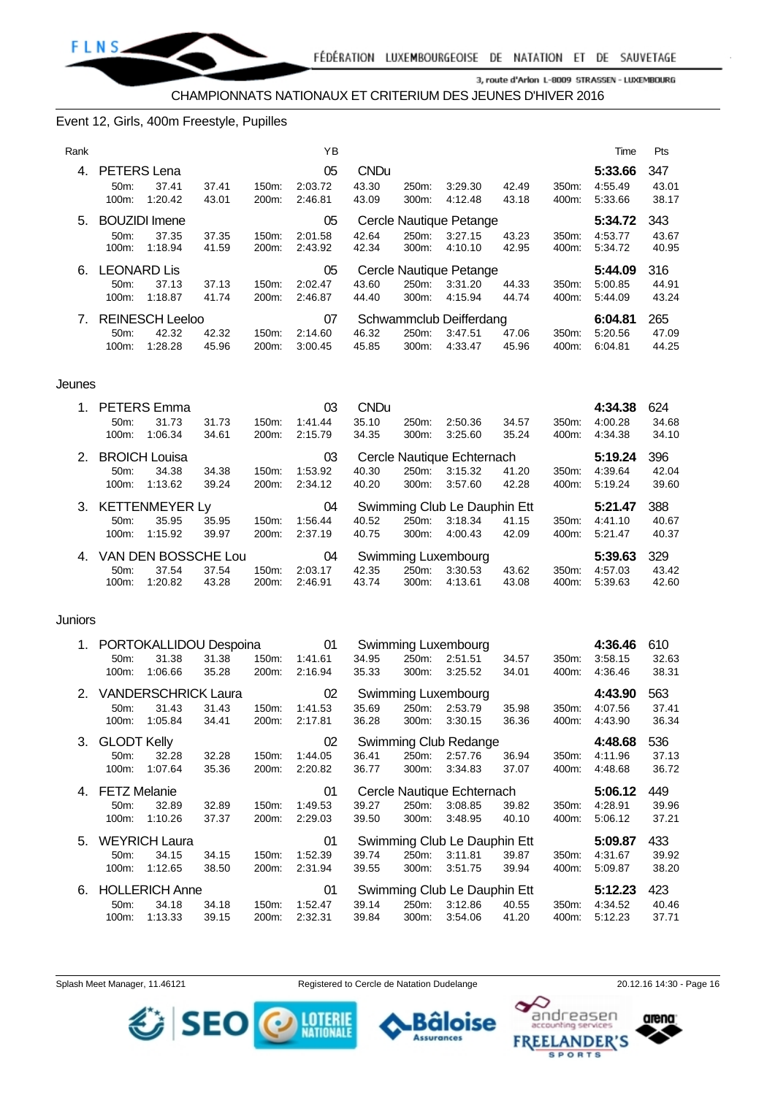

#### Event 12, Girls, 400m Freestyle, Pupilles

| Rank |                    |                        |       |       | YB      |             |       |                         |       |       | Time    | Pts   |
|------|--------------------|------------------------|-------|-------|---------|-------------|-------|-------------------------|-------|-------|---------|-------|
| 4.   | <b>PETERS</b> Lena |                        |       |       | 05      | <b>CNDu</b> |       |                         |       |       | 5:33.66 | 347   |
|      | 50 <sub>m</sub> :  | 37.41                  | 37.41 | 150m: | 2:03.72 | 43.30       | 250m: | 3:29.30                 | 42.49 | 350m: | 4:55.49 | 43.01 |
|      | 100m:              | 1:20.42                | 43.01 | 200m: | 2:46.81 | 43.09       | 300m: | 4:12.48                 | 43.18 | 400m: | 5:33.66 | 38.17 |
| 5.   |                    | <b>BOUZIDI</b> Imene   |       |       | 05      |             |       | Cercle Nautique Petange |       |       | 5:34.72 | 343   |
|      | 50m                | 37.35                  | 37.35 | 150m: | 2:01.58 | 42.64       | 250m: | 3:27.15                 | 43.23 | 350m: | 4:53.77 | 43.67 |
|      | 100m:              | 1:18.94                | 41.59 | 200m: | 2:43.92 | 42.34       | 300m: | 4:10.10                 | 42.95 | 400m: | 5:34.72 | 40.95 |
| 6.   |                    | LEONARD Lis            |       |       | 05      |             |       | Cercle Nautique Petange |       |       | 5:44.09 | 316   |
|      | 50 <sub>m</sub> :  | 37.13                  | 37.13 | 150m: | 2:02.47 | 43.60       | 250m: | 3:31.20                 | 44.33 | 350m: | 5:00.85 | 44.91 |
|      | 100m:              | 1:18.87                | 41.74 | 200m: | 2:46.87 | 44.40       | 300m: | 4:15.94                 | 44.74 | 400m: | 5:44.09 | 43.24 |
| 7.   |                    | <b>REINESCH Leeloo</b> |       |       | 07      |             |       | Schwammclub Deifferdang |       |       | 6:04.81 | 265   |
|      | 50m:               | 42.32                  | 42.32 | 150m: | 2:14.60 | 46.32       | 250m: | 3:47.51                 | 47.06 | 350m: | 5:20.56 | 47.09 |
|      | 100m:              | 1:28.28                | 45.96 | 200m: | 3:00.45 | 45.85       | 300m: | 4:33.47                 | 45.96 | 400m: | 6:04.81 | 44.25 |

#### Jeunes

| $1_{-}$     |                   | <b>PETERS Emma</b>   |       |          | 03      | <b>CNDu</b> |       |                              |       |       | 4:34.38 | 624   |
|-------------|-------------------|----------------------|-------|----------|---------|-------------|-------|------------------------------|-------|-------|---------|-------|
|             | $50m$ :           | 31.73                | 31.73 | $150m$ : | 1:41.44 | 35.10       | 250m: | 2:50.36                      | 34.57 | 350m: | 4:00.28 | 34.68 |
|             | $100m$ :          | 1:06.34              | 34.61 | 200m:    | 2:15.79 | 34.35       | 300m: | 3:25.60                      | 35.24 | 400m: | 4:34.38 | 34.10 |
| 2.          |                   | <b>BROICH Louisa</b> |       |          | 03      |             |       | Cercle Nautique Echternach   |       |       | 5:19.24 | 396   |
|             | $50m$ :           | 34.38                | 34.38 | 150m:    | 1:53.92 | 40.30       | 250m: | 3:15.32                      | 41.20 | 350m: | 4:39.64 | 42.04 |
|             | $100m$ :          | 1:13.62              | 39.24 | 200m:    | 2:34.12 | 40.20       | 300m: | 3:57.60                      | 42.28 | 400m: | 5:19.24 | 39.60 |
|             |                   | 3. KETTENMEYER Ly    |       |          | 04      |             |       | Swimming Club Le Dauphin Ett |       |       | 5:21.47 | 388   |
|             | 50 <sub>m</sub> : | 35.95                | 35.95 | 150m:    | 1:56.44 | 40.52       | 250m: | 3:18.34                      | 41.15 | 350m: | 4:41.10 | 40.67 |
|             | 100m:             | 1:15.92              | 39.97 | 200m:    | 2:37.19 | 40.75       | 300m: | 4:00.43                      | 42.09 | 400m: | 5:21.47 | 40.37 |
| $4_{\cdot}$ |                   | VAN DEN BOSSCHE Lou  |       |          | 04      |             |       | Swimming Luxembourg          |       |       | 5:39.63 | 329   |
|             |                   |                      |       |          |         |             |       |                              |       |       |         |       |
|             | 50 <sub>m</sub> : | 37.54                | 37.54 | 150m:    | 2:03.17 | 42.35       | 250m: | 3:30.53                      | 43.62 | 350m: | 4:57.03 | 43.42 |

#### **Juniors**

|    |                   | 1. PORTOKALLIDOU Despoina |       |       | 01      |       |       | Swimming Luxembourg          |       |                    | 4:36.46 | 610   |
|----|-------------------|---------------------------|-------|-------|---------|-------|-------|------------------------------|-------|--------------------|---------|-------|
|    | 50m:              | 31.38                     | 31.38 | 150m. | 1:41.61 | 34.95 | 250m: | 2:51.51                      | 34.57 | 350 <sub>m</sub> : | 3:58.15 | 32.63 |
|    | 100m:             | 1:06.66                   | 35.28 | 200m: | 2:16.94 | 35.33 | 300m: | 3:25.52                      | 34.01 | 400m:              | 4:36.46 | 38.31 |
|    |                   | 2. VANDERSCHRICK Laura    |       |       | 02      |       |       | Swimming Luxembourg          |       |                    | 4:43.90 | 563   |
|    | 50m:              | 31.43                     | 31.43 | 150m: | 1:41.53 | 35.69 | 250m: | 2:53.79                      | 35.98 | 350m:              | 4:07.56 | 37.41 |
|    | 100m:             | 1:05.84                   | 34.41 | 200m: | 2:17.81 | 36.28 | 300m. | 3:30.15                      | 36.36 | 400m:              | 4:43.90 | 36.34 |
|    | 3. GLODT Kelly    |                           |       |       | 02      |       |       | Swimming Club Redange        |       |                    | 4:48.68 | 536   |
|    | 50 <sub>m</sub> : | 32.28                     | 32.28 | 150m: | 1:44.05 | 36.41 | 250m: | 2:57.76                      | 36.94 | 350m:              | 4:11.96 | 37.13 |
|    | 100m:             | 1:07.64                   | 35.36 | 200m: | 2:20.82 | 36.77 | 300m. | 3:34.83                      | 37.07 | 400m:              | 4:48.68 | 36.72 |
|    | 4. FETZ Melanie   |                           |       |       | 01      |       |       | Cercle Nautique Echternach   |       |                    | 5:06.12 | 449   |
|    | 50 <sub>m</sub> : | 32.89                     | 32.89 | 150m: | 1:49.53 | 39.27 | 250m: | 3:08.85                      | 39.82 | 350m:              | 4:28.91 | 39.96 |
|    | 100m:             | 1:10.26                   | 37.37 | 200m: | 2:29.03 | 39.50 | 300m: | 3:48.95                      | 40.10 | 400m:              | 5:06.12 | 37.21 |
|    |                   |                           |       |       |         |       |       |                              |       |                    |         |       |
| 5. |                   | <b>WEYRICH Laura</b>      |       |       | 01      |       |       | Swimming Club Le Dauphin Ett |       |                    | 5:09.87 | 433   |
|    | 50m:              | 34.15                     | 34.15 | 150m: | 1:52.39 | 39.74 | 250m: | 3:11.81                      | 39.87 | 350m:              | 4:31.67 | 39.92 |
|    | 100m:             | 1:12.65                   | 38.50 | 200m: | 2:31.94 | 39.55 | 300m: | 3:51.75                      | 39.94 | 400m:              | 5:09.87 | 38.20 |
| 6. |                   | <b>HOLLERICH Anne</b>     |       |       | 01      |       |       | Swimming Club Le Dauphin Ett |       |                    | 5:12.23 | 423   |
|    | 50m:              | 34.18                     | 34.18 | 150m: | 1:52.47 | 39.14 | 250m: | 3:12.86                      | 40.55 | 350m:              | 4:34.52 | 40.46 |

SEO O MERE

Splash Meet Manager, 11.46121 Registered to Cercle de Natation Dudelange 20.12.16 14:30 - Page 16

в **Assurances** 



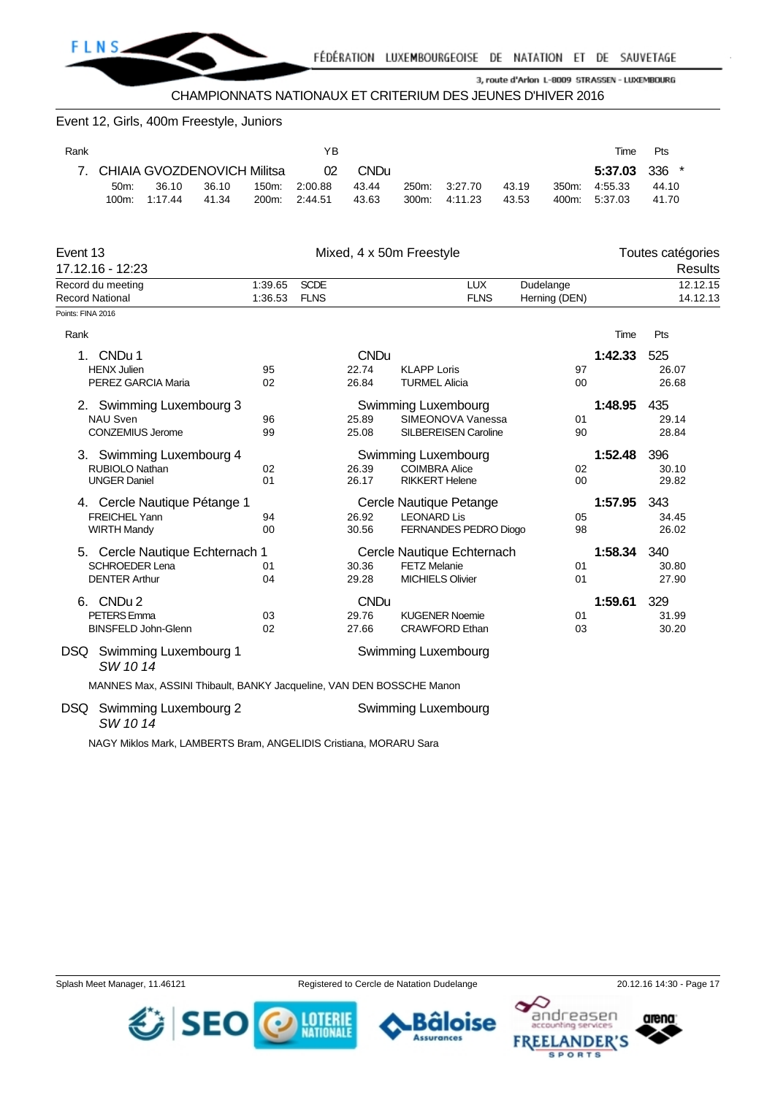

| Event 12, Girls, 400m Freestyle, Juniors                             |       |         |             |                          |                      |                                          |       |               |         |                                     |
|----------------------------------------------------------------------|-------|---------|-------------|--------------------------|----------------------|------------------------------------------|-------|---------------|---------|-------------------------------------|
| Rank                                                                 |       |         | YB          |                          |                      |                                          |       |               | Time    | Pts                                 |
| CHIAIA GVOZDENOVICH Militsa<br>7.                                    |       |         | 02          | <b>CNDu</b>              |                      |                                          |       |               | 5:37.03 | 336<br>$\ast$                       |
| 36.10<br>50m:                                                        | 36.10 | 150m:   | 2:00.88     | 43.44                    | 250m:                | 3:27.70                                  | 43.19 | 350m:         | 4:55.33 | 44.10                               |
| 100m:<br>1:17.44                                                     | 41.34 | 200m:   | 2:44.51     | 43.63                    | 300m:                | 4:11.23                                  | 43.53 | 400m:         | 5:37.03 | 41.70                               |
| Event 13<br>17.12.16 - 12:23                                         |       |         |             | Mixed, 4 x 50m Freestyle |                      |                                          |       |               |         | Toutes catégories<br><b>Results</b> |
| Record du meeting                                                    |       | 1:39.65 | <b>SCDE</b> |                          |                      | <b>LUX</b>                               |       | Dudelange     |         | 12.12.15                            |
| <b>Record National</b>                                               |       | 1:36.53 | <b>FLNS</b> |                          |                      | <b>FLNS</b>                              |       | Herning (DEN) |         | 14.12.13                            |
| Points: FINA 2016                                                    |       |         |             |                          |                      |                                          |       |               |         |                                     |
| Rank                                                                 |       |         |             |                          |                      |                                          |       |               | Time    | Pts                                 |
| CNDu 1<br>1.                                                         |       |         |             | <b>CNDu</b>              |                      |                                          |       |               | 1:42.33 | 525                                 |
| <b>HENX Julien</b>                                                   |       | 95      |             | 22.74                    | <b>KLAPP Loris</b>   |                                          |       | 97            |         | 26.07                               |
| PEREZ GARCIA Maria                                                   |       | 02      |             | 26.84                    | <b>TURMEL Alicia</b> |                                          |       | 00            |         | 26.68                               |
| 2. Swimming Luxembourg 3<br><b>NAU Sven</b>                          |       | 96      |             | 25.89                    |                      | Swimming Luxembourg<br>SIMEONOVA Vanessa |       | 01            | 1:48.95 | 435<br>29.14                        |
| CONZEMIUS Jerome                                                     |       | 99      |             | 25.08                    |                      | SILBEREISEN Caroline                     |       | 90            |         | 28.84                               |
| 3. Swimming Luxembourg 4                                             |       |         |             |                          |                      | Swimming Luxembourg                      |       |               | 1:52.48 | 396                                 |
| RUBIOLO Nathan                                                       |       | 02      |             | 26.39                    | <b>COIMBRA Alice</b> |                                          |       | 02            |         | 30.10                               |
| <b>UNGER Daniel</b>                                                  |       | 01      |             | 26.17                    |                      | <b>RIKKERT Helene</b>                    |       | 00            |         | 29.82                               |
| 4. Cercle Nautique Pétange 1                                         |       |         |             |                          |                      | Cercle Nautique Petange                  |       |               | 1:57.95 | 343                                 |
| <b>FREICHEL Yann</b>                                                 |       | 94      |             | 26.92                    | <b>LEONARD Lis</b>   |                                          |       | 05            |         | 34.45                               |
| <b>WIRTH Mandy</b>                                                   |       | 00      |             | 30.56                    |                      | FERNANDES PEDRO Diogo                    |       | 98            |         | 26.02                               |
| 5. Cercle Nautique Echternach 1                                      |       |         |             |                          |                      | Cercle Nautique Echternach               |       |               | 1:58.34 | 340                                 |
| <b>SCHROEDER Lena</b>                                                |       | 01      |             | 30.36                    | <b>FETZ Melanie</b>  |                                          |       | 01            |         | 30.80                               |
| <b>DENTER Arthur</b>                                                 |       | 04      |             | 29.28                    |                      | <b>MICHIELS Olivier</b>                  |       | 01            |         | 27.90                               |
|                                                                      |       |         |             |                          |                      |                                          |       |               |         |                                     |
| 6. CNDu 2                                                            |       |         |             | <b>CNDu</b>              |                      |                                          |       |               | 1:59.61 | 329                                 |
| <b>PETERS</b> Emma                                                   |       | 03      |             | 29.76                    |                      | <b>KUGENER Noemie</b>                    |       | 01            |         | 31.99                               |
| BINSFELD John-Glenn                                                  |       | 02      |             | 27.66                    |                      | <b>CRAWFORD Ethan</b>                    |       | 03            |         | 30.20                               |
| DSQ Swimming Luxembourg 1<br>SW 1014                                 |       |         |             |                          |                      | Swimming Luxembourg                      |       |               |         |                                     |
| MANNES Max, ASSINI Thibault, BANKY Jacqueline, VAN DEN BOSSCHE Manon |       |         |             |                          |                      |                                          |       |               |         |                                     |

DSQ Swimming Luxembourg 2 Swimming Luxembourg 2 *SW 10 14*

NAGY Miklos Mark, LAMBERTS Bram, ANGELIDIS Cristiana, MORARU Sara







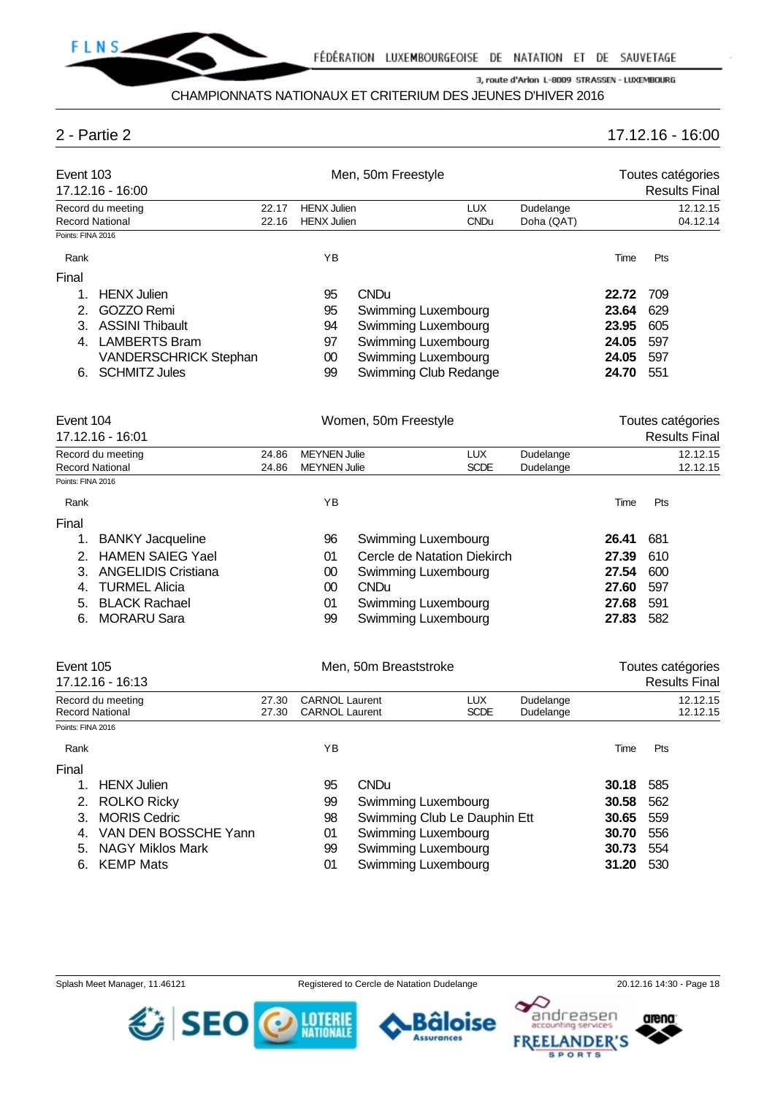

# 2 - Partie 2 17.12.16 - 16:00

| Event 103<br>17.12.16 - 16:00 |                                      |                | Men, 50m Freestyle                             |                       |                              |                        | Toutes catégories<br><b>Results Final</b> |     |                                           |
|-------------------------------|--------------------------------------|----------------|------------------------------------------------|-----------------------|------------------------------|------------------------|-------------------------------------------|-----|-------------------------------------------|
|                               | Record du meeting                    | 22.17          | <b>HENX Julien</b>                             |                       | <b>LUX</b>                   | Dudelange              |                                           |     | 12.12.15                                  |
|                               | Record National                      | 22.16          | <b>HENX Julien</b>                             |                       | <b>CNDu</b>                  | Doha (QAT)             |                                           |     | 04.12.14                                  |
| Points: FINA 2016             |                                      |                |                                                |                       |                              |                        |                                           |     |                                           |
| Rank                          |                                      |                | YB                                             |                       |                              |                        | Time                                      | Pts |                                           |
| Final                         |                                      |                |                                                |                       |                              |                        |                                           |     |                                           |
| 1.                            | <b>HENX Julien</b>                   |                | 95                                             | <b>CNDu</b>           |                              |                        | 22.72                                     | 709 |                                           |
| 2.                            | GOZZO Remi                           |                | 95                                             |                       | Swimming Luxembourg          |                        | 23.64                                     | 629 |                                           |
| 3.                            | <b>ASSINI Thibault</b>               |                | 94                                             |                       | Swimming Luxembourg          |                        | 23.95                                     | 605 |                                           |
| 4.                            | <b>LAMBERTS Bram</b>                 |                | 97                                             |                       | Swimming Luxembourg          |                        | 24.05                                     | 597 |                                           |
|                               | <b>VANDERSCHRICK Stephan</b>         |                | 00                                             |                       | Swimming Luxembourg          |                        | 24.05                                     | 597 |                                           |
|                               | 6. SCHMITZ Jules                     |                | 99                                             |                       | Swimming Club Redange        |                        | 24.70                                     | 551 |                                           |
| Event 104                     | 17.12.16 - 16:01                     |                |                                                | Women, 50m Freestyle  |                              |                        |                                           |     | Toutes catégories<br><b>Results Final</b> |
|                               | Record du meeting                    | 24.86          | <b>MEYNEN Julie</b>                            |                       | <b>LUX</b>                   | Dudelange              |                                           |     | 12.12.15                                  |
|                               | Record National                      | 24.86          | <b>MEYNEN Julie</b>                            |                       | <b>SCDE</b>                  | Dudelange              |                                           |     | 12.12.15                                  |
| Points: FINA 2016             |                                      |                |                                                |                       |                              |                        |                                           |     |                                           |
| Rank                          |                                      |                | YB                                             |                       |                              |                        | Time                                      | Pts |                                           |
| Final                         |                                      |                |                                                |                       |                              |                        |                                           |     |                                           |
| 1.                            | <b>BANKY Jacqueline</b>              |                | 96                                             |                       | Swimming Luxembourg          |                        | 26.41                                     | 681 |                                           |
| 2.                            | <b>HAMEN SAIEG Yael</b>              |                | 01                                             |                       | Cercle de Natation Diekirch  |                        | 27.39                                     | 610 |                                           |
| 3.                            | <b>ANGELIDIS Cristiana</b>           |                | $00\,$                                         |                       | Swimming Luxembourg          |                        | 27.54                                     | 600 |                                           |
| 4.                            | <b>TURMEL Alicia</b>                 |                | $00\,$                                         | <b>CNDu</b>           |                              |                        | 27.60                                     | 597 |                                           |
| 5.                            | <b>BLACK Rachael</b>                 |                | 01                                             |                       | Swimming Luxembourg          |                        | 27.68                                     | 591 |                                           |
| 6.                            | <b>MORARU Sara</b>                   |                | 99                                             |                       | Swimming Luxembourg          |                        | 27.83                                     | 582 |                                           |
| Event 105                     |                                      |                |                                                | Men, 50m Breaststroke |                              |                        |                                           |     | Toutes catégories                         |
|                               | 17.12.16 - 16:13                     |                |                                                |                       |                              |                        |                                           |     | <b>Results Final</b>                      |
|                               | Record du meeting<br>Record National | 27.30<br>27.30 | <b>CARNOL Laurent</b><br><b>CARNOL Laurent</b> |                       | <b>LUX</b><br><b>SCDE</b>    | Dudelange<br>Dudelange |                                           |     | 12.12.15<br>12.12.15                      |
| Points: FINA 2016             |                                      |                |                                                |                       |                              |                        |                                           |     |                                           |
| Rank                          |                                      |                | ΥB                                             |                       |                              |                        | Time                                      | Pts |                                           |
| Final                         |                                      |                |                                                |                       |                              |                        |                                           |     |                                           |
| 1.                            | <b>HENX Julien</b>                   |                | 95                                             | <b>CNDu</b>           |                              |                        | 30.18                                     | 585 |                                           |
| 2.                            | <b>ROLKO Ricky</b>                   |                | 99                                             |                       | Swimming Luxembourg          |                        | 30.58                                     | 562 |                                           |
| 3.                            | <b>MORIS Cedric</b>                  |                | 98                                             |                       | Swimming Club Le Dauphin Ett |                        | 30.65                                     | 559 |                                           |
| 4.                            | VAN DEN BOSSCHE Yann                 |                | 01                                             |                       | Swimming Luxembourg          |                        | 30.70                                     | 556 |                                           |
| 5.                            | <b>NAGY Miklos Mark</b>              |                | 99                                             |                       | <b>Swimming Luxembourg</b>   |                        | 30.73                                     | 554 |                                           |
| 6.                            | <b>KEMP Mats</b>                     |                | 01                                             |                       | Swimming Luxembourg          |                        | 31.20                                     | 530 |                                           |

SEO O MENT

Bâloise

**Assurances** 



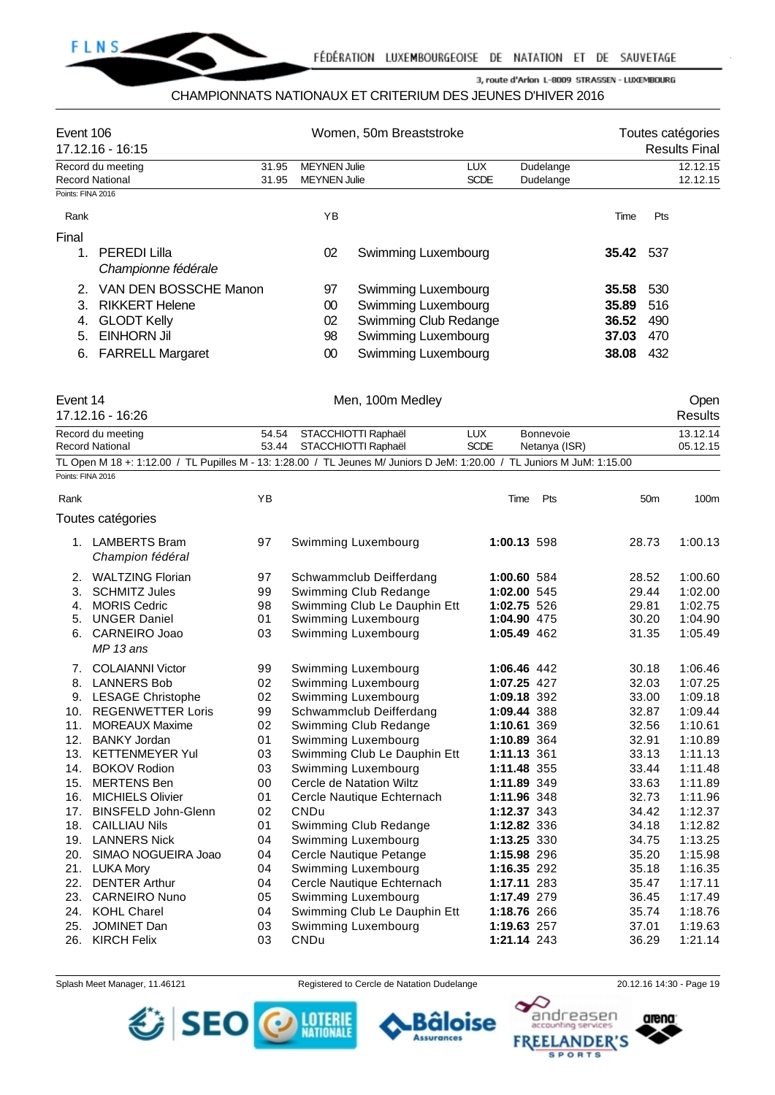

#### CHAMPIONNATS NATIONAUX ET CRITERIUM DES JEUNES D'HIVER 2016

| Event 106              | $17.12.16 - 16:15$                         |       |                     | Women, 50m Breaststroke |             |           |       |      | Toutes catégories<br><b>Results Final</b> |
|------------------------|--------------------------------------------|-------|---------------------|-------------------------|-------------|-----------|-------|------|-------------------------------------------|
|                        | Record du meeting                          | 31.95 | <b>MEYNEN Julie</b> |                         | <b>LUX</b>  | Dudelange |       |      | 12.12.15                                  |
| <b>Record National</b> |                                            | 31.95 | <b>MEYNEN Julie</b> |                         | <b>SCDE</b> | Dudelange |       |      | 12.12.15                                  |
| Points: FINA 2016      |                                            |       |                     |                         |             |           |       |      |                                           |
| Rank                   |                                            |       | ΥB                  |                         |             |           | Time  | Pts  |                                           |
| Final                  |                                            |       |                     |                         |             |           |       |      |                                           |
|                        | <b>PEREDI Lilla</b><br>Championne fédérale |       | 02                  | Swimming Luxembourg     |             |           | 35.42 | -537 |                                           |
|                        | VAN DEN BOSSCHE Manon                      |       | 97                  | Swimming Luxembourg     |             |           | 35.58 | 530  |                                           |
| 3                      | <b>RIKKERT Helene</b>                      |       | 00                  | Swimming Luxembourg     |             |           | 35.89 | 516  |                                           |
| 4.                     | <b>GLODT Kelly</b>                         |       | 02                  | Swimming Club Redange   |             |           | 36.52 | 490  |                                           |
| 5.                     | EINHORN Jil                                |       | 98                  | Swimming Luxembourg     |             |           | 37.03 | 470  |                                           |
| 6.                     | <b>FARRELL Margaret</b>                    |       | 00                  | Swimming Luxembourg     |             |           | 38.08 | 432  |                                           |

| Event 14                                                                                                                | Men, 100m Medley          |             |               | Open     |
|-------------------------------------------------------------------------------------------------------------------------|---------------------------|-------------|---------------|----------|
| 17.12.16 - 16:26                                                                                                        |                           |             |               | Results  |
| Record du meeting                                                                                                       | 54.54 STACCHIOTTI Raphaël | LUX         | Bonnevoie     | 13.12.14 |
| <b>Record National</b>                                                                                                  | 53.44 STACCHIOTTI Raphaël | <b>SCDE</b> | Netanya (ISR) | 05.12.15 |
| TL Open M 18 +: 1:12.00 / TL Pupilles M - 13: 1:28.00 / TL Jeunes M/ Juniors D JeM: 1:20.00 / TL Juniors M JuM: 1:15.00 |                           |             |               |          |
| Points: FINA 2016                                                                                                       |                           |             |               |          |

| Rank |                                          | ΥB |                              | Time        | Pts | 50 <sub>m</sub> | 100m    |
|------|------------------------------------------|----|------------------------------|-------------|-----|-----------------|---------|
|      | Toutes catégories                        |    |                              |             |     |                 |         |
| 1.   | <b>LAMBERTS Bram</b><br>Champion fédéral | 97 | Swimming Luxembourg          | 1:00.13 598 |     | 28.73           | 1:00.13 |
| 2.   | <b>WALTZING Florian</b>                  | 97 | Schwammclub Deifferdang      | 1:00.60 584 |     | 28.52           | 1:00.60 |
| 3.   | <b>SCHMITZ Jules</b>                     | 99 | Swimming Club Redange        | 1:02.00 545 |     | 29.44           | 1:02.00 |
| 4.   | <b>MORIS Cedric</b>                      | 98 | Swimming Club Le Dauphin Ett | 1:02.75 526 |     | 29.81           | 1:02.75 |
| 5.   | <b>UNGER Daniel</b>                      | 01 | Swimming Luxembourg          | 1:04.90 475 |     | 30.20           | 1:04.90 |
| 6.   | CARNEIRO Joao<br>MP 13 ans               | 03 | Swimming Luxembourg          | 1:05.49 462 |     | 31.35           | 1:05.49 |
| 7.   | <b>COLAIANNI Victor</b>                  | 99 | Swimming Luxembourg          | 1:06.46 442 |     | 30.18           | 1:06.46 |
| 8.   | <b>LANNERS Bob</b>                       | 02 | Swimming Luxembourg          | 1:07.25 427 |     | 32.03           | 1:07.25 |
| 9.   | <b>LESAGE Christophe</b>                 | 02 | Swimming Luxembourg          | 1:09.18 392 |     | 33.00           | 1:09.18 |
| 10.  | <b>REGENWETTER Loris</b>                 | 99 | Schwammclub Deifferdang      | 1:09.44 388 |     | 32.87           | 1:09.44 |
| 11.  | <b>MOREAUX Maxime</b>                    | 02 | Swimming Club Redange        | 1:10.61 369 |     | 32.56           | 1:10.61 |
| 12.  | <b>BANKY Jordan</b>                      | 01 | Swimming Luxembourg          | 1:10.89 364 |     | 32.91           | 1:10.89 |
| 13.  | <b>KETTENMEYER Yul</b>                   | 03 | Swimming Club Le Dauphin Ett | 1:11.13 361 |     | 33.13           | 1:11.13 |
| 14.  | <b>BOKOV Rodion</b>                      | 03 | Swimming Luxembourg          | 1:11.48 355 |     | 33.44           | 1:11.48 |
| 15.  | <b>MERTENS Ben</b>                       | 00 | Cercle de Natation Wiltz     | 1:11.89 349 |     | 33.63           | 1:11.89 |
| 16.  | <b>MICHIELS Olivier</b>                  | 01 | Cercle Nautique Echternach   | 1:11.96 348 |     | 32.73           | 1:11.96 |
| 17.  | <b>BINSFELD John-Glenn</b>               | 02 | CNDu                         | 1:12.37 343 |     | 34.42           | 1:12.37 |
| 18.  | <b>CAILLIAU Nils</b>                     | 01 | Swimming Club Redange        | 1:12.82 336 |     | 34.18           | 1:12.82 |
| 19.  | <b>LANNERS Nick</b>                      | 04 | Swimming Luxembourg          | 1:13.25 330 |     | 34.75           | 1:13.25 |
| 20.  | SIMAO NOGUEIRA Joao                      | 04 | Cercle Nautique Petange      | 1:15.98 296 |     | 35.20           | 1:15.98 |
| 21.  | <b>LUKA Mory</b>                         | 04 | Swimming Luxembourg          | 1:16.35 292 |     | 35.18           | 1:16.35 |
| 22.  | <b>DENTER Arthur</b>                     | 04 | Cercle Nautique Echternach   | 1:17.11 283 |     | 35.47           | 1:17.11 |
| 23.  | <b>CARNEIRO Nuno</b>                     | 05 | Swimming Luxembourg          | 1:17.49 279 |     | 36.45           | 1:17.49 |
| 24.  | <b>KOHL Charel</b>                       | 04 | Swimming Club Le Dauphin Ett | 1:18.76 266 |     | 35.74           | 1:18.76 |
| 25.  | <b>JOMINET Dan</b>                       | 03 | Swimming Luxembourg          | 1:19.63 257 |     | 37.01           | 1:19.63 |
| 26.  | <b>KIRCH Felix</b>                       | 03 | <b>CNDu</b>                  | 1:21.14 243 |     | 36.29           | 1:21.14 |

SEO O MINE

Splash Meet Manager, 11.46121 Registered to Cercle de Natation Dudelange 20.12.16 14:30 - Page 19



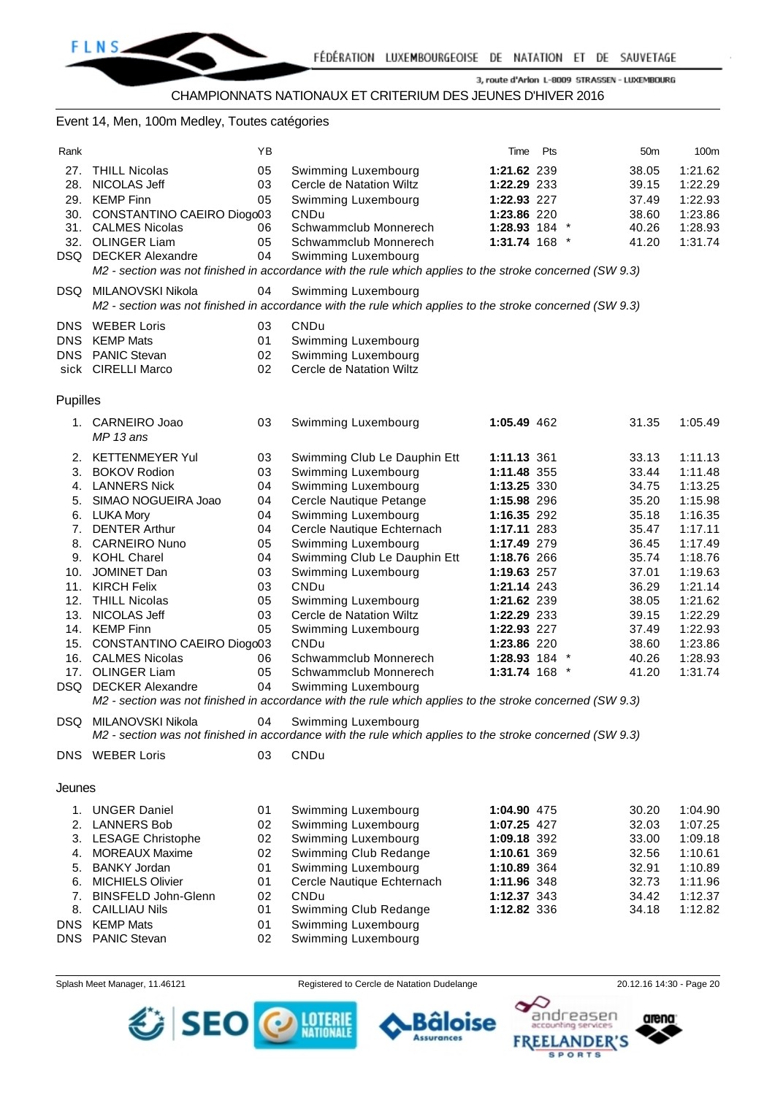#### CHAMPIONNATS NATIONAUX ET CRITERIUM DES JEUNES D'HIVER 2016

### Event 14, Men, 100m Medley, Toutes catégories

| Rank         |                                        | ΥB       |                                                                                                          | Time                       | Pts | 50 <sub>m</sub> | 100m               |
|--------------|----------------------------------------|----------|----------------------------------------------------------------------------------------------------------|----------------------------|-----|-----------------|--------------------|
| 27.          | <b>THILL Nicolas</b>                   | 05       | Swimming Luxembourg                                                                                      | 1:21.62 239                |     | 38.05           | 1:21.62            |
| 28.          | NICOLAS Jeff                           | 03       | Cercle de Natation Wiltz                                                                                 | 1:22.29 233                |     | 39.15           | 1:22.29            |
|              | 29. KEMP Finn                          | 05       | Swimming Luxembourg                                                                                      | 1:22.93 227                |     | 37.49           | 1:22.93            |
|              | 30. CONSTANTINO CAEIRO Diogo03         |          | <b>CNDu</b>                                                                                              | 1:23.86 220                |     | 38.60           | 1:23.86            |
|              | 31. CALMES Nicolas                     | 06       | Schwammclub Monnerech                                                                                    | 1:28.93 184                |     | 40.26           | 1:28.93            |
|              | 32. OLINGER Liam                       | 05       | Schwammclub Monnerech                                                                                    | 1:31.74 168                |     | 41.20           | 1:31.74            |
|              | <b>DSQ</b> DECKER Alexandre            | 04       | Swimming Luxembourg                                                                                      |                            |     |                 |                    |
|              |                                        |          | M2 - section was not finished in accordance with the rule which applies to the stroke concerned (SW 9.3) |                            |     |                 |                    |
|              | DSQ MILANOVSKI Nikola                  | 04       | Swimming Luxembourg                                                                                      |                            |     |                 |                    |
|              |                                        |          | M2 - section was not finished in accordance with the rule which applies to the stroke concerned (SW 9.3) |                            |     |                 |                    |
|              |                                        |          |                                                                                                          |                            |     |                 |                    |
| DNS.<br>DNS. | <b>WEBER Loris</b><br><b>KEMP Mats</b> | 03<br>01 | CNDu                                                                                                     |                            |     |                 |                    |
|              | DNS PANIC Stevan                       | 02       | Swimming Luxembourg<br>Swimming Luxembourg                                                               |                            |     |                 |                    |
|              | sick CIRELLI Marco                     | 02       | Cercle de Natation Wiltz                                                                                 |                            |     |                 |                    |
|              |                                        |          |                                                                                                          |                            |     |                 |                    |
| Pupilles     |                                        |          |                                                                                                          |                            |     |                 |                    |
|              |                                        |          |                                                                                                          |                            |     |                 |                    |
|              | 1. CARNEIRO Joao                       | 03       | Swimming Luxembourg                                                                                      | 1:05.49 462                |     | 31.35           | 1:05.49            |
|              | MP 13 ans                              |          |                                                                                                          |                            |     |                 |                    |
| 2.           | <b>KETTENMEYER Yul</b>                 | 03       | Swimming Club Le Dauphin Ett                                                                             | 1:11.13 361                |     | 33.13           | 1:11.13            |
| 3.           | <b>BOKOV Rodion</b>                    | 03       | Swimming Luxembourg                                                                                      | 1:11.48 355                |     | 33.44           | 1:11.48            |
|              | 4. LANNERS Nick                        | 04       | Swimming Luxembourg                                                                                      | 1:13.25 330                |     | 34.75           | 1:13.25            |
| 5.           | SIMAO NOGUEIRA Joao                    | 04       | Cercle Nautique Petange                                                                                  | 1:15.98 296                |     | 35.20           | 1:15.98            |
|              | 6. LUKA Mory                           | 04       | Swimming Luxembourg                                                                                      | 1:16.35 292                |     | 35.18           | 1:16.35            |
| 7.           | <b>DENTER Arthur</b>                   | 04       | Cercle Nautique Echternach                                                                               | 1:17.11 283                |     | 35.47           | 1:17.11            |
| 8.           | <b>CARNEIRO Nuno</b>                   | 05       | Swimming Luxembourg                                                                                      | 1:17.49 279                |     | 36.45           | 1:17.49            |
|              | 9. KOHL Charel                         | 04       | Swimming Club Le Dauphin Ett                                                                             | 1:18.76 266                |     | 35.74           | 1:18.76            |
| 10.          | JOMINET Dan                            | 03       | Swimming Luxembourg                                                                                      | 1:19.63 257                |     | 37.01           | 1:19.63            |
| 11.          | <b>KIRCH Felix</b>                     | 03       | <b>CNDu</b>                                                                                              | 1:21.14 243                |     | 36.29           | 1:21.14            |
| 12.          | <b>THILL Nicolas</b>                   | 05       | Swimming Luxembourg                                                                                      | 1:21.62 239                |     | 38.05           | 1:21.62            |
| 13.          | NICOLAS Jeff                           | 03       | Cercle de Natation Wiltz                                                                                 | 1:22.29 233                |     | 39.15           | 1:22.29            |
|              | 14. KEMP Finn                          | 05       | Swimming Luxembourg                                                                                      | 1:22.93 227                |     | 37.49           | 1:22.93            |
|              | 15. CONSTANTINO CAEIRO Diogo03         |          | CNDu                                                                                                     | 1:23.86 220                |     | 38.60           | 1:23.86            |
|              | 16. CALMES Nicolas                     | 06       | Schwammclub Monnerech                                                                                    | 1:28.93 184                |     | 40.26           | 1:28.93            |
| 17.          | <b>OLINGER Liam</b>                    | 05       | Schwammclub Monnerech                                                                                    | 1:31.74 168                |     | 41.20           | 1:31.74            |
|              | <b>DSQ</b> DECKER Alexandre            | 04       | Swimming Luxembourg                                                                                      |                            |     |                 |                    |
|              |                                        |          | M2 - section was not finished in accordance with the rule which applies to the stroke concerned (SW 9.3) |                            |     |                 |                    |
|              | DSQ MILANOVSKI Nikola                  | 04       | Swimming Luxembourg                                                                                      |                            |     |                 |                    |
|              |                                        |          | M2 - section was not finished in accordance with the rule which applies to the stroke concerned (SW 9.3) |                            |     |                 |                    |
|              | <b>DNS</b> WEBER Loris                 | 03       | CNDu                                                                                                     |                            |     |                 |                    |
|              |                                        |          |                                                                                                          |                            |     |                 |                    |
| Jeunes       |                                        |          |                                                                                                          |                            |     |                 |                    |
|              |                                        |          |                                                                                                          |                            |     |                 |                    |
|              | 1. UNGER Daniel                        | 01       | Swimming Luxembourg                                                                                      | 1:04.90 475                |     | 30.20           | 1:04.90            |
|              | 2. LANNERS Bob<br>3. LESAGE Christophe | 02<br>02 | Swimming Luxembourg<br>Swimming Luxembourg                                                               | 1:07.25 427                |     | 32.03<br>33.00  | 1:07.25<br>1:09.18 |
| 4.           | <b>MOREAUX Maxime</b>                  | 02       | Swimming Club Redange                                                                                    | 1:09.18 392<br>1:10.61 369 |     | 32.56           | 1:10.61            |
| 5.           | <b>BANKY Jordan</b>                    | 01       | Swimming Luxembourg                                                                                      | 1:10.89 364                |     | 32.91           | 1:10.89            |
| 6.           | <b>MICHIELS Olivier</b>                | 01       | Cercle Nautique Echternach                                                                               | 1:11.96 348                |     | 32.73           | 1:11.96            |
| 7.           | <b>BINSFELD John-Glenn</b>             | 02       | <b>CNDu</b>                                                                                              | 1:12.37 343                |     | 34.42           | 1:12.37            |
| 8.           | <b>CAILLIAU Nils</b>                   | 01       | Swimming Club Redange                                                                                    | 1:12.82 336                |     | 34.18           | 1:12.82            |
|              | DNS KEMP Mats                          | 01       | Swimming Luxembourg                                                                                      |                            |     |                 |                    |
| DNS          | <b>PANIC Stevan</b>                    | 02       | Swimming Luxembourg                                                                                      |                            |     |                 |                    |
|              |                                        |          |                                                                                                          |                            |     |                 |                    |

SEO

Splash Meet Manager, 11.46121 **Registered to Cercle de Natation Dudelange** 20.12.16 14:30 - Page 20

в

**Assurances** 

äloise

**LOTERIE**<br>NATIONALE



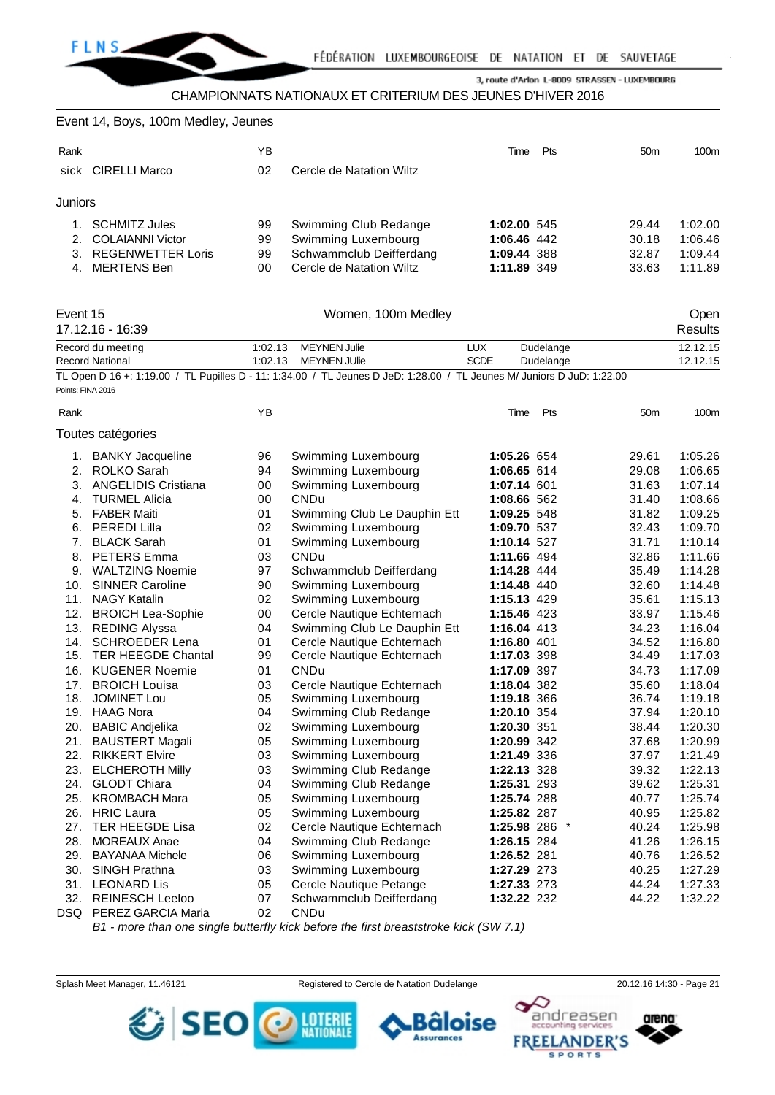

CHAMPIONNATS NATIONAUX ET CRITERIUM DES JEUNES D'HIVER 2016

| Event 14, Boys, 100m Medley, Jeunes |  |  |  |  |  |
|-------------------------------------|--|--|--|--|--|
|-------------------------------------|--|--|--|--|--|

| Rank           | sick CIRELLI Marco       | ΥB<br>02 | Cercle de Natation Wiltz | Time        | Pts | 50 <sub>m</sub> | 100m    |
|----------------|--------------------------|----------|--------------------------|-------------|-----|-----------------|---------|
| <b>Juniors</b> |                          |          |                          |             |     |                 |         |
|                | <b>SCHMITZ Jules</b>     | 99       | Swimming Club Redange    | 1:02.00 545 |     | 29.44           | 1:02.00 |
|                | 2. COLAIANNI Victor      | 99       | Swimming Luxembourg      | 1:06.46 442 |     | 30.18           | 1:06.46 |
| 3 <sub>1</sub> | <b>REGENWETTER Loris</b> | 99       | Schwammclub Deifferdang  | 1:09.44 388 |     | 32.87           | 1:09.44 |
| 4.             | MERTENS Ben              | 00       | Cercle de Natation Wiltz | 1:11.89 349 |     | 33.63           | 1:11.89 |

| Event 15          | 17.12.16 - 16:39       |         | Open<br><b>Results</b>                                                                                                 |               |           |                 |          |
|-------------------|------------------------|---------|------------------------------------------------------------------------------------------------------------------------|---------------|-----------|-----------------|----------|
|                   | Record du meeting      | 1:02.13 | <b>MEYNEN Julie</b>                                                                                                    | LUX           | Dudelange |                 | 12.12.15 |
|                   | <b>Record National</b> | 1:02.13 | <b>MEYNEN JUlie</b>                                                                                                    | <b>SCDE</b>   | Dudelange |                 | 12.12.15 |
|                   |                        |         | TL Open D 16 +: 1:19.00 / TL Pupilles D - 11: 1:34.00 / TL Jeunes D JeD: 1:28.00 / TL Jeunes M/ Juniors D JuD: 1:22.00 |               |           |                 |          |
| Points: FINA 2016 |                        |         |                                                                                                                        |               |           |                 |          |
| Rank              |                        | YB      |                                                                                                                        | Time          | Pts       | 50 <sub>m</sub> | 100m     |
|                   | Toutes catégories      |         |                                                                                                                        |               |           |                 |          |
|                   | 1. BANKY Jacqueline    | 96      | Swimming Luxembourg                                                                                                    | 1:05.26 654   |           | 29.61           | 1:05.26  |
|                   | 2. ROLKO Sarah         | 94      | Swimming Luxembourg                                                                                                    | 1:06.65 614   |           | 29.08           | 1:06.65  |
|                   | 3. ANGELIDIS Cristiana | 00      | Swimming Luxembourg                                                                                                    | 1:07.14 601   |           | 31.63           | 1:07.14  |
| 4.                | <b>TURMEL Alicia</b>   | 00      | <b>CNDu</b>                                                                                                            | 1:08.66 562   |           | 31.40           | 1:08.66  |
|                   | 5. FABER Maiti         | 01      | Swimming Club Le Dauphin Ett                                                                                           | 1:09.25 548   |           | 31.82           | 1:09.25  |
|                   | 6. PEREDI Lilla        | 02      | Swimming Luxembourg                                                                                                    | 1:09.70 537   |           | 32.43           | 1:09.70  |
| 7.                | <b>BLACK Sarah</b>     | 01      | Swimming Luxembourg                                                                                                    | 1:10.14 527   |           | 31.71           | 1:10.14  |
|                   | 8. PETERS Emma         | 03      | <b>CNDu</b>                                                                                                            | 1:11.66 494   |           | 32.86           | 1:11.66  |
|                   | 9. WALTZING Noemie     | 97      | Schwammclub Deifferdang                                                                                                | 1:14.28 444   |           | 35.49           | 1:14.28  |
|                   | 10. SINNER Caroline    | 90      | Swimming Luxembourg                                                                                                    | 1:14.48 440   |           | 32.60           | 1:14.48  |
|                   | 11. NAGY Katalin       | 02      | Swimming Luxembourg                                                                                                    | 1:15.13 429   |           | 35.61           | 1:15.13  |
|                   | 12. BROICH Lea-Sophie  | 00      | Cercle Nautique Echternach                                                                                             | 1:15.46 423   |           | 33.97           | 1:15.46  |
|                   | 13. REDING Alyssa      | 04      | Swimming Club Le Dauphin Ett                                                                                           | 1:16.04 413   |           | 34.23           | 1:16.04  |
|                   | 14. SCHROEDER Lena     | 01      | Cercle Nautique Echternach                                                                                             | 1:16.80 401   |           | 34.52           | 1:16.80  |
|                   | 15. TER HEEGDE Chantal | 99      | Cercle Nautique Echternach                                                                                             | 1:17.03 398   |           | 34.49           | 1:17.03  |
|                   | 16. KUGENER Noemie     | 01      | <b>CNDu</b>                                                                                                            | 1:17.09 397   |           | 34.73           | 1:17.09  |
| 17.               | <b>BROICH Louisa</b>   | 03      | Cercle Nautique Echternach                                                                                             | 1:18.04 382   |           | 35.60           | 1:18.04  |
| 18.               | <b>JOMINET Lou</b>     | 05      | Swimming Luxembourg                                                                                                    | 1:19.18 366   |           | 36.74           | 1:19.18  |
|                   | 19. HAAG Nora          | 04      | Swimming Club Redange                                                                                                  | 1:20.10 354   |           | 37.94           | 1:20.10  |
|                   | 20. BABIC Andjelika    | 02      | Swimming Luxembourg                                                                                                    | 1:20.30 351   |           | 38.44           | 1:20.30  |
|                   | 21. BAUSTERT Magali    | 05      | Swimming Luxembourg                                                                                                    | 1:20.99 342   |           | 37.68           | 1:20.99  |
|                   | 22. RIKKERT Elvire     | 03      | Swimming Luxembourg                                                                                                    | 1:21.49 336   |           | 37.97           | 1:21.49  |
|                   | 23. ELCHEROTH Milly    | 03      | Swimming Club Redange                                                                                                  | 1:22.13 328   |           | 39.32           | 1:22.13  |
|                   | 24. GLODT Chiara       | 04      | Swimming Club Redange                                                                                                  | 1:25.31 293   |           | 39.62           | 1:25.31  |
|                   | 25. KROMBACH Mara      | 05      | Swimming Luxembourg                                                                                                    | 1:25.74 288   |           | 40.77           | 1:25.74  |
|                   | 26. HRIC Laura         | 05      | Swimming Luxembourg                                                                                                    | 1:25.82 287   |           | 40.95           | 1:25.82  |
| 27.               | <b>TER HEEGDE Lisa</b> | 02      | Cercle Nautique Echternach                                                                                             | 1:25.98 286 * |           | 40.24           | 1:25.98  |
| 28.               | <b>MOREAUX Anae</b>    | 04      | Swimming Club Redange                                                                                                  | 1:26.15 284   |           | 41.26           | 1:26.15  |
|                   | 29. BAYANAA Michele    | 06      | Swimming Luxembourg                                                                                                    | 1:26.52 281   |           | 40.76           | 1:26.52  |
|                   | 30. SINGH Prathna      | 03      | Swimming Luxembourg                                                                                                    | 1:27.29 273   |           | 40.25           | 1:27.29  |
| 31.               | <b>LEONARD Lis</b>     | 05      | Cercle Nautique Petange                                                                                                | 1:27.33 273   |           | 44.24           | 1:27.33  |
|                   | 32. REINESCH Leeloo    | 07      | Schwammclub Deifferdang                                                                                                | 1:32.22 232   |           | 44.22           | 1:32.22  |
|                   | DSQ PEREZ GARCIA Maria | 02      | CNDu                                                                                                                   |               |           |                 |          |

*B1 - more than one single butterfly kick before the first breaststroke kick (SW 7.1)*

Splash Meet Manager, 11.46121 Registered to Cercle de Natation Dudelange 20.12.16 14:30 - Page 21

âloise

**Assurances** 



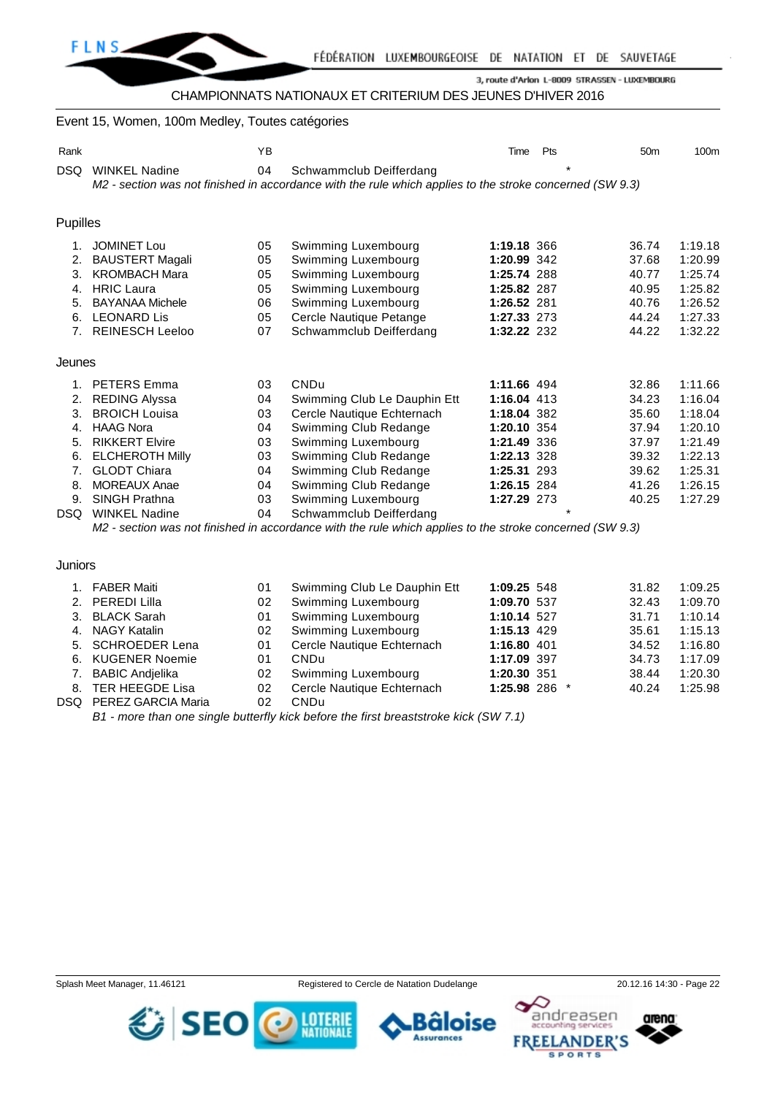

# CHAMPIONNATS NATIONAUX ET CRITERIUM DES JEUNES D'HIVER 2016

#### Event 15, Women, 100m Medley, Toutes catégories

| Rank     |                        | YB |                                                                                                          | Time        | Pts     | 50 <sub>m</sub> | 100 <sub>m</sub> |
|----------|------------------------|----|----------------------------------------------------------------------------------------------------------|-------------|---------|-----------------|------------------|
| DSQ      | <b>WINKEL Nadine</b>   | 04 | Schwammclub Deifferdang                                                                                  |             | $\star$ |                 |                  |
|          |                        |    | M2 - section was not finished in accordance with the rule which applies to the stroke concerned (SW 9.3) |             |         |                 |                  |
|          |                        |    |                                                                                                          |             |         |                 |                  |
| Pupilles |                        |    |                                                                                                          |             |         |                 |                  |
|          |                        |    |                                                                                                          |             |         |                 |                  |
| 1.       | <b>JOMINET Lou</b>     | 05 | Swimming Luxembourg                                                                                      | 1:19.18 366 |         | 36.74           | 1:19.18          |
| 2.       | <b>BAUSTERT Magali</b> | 05 | Swimming Luxembourg                                                                                      | 1:20.99 342 |         | 37.68           | 1:20.99          |
| 3.       | <b>KROMBACH Mara</b>   | 05 | Swimming Luxembourg                                                                                      | 1:25.74 288 |         | 40.77           | 1:25.74          |
| 4.       | <b>HRIC Laura</b>      | 05 | Swimming Luxembourg                                                                                      | 1:25.82 287 |         | 40.95           | 1:25.82          |
| 5.       | <b>BAYANAA Michele</b> | 06 | Swimming Luxembourg                                                                                      | 1:26.52 281 |         | 40.76           | 1:26.52          |
| 6.       | <b>LEONARD Lis</b>     | 05 | Cercle Nautique Petange                                                                                  | 1:27.33 273 |         | 44.24           | 1:27.33          |
| 7.       | <b>REINESCH Leeloo</b> | 07 | Schwammclub Deifferdang                                                                                  | 1:32.22 232 |         | 44.22           | 1:32.22          |
| Jeunes   |                        |    |                                                                                                          |             |         |                 |                  |
| 1.       | <b>PETERS Emma</b>     | 03 | <b>CNDu</b>                                                                                              | 1:11.66 494 |         | 32.86           | 1:11.66          |
| 2.       | <b>REDING Alyssa</b>   | 04 | Swimming Club Le Dauphin Ett                                                                             | 1:16.04 413 |         | 34.23           | 1:16.04          |
| 3.       | <b>BROICH Louisa</b>   | 03 | Cercle Nautique Echternach                                                                               | 1:18.04 382 |         | 35.60           | 1:18.04          |
| 4.       | <b>HAAG Nora</b>       | 04 | Swimming Club Redange                                                                                    | 1:20.10 354 |         | 37.94           | 1:20.10          |
| 5.       | <b>RIKKERT Elvire</b>  | 03 | Swimming Luxembourg                                                                                      | 1:21.49 336 |         | 37.97           | 1:21.49          |
| 6.       | <b>ELCHEROTH Milly</b> | 03 | Swimming Club Redange                                                                                    | 1:22.13 328 |         | 39.32           | 1:22.13          |
| 7.       | <b>GLODT Chiara</b>    | 04 | Swimming Club Redange                                                                                    | 1:25.31 293 |         | 39.62           | 1:25.31          |
| 8.       | <b>MOREAUX Anae</b>    | 04 | Swimming Club Redange                                                                                    | 1:26.15 284 |         | 41.26           | 1:26.15          |
| 9.       | <b>SINGH Prathna</b>   | 03 | Swimming Luxembourg                                                                                      | 1:27.29 273 |         | 40.25           | 1:27.29          |
| DSQ      | <b>WINKEL Nadine</b>   | 04 | Schwammclub Deifferdang                                                                                  |             | $\star$ |                 |                  |

*M2 - section was not finished in accordance with the rule which applies to the stroke concerned (SW 9.3)*

**Juniors** 

| <b>FABER Maiti</b>     | 01 | Swimming Club Le Dauphin Ett | 1:09.25 548   | 31.82 | 1:09.25 |
|------------------------|----|------------------------------|---------------|-------|---------|
| 2. PEREDI Lilla        | 02 | Swimming Luxembourg          | 1:09.70 537   | 32.43 | 1:09.70 |
| 3. BLACK Sarah         | 01 | Swimming Luxembourg          | 1:10.14 527   | 31.71 | 1:10.14 |
| 4. NAGY Katalin        | 02 | Swimming Luxembourg          | 1:15.13 429   | 35.61 | 1:15.13 |
| 5. SCHROEDER Lena      | 01 | Cercle Nautique Echternach   | 1:16.80 401   | 34.52 | 1:16.80 |
| 6. KUGENER Noemie      | 01 | <b>CNDu</b>                  | 1:17.09 397   | 34.73 | 1:17.09 |
| 7. BABIC Andielika     | 02 | Swimming Luxembourg          | 1:20.30 351   | 38.44 | 1:20.30 |
| 8. TER HEEGDE Lisa     | 02 | Cercle Nautique Echternach   | 1:25.98 286 * | 40.24 | 1:25.98 |
| DSQ PEREZ GARCIA Maria | 02 | CND <sub>u</sub>             |               |       |         |
|                        |    |                              |               |       |         |

*B1 - more than one single butterfly kick before the first breaststroke kick (SW 7.1)*



**FREELANDER'S** 



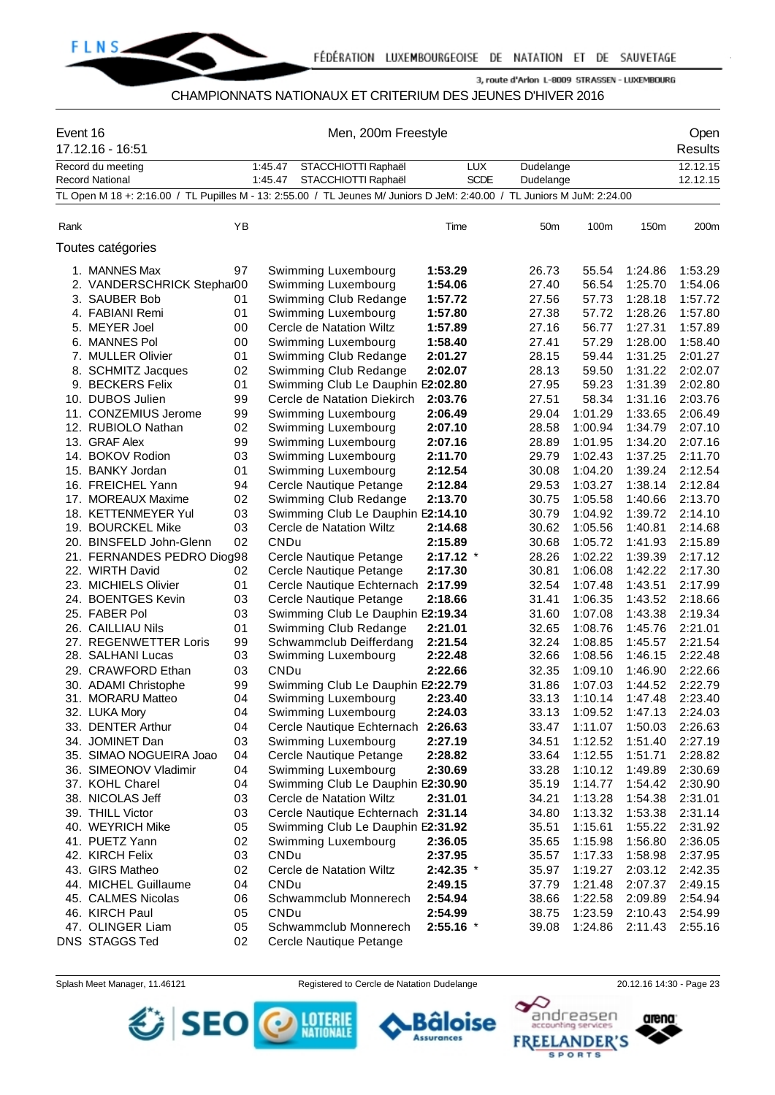

#### CHAMPIONNATS NATIONAUX ET CRITERIUM DES JEUNES D'HIVER 2016

| Event 16 | 17.12.16 - 16:51                                                                                                        |          |             | Men, 200m Freestyle                                   |             |           | Open<br>Results |                    |          |
|----------|-------------------------------------------------------------------------------------------------------------------------|----------|-------------|-------------------------------------------------------|-------------|-----------|-----------------|--------------------|----------|
|          | Record du meeting                                                                                                       |          | 1:45.47     | STACCHIOTTI Raphaël                                   | <b>LUX</b>  | Dudelange |                 |                    | 12.12.15 |
|          | <b>Record National</b>                                                                                                  |          | 1:45.47     | STACCHIOTTI Raphaël                                   | <b>SCDE</b> | Dudelange |                 |                    | 12.12.15 |
|          | TL Open M 18 +: 2:16.00 / TL Pupilles M - 13: 2:55.00 / TL Jeunes M/ Juniors D JeM: 2:40.00 / TL Juniors M JuM: 2:24.00 |          |             |                                                       |             |           |                 |                    |          |
|          |                                                                                                                         |          |             |                                                       |             |           |                 |                    |          |
| Rank     |                                                                                                                         | ΥB       |             |                                                       | Time        | 50m       | 100m            | 150m               | 200m     |
|          | Toutes catégories                                                                                                       |          |             |                                                       |             |           |                 |                    |          |
|          | 1. MANNES Max                                                                                                           | 97       |             | Swimming Luxembourg                                   | 1:53.29     | 26.73     | 55.54           | 1:24.86            | 1:53.29  |
|          | 2. VANDERSCHRICK Stephar00                                                                                              |          |             | Swimming Luxembourg                                   | 1:54.06     | 27.40     | 56.54           | 1:25.70            | 1:54.06  |
|          | 3. SAUBER Bob                                                                                                           | 01       |             | Swimming Club Redange                                 | 1:57.72     | 27.56     | 57.73           | 1:28.18            | 1:57.72  |
|          | 4. FABIANI Remi                                                                                                         | 01       |             | Swimming Luxembourg                                   | 1:57.80     | 27.38     | 57.72           | 1:28.26            | 1:57.80  |
|          | 5. MEYER Joel                                                                                                           | 00       |             | Cercle de Natation Wiltz                              | 1:57.89     | 27.16     | 56.77           | 1:27.31            | 1:57.89  |
|          | 6. MANNES Pol                                                                                                           | 00       |             | Swimming Luxembourg                                   | 1:58.40     | 27.41     | 57.29           | 1:28.00            | 1:58.40  |
|          | 7. MULLER Olivier                                                                                                       | 01       |             | Swimming Club Redange                                 | 2:01.27     | 28.15     | 59.44           | 1:31.25            | 2:01.27  |
|          | 8. SCHMITZ Jacques                                                                                                      | 02       |             | Swimming Club Redange                                 | 2:02.07     | 28.13     | 59.50           | 1:31.22            | 2:02.07  |
|          | 9. BECKERS Felix                                                                                                        | 01       |             | Swimming Club Le Dauphin E2:02.80                     |             | 27.95     | 59.23           | 1:31.39            | 2:02.80  |
|          | 10. DUBOS Julien                                                                                                        | 99       |             | Cercle de Natation Diekirch                           | 2:03.76     | 27.51     | 58.34           | 1:31.16            | 2:03.76  |
|          | 11. CONZEMIUS Jerome                                                                                                    | 99       |             | Swimming Luxembourg                                   | 2:06.49     | 29.04     | 1:01.29         | 1:33.65            | 2:06.49  |
|          | 12. RUBIOLO Nathan                                                                                                      | 02       |             | Swimming Luxembourg                                   | 2:07.10     | 28.58     | 1:00.94         | 1:34.79            | 2:07.10  |
|          | 13. GRAF Alex                                                                                                           | 99       |             | Swimming Luxembourg                                   | 2:07.16     | 28.89     | 1:01.95         | 1:34.20            | 2:07.16  |
|          | 14. BOKOV Rodion                                                                                                        | 03       |             | Swimming Luxembourg                                   | 2:11.70     | 29.79     | 1:02.43         | 1:37.25            | 2:11.70  |
|          | 15. BANKY Jordan                                                                                                        | 01       |             | Swimming Luxembourg                                   | 2:12.54     | 30.08     | 1:04.20         | 1:39.24            | 2:12.54  |
|          | 16. FREICHEL Yann                                                                                                       | 94       |             | Cercle Nautique Petange                               | 2:12.84     | 29.53     | 1:03.27         | 1:38.14            | 2:12.84  |
|          | 17. MOREAUX Maxime                                                                                                      | 02       |             | Swimming Club Redange                                 | 2:13.70     | 30.75     | 1:05.58         | 1:40.66            | 2:13.70  |
|          | 18. KETTENMEYER Yul                                                                                                     | 03       |             | Swimming Club Le Dauphin E2:14.10                     |             | 30.79     | 1:04.92         | 1:39.72            | 2:14.10  |
|          | 19. BOURCKEL Mike                                                                                                       | 03       |             | Cercle de Natation Wiltz                              | 2:14.68     | 30.62     | 1:05.56         | 1:40.81            | 2:14.68  |
|          | 20. BINSFELD John-Glenn                                                                                                 | 02       | CNDu        |                                                       | 2:15.89     | 30.68     | 1:05.72         | 1:41.93            | 2:15.89  |
|          | 21. FERNANDES PEDRO Diog98                                                                                              |          |             | Cercle Nautique Petange                               | $2:17.12$ * | 28.26     | 1:02.22         | 1:39.39            | 2:17.12  |
|          | 22. WIRTH David                                                                                                         |          |             |                                                       |             |           | 1:06.08         |                    | 2:17.30  |
|          |                                                                                                                         | 02<br>01 |             | Cercle Nautique Petange<br>Cercle Nautique Echternach | 2:17.30     | 30.81     |                 | 1:42.22<br>1:43.51 | 2:17.99  |
|          | 23. MICHIELS Olivier                                                                                                    |          |             |                                                       | 2:17.99     | 32.54     | 1:07.48         |                    |          |
|          | 24. BOENTGES Kevin                                                                                                      | 03       |             | Cercle Nautique Petange                               | 2:18.66     | 31.41     | 1:06.35         | 1:43.52            | 2:18.66  |
|          | 25. FABER Pol                                                                                                           | 03       |             | Swimming Club Le Dauphin E2:19.34                     |             | 31.60     | 1:07.08         | 1:43.38            | 2:19.34  |
|          | 26.  CAILLIAU Nils                                                                                                      | 01       |             | Swimming Club Redange                                 | 2:21.01     | 32.65     | 1:08.76         | 1:45.76            | 2:21.01  |
|          | 27. REGENWETTER Loris                                                                                                   | 99       |             | Schwammclub Deifferdang                               | 2:21.54     | 32.24     | 1:08.85         | 1:45.57            | 2:21.54  |
|          | 28. SALHANI Lucas                                                                                                       | 03       |             | Swimming Luxembourg                                   | 2:22.48     | 32.66     | 1:08.56         | 1:46.15            | 2:22.48  |
|          | 29. CRAWFORD Ethan                                                                                                      | 03       | <b>CNDu</b> |                                                       | 2:22.66     | 32.35     | 1:09.10         | 1:46.90            | 2:22.66  |
|          | 30. ADAMI Christophe                                                                                                    | 99       |             | Swimming Club Le Dauphin E2:22.79                     |             | 31.86     | 1:07.03         | 1:44.52            | 2:22.79  |
|          | 31. MORARU Matteo                                                                                                       | 04       |             | Swimming Luxembourg                                   | 2:23.40     | 33.13     | 1:10.14         | 1:47.48            | 2:23.40  |
|          | 32. LUKA Mory                                                                                                           | 04       |             | Swimming Luxembourg                                   | 2:24.03     | 33.13     | 1:09.52         | 1:47.13            | 2:24.03  |
|          | 33. DENTER Arthur                                                                                                       | 04       |             | Cercle Nautique Echternach                            | 2:26.63     | 33.47     | 1:11.07         | 1:50.03            | 2:26.63  |
|          | 34. JOMINET Dan                                                                                                         | 03       |             | Swimming Luxembourg                                   | 2:27.19     | 34.51     | 1:12.52         | 1:51.40            | 2:27.19  |
|          | 35. SIMAO NOGUEIRA Joao                                                                                                 | 04       |             | Cercle Nautique Petange                               | 2:28.82     | 33.64     | 1:12.55         | 1:51.71            | 2:28.82  |
|          | 36. SIMEONOV Vladimir                                                                                                   | 04       |             | Swimming Luxembourg                                   | 2:30.69     | 33.28     | 1:10.12         | 1:49.89            | 2:30.69  |
|          | 37. KOHL Charel                                                                                                         | 04       |             | Swimming Club Le Dauphin E2:30.90                     |             | 35.19     | 1:14.77         | 1:54.42            | 2:30.90  |
|          | 38. NICOLAS Jeff                                                                                                        | 03       |             | Cercle de Natation Wiltz                              | 2:31.01     | 34.21     | 1:13.28         | 1:54.38            | 2:31.01  |
|          | 39. THILL Victor                                                                                                        | 03       |             | Cercle Nautique Echternach 2:31.14                    |             | 34.80     | 1:13.32         | 1:53.38            | 2:31.14  |
|          | 40. WEYRICH Mike                                                                                                        | 05       |             | Swimming Club Le Dauphin E2:31.92                     |             | 35.51     | 1:15.61         | 1:55.22            | 2:31.92  |
|          | 41. PUETZ Yann                                                                                                          | 02       |             | Swimming Luxembourg                                   | 2:36.05     | 35.65     | 1:15.98         | 1:56.80            | 2:36.05  |
|          | 42. KIRCH Felix                                                                                                         | 03       | CNDu        |                                                       | 2:37.95     | 35.57     | 1:17.33         | 1:58.98            | 2:37.95  |
|          | 43. GIRS Matheo                                                                                                         | 02       |             | Cercle de Natation Wiltz                              | $2:42.35$ * | 35.97     | 1:19.27         | 2:03.12            | 2:42.35  |
|          | 44. MICHEL Guillaume                                                                                                    | 04       | CNDu        |                                                       | 2:49.15     | 37.79     | 1:21.48         | 2:07.37            | 2:49.15  |
|          | 45. CALMES Nicolas                                                                                                      | 06       |             | Schwammclub Monnerech                                 | 2:54.94     | 38.66     | 1:22.58         | 2:09.89            | 2:54.94  |
|          | 46. KIRCH Paul                                                                                                          | 05       | CNDu        |                                                       | 2:54.99     | 38.75     | 1:23.59         | 2:10.43            | 2:54.99  |
|          | 47. OLINGER Liam                                                                                                        | 05       |             | Schwammclub Monnerech                                 | $2:55.16$ * | 39.08     | 1:24.86         | 2:11.43            | 2:55.16  |
|          | DNS STAGGS Ted                                                                                                          | 02       |             | Cercle Nautique Petange                               |             |           |                 |                    |          |

卷 SEO <mark>@</mark>

Splash Meet Manager, 11.46121 Registered to Cercle de Natation Dudelange 20.12.16 14:30 - Page 23

**Assurances** 

LOTERIE<br>NATIONALE



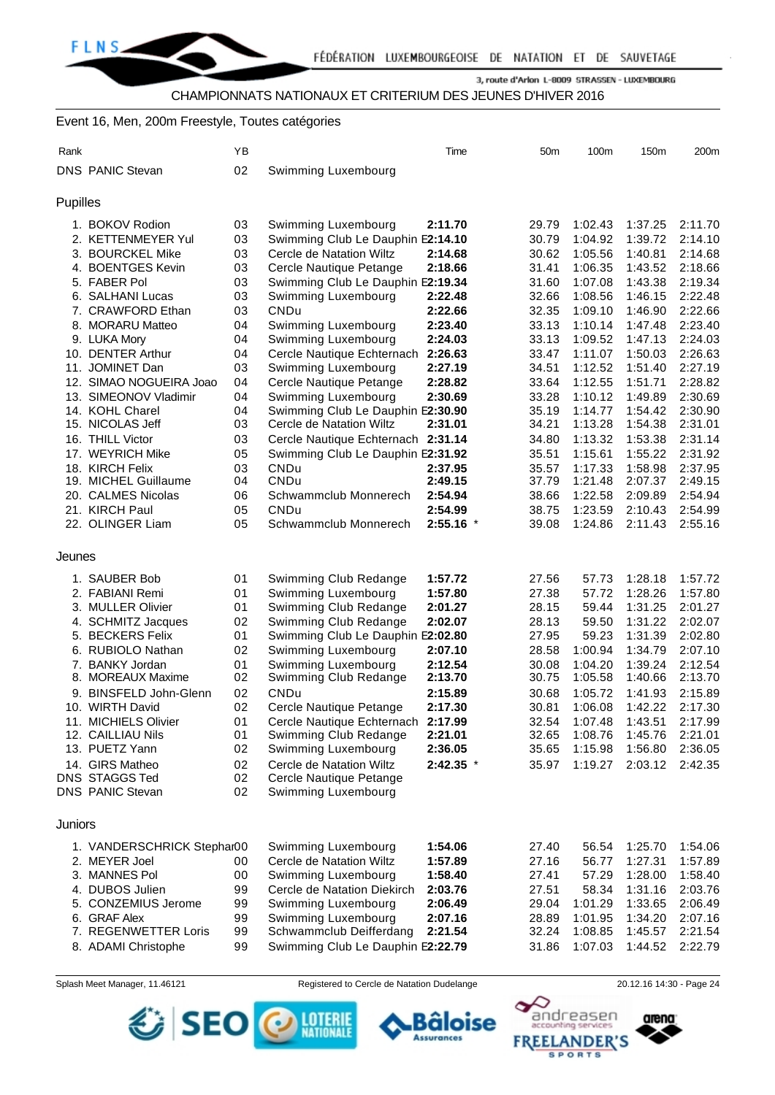### Event 16, Men, 200m Freestyle, Toutes catégories

| Rank     |                            | ΥB |                                    | Time        | 50 <sub>m</sub> | 100m    | 150m    | 200m               |
|----------|----------------------------|----|------------------------------------|-------------|-----------------|---------|---------|--------------------|
|          | <b>DNS PANIC Stevan</b>    | 02 | Swimming Luxembourg                |             |                 |         |         |                    |
| Pupilles |                            |    |                                    |             |                 |         |         |                    |
|          | 1. BOKOV Rodion            | 03 | Swimming Luxembourg                | 2:11.70     | 29.79           | 1:02.43 | 1:37.25 | 2:11.70            |
|          | 2. KETTENMEYER Yul         | 03 | Swimming Club Le Dauphin E2:14.10  |             | 30.79           | 1:04.92 | 1:39.72 | 2:14.10            |
|          | 3. BOURCKEL Mike           | 03 | Cercle de Natation Wiltz           | 2:14.68     | 30.62           | 1:05.56 | 1:40.81 | 2:14.68            |
|          | 4. BOENTGES Kevin          | 03 | Cercle Nautique Petange            | 2:18.66     | 31.41           | 1:06.35 | 1:43.52 | 2:18.66            |
|          | 5. FABER Pol               | 03 | Swimming Club Le Dauphin E2:19.34  |             | 31.60           | 1:07.08 | 1:43.38 | 2:19.34            |
|          | 6. SALHANI Lucas           | 03 | Swimming Luxembourg                | 2:22.48     | 32.66           | 1:08.56 | 1:46.15 | 2:22.48            |
|          | 7. CRAWFORD Ethan          | 03 | CNDu                               | 2:22.66     | 32.35           | 1:09.10 | 1:46.90 | 2:22.66            |
|          | 8. MORARU Matteo           | 04 | Swimming Luxembourg                | 2:23.40     | 33.13           | 1:10.14 | 1:47.48 | 2:23.40            |
|          | 9. LUKA Mory               | 04 | Swimming Luxembourg                | 2:24.03     | 33.13           | 1:09.52 | 1:47.13 | 2:24.03            |
|          | 10. DENTER Arthur          | 04 | Cercle Nautique Echternach         | 2:26.63     | 33.47           | 1:11.07 | 1:50.03 | 2:26.63            |
|          | 11. JOMINET Dan            | 03 | Swimming Luxembourg                | 2:27.19     | 34.51           | 1:12.52 | 1:51.40 | 2:27.19            |
|          | 12. SIMAO NOGUEIRA Joao    | 04 | Cercle Nautique Petange            | 2:28.82     | 33.64           | 1:12.55 | 1:51.71 | 2:28.82            |
|          | 13. SIMEONOV Vladimir      | 04 | Swimming Luxembourg                | 2:30.69     | 33.28           | 1:10.12 | 1:49.89 | 2:30.69            |
|          | 14. KOHL Charel            | 04 | Swimming Club Le Dauphin E2:30.90  |             | 35.19           | 1:14.77 | 1:54.42 | 2:30.90            |
|          | 15. NICOLAS Jeff           | 03 | Cercle de Natation Wiltz           | 2:31.01     | 34.21           | 1:13.28 | 1:54.38 | 2:31.01            |
|          | 16. THILL Victor           | 03 | Cercle Nautique Echternach 2:31.14 |             | 34.80           | 1:13.32 | 1:53.38 | 2:31.14            |
|          | 17. WEYRICH Mike           | 05 | Swimming Club Le Dauphin E2:31.92  |             | 35.51           | 1:15.61 | 1:55.22 | 2:31.92            |
|          | 18. KIRCH Felix            | 03 | <b>CNDu</b>                        | 2:37.95     | 35.57           | 1:17.33 | 1:58.98 | 2:37.95            |
|          | 19. MICHEL Guillaume       | 04 | CNDu                               | 2:49.15     | 37.79           | 1:21.48 | 2:07.37 | 2:49.15            |
|          | 20. CALMES Nicolas         | 06 | Schwammclub Monnerech              | 2:54.94     | 38.66           | 1:22.58 | 2:09.89 | 2:54.94            |
|          | 21. KIRCH Paul             | 05 | CNDu<br>Schwammclub Monnerech      | 2:54.99     | 38.75           | 1:23.59 | 2:10.43 | 2:54.99<br>2:55.16 |
|          | 22. OLINGER Liam           | 05 |                                    | $2:55.16$ * | 39.08           | 1:24.86 | 2:11.43 |                    |
| Jeunes   |                            |    |                                    |             |                 |         |         |                    |
|          | 1. SAUBER Bob              | 01 | Swimming Club Redange              | 1:57.72     | 27.56           | 57.73   | 1:28.18 | 1:57.72            |
|          | 2. FABIANI Remi            | 01 | Swimming Luxembourg                | 1:57.80     | 27.38           | 57.72   | 1:28.26 | 1:57.80            |
|          | 3. MULLER Olivier          | 01 | Swimming Club Redange              | 2:01.27     | 28.15           | 59.44   | 1:31.25 | 2:01.27            |
|          | 4. SCHMITZ Jacques         | 02 | Swimming Club Redange              | 2:02.07     | 28.13           | 59.50   | 1:31.22 | 2:02.07            |
|          | 5. BECKERS Felix           | 01 | Swimming Club Le Dauphin E2:02.80  |             | 27.95           | 59.23   | 1:31.39 | 2:02.80            |
|          | 6. RUBIOLO Nathan          | 02 | Swimming Luxembourg                | 2:07.10     | 28.58           | 1:00.94 | 1:34.79 | 2:07.10            |
|          | 7. BANKY Jordan            | 01 | Swimming Luxembourg                | 2:12.54     | 30.08           | 1:04.20 | 1:39.24 | 2:12.54            |
|          | 8. MOREAUX Maxime          | 02 | Swimming Club Redange              | 2:13.70     | 30.75           | 1:05.58 | 1:40.66 | 2:13.70            |
|          | 9. BINSFELD John-Glenn     | 02 | CNDu                               | 2:15.89     | 30.68           | 1:05.72 | 1:41.93 | 2:15.89            |
|          | 10. WIRTH David            | 02 | Cercle Nautique Petange            | 2:17.30     | 30.81           | 1:06.08 | 1:42.22 | 2:17.30            |
|          | 11. MICHIELS Olivier       | 01 | Cercle Nautique Echternach         | 2:17.99     | 32.54           | 1:07.48 | 1:43.51 | 2:17.99            |
|          | 12. CAILLIAU Nils          | 01 | Swimming Club Redange              | 2:21.01     | 32.65           | 1:08.76 | 1:45.76 | 2:21.01            |
|          | 13. PUETZ Yann             | 02 | Swimming Luxembourg                | 2:36.05     | 35.65           | 1:15.98 | 1:56.80 | 2:36.05            |
|          | 14. GIRS Matheo            | 02 | Cercle de Natation Wiltz           | $2:42.35$ * | 35.97           | 1:19.27 | 2:03.12 | 2:42.35            |
|          | <b>DNS STAGGS Ted</b>      | 02 | Cercle Nautique Petange            |             |                 |         |         |                    |
|          | DNS PANIC Stevan           | 02 | Swimming Luxembourg                |             |                 |         |         |                    |
| Juniors  |                            |    |                                    |             |                 |         |         |                    |
|          | 1. VANDERSCHRICK Stephar00 |    | Swimming Luxembourg                | 1:54.06     | 27.40           | 56.54   | 1:25.70 | 1:54.06            |
|          | 2. MEYER Joel              | 00 | Cercle de Natation Wiltz           | 1:57.89     | 27.16           | 56.77   | 1:27.31 | 1:57.89            |
|          | 3. MANNES Pol              | 00 | Swimming Luxembourg                | 1:58.40     | 27.41           | 57.29   | 1:28.00 | 1:58.40            |
|          | 4. DUBOS Julien            | 99 | Cercle de Natation Diekirch        | 2:03.76     | 27.51           | 58.34   | 1:31.16 | 2:03.76            |
|          | 5. CONZEMIUS Jerome        | 99 | Swimming Luxembourg                | 2:06.49     | 29.04           | 1:01.29 | 1:33.65 | 2:06.49            |
|          | 6. GRAF Alex               | 99 | Swimming Luxembourg                | 2:07.16     | 28.89           | 1:01.95 | 1:34.20 | 2:07.16            |
|          | 7. REGENWETTER Loris       | 99 | Schwammclub Deifferdang            | 2:21.54     | 32.24           | 1:08.85 | 1:45.57 | 2:21.54            |
|          | 8. ADAMI Christophe        | 99 | Swimming Club Le Dauphin E2:22.79  |             | 31.86           | 1:07.03 | 1:44.52 | 2:22.79            |
|          |                            |    |                                    |             |                 |         |         |                    |

Splash Meet Manager, 11.46121 Registered to Cercle de Natation Dudelange 20.12.16 14:30 - Page 24



arena:

andreasen



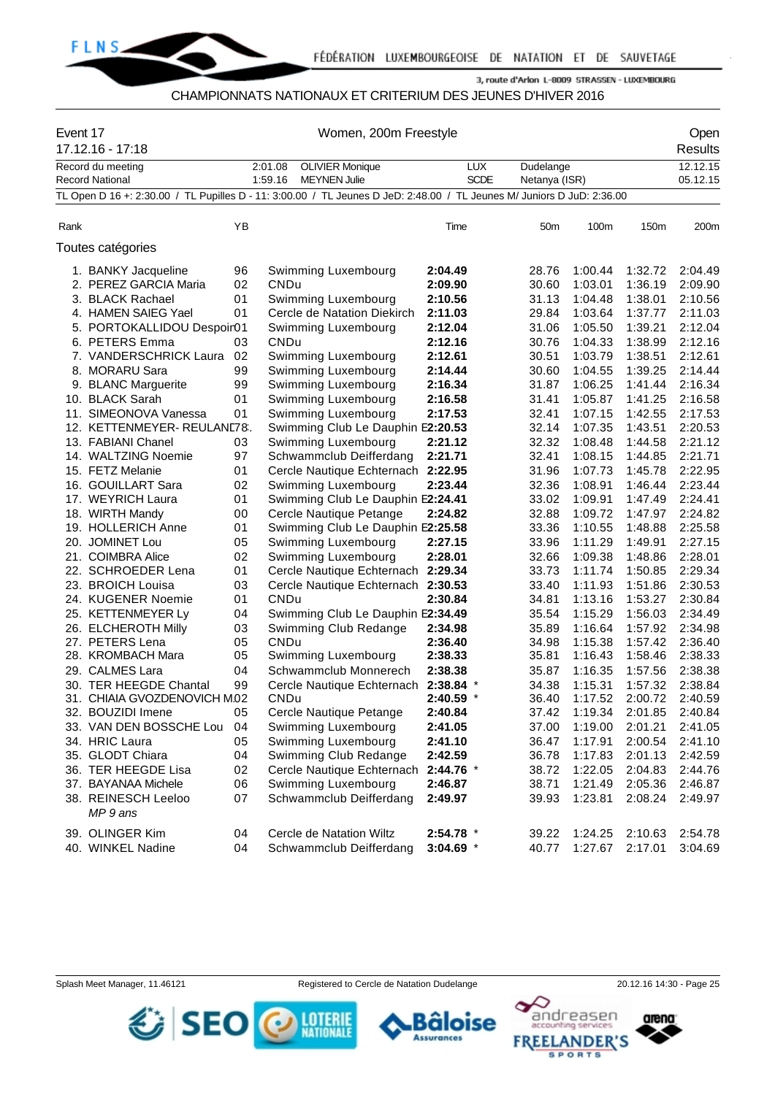

#### CHAMPIONNATS NATIONAUX ET CRITERIUM DES JEUNES D'HIVER 2016

| Event 17 | 17.12.16 - 17:18                            | Women, 200m Freestyle |                                                                                                                        |                           |                            |         |         |                      |  |  |  |
|----------|---------------------------------------------|-----------------------|------------------------------------------------------------------------------------------------------------------------|---------------------------|----------------------------|---------|---------|----------------------|--|--|--|
|          | Record du meeting<br><b>Record National</b> |                       | 2:01.08<br><b>OLIVIER Monique</b><br>1:59.16<br><b>MEYNEN Julie</b>                                                    | <b>LUX</b><br><b>SCDE</b> | Dudelange<br>Netanya (ISR) |         |         | 12.12.15<br>05.12.15 |  |  |  |
|          |                                             |                       | TL Open D 16 +: 2:30.00 / TL Pupilles D - 11: 3:00.00 / TL Jeunes D JeD: 2:48.00 / TL Jeunes M/ Juniors D JuD: 2:36.00 |                           |                            |         |         |                      |  |  |  |
|          |                                             |                       |                                                                                                                        |                           |                            |         |         |                      |  |  |  |
| Rank     |                                             | ΥB                    |                                                                                                                        | Time                      | 50 <sub>m</sub>            | 100m    | 150m    | 200m                 |  |  |  |
|          | Toutes catégories                           |                       |                                                                                                                        |                           |                            |         |         |                      |  |  |  |
|          | 1. BANKY Jacqueline                         | 96                    | Swimming Luxembourg                                                                                                    | 2:04.49                   | 28.76                      | 1:00.44 | 1:32.72 | 2:04.49              |  |  |  |
|          | 2. PEREZ GARCIA Maria                       | 02                    | CNDu                                                                                                                   | 2:09.90                   | 30.60                      | 1:03.01 | 1:36.19 | 2:09.90              |  |  |  |
|          | 3. BLACK Rachael                            | 01                    | Swimming Luxembourg                                                                                                    | 2:10.56                   | 31.13                      | 1:04.48 | 1:38.01 | 2:10.56              |  |  |  |
|          | 4. HAMEN SAIEG Yael                         | 01                    | Cercle de Natation Diekirch                                                                                            | 2:11.03                   | 29.84                      | 1:03.64 | 1:37.77 | 2:11.03              |  |  |  |
|          | 5. PORTOKALLIDOU Despoir01                  |                       | Swimming Luxembourg                                                                                                    | 2:12.04                   | 31.06                      | 1:05.50 | 1:39.21 | 2:12.04              |  |  |  |
|          | 6. PETERS Emma                              | 03                    | CNDu                                                                                                                   | 2:12.16                   | 30.76                      | 1:04.33 | 1:38.99 | 2:12.16              |  |  |  |
|          | 7. VANDERSCHRICK Laura                      | 02                    | Swimming Luxembourg                                                                                                    | 2:12.61                   | 30.51                      | 1:03.79 | 1:38.51 | 2:12.61              |  |  |  |
|          | 8. MORARU Sara                              | 99                    | Swimming Luxembourg                                                                                                    | 2:14.44                   | 30.60                      | 1:04.55 | 1:39.25 | 2:14.44              |  |  |  |
|          | 9. BLANC Marguerite                         | 99                    | Swimming Luxembourg                                                                                                    | 2:16.34                   | 31.87                      | 1:06.25 | 1:41.44 | 2:16.34              |  |  |  |
|          | 10. BLACK Sarah                             | 01                    | Swimming Luxembourg                                                                                                    | 2:16.58                   | 31.41                      | 1:05.87 | 1:41.25 | 2:16.58              |  |  |  |
|          | 11. SIMEONOVA Vanessa                       | 01                    | Swimming Luxembourg                                                                                                    | 2:17.53                   | 32.41                      | 1:07.15 | 1:42.55 | 2:17.53              |  |  |  |
|          | 12. KETTENMEYER-REULAND78.                  |                       | Swimming Club Le Dauphin E2:20.53                                                                                      |                           | 32.14                      | 1:07.35 | 1:43.51 | 2:20.53              |  |  |  |
|          | 13. FABIANI Chanel                          | 03                    | Swimming Luxembourg                                                                                                    | 2:21.12                   | 32.32                      | 1:08.48 | 1:44.58 | 2:21.12              |  |  |  |
|          | 14. WALTZING Noemie                         | 97                    | Schwammclub Deifferdang                                                                                                | 2:21.71                   | 32.41                      | 1:08.15 | 1:44.85 | 2:21.71              |  |  |  |
|          | 15. FETZ Melanie                            | 01                    | Cercle Nautique Echternach 2:22.95                                                                                     |                           | 31.96                      | 1:07.73 | 1:45.78 | 2:22.95              |  |  |  |
|          | 16. GOUILLART Sara                          | 02                    | Swimming Luxembourg                                                                                                    | 2:23.44                   | 32.36                      | 1:08.91 | 1:46.44 | 2:23.44              |  |  |  |
|          | 17. WEYRICH Laura                           | 01                    | Swimming Club Le Dauphin E2:24.41                                                                                      |                           | 33.02                      | 1:09.91 | 1:47.49 | 2:24.41              |  |  |  |
|          | 18. WIRTH Mandy                             | 00                    | Cercle Nautique Petange                                                                                                | 2:24.82                   | 32.88                      | 1:09.72 | 1:47.97 | 2:24.82              |  |  |  |
|          | 19. HOLLERICH Anne                          | 01                    | Swimming Club Le Dauphin E2:25.58                                                                                      |                           | 33.36                      | 1:10.55 | 1:48.88 | 2:25.58              |  |  |  |
|          | 20. JOMINET Lou                             | 05                    | Swimming Luxembourg                                                                                                    | 2:27.15                   | 33.96                      | 1:11.29 | 1:49.91 | 2:27.15              |  |  |  |
|          | 21. COIMBRA Alice                           | 02                    | Swimming Luxembourg                                                                                                    | 2:28.01                   | 32.66                      | 1:09.38 | 1:48.86 | 2:28.01              |  |  |  |
|          | 22. SCHROEDER Lena                          | 01                    | Cercle Nautique Echternach                                                                                             | 2:29.34                   | 33.73                      | 1:11.74 | 1:50.85 | 2:29.34              |  |  |  |
|          | 23. BROICH Louisa                           | 03                    | Cercle Nautique Echternach 2:30.53                                                                                     |                           | 33.40                      | 1:11.93 | 1:51.86 | 2:30.53              |  |  |  |
|          | 24. KUGENER Noemie                          | 01                    | CNDu                                                                                                                   | 2:30.84                   | 34.81                      | 1:13.16 | 1:53.27 | 2:30.84              |  |  |  |
|          | 25. KETTENMEYER Ly                          | 04                    | Swimming Club Le Dauphin E2:34.49                                                                                      |                           | 35.54                      | 1:15.29 | 1:56.03 | 2:34.49              |  |  |  |
|          | 26. ELCHEROTH Milly                         | 03                    | Swimming Club Redange                                                                                                  | 2:34.98                   | 35.89                      | 1:16.64 | 1:57.92 | 2:34.98              |  |  |  |
|          | 27. PETERS Lena                             | 05                    | CNDu                                                                                                                   | 2:36.40                   | 34.98                      | 1:15.38 | 1:57.42 | 2:36.40              |  |  |  |
|          | 28. KROMBACH Mara                           | 05                    | Swimming Luxembourg                                                                                                    | 2:38.33                   | 35.81                      | 1:16.43 | 1:58.46 | 2:38.33              |  |  |  |
|          | 29. CALMES Lara                             | 04                    | Schwammclub Monnerech                                                                                                  | 2:38.38                   | 35.87                      | 1:16.35 | 1:57.56 | 2:38.38              |  |  |  |
|          | 30. TER HEEGDE Chantal                      | 99                    | Cercle Nautique Echternach 2:38.84 *                                                                                   |                           | 34.38                      | 1:15.31 | 1:57.32 | 2:38.84              |  |  |  |
|          | 31. CHIAIA GVOZDENOVICH M.02                |                       | CNDu.                                                                                                                  | 2:40.59 *                 | 36.40                      | 1:17.52 | 2:00.72 | 2:40.59              |  |  |  |
|          | 32. BOUZIDI Imene                           | 05                    | Cercle Nautique Petange                                                                                                | 2:40.84                   | 37.42                      | 1:19.34 | 2:01.85 | 2:40.84              |  |  |  |
|          | 33. VAN DEN BOSSCHE Lou                     | 04                    | Swimming Luxembourg                                                                                                    | 2:41.05                   | 37.00                      | 1:19.00 | 2:01.21 | 2:41.05              |  |  |  |
|          | 34. HRIC Laura                              | 05                    | Swimming Luxembourg                                                                                                    | 2:41.10                   | 36.47                      | 1:17.91 | 2:00.54 | 2:41.10              |  |  |  |
|          | 35. GLODT Chiara                            | 04                    | Swimming Club Redange                                                                                                  | 2:42.59                   | 36.78                      | 1:17.83 | 2:01.13 | 2:42.59              |  |  |  |
|          | 36. TER HEEGDE Lisa                         | 02                    | Cercle Nautique Echternach                                                                                             | 2:44.76 *                 | 38.72                      | 1:22.05 | 2:04.83 | 2:44.76              |  |  |  |
|          | 37. BAYANAA Michele                         | 06                    | Swimming Luxembourg                                                                                                    | 2:46.87                   | 38.71                      | 1:21.49 | 2:05.36 | 2:46.87              |  |  |  |
|          | 38. REINESCH Leeloo                         | 07                    | Schwammclub Deifferdang                                                                                                | 2:49.97                   | 39.93                      | 1:23.81 | 2:08.24 | 2:49.97              |  |  |  |
|          | MP 9 ans                                    |                       |                                                                                                                        |                           |                            |         |         |                      |  |  |  |
|          | 39. OLINGER Kim                             | 04                    | Cercle de Natation Wiltz                                                                                               | $2:54.78$ *               | 39.22                      | 1:24.25 | 2:10.63 | 2:54.78              |  |  |  |
|          | 40. WINKEL Nadine                           | 04                    | Schwammclub Deifferdang                                                                                                | $3:04.69$ *               | 40.77                      | 1:27.67 | 2:17.01 | 3:04.69              |  |  |  |



arena:

andreasen

١Q



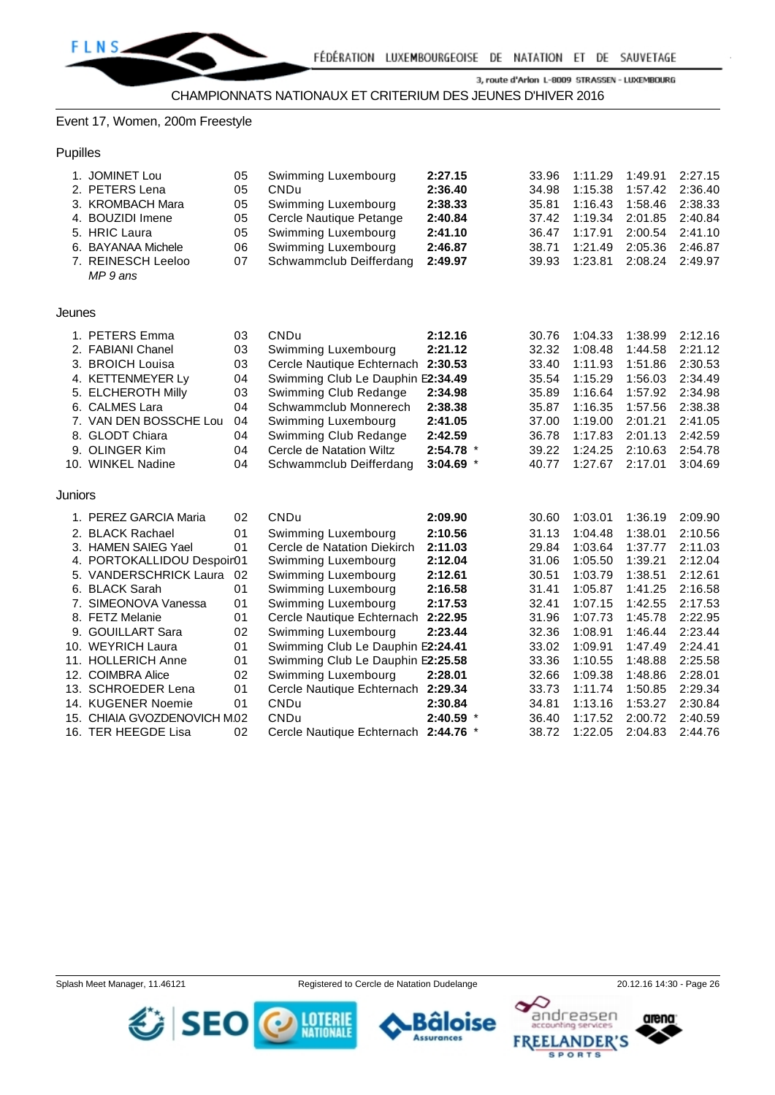#### Event 17, Women, 200m Freestyle

#### Pupilles

|         | 1. JOMINET Lou<br>2. PETERS Lena<br>3. KROMBACH Mara | 05<br>05<br>05 | Swimming Luxembourg<br><b>CNDu</b><br>Swimming Luxembourg | 2:27.15<br>2:36.40<br>2:38.33 | 33.96<br>34.98<br>35.81 | 1:11.29<br>1:15.38<br>1:16.43 | 1:49.91<br>1:57.42<br>1:58.46 | 2:27.15<br>2:36.40<br>2:38.33 |
|---------|------------------------------------------------------|----------------|-----------------------------------------------------------|-------------------------------|-------------------------|-------------------------------|-------------------------------|-------------------------------|
|         | 4. BOUZIDI Imene                                     | 05             | Cercle Nautique Petange                                   | 2:40.84                       | 37.42                   | 1:19.34                       | 2:01.85                       | 2:40.84                       |
|         | 5. HRIC Laura                                        | 05             | Swimming Luxembourg                                       | 2:41.10                       | 36.47                   | 1:17.91                       | 2:00.54                       | 2:41.10                       |
|         | 6. BAYANAA Michele                                   | 06             | Swimming Luxembourg                                       | 2:46.87                       | 38.71                   | 1:21.49                       | 2:05.36                       | 2:46.87                       |
|         | 7. REINESCH Leeloo<br>MP 9 ans                       | 07             | Schwammclub Deifferdang                                   | 2:49.97                       | 39.93                   | 1:23.81                       | 2:08.24                       | 2:49.97                       |
| Jeunes  |                                                      |                |                                                           |                               |                         |                               |                               |                               |
|         | 1. PETERS Emma                                       | 03             | CNDu                                                      | 2:12.16                       | 30.76                   | 1:04.33                       | 1:38.99                       | 2:12.16                       |
|         | 2. FABIANI Chanel                                    | 03             | Swimming Luxembourg                                       | 2:21.12                       | 32.32                   | 1:08.48                       | 1:44.58                       | 2:21.12                       |
|         | 3. BROICH Louisa                                     | 03             | Cercle Nautique Echternach                                | 2:30.53                       | 33.40                   | 1:11.93                       | 1:51.86                       | 2:30.53                       |
|         | 4. KETTENMEYER Ly                                    | 04             | Swimming Club Le Dauphin E2:34.49                         |                               | 35.54                   | 1:15.29                       | 1:56.03                       | 2:34.49                       |
|         | 5. ELCHEROTH Milly                                   | 03             | Swimming Club Redange                                     | 2:34.98                       | 35.89                   | 1:16.64                       | 1:57.92                       | 2:34.98                       |
|         | 6. CALMES Lara                                       | 04             | Schwammclub Monnerech                                     | 2:38.38                       | 35.87                   | 1:16.35                       | 1:57.56                       | 2:38.38                       |
|         | 7. VAN DEN BOSSCHE Lou                               | 04             | Swimming Luxembourg                                       | 2:41.05                       | 37.00                   | 1:19.00                       | 2:01.21                       | 2:41.05                       |
|         | 8. GLODT Chiara                                      | 04             | Swimming Club Redange                                     | 2:42.59                       | 36.78                   | 1:17.83                       | 2:01.13                       | 2:42.59                       |
|         | 9. OLINGER Kim                                       | 04             | Cercle de Natation Wiltz                                  | 2:54.78 *                     | 39.22                   | 1:24.25                       | 2:10.63                       | 2:54.78                       |
|         | 10. WINKEL Nadine                                    | 04             | Schwammclub Deifferdang                                   | $3:04.69$ *                   | 40.77                   | 1:27.67                       | 2:17.01                       | 3:04.69                       |
| Juniors |                                                      |                |                                                           |                               |                         |                               |                               |                               |
|         | 1. PEREZ GARCIA Maria                                | 02             | CNDu                                                      | 2:09.90                       | 30.60                   | 1:03.01                       | 1:36.19                       | 2:09.90                       |
|         | 2. BLACK Rachael                                     | 01             | Swimming Luxembourg                                       | 2:10.56                       | 31.13                   | 1:04.48                       | 1:38.01                       | 2:10.56                       |
|         | 3. HAMEN SAIEG Yael                                  | 01             | Cercle de Natation Diekirch                               | 2:11.03                       | 29.84                   | 1:03.64                       | 1:37.77                       | 2:11.03                       |
|         | 4. PORTOKALLIDOU Despoir01                           |                | Swimming Luxembourg                                       | 2:12.04                       | 31.06                   | 1:05.50                       | 1:39.21                       | 2:12.04                       |
|         | 5. VANDERSCHRICK Laura                               | 02             | Swimming Luxembourg                                       | 2:12.61                       | 30.51                   | 1:03.79                       | 1:38.51                       | 2:12.61                       |
|         | 6. BLACK Sarah                                       | 01             | Swimming Luxembourg                                       | 2:16.58                       | 31.41                   | 1:05.87                       | 1:41.25                       | 2:16.58                       |
|         | 7. SIMEONOVA Vanessa                                 | 01             | Swimming Luxembourg                                       | 2:17.53                       | 32.41                   | 1:07.15                       | 1:42.55                       | 2:17.53                       |
|         | 8. FETZ Melanie                                      | 01             | Cercle Nautique Echternach                                | 2:22.95                       | 31.96                   | 1:07.73                       | 1:45.78                       | 2:22.95                       |
|         | 9. GOUILLART Sara                                    | 02             | Swimming Luxembourg                                       | 2:23.44                       | 32.36                   | 1:08.91                       | 1:46.44                       | 2:23.44                       |
|         | 10. WEYRICH Laura                                    | 01             | Swimming Club Le Dauphin E2:24.41                         |                               | 33.02                   | 1:09.91                       | 1:47.49                       | 2:24.41                       |
|         | 11. HOLLERICH Anne                                   | 01             | Swimming Club Le Dauphin E2:25.58                         |                               | 33.36                   | 1:10.55                       | 1:48.88                       | 2:25.58                       |
|         | 12. COIMBRA Alice                                    | 02             | Swimming Luxembourg                                       | 2:28.01                       | 32.66                   | 1:09.38                       | 1:48.86                       | 2:28.01                       |
|         | 13. SCHROEDER Lena                                   | 01             | Cercle Nautique Echternach 2:29.34                        |                               | 33.73                   | 1:11.74                       | 1:50.85                       | 2:29.34                       |
|         | 14. KUGENER Noemie                                   | 01             | CNDu                                                      | 2:30.84                       | 34.81                   | 1:13.16                       | 1:53.27                       | 2:30.84                       |
|         | 15. CHIAIA GVOZDENOVICH M.02                         |                | <b>CNDu</b>                                               | $2:40.59$ *                   | 36.40                   | 1:17.52                       | 2:00.72                       | 2:40.59                       |
|         | 16. TER HEEGDE Lisa                                  | 02             | Cercle Nautique Echternach 2:44.76 *                      |                               | 38.72                   | 1:22.05                       | 2:04.83                       | 2:44.76                       |



arena:

andreasen



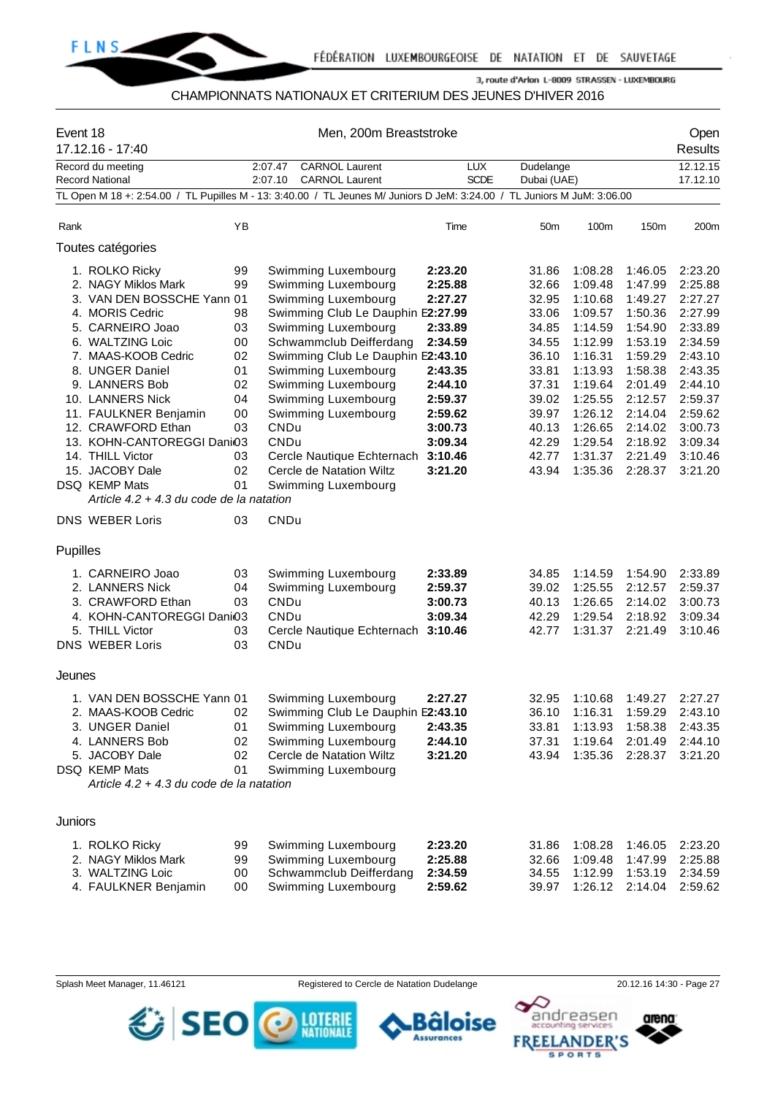

### CHAMPIONNATS NATIONAUX ET CRITERIUM DES JEUNES D'HIVER 2016

| Event 18 | 17.12.16 - 17:40                                                                                                                                                                                                                                                                                                                                    | Men, 200m Breaststroke                                                           |                                                                                                                                                                                                                                                                                                                                                                                                   |                                                                                                                                             |                                                                                                                                     |                                                                                                                                                                   |                                                                                                                                                                   |                                                                                                                                                                   |  |  |  |
|----------|-----------------------------------------------------------------------------------------------------------------------------------------------------------------------------------------------------------------------------------------------------------------------------------------------------------------------------------------------------|----------------------------------------------------------------------------------|---------------------------------------------------------------------------------------------------------------------------------------------------------------------------------------------------------------------------------------------------------------------------------------------------------------------------------------------------------------------------------------------------|---------------------------------------------------------------------------------------------------------------------------------------------|-------------------------------------------------------------------------------------------------------------------------------------|-------------------------------------------------------------------------------------------------------------------------------------------------------------------|-------------------------------------------------------------------------------------------------------------------------------------------------------------------|-------------------------------------------------------------------------------------------------------------------------------------------------------------------|--|--|--|
|          | Record du meeting<br><b>Record National</b>                                                                                                                                                                                                                                                                                                         |                                                                                  | <b>CARNOL Laurent</b><br>2:07.47<br><b>CARNOL Laurent</b><br>2:07.10                                                                                                                                                                                                                                                                                                                              | <b>LUX</b><br><b>SCDE</b>                                                                                                                   | Dudelange<br>Dubai (UAE)                                                                                                            |                                                                                                                                                                   |                                                                                                                                                                   | 12.12.15<br>17.12.10                                                                                                                                              |  |  |  |
|          |                                                                                                                                                                                                                                                                                                                                                     |                                                                                  | TL Open M 18 +: 2:54.00 / TL Pupilles M - 13: 3:40.00 / TL Jeunes M/ Juniors D JeM: 3:24.00 / TL Juniors M JuM: 3:06.00                                                                                                                                                                                                                                                                           |                                                                                                                                             |                                                                                                                                     |                                                                                                                                                                   |                                                                                                                                                                   |                                                                                                                                                                   |  |  |  |
| Rank     |                                                                                                                                                                                                                                                                                                                                                     | ΥB                                                                               |                                                                                                                                                                                                                                                                                                                                                                                                   | Time                                                                                                                                        | 50 <sub>m</sub>                                                                                                                     | 100m                                                                                                                                                              | 150m                                                                                                                                                              | 200m                                                                                                                                                              |  |  |  |
|          | Toutes catégories                                                                                                                                                                                                                                                                                                                                   |                                                                                  |                                                                                                                                                                                                                                                                                                                                                                                                   |                                                                                                                                             |                                                                                                                                     |                                                                                                                                                                   |                                                                                                                                                                   |                                                                                                                                                                   |  |  |  |
|          | 1. ROLKO Ricky<br>2. NAGY Miklos Mark<br>3. VAN DEN BOSSCHE Yann 01<br>4. MORIS Cedric<br>5. CARNEIRO Joao<br>6. WALTZING Loic<br>7. MAAS-KOOB Cedric<br>8. UNGER Daniel<br>9. LANNERS Bob<br>10. LANNERS Nick<br>11. FAULKNER Benjamin<br>12. CRAWFORD Ethan<br>13. KOHN-CANTOREGGI Dani03<br>14. THILL Victor<br>15. JACOBY Dale<br>DSQ KEMP Mats | 99<br>99<br>98<br>03<br>00<br>02<br>01<br>02<br>04<br>00<br>03<br>03<br>02<br>01 | Swimming Luxembourg<br>Swimming Luxembourg<br>Swimming Luxembourg<br>Swimming Club Le Dauphin E2:27.99<br>Swimming Luxembourg<br>Schwammclub Deifferdang<br>Swimming Club Le Dauphin E2:43.10<br>Swimming Luxembourg<br>Swimming Luxembourg<br>Swimming Luxembourg<br>Swimming Luxembourg<br><b>CNDu</b><br>CNDu<br>Cercle Nautique Echternach<br>Cercle de Natation Wiltz<br>Swimming Luxembourg | 2:23.20<br>2:25.88<br>2:27.27<br>2:33.89<br>2:34.59<br>2:43.35<br>2:44.10<br>2:59.37<br>2:59.62<br>3:00.73<br>3:09.34<br>3:10.46<br>3:21.20 | 31.86<br>32.66<br>32.95<br>33.06<br>34.85<br>34.55<br>36.10<br>33.81<br>37.31<br>39.02<br>39.97<br>40.13<br>42.29<br>42.77<br>43.94 | 1:08.28<br>1:09.48<br>1:10.68<br>1:09.57<br>1:14.59<br>1:12.99<br>1:16.31<br>1:13.93<br>1:19.64<br>1:25.55<br>1:26.12<br>1:26.65<br>1:29.54<br>1:31.37<br>1:35.36 | 1:46.05<br>1:47.99<br>1:49.27<br>1:50.36<br>1:54.90<br>1:53.19<br>1:59.29<br>1:58.38<br>2:01.49<br>2:12.57<br>2:14.04<br>2:14.02<br>2:18.92<br>2:21.49<br>2:28.37 | 2:23.20<br>2:25.88<br>2:27.27<br>2:27.99<br>2:33.89<br>2:34.59<br>2:43.10<br>2:43.35<br>2:44.10<br>2:59.37<br>2:59.62<br>3:00.73<br>3:09.34<br>3:10.46<br>3:21.20 |  |  |  |
|          | Article $4.2 + 4.3$ du code de la natation                                                                                                                                                                                                                                                                                                          |                                                                                  |                                                                                                                                                                                                                                                                                                                                                                                                   |                                                                                                                                             |                                                                                                                                     |                                                                                                                                                                   |                                                                                                                                                                   |                                                                                                                                                                   |  |  |  |
|          | <b>DNS WEBER Loris</b>                                                                                                                                                                                                                                                                                                                              | 03                                                                               | CNDu                                                                                                                                                                                                                                                                                                                                                                                              |                                                                                                                                             |                                                                                                                                     |                                                                                                                                                                   |                                                                                                                                                                   |                                                                                                                                                                   |  |  |  |
| Pupilles |                                                                                                                                                                                                                                                                                                                                                     |                                                                                  |                                                                                                                                                                                                                                                                                                                                                                                                   |                                                                                                                                             |                                                                                                                                     |                                                                                                                                                                   |                                                                                                                                                                   |                                                                                                                                                                   |  |  |  |
|          | 1. CARNEIRO Joao<br>2. LANNERS Nick<br>3. CRAWFORD Ethan<br>4. KOHN-CANTOREGGI Dani03<br>5. THILL Victor<br><b>DNS WEBER Loris</b>                                                                                                                                                                                                                  | 03<br>04<br>03<br>03<br>03                                                       | Swimming Luxembourg<br>Swimming Luxembourg<br>CNDu<br><b>CNDu</b><br>Cercle Nautique Echternach<br>CNDu                                                                                                                                                                                                                                                                                           | 2:33.89<br>2:59.37<br>3:00.73<br>3:09.34<br>3:10.46                                                                                         | 34.85<br>39.02<br>40.13<br>42.29<br>42.77                                                                                           | 1:14.59<br>1:25.55<br>1:26.65<br>1:29.54<br>1:31.37                                                                                                               | 1:54.90<br>2:12.57<br>2:14.02<br>2:18.92<br>2:21.49                                                                                                               | 2:33.89<br>2:59.37<br>3:00.73<br>3:09.34<br>3:10.46                                                                                                               |  |  |  |
| Jeunes   |                                                                                                                                                                                                                                                                                                                                                     |                                                                                  |                                                                                                                                                                                                                                                                                                                                                                                                   |                                                                                                                                             |                                                                                                                                     |                                                                                                                                                                   |                                                                                                                                                                   |                                                                                                                                                                   |  |  |  |
|          | 1. VAN DEN BOSSCHE Yann 01<br>2. MAAS-KOOB Cedric<br>3. UNGER Daniel<br>4. LANNERS Bob<br>5. JACOBY Dale<br>DSQ KEMP Mats<br>Article $4.2 + 4.3$ du code de la natation                                                                                                                                                                             | 02<br>01<br>02<br>02<br>01                                                       | Swimming Luxembourg<br>Swimming Club Le Dauphin E2:43.10<br>Swimming Luxembourg<br>Swimming Luxembourg<br>Cercle de Natation Wiltz<br>Swimming Luxembourg                                                                                                                                                                                                                                         | 2:27.27<br>2:43.35<br>2:44.10<br>3:21.20                                                                                                    | 32.95<br>36.10<br>33.81<br>37.31<br>43.94                                                                                           | 1:10.68<br>1:16.31<br>1:13.93<br>1:19.64<br>1:35.36                                                                                                               | 1:49.27<br>1:59.29<br>1:58.38<br>2:01.49<br>2:28.37                                                                                                               | 2:27.27<br>2:43.10<br>2:43.35<br>2:44.10<br>3:21.20                                                                                                               |  |  |  |
| Juniors  |                                                                                                                                                                                                                                                                                                                                                     |                                                                                  |                                                                                                                                                                                                                                                                                                                                                                                                   |                                                                                                                                             |                                                                                                                                     |                                                                                                                                                                   |                                                                                                                                                                   |                                                                                                                                                                   |  |  |  |
|          | 1. ROLKO Ricky<br>2. NAGY Miklos Mark<br>3. WALTZING Loic<br>4. FAULKNER Benjamin                                                                                                                                                                                                                                                                   | 99<br>99<br>00<br>00                                                             | Swimming Luxembourg<br>Swimming Luxembourg<br>Schwammclub Deifferdang<br>Swimming Luxembourg                                                                                                                                                                                                                                                                                                      | 2:23.20<br>2:25.88<br>2:34.59<br>2:59.62                                                                                                    | 31.86<br>32.66<br>34.55<br>39.97                                                                                                    | 1:08.28<br>1:09.48<br>1:12.99<br>1:26.12                                                                                                                          | 1:46.05<br>1:47.99<br>1:53.19<br>2:14.04                                                                                                                          | 2:23.20<br>2:25.88<br>2:34.59<br>2:59.62                                                                                                                          |  |  |  |

SEO O MINE

Splash Meet Manager, 11.46121 Registered to Cercle de Natation Dudelange 20.12.16 14:30 - Page 27

**Assurances** 



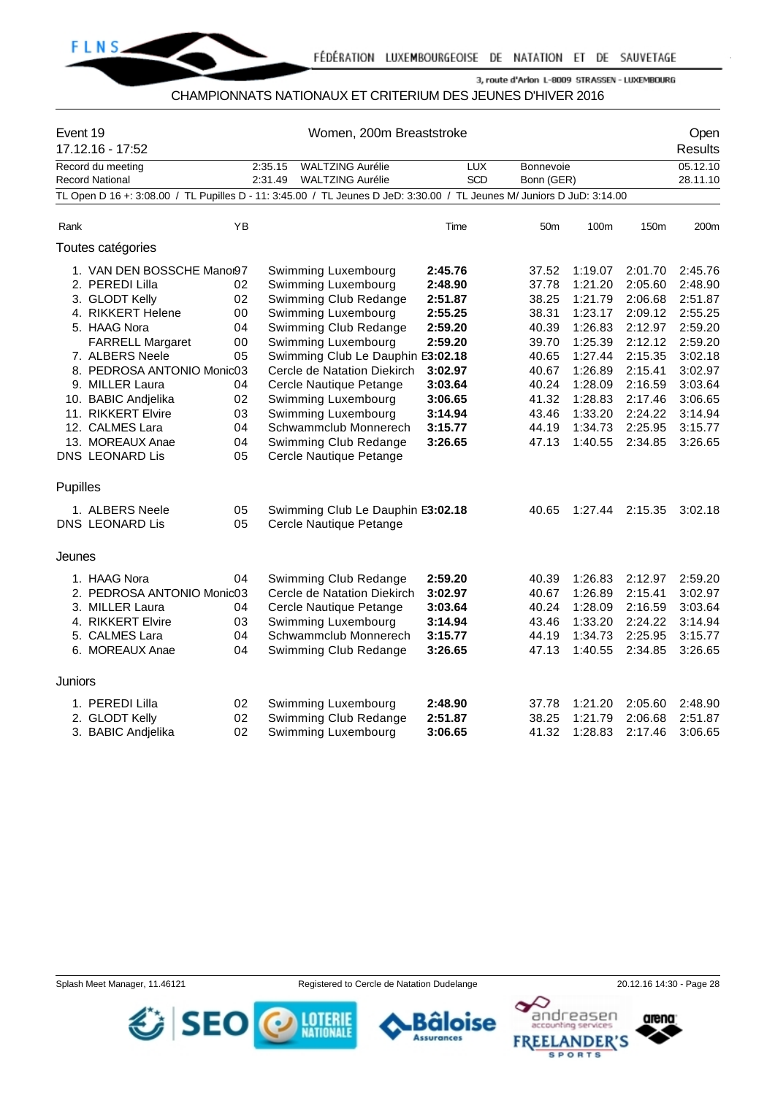

#### CHAMPIONNATS NATIONAUX ET CRITERIUM DES JEUNES D'HIVER 2016

| Event 19 | 17.12.16 - 17:52                                                                                                       |    | Women, 200m Breaststroke |                                   |            |                 |         |         |          |
|----------|------------------------------------------------------------------------------------------------------------------------|----|--------------------------|-----------------------------------|------------|-----------------|---------|---------|----------|
|          | Record du meeting                                                                                                      |    | 2:35.15                  | <b>WALTZING Aurélie</b>           | <b>LUX</b> | Bonnevoie       |         |         | 05.12.10 |
|          | <b>Record National</b>                                                                                                 |    | 2:31.49                  | <b>WALTZING Aurélie</b>           | SCD        | Bonn (GER)      |         |         | 28.11.10 |
|          | TL Open D 16 +: 3:08.00 / TL Pupilles D - 11: 3:45.00 / TL Jeunes D JeD: 3:30.00 / TL Jeunes M/ Juniors D JuD: 3:14.00 |    |                          |                                   |            |                 |         |         |          |
|          |                                                                                                                        |    |                          |                                   |            |                 |         |         |          |
| Rank     |                                                                                                                        | YB |                          |                                   | Time       | 50 <sub>m</sub> | 100m    | 150m    | 200m     |
|          | Toutes catégories                                                                                                      |    |                          |                                   |            |                 |         |         |          |
|          | 1. VAN DEN BOSSCHE Manor97                                                                                             |    |                          | Swimming Luxembourg               | 2:45.76    | 37.52           | 1:19.07 | 2:01.70 | 2:45.76  |
|          | 2. PEREDI Lilla                                                                                                        | 02 |                          | Swimming Luxembourg               | 2:48.90    | 37.78           | 1:21.20 | 2:05.60 | 2:48.90  |
|          | 3. GLODT Kelly                                                                                                         | 02 |                          | Swimming Club Redange             | 2:51.87    | 38.25           | 1:21.79 | 2:06.68 | 2:51.87  |
|          | 4. RIKKERT Helene                                                                                                      | 00 |                          | Swimming Luxembourg               | 2:55.25    | 38.31           | 1:23.17 | 2:09.12 | 2:55.25  |
|          | 5. HAAG Nora                                                                                                           | 04 |                          | Swimming Club Redange             | 2:59.20    | 40.39           | 1:26.83 | 2:12.97 | 2:59.20  |
|          | <b>FARRELL Margaret</b>                                                                                                | 00 |                          | Swimming Luxembourg               | 2:59.20    | 39.70           | 1:25.39 | 2:12.12 | 2:59.20  |
|          | 7. ALBERS Neele                                                                                                        | 05 |                          | Swimming Club Le Dauphin E3:02.18 |            | 40.65           | 1:27.44 | 2:15.35 | 3:02.18  |
|          | 8. PEDROSA ANTONIO Monic03                                                                                             |    |                          | Cercle de Natation Diekirch       | 3:02.97    | 40.67           | 1:26.89 | 2:15.41 | 3:02.97  |
|          | 9. MILLER Laura                                                                                                        | 04 |                          | Cercle Nautique Petange           | 3:03.64    | 40.24           | 1:28.09 | 2:16.59 | 3:03.64  |
|          | 10. BABIC Andjelika                                                                                                    | 02 |                          | Swimming Luxembourg               | 3:06.65    | 41.32           | 1:28.83 | 2:17.46 | 3:06.65  |
|          | 11. RIKKERT Elvire                                                                                                     | 03 |                          | Swimming Luxembourg               | 3:14.94    | 43.46           | 1:33.20 | 2:24.22 | 3:14.94  |
|          | 12. CALMES Lara                                                                                                        | 04 |                          | Schwammclub Monnerech             | 3:15.77    | 44.19           | 1:34.73 | 2:25.95 | 3:15.77  |
|          | 13. MOREAUX Anae                                                                                                       | 04 |                          | Swimming Club Redange             | 3:26.65    | 47.13           | 1:40.55 | 2:34.85 | 3:26.65  |
|          | <b>DNS LEONARD Lis</b>                                                                                                 | 05 |                          | Cercle Nautique Petange           |            |                 |         |         |          |
| Pupilles |                                                                                                                        |    |                          |                                   |            |                 |         |         |          |
|          | 1. ALBERS Neele                                                                                                        | 05 |                          | Swimming Club Le Dauphin E3:02.18 |            | 40.65           | 1:27.44 | 2:15.35 | 3:02.18  |
|          | DNS LEONARD Lis                                                                                                        | 05 |                          | Cercle Nautique Petange           |            |                 |         |         |          |
|          |                                                                                                                        |    |                          |                                   |            |                 |         |         |          |
| Jeunes   |                                                                                                                        |    |                          |                                   |            |                 |         |         |          |
|          | 1. HAAG Nora                                                                                                           | 04 |                          | Swimming Club Redange             | 2:59.20    | 40.39           | 1:26.83 | 2:12.97 | 2:59.20  |
|          | 2. PEDROSA ANTONIO Monic03                                                                                             |    |                          | Cercle de Natation Diekirch       | 3:02.97    | 40.67           | 1:26.89 | 2:15.41 | 3:02.97  |
|          | 3. MILLER Laura                                                                                                        | 04 |                          | Cercle Nautique Petange           | 3:03.64    | 40.24           | 1:28.09 | 2:16.59 | 3:03.64  |
|          | 4. RIKKERT Elvire                                                                                                      | 03 |                          | Swimming Luxembourg               | 3:14.94    | 43.46           | 1:33.20 | 2:24.22 | 3:14.94  |
|          | 5. CALMES Lara                                                                                                         | 04 |                          | Schwammclub Monnerech             | 3:15.77    | 44.19           | 1:34.73 | 2:25.95 | 3:15.77  |
|          | 6. MOREAUX Anae                                                                                                        | 04 |                          | Swimming Club Redange             | 3:26.65    | 47.13           | 1:40.55 | 2:34.85 | 3:26.65  |
| Juniors  |                                                                                                                        |    |                          |                                   |            |                 |         |         |          |
|          |                                                                                                                        |    |                          |                                   |            |                 |         |         |          |
|          | 1. PEREDI Lilla                                                                                                        | 02 |                          | Swimming Luxembourg               | 2:48.90    | 37.78           | 1:21.20 | 2:05.60 | 2:48.90  |
|          | 2. GLODT Kelly                                                                                                         | 02 |                          | Swimming Club Redange             | 2:51.87    | 38.25           | 1:21.79 | 2:06.68 | 2:51.87  |
|          | 3. BABIC Andjelika                                                                                                     | 02 |                          | Swimming Luxembourg               | 3:06.65    | 41.32           | 1:28.83 | 2:17.46 | 3:06.65  |



arena:

andreasen

١Q



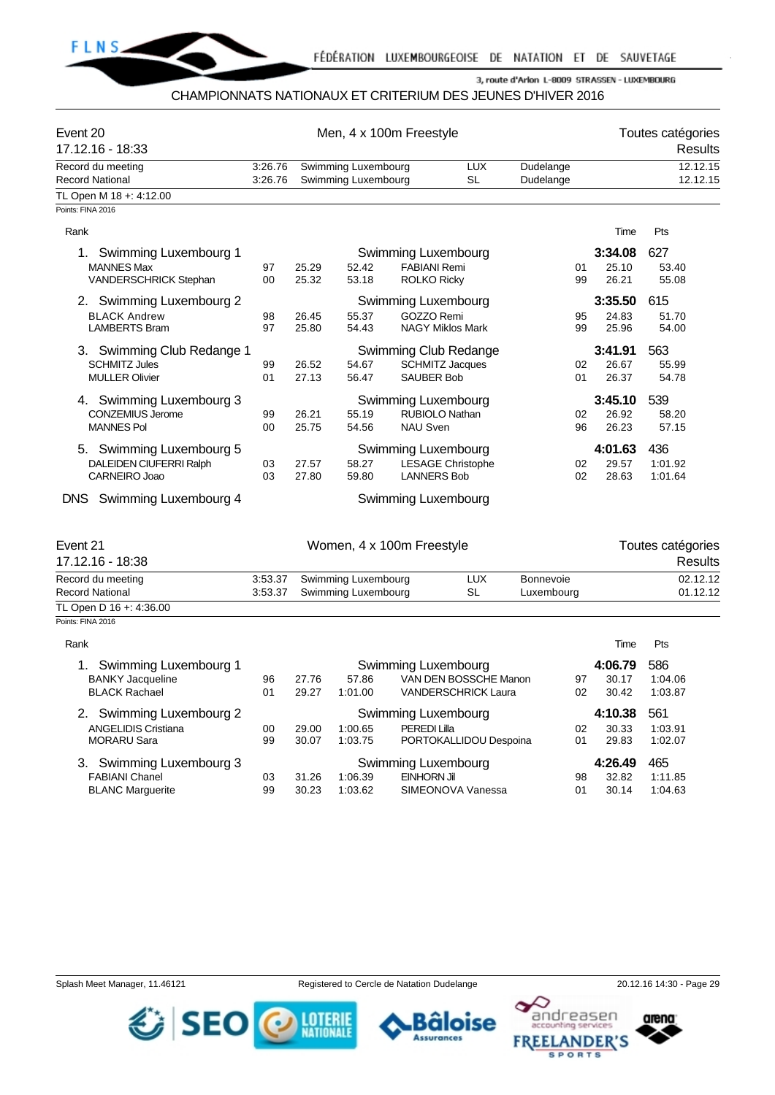

#### CHAMPIONNATS NATIONAUX ET CRITERIUM DES JEUNES D'HIVER 2016

| Event 20<br>17.12.16 - 18:33                                                   |                    | Men, 4 x 100m Freestyle |                                            | Toutes catégories<br><b>Results</b>       |                                                                     |                         |                           |                                     |
|--------------------------------------------------------------------------------|--------------------|-------------------------|--------------------------------------------|-------------------------------------------|---------------------------------------------------------------------|-------------------------|---------------------------|-------------------------------------|
| Record du meeting                                                              | 3:26.76            |                         | Swimming Luxembourg                        |                                           | <b>LUX</b>                                                          | Dudelange               |                           | 12.12.15                            |
| <b>Record National</b>                                                         | 3:26.76            |                         | Swimming Luxembourg                        |                                           | <b>SL</b>                                                           | Dudelange               |                           | 12.12.15                            |
| TL Open M 18 +: 4:12.00                                                        |                    |                         |                                            |                                           |                                                                     |                         |                           |                                     |
| Points: FINA 2016                                                              |                    |                         |                                            |                                           |                                                                     |                         |                           |                                     |
| Rank                                                                           |                    |                         |                                            |                                           |                                                                     |                         | Time                      | Pts                                 |
| Swimming Luxembourg 1<br>1.<br><b>MANNES Max</b><br>VANDERSCHRICK Stephan      | 97<br>00           | 25.29<br>25.32          | 52.42<br>53.18                             | <b>FABIANI Remi</b><br><b>ROLKO Ricky</b> | Swimming Luxembourg                                                 | 01<br>99                | 3:34.08<br>25.10<br>26.21 | 627<br>53.40<br>55.08               |
| 2. Swimming Luxembourg 2<br><b>BLACK Andrew</b><br><b>LAMBERTS Bram</b>        | 98<br>97           | 26.45<br>25.80          | 55.37<br>54.43                             | GOZZO Remi                                | Swimming Luxembourg<br><b>NAGY Miklos Mark</b>                      | 95<br>99                | 3:35.50<br>24.83<br>25.96 | 615<br>51.70<br>54.00               |
| 3. Swimming Club Redange 1<br><b>SCHMITZ Jules</b><br><b>MULLER Olivier</b>    | 99<br>01           | 26.52<br>27.13          | 54.67<br>56.47                             | <b>SAUBER Bob</b>                         | Swimming Club Redange<br><b>SCHMITZ Jacques</b>                     | 02<br>01                | 3:41.91<br>26.67<br>26.37 | 563<br>55.99<br>54.78               |
| 4. Swimming Luxembourg 3<br><b>CONZEMIUS Jerome</b><br><b>MANNES Pol</b>       | 99<br>00           | 26.21<br>25.75          | 55.19<br>54.56                             | <b>NAU Sven</b>                           | Swimming Luxembourg<br>RUBIOLO Nathan                               | 02<br>96                | 3:45.10<br>26.92<br>26.23 | 539<br>58.20<br>57.15               |
| 5. Swimming Luxembourg 5<br>DALEIDEN CIUFERRI Ralph<br>CARNEIRO Joao           | 03<br>03           | 27.57<br>27.80          | 58.27<br>59.80                             | <b>LANNERS Bob</b>                        | Swimming Luxembourg<br><b>LESAGE Christophe</b>                     | 02<br>02                | 4:01.63<br>29.57<br>28.63 | 436<br>1:01.92<br>1:01.64           |
| DNS Swimming Luxembourg 4                                                      |                    |                         |                                            |                                           | Swimming Luxembourg                                                 |                         |                           |                                     |
| Event 21<br>17.12.16 - 18:38                                                   |                    |                         | Women, 4 x 100m Freestyle                  |                                           |                                                                     |                         |                           | Toutes catégories<br><b>Results</b> |
| Record du meeting<br><b>Record National</b>                                    | 3:53.37<br>3:53.37 |                         | Swimming Luxembourg<br>Swimming Luxembourg |                                           | <b>LUX</b><br>SL                                                    | Bonnevoie<br>Luxembourg |                           | 02.12.12<br>01.12.12                |
| TL Open D 16 +: 4:36.00                                                        |                    |                         |                                            |                                           |                                                                     |                         |                           |                                     |
| Points: FINA 2016<br>Rank                                                      |                    |                         |                                            |                                           |                                                                     |                         | Time                      | Pts                                 |
| Swimming Luxembourg 1<br>1.<br><b>BANKY Jacqueline</b><br><b>BLACK Rachael</b> | 96<br>01           | 27.76<br>29.27          | 57.86<br>1:01.00                           |                                           | Swimming Luxembourg<br>VAN DEN BOSSCHE Manon<br>VANDERSCHRICK Laura | 97<br>02                | 4:06.79<br>30.17<br>30.42 | 586<br>1:04.06<br>1:03.87           |
| 2. Swimming Luxembourg 2<br><b>ANGELIDIS Cristiana</b><br><b>MORARU Sara</b>   | 00<br>99           | 29.00<br>30.07          | 1:00.65<br>1:03.75                         | PEREDI Lilla                              | Swimming Luxembourg<br>PORTOKALLIDOU Despoina                       | 02<br>01                | 4:10.38<br>30.33<br>29.83 | 561<br>1:03.91<br>1:02.07           |
| 3. Swimming Luxembourg 3<br><b>FABIANI Chanel</b><br><b>BLANC Marguerite</b>   | 03<br>99           | 31.26<br>30.23          | 1:06.39<br>1:03.62                         | EINHORN Jil                               | Swimming Luxembourg<br>SIMEONOVA Vanessa                            | 98<br>01                | 4:26.49<br>32.82<br>30.14 | 465<br>1:11.85<br>1:04.63           |



arena:





 $\bullet$ ○

andreasen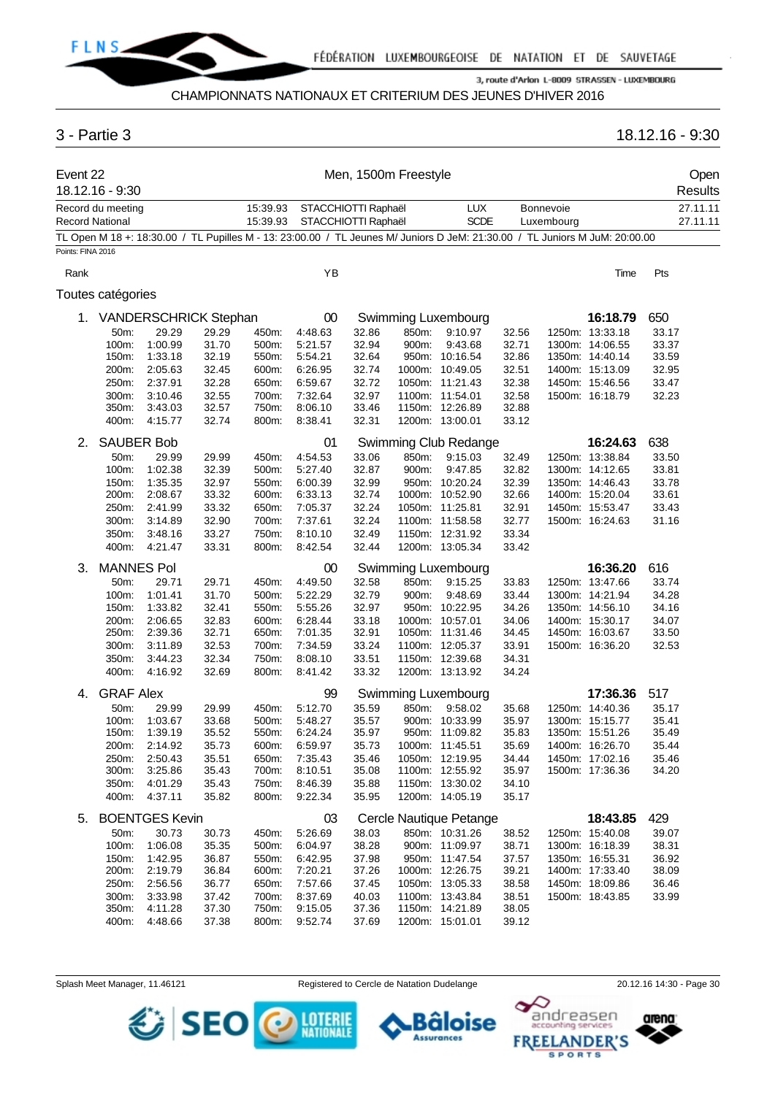

# CHAMPIONNATS NATIONAUX ET CRITERIUM DES JEUNES D'HIVER 2016

# 3 - Partie 3 18.12.16 - 9:30

| Event 22          | 18.12.16 - 9:30   |                              |       |                      |                                            |       | Men, 1500m Freestyle |                                                                                                                             |       |                         |                 |       | Open<br><b>Results</b> |
|-------------------|-------------------|------------------------------|-------|----------------------|--------------------------------------------|-------|----------------------|-----------------------------------------------------------------------------------------------------------------------------|-------|-------------------------|-----------------|-------|------------------------|
| Record National   | Record du meeting |                              |       | 15:39.93<br>15:39.93 | STACCHIOTTI Raphaël<br>STACCHIOTTI Raphaël |       |                      | <b>LUX</b><br><b>SCDE</b>                                                                                                   |       | Bonnevoie<br>Luxembourg |                 |       | 27.11.11<br>27.11.11   |
|                   |                   |                              |       |                      |                                            |       |                      | TL Open M 18 +: 18:30.00 / TL Pupilles M - 13: 23:00.00 / TL Jeunes M/ Juniors D JeM: 21:30.00 / TL Juniors M JuM: 20:00.00 |       |                         |                 |       |                        |
| Points: FINA 2016 |                   |                              |       |                      |                                            |       |                      |                                                                                                                             |       |                         |                 |       |                        |
| Rank              |                   |                              |       |                      | YB                                         |       |                      |                                                                                                                             |       |                         | Time            | Pts   |                        |
|                   | Toutes catégories |                              |       |                      |                                            |       |                      |                                                                                                                             |       |                         |                 |       |                        |
| 1.                |                   | <b>VANDERSCHRICK Stephan</b> |       |                      | 00                                         |       |                      | Swimming Luxembourg                                                                                                         |       |                         | 16:18.79        | 650   |                        |
|                   | 50m:              | 29.29                        | 29.29 | 450m:                | 4:48.63                                    | 32.86 | 850m:                | 9:10.97                                                                                                                     | 32.56 |                         | 1250m: 13:33.18 | 33.17 |                        |
|                   | 100m:             | 1:00.99                      | 31.70 | 500m:                | 5:21.57                                    | 32.94 | 900m:                | 9:43.68                                                                                                                     | 32.71 |                         | 1300m: 14:06.55 | 33.37 |                        |
|                   | 150m:             | 1:33.18                      | 32.19 | 550m:                | 5:54.21                                    | 32.64 |                      | 950m: 10:16.54                                                                                                              | 32.86 |                         | 1350m: 14:40.14 | 33.59 |                        |
|                   | 200m:             | 2:05.63                      | 32.45 | 600m:                | 6:26.95                                    | 32.74 |                      | 1000m: 10:49.05                                                                                                             | 32.51 |                         | 1400m: 15:13.09 | 32.95 |                        |
|                   | 250m:             | 2:37.91                      | 32.28 | 650m:                | 6:59.67                                    | 32.72 |                      | 1050m: 11:21.43                                                                                                             | 32.38 |                         | 1450m: 15:46.56 | 33.47 |                        |
|                   | 300m:             | 3:10.46                      | 32.55 | 700m:                | 7:32.64                                    | 32.97 |                      | 1100m: 11:54.01                                                                                                             | 32.58 |                         | 1500m: 16:18.79 | 32.23 |                        |
|                   | 350m:             | 3:43.03                      | 32.57 | 750m:                | 8:06.10                                    | 33.46 |                      | 1150m: 12:26.89                                                                                                             | 32.88 |                         |                 |       |                        |
|                   | 400m:             | 4:15.77                      | 32.74 | 800m:                | 8:38.41                                    | 32.31 |                      | 1200m: 13:00.01                                                                                                             | 33.12 |                         |                 |       |                        |
| 2.                | <b>SAUBER Bob</b> |                              |       |                      | 01                                         |       |                      | Swimming Club Redange                                                                                                       |       |                         | 16:24.63        | 638   |                        |
|                   | 50m:              | 29.99                        | 29.99 | 450m:                | 4:54.53                                    | 33.06 | 850m:                | 9:15.03                                                                                                                     | 32.49 |                         | 1250m: 13:38.84 | 33.50 |                        |
|                   | 100m:             | 1:02.38                      | 32.39 | 500m:                | 5:27.40                                    | 32.87 | 900m:                | 9:47.85                                                                                                                     | 32.82 |                         | 1300m: 14:12.65 | 33.81 |                        |
|                   | 150m:             | 1:35.35                      | 32.97 | 550m:                | 6:00.39                                    | 32.99 |                      | 950m: 10:20.24                                                                                                              | 32.39 |                         | 1350m: 14:46.43 | 33.78 |                        |
|                   | 200m:             | 2:08.67                      | 33.32 | 600m:                | 6:33.13                                    | 32.74 |                      | 1000m: 10:52.90                                                                                                             | 32.66 |                         | 1400m: 15:20.04 | 33.61 |                        |
|                   | 250m:             | 2:41.99                      | 33.32 | 650m:                | 7:05.37                                    | 32.24 |                      | 1050m: 11:25.81                                                                                                             | 32.91 |                         | 1450m: 15:53.47 | 33.43 |                        |
|                   | 300m:             | 3:14.89                      | 32.90 | 700m:                | 7:37.61                                    | 32.24 |                      | 1100m: 11:58.58                                                                                                             | 32.77 |                         | 1500m: 16:24.63 | 31.16 |                        |
|                   | 350m:             | 3:48.16                      | 33.27 | 750m:                | 8:10.10                                    | 32.49 |                      | 1150m: 12:31.92                                                                                                             | 33.34 |                         |                 |       |                        |
|                   | 400m:             | 4:21.47                      | 33.31 | 800m:                | 8:42.54                                    | 32.44 |                      | 1200m: 13:05.34                                                                                                             | 33.42 |                         |                 |       |                        |
|                   |                   |                              |       |                      |                                            |       |                      |                                                                                                                             |       |                         |                 |       |                        |
| 3.                | <b>MANNES Pol</b> |                              |       |                      | 00                                         |       |                      | Swimming Luxembourg                                                                                                         |       |                         | 16:36.20        | 616   |                        |
|                   | 50m:              | 29.71                        | 29.71 | 450m:                | 4:49.50                                    | 32.58 | 850m:                | 9:15.25                                                                                                                     | 33.83 |                         | 1250m: 13:47.66 | 33.74 |                        |
|                   | 100m:             | 1:01.41                      | 31.70 | 500m:                | 5:22.29                                    | 32.79 | 900m:                | 9:48.69                                                                                                                     | 33.44 |                         | 1300m: 14:21.94 | 34.28 |                        |
|                   | 150m:             | 1:33.82                      | 32.41 | 550m:                | 5:55.26                                    | 32.97 |                      | 950m: 10:22.95                                                                                                              | 34.26 |                         | 1350m: 14:56.10 | 34.16 |                        |
|                   | 200m:             | 2:06.65                      | 32.83 | 600m:                | 6:28.44                                    | 33.18 |                      | 1000m: 10:57.01                                                                                                             | 34.06 |                         | 1400m: 15:30.17 | 34.07 |                        |
|                   | 250m:             | 2:39.36                      | 32.71 | 650m:                | 7:01.35                                    | 32.91 |                      | 1050m: 11:31.46                                                                                                             | 34.45 |                         | 1450m: 16:03.67 | 33.50 |                        |
|                   | 300m:             | 3:11.89                      | 32.53 | 700m:                | 7:34.59                                    | 33.24 |                      | 1100m: 12:05.37                                                                                                             | 33.91 |                         | 1500m: 16:36.20 | 32.53 |                        |
|                   | 350m:             | 3:44.23                      | 32.34 | 750m:                | 8:08.10                                    | 33.51 |                      | 1150m: 12:39.68                                                                                                             | 34.31 |                         |                 |       |                        |
|                   | 400m:             | 4:16.92                      | 32.69 | 800m:                | 8:41.42                                    | 33.32 |                      | 1200m: 13:13.92                                                                                                             | 34.24 |                         |                 |       |                        |
| 4.                | <b>GRAF Alex</b>  |                              |       |                      | 99                                         |       |                      | Swimming Luxembourg                                                                                                         |       |                         | 17:36.36        | 517   |                        |
|                   | 50m:              | 29.99                        | 29.99 | 450m:                | 5:12.70                                    | 35.59 | 850m:                | 9:58.02                                                                                                                     | 35.68 |                         | 1250m: 14:40.36 | 35.17 |                        |
|                   | 100m:             | 1:03.67                      | 33.68 | 500m:                | 5:48.27                                    | 35.57 |                      | 900m: 10:33.99                                                                                                              | 35.97 |                         | 1300m: 15:15.77 | 35.41 |                        |
|                   | 150m:             | 1:39.19                      | 35.52 | 550m:                | 6:24.24                                    | 35.97 |                      | 950m: 11:09.82                                                                                                              | 35.83 |                         | 1350m: 15:51.26 | 35.49 |                        |
|                   | 200m:             | 2:14.92                      | 35.73 | 600m:                | 6:59.97                                    | 35.73 |                      | 1000m: 11:45.51                                                                                                             | 35.69 |                         | 1400m: 16:26.70 | 35.44 |                        |
|                   | 250m:             | 2:50.43                      | 35.51 | 650m:                | 7:35.43                                    | 35.46 |                      | 1050m: 12:19.95                                                                                                             | 34.44 |                         | 1450m: 17:02.16 | 35.46 |                        |
|                   | 300m:             | 3:25.86                      | 35.43 | 700m:                | 8:10.51                                    | 35.08 |                      | 1100m: 12:55.92                                                                                                             | 35.97 |                         | 1500m: 17:36.36 | 34.20 |                        |
|                   | 350m:             | 4:01.29                      | 35.43 | 750m:                | 8:46.39                                    | 35.88 |                      | 1150m: 13:30.02                                                                                                             | 34.10 |                         |                 |       |                        |
|                   | 400m:             | 4:37.11                      | 35.82 | 800m:                | 9:22.34                                    | 35.95 |                      | 1200m: 14:05.19                                                                                                             | 35.17 |                         |                 |       |                        |
|                   |                   |                              |       |                      |                                            |       |                      |                                                                                                                             |       |                         |                 |       |                        |
| 5.                |                   | <b>BOENTGES Kevin</b>        |       |                      | 03                                         |       |                      | Cercle Nautique Petange                                                                                                     |       |                         | 18:43.85        | 429   |                        |
|                   | 50m:              | 30.73                        | 30.73 | 450m:                | 5:26.69                                    | 38.03 |                      | 850m: 10:31.26                                                                                                              | 38.52 |                         | 1250m: 15:40.08 | 39.07 |                        |
|                   | 100m:             | 1:06.08                      | 35.35 | 500m:                | 6:04.97                                    | 38.28 |                      | 900m: 11:09.97                                                                                                              | 38.71 |                         | 1300m: 16:18.39 | 38.31 |                        |
|                   | 150m:             | 1:42.95                      | 36.87 | 550m:                | 6:42.95                                    | 37.98 |                      | 950m: 11:47.54                                                                                                              | 37.57 |                         | 1350m: 16:55.31 | 36.92 |                        |
|                   | 200m:             | 2:19.79                      | 36.84 | 600m:                | 7:20.21                                    | 37.26 |                      | 1000m: 12:26.75                                                                                                             | 39.21 |                         | 1400m: 17:33.40 | 38.09 |                        |
|                   | 250m:             | 2:56.56                      | 36.77 | 650m:                | 7:57.66                                    | 37.45 |                      | 1050m: 13:05.33                                                                                                             | 38.58 |                         | 1450m: 18:09.86 | 36.46 |                        |
|                   | 300m:             | 3:33.98                      | 37.42 | 700m:                | 8:37.69                                    | 40.03 |                      | 1100m: 13:43.84                                                                                                             | 38.51 |                         | 1500m: 18:43.85 | 33.99 |                        |
|                   | 350m:             | 4:11.28                      | 37.30 | 750m:                | 9:15.05                                    | 37.36 |                      | 1150m: 14:21.89                                                                                                             | 38.05 |                         |                 |       |                        |
|                   | 400m:             | 4:48.66                      | 37.38 | 800m:                | 9:52.74                                    | 37.69 |                      | 1200m: 15:01.01                                                                                                             | 39.12 |                         |                 |       |                        |

SEO O MENT

Splash Meet Manager, 11.46121 **Registered to Cercle de Natation Dudelange** 20.12.16 14:30 - Page 30

Bâloise

**Assurances** 



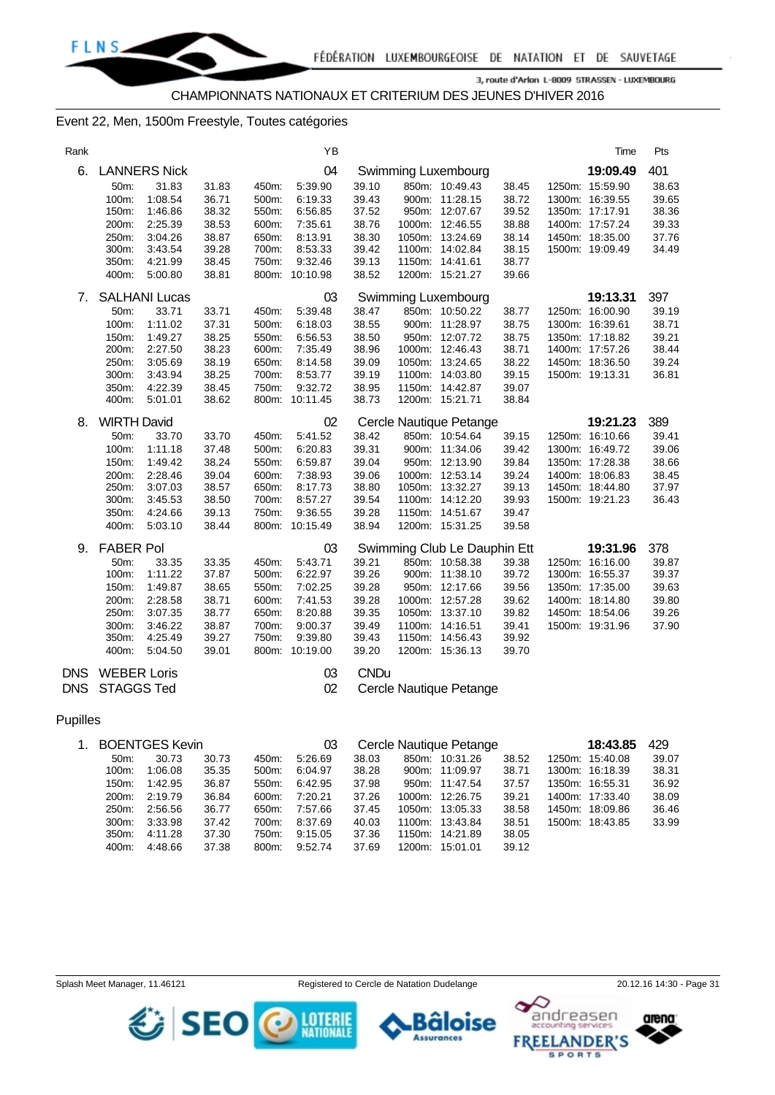#### Event 22, Men, 1500m Freestyle, Toutes catégories

| Rank |                    |                      |       |       | YB             |             |                              |       | Time            | Pts   |
|------|--------------------|----------------------|-------|-------|----------------|-------------|------------------------------|-------|-----------------|-------|
| 6.   |                    | <b>LANNERS Nick</b>  |       |       | 04             |             | Swimming Luxembourg          |       | 19:09.49        | 401   |
|      | 50m:               | 31.83                | 31.83 | 450m: | 5:39.90        | 39.10       | 850m: 10:49.43               | 38.45 | 1250m: 15:59.90 | 38.63 |
|      | 100m:              | 1:08.54              | 36.71 | 500m: | 6:19.33        | 39.43       | 900m: 11:28.15               | 38.72 | 1300m: 16:39.55 | 39.65 |
|      | 150m:              | 1:46.86              | 38.32 | 550m: | 6:56.85        | 37.52       | 950m: 12:07.67               | 39.52 | 1350m: 17:17.91 | 38.36 |
|      | 200m:              | 2:25.39              | 38.53 | 600m: | 7:35.61        | 38.76       | 1000m: 12:46.55              | 38.88 | 1400m: 17:57.24 | 39.33 |
|      | 250m:              | 3:04.26              | 38.87 | 650m: | 8:13.91        | 38.30       | 1050m: 13:24.69              | 38.14 | 1450m: 18:35.00 | 37.76 |
|      | 300m:              | 3:43.54              | 39.28 | 700m: | 8:53.33        | 39.42       | 1100m: 14:02.84              | 38.15 | 1500m: 19:09.49 | 34.49 |
|      | 350m:              | 4:21.99              | 38.45 | 750m: | 9:32.46        | 39.13       | 1150m: 14:41.61              | 38.77 |                 |       |
|      | 400m:              | 5:00.80              | 38.81 |       | 800m: 10:10.98 | 38.52       | 1200m: 15:21.27              | 39.66 |                 |       |
| 7.   |                    | <b>SALHANI Lucas</b> |       |       | 03             |             | Swimming Luxembourg          |       | 19:13.31        | 397   |
|      | 50m:               | 33.71                | 33.71 | 450m: | 5:39.48        | 38.47       | 850m: 10:50.22               | 38.77 | 1250m: 16:00.90 | 39.19 |
|      | 100m:              | 1:11.02              | 37.31 | 500m: | 6:18.03        | 38.55       | 900m: 11:28.97               | 38.75 | 1300m: 16:39.61 | 38.71 |
|      | 150m:              | 1:49.27              | 38.25 | 550m: | 6:56.53        | 38.50       | 950m: 12:07.72               | 38.75 | 1350m: 17:18.82 | 39.21 |
|      | 200m:              | 2:27.50              | 38.23 | 600m: | 7:35.49        | 38.96       | 1000m: 12:46.43              | 38.71 | 1400m: 17:57.26 | 38.44 |
|      | 250m:              | 3:05.69              | 38.19 | 650m: | 8:14.58        | 39.09       | 1050m: 13:24.65              | 38.22 | 1450m: 18:36.50 | 39.24 |
|      | 300m:              | 3:43.94              | 38.25 | 700m: | 8:53.77        | 39.19       | 1100m: 14:03.80              | 39.15 | 1500m: 19:13.31 | 36.81 |
|      | 350m:              | 4:22.39              | 38.45 | 750m: | 9:32.72        | 38.95       | 1150m: 14:42.87              | 39.07 |                 |       |
|      | 400m:              | 5:01.01              | 38.62 |       | 800m: 10:11.45 | 38.73       | 1200m: 15:21.71              | 38.84 |                 |       |
| 8.   | <b>WIRTH David</b> |                      |       |       | 02             |             | Cercle Nautique Petange      |       | 19:21.23        | 389   |
|      | 50m:               | 33.70                | 33.70 | 450m: | 5:41.52        | 38.42       | 850m: 10:54.64               | 39.15 | 1250m: 16:10.66 | 39.41 |
|      | 100m:              | 1:11.18              | 37.48 | 500m: | 6:20.83        | 39.31       | 900m: 11:34.06               | 39.42 | 1300m: 16:49.72 | 39.06 |
|      | 150m:              | 1:49.42              | 38.24 | 550m: | 6:59.87        | 39.04       | 950m: 12:13.90               | 39.84 | 1350m: 17:28.38 | 38.66 |
|      | 200m:              | 2:28.46              | 39.04 | 600m: | 7:38.93        | 39.06       | 1000m: 12:53.14              | 39.24 | 1400m: 18:06.83 | 38.45 |
|      | 250m:              | 3:07.03              | 38.57 | 650m: | 8:17.73        | 38.80       | 1050m: 13:32.27              | 39.13 | 1450m: 18:44.80 | 37.97 |
|      | 300m:              | 3:45.53              | 38.50 | 700m: | 8:57.27        | 39.54       | 1100m: 14:12.20              | 39.93 | 1500m: 19:21.23 | 36.43 |
|      | 350m:              | 4:24.66              | 39.13 | 750m: | 9:36.55        | 39.28       | 1150m: 14:51.67              | 39.47 |                 |       |
|      | 400m:              | 5:03.10              | 38.44 |       | 800m: 10:15.49 | 38.94       | 1200m: 15:31.25              | 39.58 |                 |       |
| 9.   | <b>FABER Pol</b>   |                      |       |       | 03             |             | Swimming Club Le Dauphin Ett |       | 19:31.96        | 378   |
|      | 50m:               | 33.35                | 33.35 | 450m: | 5:43.71        | 39.21       | 850m: 10:58.38               | 39.38 | 1250m: 16:16.00 | 39.87 |
|      | 100m:              | 1:11.22              | 37.87 | 500m: | 6:22.97        | 39.26       | 900m: 11:38.10               | 39.72 | 1300m: 16:55.37 | 39.37 |
|      | 150m:              | 1:49.87              | 38.65 | 550m: | 7:02.25        | 39.28       | 950m: 12:17.66               | 39.56 | 1350m: 17:35.00 | 39.63 |
|      | 200m:              | 2:28.58              | 38.71 | 600m: | 7:41.53        | 39.28       | 1000m: 12:57.28              | 39.62 | 1400m: 18:14.80 | 39.80 |
|      | 250m:              | 3:07.35              | 38.77 | 650m: | 8:20.88        | 39.35       | 1050m: 13:37.10              | 39.82 | 1450m: 18:54.06 | 39.26 |
|      | 300m:              | 3:46.22              | 38.87 | 700m: | 9:00.37        | 39.49       | 1100m: 14:16.51              | 39.41 | 1500m: 19:31.96 | 37.90 |
|      | 350m:              | 4:25.49              | 39.27 | 750m: | 9:39.80        | 39.43       | 1150m: 14:56.43              | 39.92 |                 |       |
|      | 400m:              | 5:04.50              | 39.01 |       | 800m: 10:19.00 | 39.20       | 1200m: 15:36.13              | 39.70 |                 |       |
| DNS  | <b>WEBER Loris</b> |                      |       |       | 03             | <b>CNDu</b> |                              |       |                 |       |
| DNS  | <b>STAGGS Ted</b>  |                      |       |       | 02             |             | Cercle Nautique Petange      |       |                 |       |
|      |                    |                      |       |       |                |             |                              |       |                 |       |

#### Pupilles

| 1. BOENTGES Kevin |         |       |       | 03      | Cercle Nautique Petange |  |                 |       |  | 18:43.85        | 429   |  |
|-------------------|---------|-------|-------|---------|-------------------------|--|-----------------|-------|--|-----------------|-------|--|
| 50m               | 30.73   | 30.73 | 450m: | 5.26.69 | 38.03                   |  | 850m: 10:31.26  | 38.52 |  | 1250m: 15:40.08 | 39.07 |  |
| $100m$ :          | 1:06.08 | 35.35 | 500m: | 6.04.97 | 38.28                   |  | 900m: 11:09.97  | 38.71 |  | 1300m: 16:18.39 | 38.31 |  |
| 150m:             | 1:42.95 | 36.87 | 550m: | 6:42.95 | 37.98                   |  | 950m: 11:47.54  | 37.57 |  | 1350m: 16:55.31 | 36.92 |  |
| $200m$ :          | 2:19.79 | 36.84 | 600m: | 7:20.21 | 37.26                   |  | 1000m: 12:26.75 | 39.21 |  | 1400m: 17:33.40 | 38.09 |  |
| 250m:             | 2:56.56 | 36.77 | 650m: | 7:57.66 | 37.45                   |  | 1050m: 13:05.33 | 38.58 |  | 1450m: 18:09.86 | 36.46 |  |
| $300m$ :          | 3:33.98 | 37.42 | 700m: | 8:37.69 | 40.03                   |  | 1100m: 13:43.84 | 38.51 |  | 1500m: 18:43.85 | 33.99 |  |
| $350m$ :          | 4:11.28 | 37.30 | 750m: | 9:15.05 | 37.36                   |  | 1150m: 14:21.89 | 38.05 |  |                 |       |  |
| 400m:             | 4:48.66 | 37.38 | 800m: | 9:52.74 | 37.69                   |  | 1200m: 15:01.01 | 39.12 |  |                 |       |  |
|                   |         |       |       |         |                         |  |                 |       |  |                 |       |  |





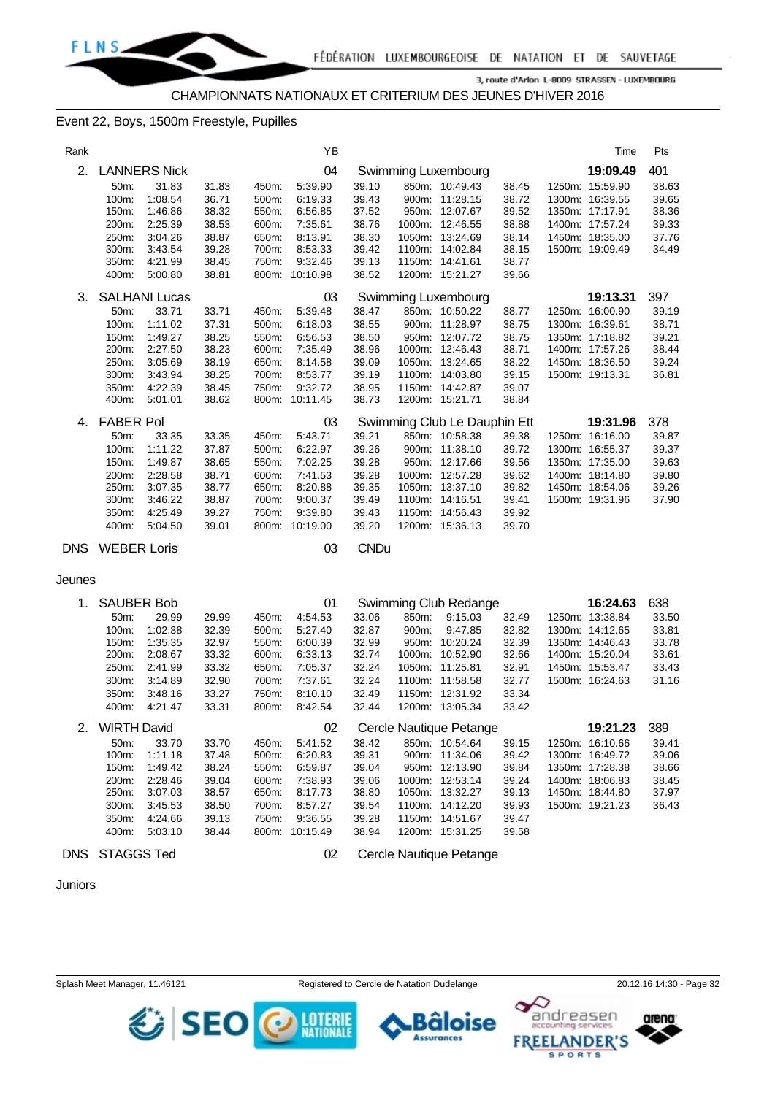

CHAMPIONNATS NATIONAUX ET CRITERIUM DES JEUNES D'HIVER 2016

#### Event 22, Boys, 1500m Freestyle, Pupilles

| Rank       |                        |                      |                |                | ΥB                 |                |       |                                    |                | Time                               | Pts            |
|------------|------------------------|----------------------|----------------|----------------|--------------------|----------------|-------|------------------------------------|----------------|------------------------------------|----------------|
| 2.         |                        | <b>LANNERS Nick</b>  |                |                | 04                 |                |       | Swimming Luxembourg                |                | 19:09.49                           | 401            |
|            | 50m:                   | 31.83                | 31.83          | 450m:          | 5:39.90            | 39.10          |       | 850m: 10:49.43                     | 38.45          | 1250m: 15:59.90                    | 38.63          |
|            | 100m:                  | 1:08.54              | 36.71          | 500m:          | 6:19.33            | 39.43          |       | 900m: 11:28.15                     | 38.72          | 1300m: 16:39.55                    | 39.65          |
|            | 150m:                  | 1:46.86              | 38.32          | 550m:          | 6:56.85            | 37.52          |       | 950m: 12:07.67                     | 39.52          | 1350m: 17:17.91                    | 38.36          |
|            | 200m:                  | 2:25.39              | 38.53          | 600m:          | 7:35.61            | 38.76          |       | 1000m: 12:46.55                    | 38.88          | 1400m: 17:57.24                    | 39.33          |
|            | 250m:                  | 3:04.26              | 38.87          | 650m:          | 8:13.91            | 38.30          |       | 1050m: 13:24.69                    | 38.14          | 1450m: 18:35.00                    | 37.76          |
|            | 300m:                  | 3:43.54              | 39.28          | 700m:          | 8:53.33            | 39.42          |       | 1100m: 14:02.84                    | 38.15          | 1500m: 19:09.49                    | 34.49          |
|            | 350m:                  | 4:21.99              | 38.45          | 750m:          | 9:32.46            | 39.13          |       | 1150m: 14:41.61                    | 38.77          |                                    |                |
|            | 400m:                  | 5:00.80              | 38.81          |                | 800m: 10:10.98     | 38.52          |       | 1200m: 15:21.27                    | 39.66          |                                    |                |
| 3.         |                        | <b>SALHANI Lucas</b> |                |                | 03                 |                |       |                                    |                | 19:13.31                           | 397            |
|            |                        |                      |                |                |                    | 38.47          |       | Swimming Luxembourg                |                | 1250m: 16:00.90                    | 39.19          |
|            | 50m:                   | 33.71                | 33.71          | 450m:          | 5:39.48            |                |       | 850m: 10:50.22<br>900m: 11:28.97   | 38.77          | 1300m: 16:39.61                    |                |
|            | 100m:<br>150m:         | 1:11.02              | 37.31<br>38.25 | 500m:<br>550m: | 6:18.03            | 38.55<br>38.50 |       | 950m: 12:07.72                     | 38.75<br>38.75 | 1350m: 17:18.82                    | 38.71<br>39.21 |
|            | 200m:                  | 1:49.27<br>2:27.50   | 38.23          | 600m:          | 6:56.53<br>7:35.49 | 38.96          |       | 1000m: 12:46.43                    | 38.71          | 1400m: 17:57.26                    | 38.44          |
|            | 250m:                  | 3:05.69              | 38.19          | 650m:          | 8:14.58            | 39.09          |       | 1050m: 13:24.65                    | 38.22          | 1450m: 18:36.50                    | 39.24          |
|            | 300m:                  | 3:43.94              | 38.25          | 700m:          | 8:53.77            | 39.19          |       | 1100m: 14:03.80                    | 39.15          | 1500m: 19:13.31                    | 36.81          |
|            | 350m:                  | 4:22.39              | 38.45          | 750m:          | 9:32.72            | 38.95          |       | 1150m: 14:42.87                    | 39.07          |                                    |                |
|            | 400m:                  | 5:01.01              | 38.62          |                | 800m: 10:11.45     | 38.73          |       | 1200m: 15:21.71                    | 38.84          |                                    |                |
|            |                        |                      |                |                |                    |                |       |                                    |                |                                    |                |
| 4.         | <b>FABER Pol</b>       |                      |                |                | 03<br>5:43.71      |                |       | Swimming Club Le Dauphin Ett       |                | 19:31.96                           | 378            |
|            | 50m:                   | 33.35                | 33.35          | 450m:          |                    | 39.21          |       | 850m: 10:58.38                     | 39.38          | 1250m: 16:16.00<br>1300m: 16:55.37 | 39.87          |
|            | 100m:<br>150m:         | 1:11.22<br>1:49.87   | 37.87<br>38.65 | 500m:<br>550m: | 6:22.97<br>7:02.25 | 39.26<br>39.28 |       | 900m: 11:38.10<br>950m: 12:17.66   | 39.72<br>39.56 | 1350m: 17:35.00                    | 39.37<br>39.63 |
|            | 200m:                  | 2:28.58              | 38.71          | 600m:          | 7:41.53            | 39.28          |       | 1000m: 12:57.28                    | 39.62          | 1400m: 18:14.80                    | 39.80          |
|            | 250m.                  | 3:07.35              | 38.77          | 650m:          | 8:20.88            | 39.35          |       | 1050m: 13:37.10                    | 39.82          | 1450m: 18:54.06                    | 39.26          |
|            | 300m:                  | 3:46.22              | 38.87          | 700m:          | 9:00.37            | 39.49          |       | 1100m: 14:16.51                    | 39.41          | 1500m: 19:31.96                    | 37.90          |
|            | 350m:                  | 4:25.49              | 39.27          | 750m:          | 9:39.80            | 39.43          |       | 1150m: 14:56.43                    | 39.92          |                                    |                |
|            | 400m:                  | 5:04.50              | 39.01          |                | 800m: 10:19.00     | 39.20          |       | 1200m: 15:36.13                    | 39.70          |                                    |                |
|            |                        |                      |                |                |                    |                |       |                                    |                |                                    |                |
|            | <b>DNS</b> WEBER Loris |                      |                |                | 03                 | <b>CNDu</b>    |       |                                    |                |                                    |                |
| Jeunes     |                        |                      |                |                |                    |                |       |                                    |                |                                    |                |
|            |                        |                      |                |                |                    |                |       |                                    |                |                                    |                |
| 1.         | <b>SAUBER Bob</b>      |                      |                |                | 01                 |                |       | Swimming Club Redange              |                | 16:24.63                           | 638            |
|            | 50m:                   | 29.99                | 29.99          | 450m:          | 4:54.53            | 33.06          | 850m: | 9:15.03                            | 32.49          | 1250m: 13:38.84                    | 33.50          |
|            | 100m:                  | 1:02.38              | 32.39          | 500m:          | 5:27.40            | 32.87          | 900m: | 9:47.85                            | 32.82          | 1300m: 14:12.65                    | 33.81          |
|            | 150m.                  | 1:35.35              | 32.97          | 550m:          | 6:00.39            | 32.99          |       | 950m: 10:20.24                     | 32.39          | 1350m: 14:46.43                    | 33.78          |
|            | 200m:                  | 2:08.67              | 33.32          | 600m:          | 6:33.13            | 32.74          |       | 1000m: 10:52.90                    | 32.66          | 1400m: 15:20.04                    | 33.61          |
|            | 250m:                  | 2:41.99              | 33.32          | 650m:          | 7:05.37            | 32.24          |       | 1050m: 11:25.81                    | 32.91          | 1450m: 15:53.47                    | 33.43          |
|            | 300m:                  | 3:14.89              | 32.90<br>33.27 | 700m:          | 7:37.61            | 32.24<br>32.49 |       | 1100m: 11:58.58<br>1150m: 12:31.92 | 32.77<br>33.34 | 1500m: 16:24.63                    | 31.16          |
|            | 350m:<br>400m:         | 3:48.16<br>4:21.47   | 33.31          | 750m:<br>800m: | 8:10.10<br>8:42.54 | 32.44          |       | 1200m: 13:05.34                    | 33.42          |                                    |                |
|            |                        |                      |                |                |                    |                |       |                                    |                |                                    |                |
| 2.         | <b>WIRTH David</b>     |                      |                |                | 02                 |                |       | Cercle Nautique Petange            |                | 19:21.23                           | 389            |
|            | 50m:                   | 33.70                | 33.70          | 450m:          | 5:41.52            | 38.42          |       | 850m: 10:54.64                     | 39.15          | 1250m: 16:10.66                    | 39.41          |
|            | 100m:                  | 1:11.18              | 37.48          | 500m:          | 6:20.83            | 39.31          |       | 900m: 11:34.06                     | 39.42          | 1300m: 16:49.72                    | 39.06          |
|            | 150m:                  | 1:49.42<br>2:28.46   | 38.24<br>39.04 | 550m:          | 6:59.87<br>7:38.93 | 39.04          |       | 950m: 12:13.90<br>1000m: 12:53.14  | 39.84<br>39.24 | 1350m: 17:28.38<br>1400m: 18:06.83 | 38.66<br>38.45 |
|            | 200m:<br>250m:         | 3:07.03              | 38.57          | 600m:<br>650m: | 8:17.73            | 39.06<br>38.80 |       | 1050m: 13:32.27                    | 39.13          | 1450m: 18:44.80                    | 37.97          |
|            | 300m:                  | 3:45.53              | 38.50          | 700m:          | 8:57.27            | 39.54          |       | 1100m: 14:12.20                    | 39.93          | 1500m: 19:21.23                    | 36.43          |
|            | 350m:                  | 4:24.66              | 39.13          | 750m:          | 9:36.55            | 39.28          |       | 1150m: 14:51.67                    | 39.47          |                                    |                |
|            | 400m:                  | 5:03.10              | 38.44          |                | 800m: 10:15.49     | 38.94          |       | 1200m: 15:31.25                    | 39.58          |                                    |                |
|            |                        |                      |                |                |                    |                |       |                                    |                |                                    |                |
| <b>DNS</b> | <b>STAGGS Ted</b>      |                      |                |                | 02                 |                |       | Cercle Nautique Petange            |                |                                    |                |

#### Juniors

SEO O MERE

в

**Assurances** 

äloise

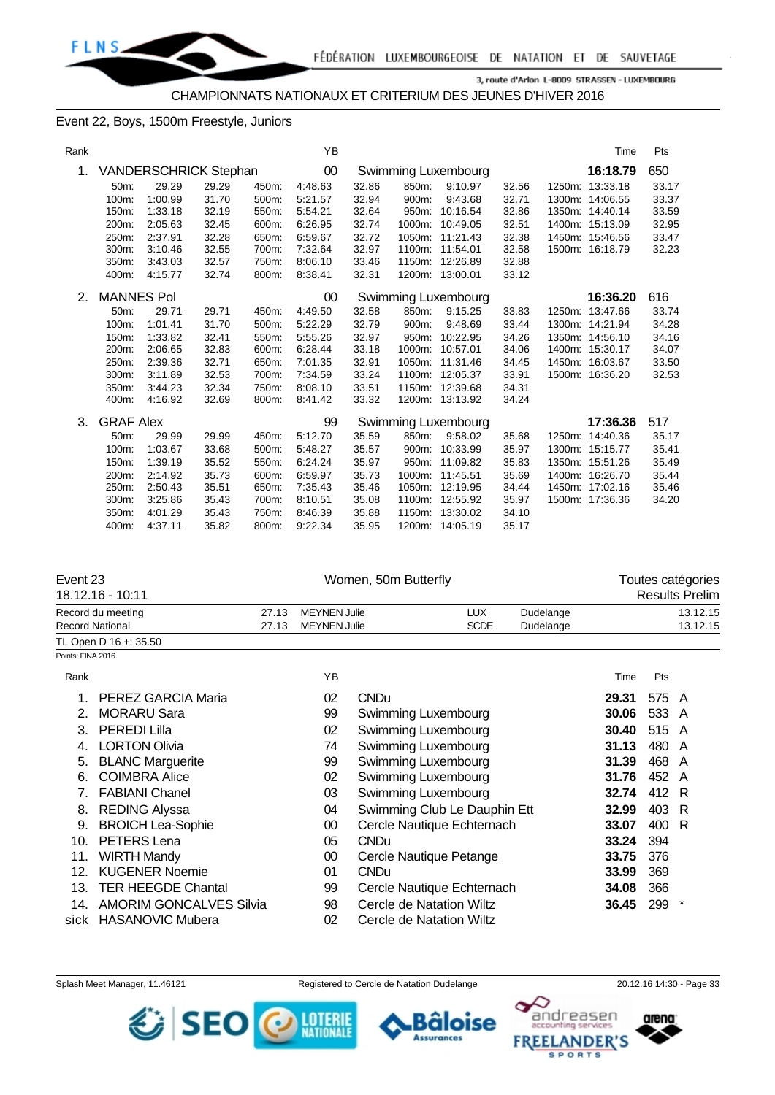

CHAMPIONNATS NATIONAUX ET CRITERIUM DES JEUNES D'HIVER 2016

#### Event 22, Boys, 1500m Freestyle, Juniors

| Rank |                   |                              |       |       | YB      |       |       |                     |       | Time            | Pts   |
|------|-------------------|------------------------------|-------|-------|---------|-------|-------|---------------------|-------|-----------------|-------|
| 1.   |                   | <b>VANDERSCHRICK Stephan</b> |       |       | $00\,$  |       |       | Swimming Luxembourg |       | 16:18.79        | 650   |
|      | 50m:              | 29.29                        | 29.29 | 450m: | 4:48.63 | 32.86 | 850m: | 9:10.97             | 32.56 | 1250m: 13:33.18 | 33.17 |
|      | 100m:             | 1:00.99                      | 31.70 | 500m: | 5:21.57 | 32.94 | 900m: | 9:43.68             | 32.71 | 1300m: 14:06.55 | 33.37 |
|      | 150m:             | 1:33.18                      | 32.19 | 550m: | 5:54.21 | 32.64 |       | 950m: 10:16.54      | 32.86 | 1350m: 14:40.14 | 33.59 |
|      | 200m:             | 2:05.63                      | 32.45 | 600m: | 6:26.95 | 32.74 |       | 1000m: 10:49.05     | 32.51 | 1400m: 15:13.09 | 32.95 |
|      | 250m:             | 2:37.91                      | 32.28 | 650m: | 6:59.67 | 32.72 |       | 1050m: 11:21.43     | 32.38 | 1450m: 15:46.56 | 33.47 |
|      | 300m:             | 3:10.46                      | 32.55 | 700m: | 7:32.64 | 32.97 |       | 1100m: 11:54.01     | 32.58 | 1500m: 16:18.79 | 32.23 |
|      | 350m:             | 3:43.03                      | 32.57 | 750m: | 8:06.10 | 33.46 |       | 1150m: 12:26.89     | 32.88 |                 |       |
|      | 400m:             | 4:15.77                      | 32.74 | 800m: | 8:38.41 | 32.31 |       | 1200m: 13:00.01     | 33.12 |                 |       |
| 2.   | <b>MANNES Pol</b> |                              |       |       | 00      |       |       | Swimming Luxembourg |       | 16:36.20        | 616   |
|      | 50m:              | 29.71                        | 29.71 | 450m: | 4:49.50 | 32.58 | 850m: | 9:15.25             | 33.83 | 1250m: 13:47.66 | 33.74 |
|      | 100m:             | 1:01.41                      | 31.70 | 500m: | 5:22.29 | 32.79 | 900m: | 9:48.69             | 33.44 | 1300m: 14:21.94 | 34.28 |
|      | 150m:             | 1:33.82                      | 32.41 | 550m: | 5:55.26 | 32.97 | 950m: | 10:22.95            | 34.26 | 1350m: 14:56.10 | 34.16 |
|      | 200m:             | 2:06.65                      | 32.83 | 600m: | 6:28.44 | 33.18 |       | 1000m: 10:57.01     | 34.06 | 1400m: 15:30.17 | 34.07 |
|      | 250m:             | 2:39.36                      | 32.71 | 650m: | 7:01.35 | 32.91 |       | 1050m: 11:31.46     | 34.45 | 1450m: 16:03.67 | 33.50 |
|      | 300m:             | 3:11.89                      | 32.53 | 700m: | 7:34.59 | 33.24 |       | 1100m: 12:05.37     | 33.91 | 1500m: 16:36.20 | 32.53 |
|      | 350m:             | 3:44.23                      | 32.34 | 750m: | 8:08.10 | 33.51 |       | 1150m: 12:39.68     | 34.31 |                 |       |
|      | 400m:             | 4:16.92                      | 32.69 | 800m: | 8:41.42 | 33.32 |       | 1200m: 13:13.92     | 34.24 |                 |       |
| 3.   | <b>GRAF Alex</b>  |                              |       |       | 99      |       |       | Swimming Luxembourg |       | 17:36.36        | 517   |
|      | 50m:              | 29.99                        | 29.99 | 450m: | 5:12.70 | 35.59 | 850m: | 9:58.02             | 35.68 | 1250m: 14:40.36 | 35.17 |
|      | 100m:             | 1:03.67                      | 33.68 | 500m: | 5:48.27 | 35.57 |       | 900m: 10:33.99      | 35.97 | 1300m: 15:15.77 | 35.41 |
|      | 150m:             | 1:39.19                      | 35.52 | 550m: | 6:24.24 | 35.97 |       | 950m: 11:09.82      | 35.83 | 1350m: 15:51.26 | 35.49 |
|      | 200m:             | 2:14.92                      | 35.73 | 600m: | 6:59.97 | 35.73 |       | 1000m: 11:45.51     | 35.69 | 1400m: 16:26.70 | 35.44 |
|      | 250m:             | 2:50.43                      | 35.51 | 650m: | 7:35.43 | 35.46 |       | 1050m: 12:19.95     | 34.44 | 1450m: 17:02.16 | 35.46 |
|      | 300m:             | 3:25.86                      | 35.43 | 700m: | 8:10.51 | 35.08 |       | 1100m: 12:55.92     | 35.97 | 1500m: 17:36.36 | 34.20 |
|      | 350m:             | 4:01.29                      | 35.43 | 750m: | 8:46.39 | 35.88 |       | 1150m: 13:30.02     | 34.10 |                 |       |
|      | 400m:             | 4:37.11                      | 35.82 | 800m: | 9:22.34 | 35.95 |       | 1200m: 14:05.19     | 35.17 |                 |       |

| Event 23          |                                |       |                     | Women, 50m Butterfly | Toutes catégories            |           |       |       |                       |
|-------------------|--------------------------------|-------|---------------------|----------------------|------------------------------|-----------|-------|-------|-----------------------|
|                   | 18.12.16 - 10:11               |       |                     |                      |                              |           |       |       | <b>Results Prelim</b> |
|                   | Record du meeting              | 27.13 | <b>MEYNEN Julie</b> |                      | <b>LUX</b>                   | Dudelange |       |       | 13.12.15              |
|                   | <b>Record National</b>         | 27.13 | <b>MEYNEN Julie</b> |                      | <b>SCDE</b>                  | Dudelange |       |       | 13.12.15              |
|                   | TL Open D 16 +: 35.50          |       |                     |                      |                              |           |       |       |                       |
| Points: FINA 2016 |                                |       |                     |                      |                              |           |       |       |                       |
| Rank              |                                |       | YB                  |                      |                              |           | Time  | Pts   |                       |
|                   | PEREZ GARCIA Maria             |       | 02                  | <b>CNDu</b>          |                              |           | 29.31 | 575 A |                       |
| 2.                | <b>MORARU Sara</b>             |       | 99                  | Swimming Luxembourg  |                              |           | 30.06 | 533   | A                     |
| 3.                | <b>PEREDI Lilla</b>            |       | 02                  | Swimming Luxembourg  |                              |           | 30.40 | 515   | A                     |
| 4.                | <b>LORTON Olivia</b>           |       | 74                  | Swimming Luxembourg  |                              |           | 31.13 | 480   | A                     |
| 5.                | <b>BLANC Marguerite</b>        |       | 99                  | Swimming Luxembourg  |                              |           | 31.39 | 468   | A                     |
| 6.                | <b>COIMBRA Alice</b>           |       | 02                  | Swimming Luxembourg  |                              |           | 31.76 | 452 A |                       |
| 7.                | <b>FABIANI Chanel</b>          |       | 03                  | Swimming Luxembourg  |                              |           | 32.74 | 412 R |                       |
| 8.                | <b>REDING Alyssa</b>           |       | 04                  |                      | Swimming Club Le Dauphin Ett |           | 32.99 | 403   | -R                    |
| 9.                | <b>BROICH Lea-Sophie</b>       |       | 00                  |                      | Cercle Nautique Echternach   |           | 33.07 | 400   | R                     |
| 10.               | PETERS Lena                    |       | 05                  | <b>CNDu</b>          |                              |           | 33.24 | 394   |                       |
| 11.               | <b>WIRTH Mandy</b>             |       | 00                  |                      | Cercle Nautique Petange      |           | 33.75 | 376   |                       |
| 12.               | <b>KUGENER Noemie</b>          |       | 01                  | <b>CNDu</b>          |                              |           | 33.99 | 369   |                       |
| 13.               | <b>TER HEEGDE Chantal</b>      |       | 99                  |                      | Cercle Nautique Echternach   |           | 34.08 | 366   |                       |
| 14.               | <b>AMORIM GONCALVES Silvia</b> |       | 98                  |                      | Cercle de Natation Wiltz     |           | 36.45 | 299   | $\ast$                |
|                   | sick HASANOVIC Mubera          |       | 02                  |                      | Cercle de Natation Wiltz     |           |       |       |                       |

SEO O MERE





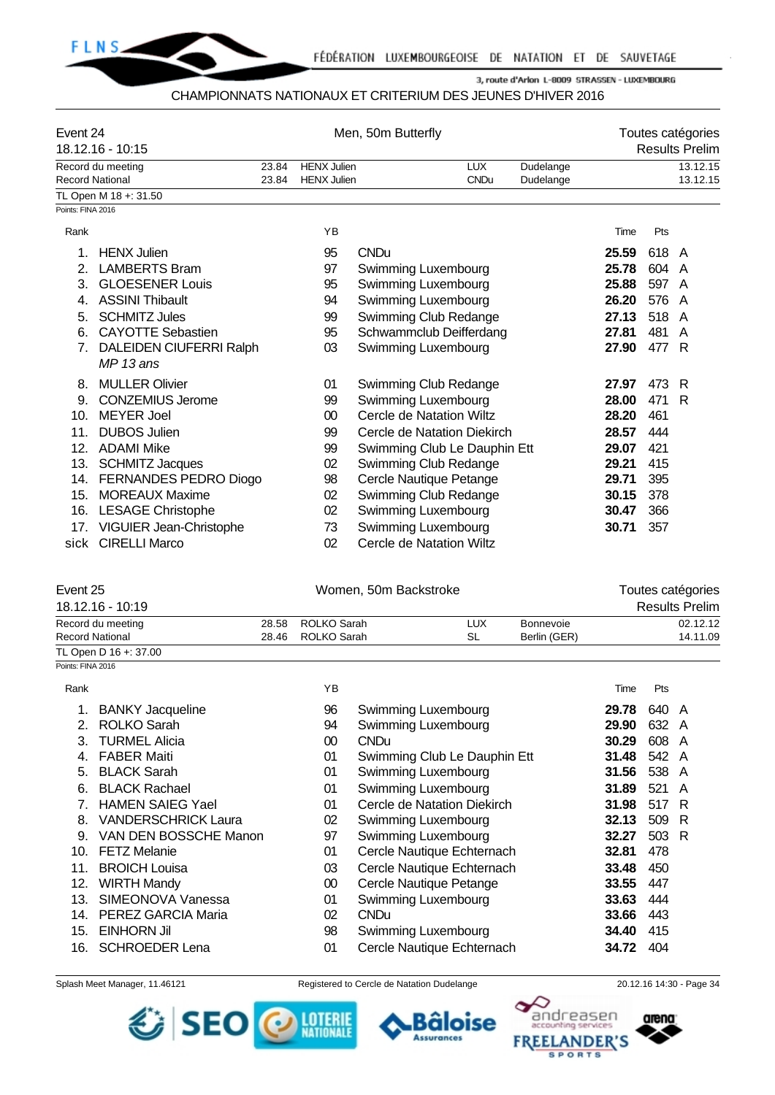

#### CHAMPIONNATS NATIONAUX ET CRITERIUM DES JEUNES D'HIVER 2016

| Event 24                         | 18.12.16 - 10:15                             |                | Men, 50m Butterfly                |                              |                         |  |                           |       |       | Toutes catégories<br><b>Results Prelim</b> |  |  |  |
|----------------------------------|----------------------------------------------|----------------|-----------------------------------|------------------------------|-------------------------|--|---------------------------|-------|-------|--------------------------------------------|--|--|--|
|                                  | Record du meeting                            | 23.84          | <b>HENX Julien</b>                |                              | LUX                     |  | Dudelange                 |       |       | 13.12.15                                   |  |  |  |
| <b>Record National</b>           |                                              | 23.84          | <b>HENX Julien</b>                |                              | <b>CNDu</b>             |  | Dudelange                 |       |       | 13.12.15                                   |  |  |  |
| Points: FINA 2016                | TL Open M 18 +: 31.50                        |                |                                   |                              |                         |  |                           |       |       |                                            |  |  |  |
|                                  |                                              |                |                                   |                              |                         |  |                           |       |       |                                            |  |  |  |
| Rank                             |                                              |                | YB                                |                              |                         |  |                           | Time  | Pts   |                                            |  |  |  |
| 1.                               | <b>HENX Julien</b>                           |                | 95                                | <b>CNDu</b>                  |                         |  |                           | 25.59 | 618 A |                                            |  |  |  |
| 2.                               | <b>LAMBERTS Bram</b>                         |                | 97                                | Swimming Luxembourg          |                         |  |                           | 25.78 | 604   | A                                          |  |  |  |
| 3.                               | <b>GLOESENER Louis</b>                       |                | 95                                | Swimming Luxembourg          |                         |  |                           | 25.88 | 597   | A                                          |  |  |  |
| 4.                               | <b>ASSINI Thibault</b>                       |                | 94                                | Swimming Luxembourg          |                         |  |                           | 26.20 | 576   | A                                          |  |  |  |
| 5.                               | <b>SCHMITZ Jules</b>                         |                | 99                                | Swimming Club Redange        |                         |  |                           | 27.13 | 518   | A                                          |  |  |  |
| 6.                               | <b>CAYOTTE Sebastien</b>                     |                | 95                                | Schwammclub Deifferdang      |                         |  |                           | 27.81 | 481   | A                                          |  |  |  |
| $7_{\scriptscriptstyle{\ddots}}$ | <b>DALEIDEN CIUFERRI Ralph</b><br>$MP13$ ans |                | 03                                | Swimming Luxembourg          |                         |  |                           | 27.90 | 477   | -R                                         |  |  |  |
| 8.                               | <b>MULLER Olivier</b>                        |                | 01                                | Swimming Club Redange        |                         |  |                           | 27.97 | 473   | R                                          |  |  |  |
| 9.                               | <b>CONZEMIUS Jerome</b>                      |                | 99                                | Swimming Luxembourg          |                         |  |                           | 28.00 | 471   | R                                          |  |  |  |
| 10.                              | <b>MEYER Joel</b>                            |                | 00                                | Cercle de Natation Wiltz     |                         |  |                           | 28.20 | 461   |                                            |  |  |  |
| 11.                              | <b>DUBOS Julien</b>                          |                | 99                                | Cercle de Natation Diekirch  |                         |  |                           | 28.57 | 444   |                                            |  |  |  |
| 12.                              | <b>ADAMI Mike</b>                            |                | 99                                | Swimming Club Le Dauphin Ett |                         |  |                           | 29.07 | 421   |                                            |  |  |  |
| 13.                              | <b>SCHMITZ Jacques</b>                       |                | 02                                | Swimming Club Redange        |                         |  |                           | 29.21 | 415   |                                            |  |  |  |
| 14.                              | FERNANDES PEDRO Diogo                        |                | 98                                | Cercle Nautique Petange      |                         |  |                           | 29.71 | 395   |                                            |  |  |  |
| 15.                              | <b>MOREAUX Maxime</b>                        |                | 02                                | Swimming Club Redange        |                         |  |                           | 30.15 | 378   |                                            |  |  |  |
| 16.                              | <b>LESAGE Christophe</b>                     |                | 02                                | Swimming Luxembourg          |                         |  |                           | 30.47 | 366   |                                            |  |  |  |
| 17.                              | VIGUIER Jean-Christophe                      |                | 73                                | Swimming Luxembourg          |                         |  |                           | 30.71 | 357   |                                            |  |  |  |
| sick                             | <b>CIRELLI Marco</b>                         |                | 02                                | Cercle de Natation Wiltz     |                         |  |                           |       |       |                                            |  |  |  |
| Event 25                         |                                              |                |                                   | Women, 50m Backstroke        |                         |  |                           |       |       | Toutes catégories                          |  |  |  |
|                                  | 18.12.16 - 10:19                             |                |                                   |                              |                         |  |                           |       |       | <b>Results Prelim</b>                      |  |  |  |
| <b>Record National</b>           | Record du meeting                            | 28.58<br>28.46 | <b>ROLKO Sarah</b><br>ROLKO Sarah |                              | <b>LUX</b><br><b>SL</b> |  | Bonnevoie<br>Berlin (GER) |       |       | 02.12.12<br>14.11.09                       |  |  |  |

Points: FINA 2016

TL Open D 16 +: 37.00

| Rank |                            | ΥB |                              | Time  | <b>Pts</b> |     |
|------|----------------------------|----|------------------------------|-------|------------|-----|
|      | <b>BANKY Jacqueline</b>    | 96 | Swimming Luxembourg          | 29.78 | 640 A      |     |
| 2.   | <b>ROLKO Sarah</b>         | 94 | Swimming Luxembourg          | 29.90 | 632 A      |     |
| 3.   | <b>TURMEL Alicia</b>       | 00 | <b>CNDu</b>                  | 30.29 | 608 A      |     |
| 4.   | <b>FABER Maiti</b>         | 01 | Swimming Club Le Dauphin Ett | 31.48 | 542 A      |     |
| 5.   | <b>BLACK Sarah</b>         | 01 | Swimming Luxembourg          | 31.56 | 538        | A   |
| 6.   | <b>BLACK Rachael</b>       | 01 | Swimming Luxembourg          | 31.89 | 521        | A   |
| 7.   | <b>HAMEN SAIEG Yael</b>    | 01 | Cercle de Natation Diekirch  | 31.98 | 517 R      |     |
| 8.   | <b>VANDERSCHRICK Laura</b> | 02 | Swimming Luxembourg          | 32.13 | 509        | - R |
| 9.   | VAN DEN BOSSCHE Manon      | 97 | Swimming Luxembourg          | 32.27 | 503 R      |     |
| 10.  | <b>FETZ Melanie</b>        | 01 | Cercle Nautique Echternach   | 32.81 | 478        |     |
| 11.  | <b>BROICH Louisa</b>       | 03 | Cercle Nautique Echternach   | 33.48 | 450        |     |
| 12.  | <b>WIRTH Mandy</b>         | 00 | Cercle Nautique Petange      | 33.55 | 447        |     |
| 13.  | SIMEONOVA Vanessa          | 01 | Swimming Luxembourg          | 33.63 | 444        |     |
| 14.  | PEREZ GARCIA Maria         | 02 | <b>CNDu</b>                  | 33.66 | 443        |     |
| 15.  | <b>EINHORN Jil</b>         | 98 | Swimming Luxembourg          | 34.40 | 415        |     |
| 16.  | <b>SCHROEDER Lena</b>      | 01 | Cercle Nautique Echternach   | 34.72 | 404        |     |

Splash Meet Manager, 11.46121 Registered to Cercle de Natation Dudelange 20.12.16 14:30 - Page 34





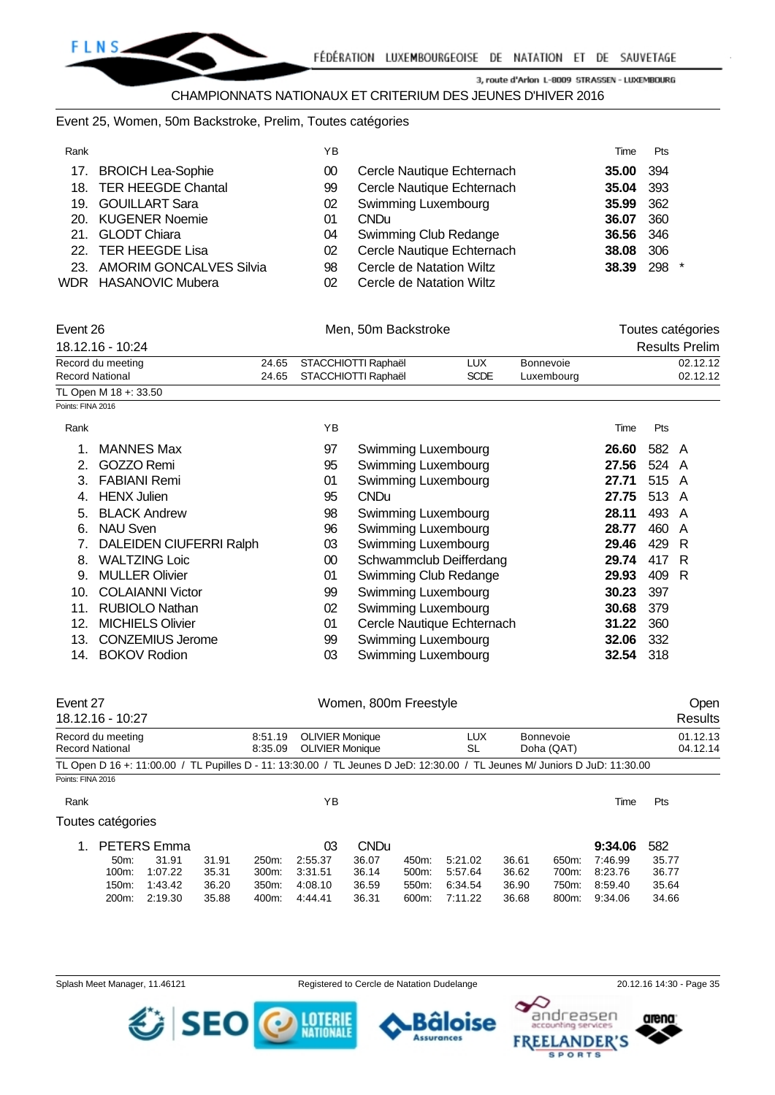

#### CHAMPIONNATS NATIONAUX ET CRITERIUM DES JEUNES D'HIVER 2016

#### Event 25, Women, 50m Backstroke, Prelim, Toutes catégories

| Rank |                             | ΥB |                            | Time  | Pts  |  |
|------|-----------------------------|----|----------------------------|-------|------|--|
|      | 17. BROICH Lea-Sophie       | 00 | Cercle Nautique Echternach | 35.00 | -394 |  |
|      | 18. TER HEEGDE Chantal      | 99 | Cercle Nautique Echternach | 35.04 | 393  |  |
|      | 19. GOUILLART Sara          | 02 | <b>Swimming Luxembourg</b> | 35.99 | 362  |  |
|      | 20. KUGENER Noemie          | 01 | <b>CNDu</b>                | 36.07 | 360  |  |
|      | 21. GLODT Chiara            | 04 | Swimming Club Redange      | 36.56 | 346  |  |
|      | 22. TER HEEGDE Lisa         | 02 | Cercle Nautique Echternach | 38.08 | 306  |  |
|      | 23. AMORIM GONCALVES Silvia | 98 | Cercle de Natation Wiltz   | 38.39 | 298  |  |
|      | WDR HASANOVIC Mubera        | 02 | Cercle de Natation Wiltz   |       |      |  |

| Event 26              |  | Men, 50m Backstroke       |             |                  |                       |  |  |
|-----------------------|--|---------------------------|-------------|------------------|-----------------------|--|--|
| 18.12.16 - 10:24      |  |                           |             |                  | <b>Results Prelim</b> |  |  |
| Record du meeting     |  | 24.65 STACCHIOTTI Raphaël | LUX         | <b>Bonnevoie</b> | 02.12.12              |  |  |
| Record National       |  | 24.65 STACCHIOTTI Raphaël | <b>SCDE</b> | Luxembourg       | 02.12.12              |  |  |
| TL Open M 18 +: 33.50 |  |                           |             |                  |                       |  |  |

Points: FINA 2016

|                                | ΥB              |                            | Time  | Pts   |  |
|--------------------------------|-----------------|----------------------------|-------|-------|--|
| <b>MANNES Max</b>              | 97              | Swimming Luxembourg        | 26.60 | 582 A |  |
| GOZZO Remi                     | 95              | Swimming Luxembourg        | 27.56 | 524 A |  |
| <b>FABIANI Remi</b>            | 01              | Swimming Luxembourg        | 27.71 | 515 A |  |
| <b>HENX Julien</b>             | 95              | <b>CNDu</b>                | 27.75 | 513 A |  |
| <b>BLACK Andrew</b>            | 98              | Swimming Luxembourg        | 28.11 | 493 A |  |
| <b>NAU Sven</b>                | 96              | Swimming Luxembourg        | 28.77 | 460 A |  |
| <b>DALEIDEN CIUFERRI Ralph</b> | 03              | Swimming Luxembourg        | 29.46 | 429 R |  |
| <b>WALTZING Loic</b>           | 00              | Schwammclub Deifferdang    | 29.74 | 417 R |  |
| <b>MULLER Olivier</b>          | 01              | Swimming Club Redange      | 29.93 | 409 R |  |
| <b>COLAIANNI Victor</b>        | 99              | Swimming Luxembourg        | 30.23 | 397   |  |
| <b>RUBIOLO Nathan</b>          | 02              | Swimming Luxembourg        | 30.68 | 379   |  |
| <b>MICHIELS Olivier</b>        | 01              | Cercle Nautique Echternach | 31.22 | 360   |  |
| <b>CONZEMIUS Jerome</b>        | 99              | Swimming Luxembourg        | 32.06 | 332   |  |
| <b>BOKOV Rodion</b>            | 03              | Swimming Luxembourg        | 32.54 | 318   |  |
| 7.                             | 13.<br>$14_{-}$ |                            |       |       |  |

| Event 27                                                                                                                                                                                 | 18.12.16 - 10:27   |                    |       |                    |                                                  | Women, 800m Freestyle |       |                  |       |                                |         |       | Open<br>Results      |
|------------------------------------------------------------------------------------------------------------------------------------------------------------------------------------------|--------------------|--------------------|-------|--------------------|--------------------------------------------------|-----------------------|-------|------------------|-------|--------------------------------|---------|-------|----------------------|
| Record du meeting<br>8:51.19<br>Record National<br>8:35.09<br>TL Open D 16 +: 11:00.00 / TL Pupilles D - 11: 13:30.00 / TL Jeunes D JeD: 12:30.00 / TL Jeunes M/ Juniors D JuD: 11:30.00 |                    |                    |       |                    | <b>OLIVIER Monique</b><br><b>OLIVIER Monique</b> |                       |       | <b>LUX</b><br>SL |       | <b>Bonnevoie</b><br>Doha (QAT) |         |       | 01.12.13<br>04.12.14 |
|                                                                                                                                                                                          |                    |                    |       |                    |                                                  |                       |       |                  |       |                                |         |       |                      |
| Points: FINA 2016                                                                                                                                                                        |                    |                    |       |                    |                                                  |                       |       |                  |       |                                |         |       |                      |
| Rank                                                                                                                                                                                     |                    |                    |       |                    | ΥB                                               |                       |       |                  |       |                                | Time    | Pts   |                      |
|                                                                                                                                                                                          | Toutes catégories  |                    |       |                    |                                                  |                       |       |                  |       |                                |         |       |                      |
| 1.                                                                                                                                                                                       |                    | <b>PETERS Emma</b> |       |                    | 03                                               | <b>CNDu</b>           |       |                  |       |                                | 9:34.06 | 582   |                      |
|                                                                                                                                                                                          | 50m                | 31.91              | 31.91 | 250 <sub>m</sub> : | 2:55.37                                          | 36.07                 | 450m: | 5:21.02          | 36.61 | 650m:                          | 7:46.99 | 35.77 |                      |
|                                                                                                                                                                                          | 100m:              | 1:07.22            | 35.31 | 300m:              | 3.31.51                                          | 36.14                 | 500m: | 5:57.64          | 36.62 | 700m:                          | 8:23.76 | 36.77 |                      |
|                                                                                                                                                                                          | 150m:              | 1:43.42            | 36.20 | 350m:              | 4:08.10                                          | 36.59                 | 550m: | 6:34.54          | 36.90 | 750m:                          | 8:59.40 | 35.64 |                      |
|                                                                                                                                                                                          | 200 <sub>m</sub> : | 2:19.30            | 35.88 | 400m:              | 4:44.41                                          | 36.31                 | 600m: | 7:11.22          | 36.68 | 800m:                          | 9:34.06 | 34.66 |                      |
|                                                                                                                                                                                          |                    |                    |       |                    |                                                  |                       |       |                  |       |                                |         |       |                      |

SEO O MIRIN

Splash Meet Manager, 11.46121 **Registered to Cercle de Natation Dudelange** 20.12.16 14:30 - Page 35

arena:

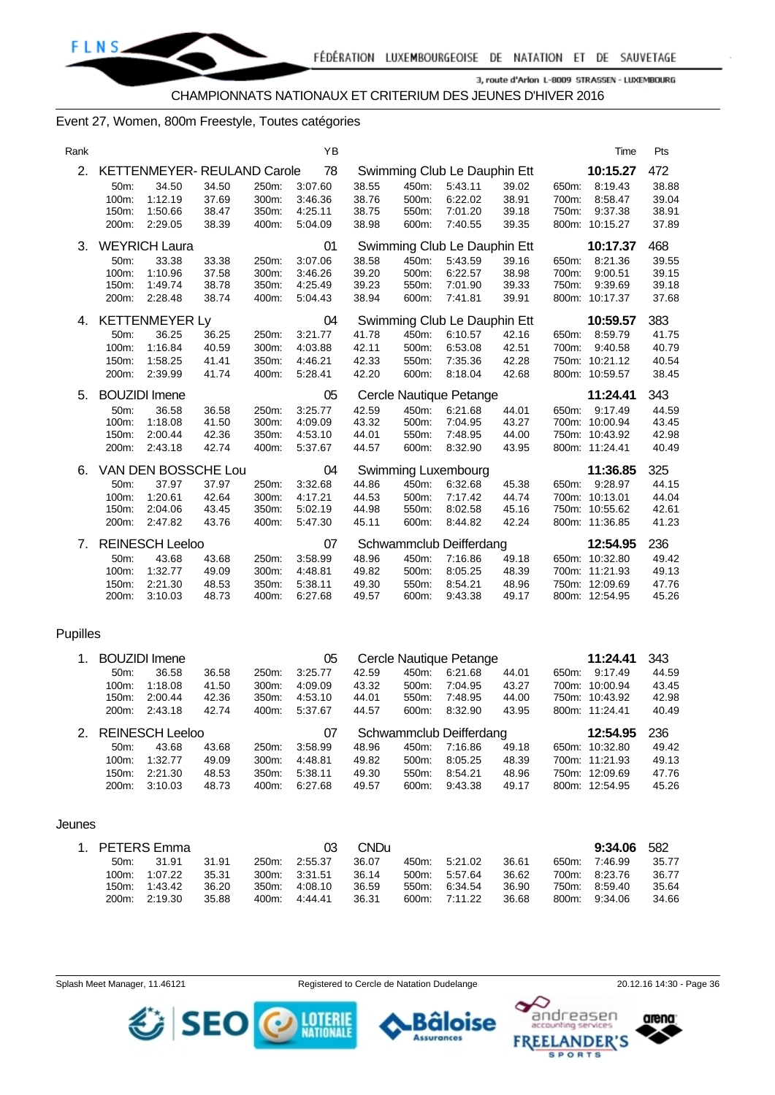

#### Event 27, Women, 800m Freestyle, Toutes catégories

| Rank |       |                            |       |       | YB      |       |       |                              |       |       | Time           | Pts   |
|------|-------|----------------------------|-------|-------|---------|-------|-------|------------------------------|-------|-------|----------------|-------|
| 2.   |       | KETTENMEYER-REULAND Carole |       |       | 78      |       |       | Swimming Club Le Dauphin Ett |       |       | 10:15.27       | 472   |
|      | 50m:  | 34.50                      | 34.50 | 250m: | 3:07.60 | 38.55 | 450m: | 5:43.11                      | 39.02 | 650m: | 8:19.43        | 38.88 |
|      | 100m: | 1:12.19                    | 37.69 | 300m: | 3:46.36 | 38.76 | 500m: | 6:22.02                      | 38.91 | 700m: | 8:58.47        | 39.04 |
|      | 150m: | 1:50.66                    | 38.47 | 350m: | 4:25.11 | 38.75 | 550m: | 7:01.20                      | 39.18 | 750m: | 9:37.38        | 38.91 |
|      | 200m: | 2:29.05                    | 38.39 | 400m: | 5:04.09 | 38.98 | 600m: | 7:40.55                      | 39.35 |       | 800m: 10:15.27 | 37.89 |
| 3.   |       | <b>WEYRICH Laura</b>       |       |       | 01      |       |       | Swimming Club Le Dauphin Ett |       |       | 10:17.37       | 468   |
|      | 50m:  | 33.38                      | 33.38 | 250m: | 3:07.06 | 38.58 | 450m: | 5:43.59                      | 39.16 | 650m: | 8:21.36        | 39.55 |
|      | 100m: | 1:10.96                    | 37.58 | 300m: | 3:46.26 | 39.20 | 500m: | 6:22.57                      | 38.98 | 700m: | 9:00.51        | 39.15 |
|      | 150m: | 1:49.74                    | 38.78 | 350m: | 4:25.49 | 39.23 | 550m: | 7:01.90                      | 39.33 | 750m: | 9:39.69        | 39.18 |
|      | 200m: | 2:28.48                    | 38.74 | 400m: | 5:04.43 | 38.94 | 600m: | 7:41.81                      | 39.91 |       | 800m: 10:17.37 | 37.68 |
| 4.   |       | <b>KETTENMEYER Ly</b>      |       |       | 04      |       |       | Swimming Club Le Dauphin Ett |       |       | 10:59.57       | 383   |
|      | 50m:  | 36.25                      | 36.25 | 250m: | 3:21.77 | 41.78 | 450m: | 6:10.57                      | 42.16 | 650m: | 8:59.79        | 41.75 |
|      | 100m: | 1:16.84                    | 40.59 | 300m: | 4:03.88 | 42.11 | 500m: | 6:53.08                      | 42.51 | 700m: | 9:40.58        | 40.79 |
|      | 150m: | 1:58.25                    | 41.41 | 350m: | 4:46.21 | 42.33 | 550m: | 7:35.36                      | 42.28 |       | 750m: 10:21.12 | 40.54 |
|      | 200m: | 2:39.99                    | 41.74 | 400m: | 5:28.41 | 42.20 | 600m: | 8:18.04                      | 42.68 |       | 800m: 10:59.57 | 38.45 |
| 5.   |       | <b>BOUZIDI</b> Imene       |       |       | 05      |       |       | Cercle Nautique Petange      |       |       | 11:24.41       | 343   |
|      | 50m:  | 36.58                      | 36.58 | 250m: | 3:25.77 | 42.59 | 450m: | 6:21.68                      | 44.01 | 650m: | 9:17.49        | 44.59 |
|      | 100m: | 1:18.08                    | 41.50 | 300m: | 4:09.09 | 43.32 | 500m: | 7:04.95                      | 43.27 |       | 700m: 10:00.94 | 43.45 |
|      | 150m: | 2:00.44                    | 42.36 | 350m: | 4:53.10 | 44.01 | 550m: | 7:48.95                      | 44.00 |       | 750m: 10:43.92 | 42.98 |
|      | 200m: | 2:43.18                    | 42.74 | 400m: | 5:37.67 | 44.57 | 600m: | 8:32.90                      | 43.95 |       | 800m: 11:24.41 | 40.49 |
| 6.   |       | VAN DEN BOSSCHE Lou        |       |       | 04      |       |       | Swimming Luxembourg          |       |       | 11:36.85       | 325   |
|      | 50m:  | 37.97                      | 37.97 | 250m: | 3:32.68 | 44.86 | 450m. | 6:32.68                      | 45.38 | 650m: | 9:28.97        | 44.15 |
|      | 100m: | 1:20.61                    | 42.64 | 300m: | 4:17.21 | 44.53 | 500m: | 7:17.42                      | 44.74 |       | 700m: 10:13.01 | 44.04 |
|      | 150m: | 2:04.06                    | 43.45 | 350m: | 5:02.19 | 44.98 | 550m: | 8:02.58                      | 45.16 |       | 750m: 10:55.62 | 42.61 |
|      | 200m: | 2:47.82                    | 43.76 | 400m: | 5:47.30 | 45.11 | 600m: | 8:44.82                      | 42.24 |       | 800m: 11:36.85 | 41.23 |
| 7.   |       | <b>REINESCH Leeloo</b>     |       |       | 07      |       |       | Schwammclub Deifferdang      |       |       | 12:54.95       | 236   |
|      | 50m:  | 43.68                      | 43.68 | 250m: | 3:58.99 | 48.96 | 450m: | 7:16.86                      | 49.18 |       | 650m: 10:32.80 | 49.42 |
|      | 100m: | 1:32.77                    | 49.09 | 300m: | 4:48.81 | 49.82 | 500m: | 8:05.25                      | 48.39 |       | 700m: 11:21.93 | 49.13 |
|      | 150m: | 2:21.30                    | 48.53 | 350m: | 5:38.11 | 49.30 | 550m: | 8:54.21                      | 48.96 |       | 750m: 12:09.69 | 47.76 |
|      | 200m: | 3:10.03                    | 48.73 | 400m: | 6:27.68 | 49.57 | 600m: | 9:43.38                      | 49.17 |       | 800m: 12:54.95 | 45.26 |

#### Pupilles

| 9:17.49<br>44.59        |
|-------------------------|
|                         |
| 43.45<br>700m: 10:00.94 |
| 42.98<br>750m: 10:43.92 |
| 40.49<br>800m: 11:24.41 |
| 236<br>12:54.95         |
| 49.42<br>650m: 10:32.80 |
| 49.13<br>700m: 11:21.93 |
|                         |
| 47.76<br>750m: 12:09.69 |
|                         |

#### Jeunes

|          | 1. PETERS Emma |       |       | 03            | <b>CND</b> <sub>U</sub> |          |         |       |       | 9:34.06       | - 582 |
|----------|----------------|-------|-------|---------------|-------------------------|----------|---------|-------|-------|---------------|-------|
| $50m$ :  | 31.91          | 31.91 | 250m: | 2:55.37       | 36.07                   | 450m:    | 5:21.02 | 36.61 | 650m: | 7:46.99       | 35.77 |
| 100m:    | 1:07.22        | 35.31 |       | 300m: 3:31.51 | 36.14                   | $500m$ : | 5:57.64 | 36.62 |       | 700m: 8:23.76 | 36.77 |
| 150m:    | 1:43.42        | 36.20 | 350m. | 4:08.10       | 36.59                   | $550m$ : | 6:34.54 | 36.90 | 750m: | 8:59.40       | 35.64 |
| $200m$ : | 2:19.30        | 35.88 | 400m: | 4:44:41       | 36.31                   | 600m:    | 7:11.22 | 36.68 | 800m: | 9:34.06       | 34.66 |

SEO O MERE

Splash Meet Manager, 11.46121 Registered to Cercle de Natation Dudelange 20.12.16 14:30 - Page 36

в **Assurances** 



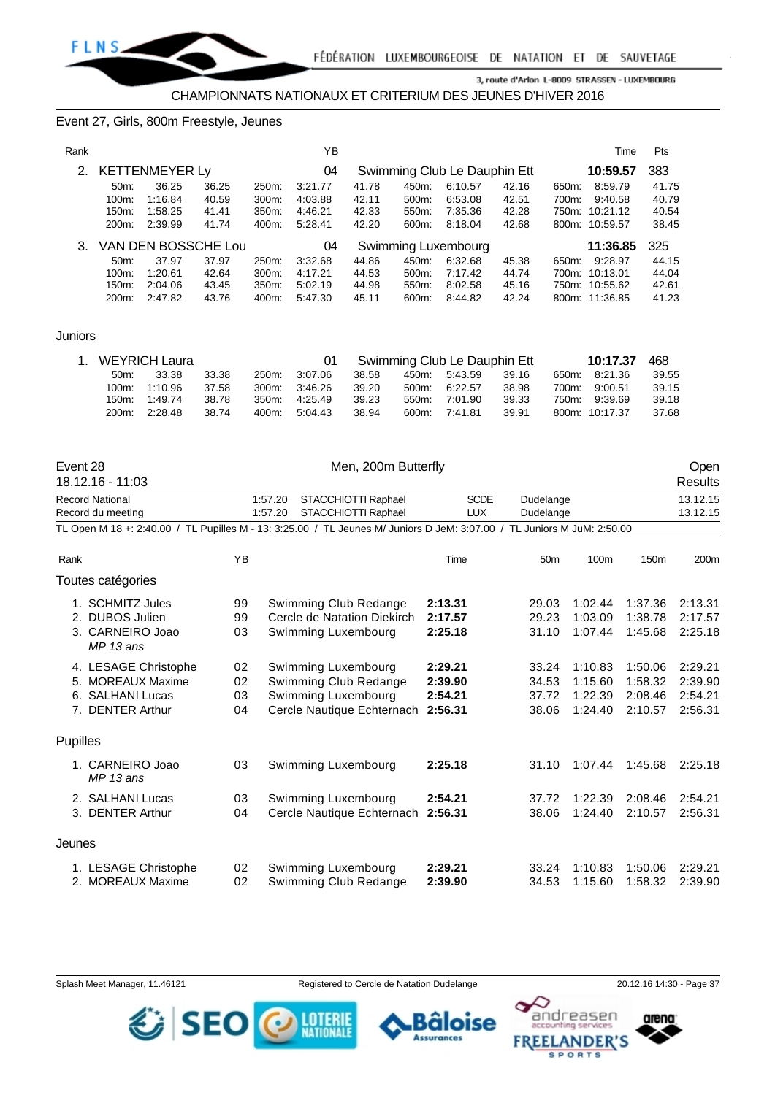

#### Event 27, Girls, 800m Freestyle, Jeunes

| Rank |          |                       |       |       | ΥB      |       |       |                              |       |       | Time           | Pts   |
|------|----------|-----------------------|-------|-------|---------|-------|-------|------------------------------|-------|-------|----------------|-------|
| 2.   |          | <b>KETTENMEYER Ly</b> |       |       | 04      |       |       | Swimming Club Le Dauphin Ett |       |       | 10:59.57       | 383   |
|      | 50m      | 36.25                 | 36.25 | 250m: | 3:21.77 | 41.78 | 450m: | 6:10.57                      | 42.16 | 650m: | 8:59.79        | 41.75 |
|      | $100m$ : | 1:16.84               | 40.59 | 300m. | 4:03.88 | 42.11 | 500m: | 6:53.08                      | 42.51 | 700m: | 9:40.58        | 40.79 |
|      | 150m.    | 1:58.25               | 41.41 | 350m: | 4:46.21 | 42.33 | 550m. | 7:35.36                      | 42.28 | 750m: | 10:21.12       | 40.54 |
|      | 200m:    | 2:39.99               | 41.74 | 400m: | 5:28.41 | 42.20 | 600m: | 8:18.04                      | 42.68 |       | 800m: 10:59.57 | 38.45 |
|      |          | VAN DEN BOSSCHE Lou   |       |       | 04      |       |       | Swimming Luxembourg          |       |       | 11:36.85       | 325   |
|      | $50m$ :  | 37.97                 | 37.97 | 250m. | 3:32.68 | 44.86 | 450m: | 6:32.68                      | 45.38 | 650m: | 9:28.97        | 44.15 |
|      | $100m$ : | 1:20.61               | 42.64 | 300m: | 4:17.21 | 44.53 | 500m: | 7:17.42                      | 44.74 | 700m: | 10:13.01       | 44.04 |
|      | 150m:    | 2:04.06               | 43.45 | 350m. | 5:02.19 | 44.98 | 550m: | 8:02.58                      | 45.16 |       | 750m: 10:55.62 | 42.61 |
|      | 200m:    | 2:47.82               | 43.76 | 400m: | 5:47.30 | 45.11 | 600m: | 8:44.82                      | 42.24 |       | 800m: 11:36.85 | 41.23 |
|      |          |                       |       |       |         |       |       |                              |       |       |                |       |

#### Juniors

|         | 1. WEYRICH Laura |       |       |               |       |       | Swimming Club Le Dauphin Ett |       | 10:17.37       | 468   |
|---------|------------------|-------|-------|---------------|-------|-------|------------------------------|-------|----------------|-------|
| $50m$ : | 33.38            | 33.38 | 250m: | 3:07.06       | 38.58 |       | 450m. 5:43.59                | 39.16 | 650m: 8:21.36  | 39.55 |
|         | 100m: 1:10.96    | 37.58 |       | 300m: 3:46.26 | 39.20 | 500m: | 6:22.57                      | 38.98 | 700m: 9:00.51  | 39.15 |
|         | 150m: 1:49.74    | 38.78 | 350m: | 4:25.49       | 39.23 | 550m  | 7:01.90                      | 39.33 | 750m: 9:39.69  | 39.18 |
|         | 200m: 2:28.48    | 38.74 | 400m: | 5:04.43       | 38.94 | 600m: | 7:41.81                      | 39.91 | 800m: 10:17.37 | 37.68 |

| Event 28<br>18.12.16 - 11:03                                                                                            |    | Men, 200m Butterfly            |             |                 |                  |         | Open<br><b>Results</b> |
|-------------------------------------------------------------------------------------------------------------------------|----|--------------------------------|-------------|-----------------|------------------|---------|------------------------|
| <b>Record National</b>                                                                                                  |    | STACCHIOTTI Raphaël<br>1:57.20 | <b>SCDE</b> | Dudelange       |                  |         | 13.12.15               |
| Record du meeting                                                                                                       |    | STACCHIOTTI Raphaël<br>1:57.20 | <b>LUX</b>  | Dudelange       |                  |         | 13.12.15               |
| TL Open M 18 +: 2:40.00 / TL Pupilles M - 13: 3:25.00 / TL Jeunes M/ Juniors D JeM: 3:07.00 / TL Juniors M JuM: 2:50.00 |    |                                |             |                 |                  |         |                        |
| Rank                                                                                                                    | YB |                                | Time        | 50 <sub>m</sub> | 100 <sub>m</sub> | 150m    | 200m                   |
| Toutes catégories                                                                                                       |    |                                |             |                 |                  |         |                        |
| 1. SCHMITZ Jules                                                                                                        | 99 | Swimming Club Redange          | 2:13.31     | 29.03           | 1:02.44          | 1:37.36 | 2:13.31                |
| 2. DUBOS Julien                                                                                                         | 99 | Cercle de Natation Diekirch    | 2:17.57     | 29.23           | 1:03.09          | 1:38.78 | 2:17.57                |
| 3. CARNEIRO Joao<br>$MP13$ ans                                                                                          | 03 | Swimming Luxembourg            | 2:25.18     | 31.10           | 1:07.44          | 1:45.68 | 2:25.18                |
| 4. LESAGE Christophe                                                                                                    | 02 | Swimming Luxembourg            | 2:29.21     | 33.24           | 1:10.83          | 1:50.06 | 2:29.21                |
| 5. MOREAUX Maxime                                                                                                       | 02 | Swimming Club Redange          | 2:39.90     | 34.53           | 1:15.60          | 1:58.32 | 2:39.90                |
| 6. SALHANI Lucas                                                                                                        | 03 | Swimming Luxembourg            | 2:54.21     | 37.72           | 1:22.39          | 2:08.46 | 2:54.21                |
| 7. DENTER Arthur                                                                                                        | 04 | Cercle Nautique Echternach     | 2:56.31     | 38.06           | 1:24.40          | 2:10.57 | 2:56.31                |
| Pupilles                                                                                                                |    |                                |             |                 |                  |         |                        |
| 1. CARNEIRO Joao<br>MP 13 ans                                                                                           | 03 | Swimming Luxembourg            | 2:25.18     | 31.10           | 1:07.44          | 1:45.68 | 2:25.18                |
| 2. SALHANI Lucas                                                                                                        | 03 | Swimming Luxembourg            | 2:54.21     | 37.72           | 1:22.39          | 2:08.46 | 2:54.21                |
| 3. DENTER Arthur                                                                                                        | 04 | Cercle Nautique Echternach     | 2:56.31     | 38.06           | 1:24.40          | 2:10.57 | 2:56.31                |
| Jeunes                                                                                                                  |    |                                |             |                 |                  |         |                        |
| 1. LESAGE Christophe                                                                                                    | 02 | Swimming Luxembourg            | 2:29.21     | 33.24           | 1:10.83          | 1:50.06 | 2:29.21                |
| 2. MOREAUX Maxime                                                                                                       | 02 | Swimming Club Redange          | 2:39.90     | 34.53           | 1:15.60          | 1:58.32 | 2:39.90                |

Splash Meet Manager, 11.46121 Registered to Cercle de Natation Dudelange 20.12.16 14:30 - Page 37





andreasen arena: **FREELANDER'S** 

**SPORTS**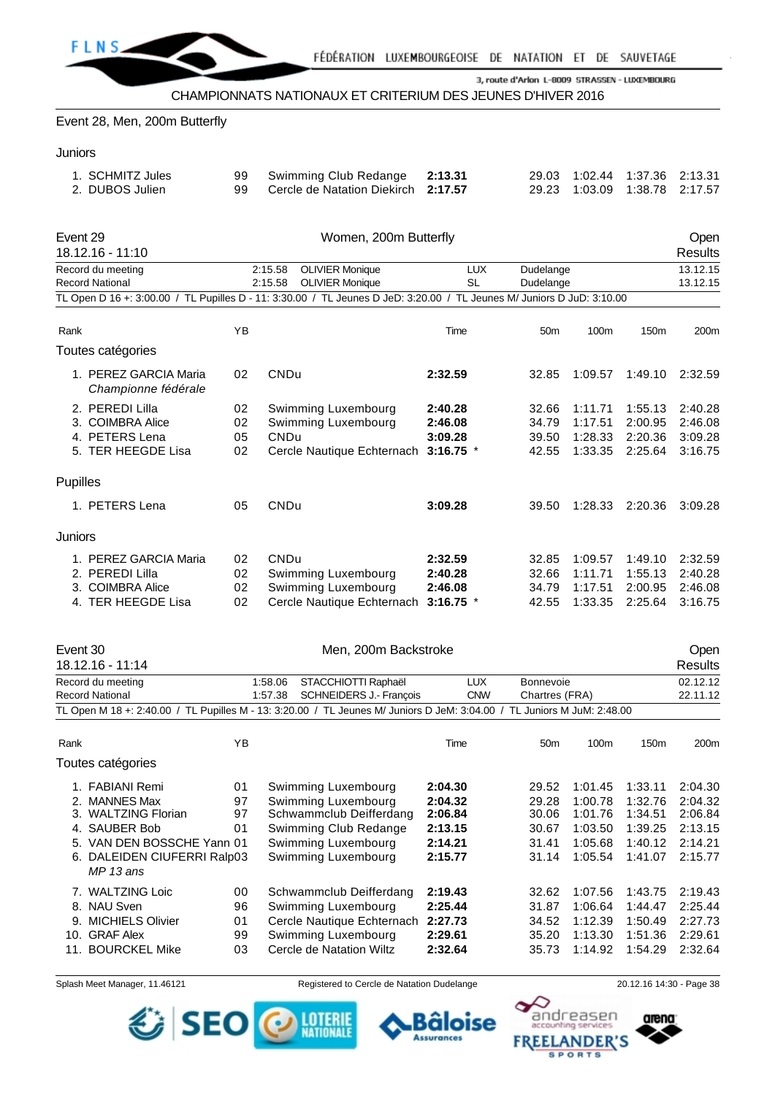

CHAMPIONNATS NATIONAUX ET CRITERIUM DES JEUNES D'HIVER 2016

Event 28, Men, 200m Butterfly

#### **Juniors**

| 29.03 1:02.44 1:37.36 2:13.31<br>Swimming Club Redange 2:13.31<br>1. SCHMITZ Jules<br>99 Cercle de Natation Diekirch 2:17.57<br>2. DUBOS Julien |
|-------------------------------------------------------------------------------------------------------------------------------------------------|
|-------------------------------------------------------------------------------------------------------------------------------------------------|

| Event 29<br>18.12.16 - 11:10                                                                                                                                          |    |                                                                          | Open<br><b>Results</b>                       |                                  |                                                                                      |                                          |                                          |
|-----------------------------------------------------------------------------------------------------------------------------------------------------------------------|----|--------------------------------------------------------------------------|----------------------------------------------|----------------------------------|--------------------------------------------------------------------------------------|------------------------------------------|------------------------------------------|
| Record du meeting<br><b>Record National</b><br>TL Open D 16 +: 3:00.00 / TL Pupilles D - 11: 3:30.00 / TL Jeunes D JeD: 3:20.00 / TL Jeunes M/ Juniors D JuD: 3:10.00 |    | <b>OLIVIER Monique</b><br>2:15.58<br>2:15.58<br><b>OLIVIER Monique</b>   | <b>LUX</b><br><b>SL</b>                      | Dudelange<br>Dudelange           |                                                                                      |                                          | 13.12.15<br>13.12.15                     |
| Rank                                                                                                                                                                  | YB |                                                                          | Time                                         | 50 <sub>m</sub>                  | 100m                                                                                 | 150 <sub>m</sub>                         | 200m                                     |
| Toutes catégories                                                                                                                                                     |    |                                                                          |                                              |                                  |                                                                                      |                                          |                                          |
| 1. PEREZ GARCIA Maria<br>Championne fédérale                                                                                                                          | 02 | CNDu                                                                     | 2:32.59                                      | 32.85                            | 1:09.57                                                                              | 1:49.10                                  | 2:32.59                                  |
| 2. PEREDI Lilla<br>02<br>Swimming Luxembourg<br>3. COIMBRA Alice<br>Swimming Luxembourg<br>02<br>4. PETERS Lena<br>05<br>CNDu<br>5. TER HEEGDE Lisa<br>02             |    | Cercle Nautique Echternach                                               | 2:40.28<br>2:46.08<br>3:09.28<br>$3:16.75$ * | 32.66<br>34.79<br>39.50<br>42.55 | 1:11.71<br>1:55.13<br>1:17.51<br>2:00.95<br>1:28.33<br>2:20.36<br>1:33.35<br>2:25.64 |                                          | 2:40.28<br>2:46.08<br>3:09.28<br>3:16.75 |
| <b>Pupilles</b>                                                                                                                                                       |    |                                                                          |                                              |                                  |                                                                                      |                                          |                                          |
| 1. PETERS Lena                                                                                                                                                        | 05 | CNDu                                                                     | 3:09.28                                      | 39.50                            | 1:28.33                                                                              | 2:20.36                                  | 3:09.28                                  |
| <b>Juniors</b>                                                                                                                                                        |    |                                                                          |                                              |                                  |                                                                                      |                                          |                                          |
| 1. PEREZ GARCIA Maria<br>02<br>CNDu<br>2. PEREDI Lilla<br>02<br>3. COIMBRA Alice<br>02<br>4. TER HEEGDE Lisa<br>02                                                    |    | Swimming Luxembourg<br>Swimming Luxembourg<br>Cercle Nautique Echternach | 2:32.59<br>2:40.28<br>2:46.08<br>$3:16.75$ * | 32.85<br>32.66<br>34.79<br>42.55 | 1:09.57<br>1:11.71<br>1:17.51<br>1:33.35                                             | 1:49.10<br>1:55.13<br>2:00.95<br>2:25.64 | 2:32.59<br>2:40.28<br>2:46.08<br>3:16.75 |
| Event 30<br>18.12.16 - 11:14                                                                                                                                          |    | Men. 200m Backstroke                                                     |                                              |                                  |                                                                                      |                                          | <b>Open</b><br>Results                   |

| 18.12.16 - 11:14       |    |                                                                                                                         |            |                 |      |                  | <b>Results</b>   |
|------------------------|----|-------------------------------------------------------------------------------------------------------------------------|------------|-----------------|------|------------------|------------------|
| Record du meeting      |    | 1:58.06 STACCHIOTTI Raphaël                                                                                             | LUX        | Bonnevoie       |      |                  | 02.12.12         |
| <b>Record National</b> |    | 1:57.38 SCHNEIDERS J.- Francois                                                                                         | <b>CNW</b> | Chartres (FRA)  |      |                  | 22.11.12         |
|                        |    | TL Open M 18 +: 2:40.00 / TL Pupilles M - 13: 3:20.00 / TL Jeunes M/ Juniors D JeM: 3:04.00 / TL Juniors M JuM: 2:48.00 |            |                 |      |                  |                  |
| Rank                   | ΥB |                                                                                                                         | Time       | 50 <sub>m</sub> | 100m | 150 <sub>m</sub> | 200 <sub>m</sub> |

|     | Toutes catégories                         |    |                            |         |       |         |         |         |
|-----|-------------------------------------------|----|----------------------------|---------|-------|---------|---------|---------|
|     | 1. FABIANI Remi                           | 01 | Swimming Luxembourg        | 2:04.30 | 29.52 | 1:01.45 | 1:33.11 | 2:04.30 |
|     | 2. MANNES Max                             | 97 | Swimming Luxembourg        | 2:04.32 | 29.28 | 1:00.78 | 1:32.76 | 2:04.32 |
|     | 3. WALTZING Florian                       | 97 | Schwammclub Deifferdang    | 2:06.84 | 30.06 | 1:01.76 | 1:34.51 | 2:06.84 |
|     | 4. SAUBER Bob                             | 01 | Swimming Club Redange      | 2:13.15 | 30.67 | 1:03.50 | 1:39.25 | 2:13.15 |
|     | 5. VAN DEN BOSSCHE Yann 01                |    | Swimming Luxembourg        | 2:14.21 | 31.41 | 1:05.68 | 1:40.12 | 2:14.21 |
|     | 6. DALEIDEN CIUFERRI Ralp03<br>$MP13$ ans |    | Swimming Luxembourg        | 2:15.77 | 31.14 | 1:05.54 | 1:41.07 | 2:15.77 |
|     | 7. WALTZING Loic                          | 00 | Schwammclub Deifferdang    | 2:19.43 | 32.62 | 1:07.56 | 1:43.75 | 2:19.43 |
|     | 8. NAU Sven                               | 96 | Swimming Luxembourg        | 2:25.44 | 31.87 | 1:06.64 | 1:44.47 | 2:25.44 |
| 9.  | <b>MICHIELS Olivier</b>                   | 01 | Cercle Nautique Echternach | 2:27.73 | 34.52 | 1:12.39 | 1:50.49 | 2:27.73 |
| 10. | <b>GRAF Alex</b>                          | 99 | Swimming Luxembourg        | 2:29.61 | 35.20 | 1:13.30 | 1:51.36 | 2:29.61 |
| 11. | <b>BOURCKEL Mike</b>                      | 03 | Cercle de Natation Wiltz   | 2:32.64 | 35.73 | 1:14.92 | 1:54.29 | 2:32.64 |
|     |                                           |    |                            |         |       |         |         |         |

Splash Meet Manager, 11.46121 **Registered to Cercle de Natation Dudelange** 20.12.16 14:30 - Page 38





arena: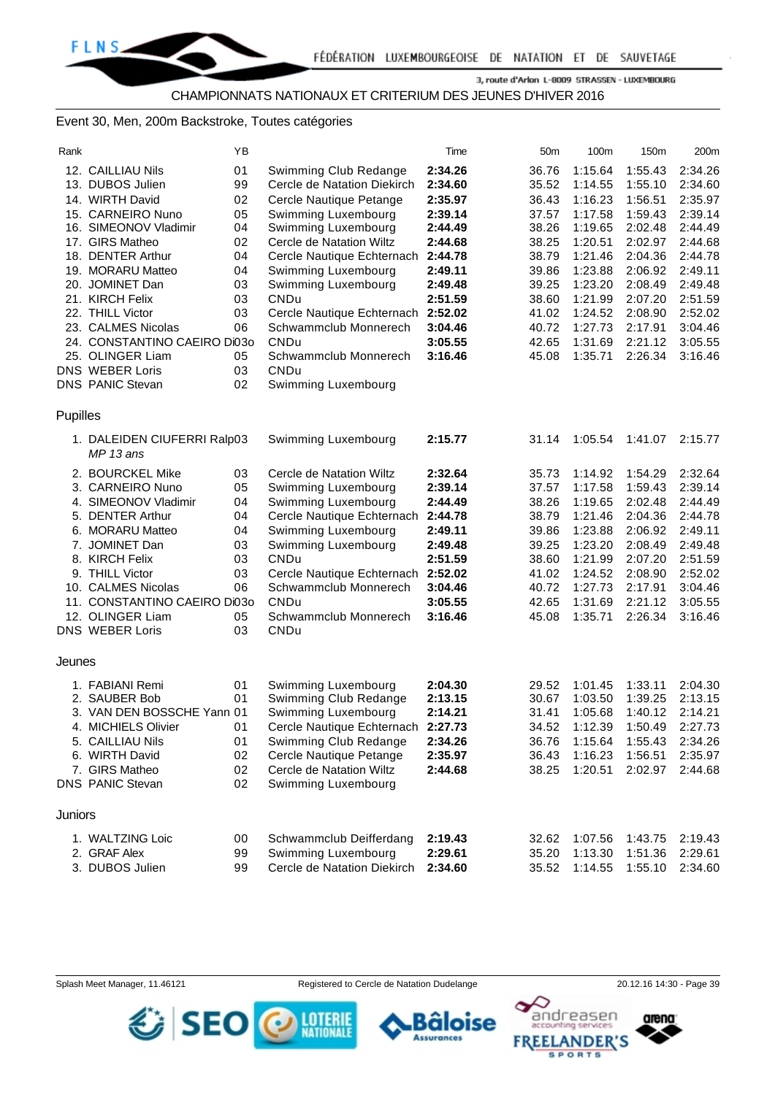CHAMPIONNATS NATIONAUX ET CRITERIUM DES JEUNES D'HIVER 2016

### Event 30, Men, 200m Backstroke, Toutes catégories

| Rank           |                                           | ΥB |                             | Time    | 50 <sub>m</sub> | 100m    | 150m    | 200m    |
|----------------|-------------------------------------------|----|-----------------------------|---------|-----------------|---------|---------|---------|
|                | 12. CAILLIAU Nils                         | 01 | Swimming Club Redange       | 2:34.26 | 36.76           | 1:15.64 | 1:55.43 | 2:34.26 |
|                | 13. DUBOS Julien                          | 99 | Cercle de Natation Diekirch | 2:34.60 | 35.52           | 1:14.55 | 1:55.10 | 2:34.60 |
|                | 14. WIRTH David                           | 02 | Cercle Nautique Petange     | 2:35.97 | 36.43           | 1:16.23 | 1:56.51 | 2:35.97 |
|                | 15. CARNEIRO Nuno                         | 05 | Swimming Luxembourg         | 2:39.14 | 37.57           | 1:17.58 | 1:59.43 | 2:39.14 |
|                | 16. SIMEONOV Vladimir                     | 04 | Swimming Luxembourg         | 2:44.49 | 38.26           | 1:19.65 | 2:02.48 | 2:44.49 |
|                | 17. GIRS Matheo                           | 02 | Cercle de Natation Wiltz    | 2:44.68 | 38.25           | 1:20.51 | 2:02.97 | 2:44.68 |
|                | 18. DENTER Arthur                         | 04 | Cercle Nautique Echternach  | 2:44.78 | 38.79           | 1:21.46 | 2:04.36 | 2:44.78 |
|                | 19. MORARU Matteo                         | 04 | Swimming Luxembourg         | 2:49.11 | 39.86           | 1:23.88 | 2:06.92 | 2:49.11 |
|                | 20. JOMINET Dan                           | 03 | Swimming Luxembourg         | 2:49.48 | 39.25           | 1:23.20 | 2:08.49 | 2:49.48 |
|                | 21. KIRCH Felix                           | 03 | <b>CNDu</b>                 | 2:51.59 | 38.60           | 1:21.99 | 2:07.20 | 2:51.59 |
|                | 22. THILL Victor                          | 03 | Cercle Nautique Echternach  | 2:52.02 | 41.02           | 1:24.52 | 2:08.90 | 2:52.02 |
|                | 23. CALMES Nicolas                        | 06 | Schwammclub Monnerech       | 3:04.46 | 40.72           | 1:27.73 | 2:17.91 | 3:04.46 |
|                | 24. CONSTANTINO CAEIRO Di030              |    | CNDu                        | 3:05.55 | 42.65           | 1:31.69 | 2:21.12 | 3:05.55 |
|                | 25. OLINGER Liam                          | 05 | Schwammclub Monnerech       | 3:16.46 | 45.08           | 1:35.71 | 2:26.34 | 3:16.46 |
|                | <b>DNS WEBER Loris</b>                    | 03 | <b>CNDu</b>                 |         |                 |         |         |         |
|                | <b>DNS PANIC Stevan</b>                   | 02 | Swimming Luxembourg         |         |                 |         |         |         |
| Pupilles       |                                           |    |                             |         |                 |         |         |         |
|                | 1. DALEIDEN CIUFERRI Ralp03<br>$MP13$ ans |    | Swimming Luxembourg         | 2:15.77 | 31.14           | 1:05.54 | 1:41.07 | 2:15.77 |
|                | 2. BOURCKEL Mike                          | 03 | Cercle de Natation Wiltz    | 2:32.64 | 35.73           | 1:14.92 | 1:54.29 | 2:32.64 |
|                | 3. CARNEIRO Nuno                          | 05 | Swimming Luxembourg         | 2:39.14 | 37.57           | 1:17.58 | 1:59.43 | 2:39.14 |
|                | 4. SIMEONOV Vladimir                      | 04 | Swimming Luxembourg         | 2:44.49 | 38.26           | 1:19.65 | 2:02.48 | 2:44.49 |
|                | 5. DENTER Arthur                          | 04 | Cercle Nautique Echternach  | 2:44.78 | 38.79           | 1:21.46 | 2:04.36 | 2:44.78 |
|                | 6. MORARU Matteo                          | 04 | Swimming Luxembourg         | 2:49.11 | 39.86           | 1:23.88 | 2:06.92 | 2:49.11 |
|                | 7. JOMINET Dan                            | 03 | Swimming Luxembourg         | 2:49.48 | 39.25           | 1:23.20 | 2:08.49 | 2:49.48 |
|                | 8. KIRCH Felix                            | 03 | CNDu                        | 2:51.59 | 38.60           | 1:21.99 | 2:07.20 | 2:51.59 |
|                | 9. THILL Victor                           | 03 | Cercle Nautique Echternach  | 2:52.02 | 41.02           | 1:24.52 | 2:08.90 | 2:52.02 |
|                | 10. CALMES Nicolas                        | 06 | Schwammclub Monnerech       | 3:04.46 | 40.72           | 1:27.73 | 2:17.91 | 3:04.46 |
|                | 11. CONSTANTINO CAEIRO Di03o              |    | CNDu                        | 3:05.55 | 42.65           | 1:31.69 | 2:21.12 | 3:05.55 |
|                | 12. OLINGER Liam                          | 05 | Schwammclub Monnerech       | 3:16.46 | 45.08           | 1:35.71 | 2:26.34 | 3:16.46 |
|                | <b>DNS WEBER Loris</b>                    | 03 | CNDu                        |         |                 |         |         |         |
| Jeunes         |                                           |    |                             |         |                 |         |         |         |
|                | 1. FABIANI Remi                           | 01 | Swimming Luxembourg         | 2:04.30 | 29.52           | 1:01.45 | 1:33.11 | 2:04.30 |
|                | 2. SAUBER Bob                             | 01 | Swimming Club Redange       | 2:13.15 | 30.67           | 1:03.50 | 1:39.25 | 2:13.15 |
|                | 3. VAN DEN BOSSCHE Yann 01                |    | Swimming Luxembourg         | 2:14.21 | 31.41           | 1:05.68 | 1:40.12 | 2:14.21 |
|                | 4. MICHIELS Olivier                       | 01 | Cercle Nautique Echternach  | 2:27.73 | 34.52           | 1:12.39 | 1:50.49 | 2:27.73 |
|                | 5. CAILLIAU Nils                          | 01 | Swimming Club Redange       | 2:34.26 | 36.76           | 1:15.64 | 1:55.43 | 2:34.26 |
|                | 6. WIRTH David                            | 02 | Cercle Nautique Petange     | 2:35.97 | 36.43           | 1:16.23 | 1:56.51 | 2:35.97 |
|                | 7. GIRS Matheo                            | 02 | Cercle de Natation Wiltz    | 2:44.68 | 38.25           | 1:20.51 | 2:02.97 | 2:44.68 |
|                | <b>DNS PANIC Stevan</b>                   | 02 | Swimming Luxembourg         |         |                 |         |         |         |
| <b>Juniors</b> |                                           |    |                             |         |                 |         |         |         |
|                | 1. WALTZING Loic                          | 00 | Schwammclub Deifferdang     | 2:19.43 | 32.62           | 1:07.56 | 1:43.75 | 2:19.43 |
|                | 2. GRAF Alex                              | 99 | Swimming Luxembourg         | 2:29.61 | 35.20           | 1:13.30 | 1:51.36 | 2:29.61 |
|                | 3. DUBOS Julien                           | 99 | Cercle de Natation Diekirch | 2:34.60 | 35.52           | 1:14.55 | 1:55.10 | 2:34.60 |

Splash Meet Manager, 11.46121 Registered to Cercle de Natation Dudelange 20.12.16 14:30 - Page 39

arena:

andreaser



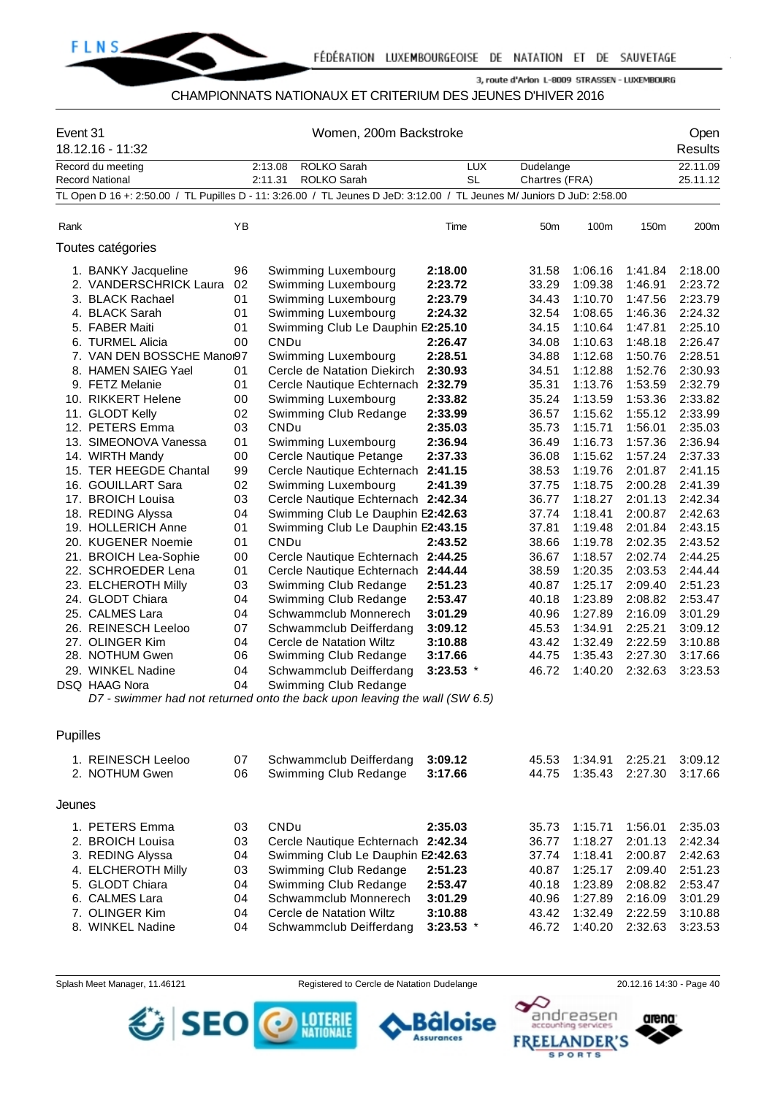

### CHAMPIONNATS NATIONAUX ET CRITERIUM DES JEUNES D'HIVER 2016

| Event 31 | 18.12.16 - 11:32                                                                                                                                        | Women, 200m Backstroke                       |                    |                                                                                                                                                                                                           |                                                                    |                         |                                                                      |                                                                                      |                                                                                      | Open<br><b>Results</b>                                                               |
|----------|---------------------------------------------------------------------------------------------------------------------------------------------------------|----------------------------------------------|--------------------|-----------------------------------------------------------------------------------------------------------------------------------------------------------------------------------------------------------|--------------------------------------------------------------------|-------------------------|----------------------------------------------------------------------|--------------------------------------------------------------------------------------|--------------------------------------------------------------------------------------|--------------------------------------------------------------------------------------|
|          | Record du meeting<br><b>Record National</b>                                                                                                             |                                              | 2:13.08<br>2:11.31 | ROLKO Sarah<br><b>ROLKO Sarah</b>                                                                                                                                                                         |                                                                    | <b>LUX</b><br><b>SL</b> | Dudelange<br>Chartres (FRA)                                          |                                                                                      |                                                                                      | 22.11.09<br>25.11.12                                                                 |
|          | TL Open D 16 +: 2:50.00 / TL Pupilles D - 11: 3:26.00 / TL Jeunes D JeD: 3:12.00 / TL Jeunes M/ Juniors D JuD: 2:58.00                                  |                                              |                    |                                                                                                                                                                                                           |                                                                    |                         |                                                                      |                                                                                      |                                                                                      |                                                                                      |
|          |                                                                                                                                                         |                                              |                    |                                                                                                                                                                                                           |                                                                    |                         |                                                                      |                                                                                      |                                                                                      |                                                                                      |
| Rank     |                                                                                                                                                         | YB                                           |                    |                                                                                                                                                                                                           | Time                                                               |                         | 50m                                                                  | 100m                                                                                 | 150m                                                                                 | 200m                                                                                 |
|          | Toutes catégories                                                                                                                                       |                                              |                    |                                                                                                                                                                                                           |                                                                    |                         |                                                                      |                                                                                      |                                                                                      |                                                                                      |
|          | 1. BANKY Jacqueline<br>2. VANDERSCHRICK Laura<br>3. BLACK Rachael                                                                                       | 96<br>02<br>01                               |                    | Swimming Luxembourg<br>Swimming Luxembourg<br>Swimming Luxembourg                                                                                                                                         | 2:18.00<br>2:23.72<br>2:23.79                                      |                         | 31.58<br>33.29<br>34.43                                              | 1:06.16<br>1:09.38<br>1:10.70                                                        | 1:41.84<br>1:46.91<br>1:47.56                                                        | 2:18.00<br>2:23.72<br>2:23.79                                                        |
|          | 4. BLACK Sarah<br>5. FABER Maiti<br>6. TURMEL Alicia                                                                                                    | 01<br>01<br>00                               | CNDu               | Swimming Luxembourg<br>Swimming Club Le Dauphin E2:25.10                                                                                                                                                  | 2:24.32<br>2:26.47                                                 |                         | 32.54<br>34.15<br>34.08                                              | 1:08.65<br>1:10.64<br>1:10.63                                                        | 1:46.36<br>1:47.81<br>1:48.18                                                        | 2:24.32<br>2:25.10<br>2:26.47                                                        |
|          | 7. VAN DEN BOSSCHE Manor97<br>8. HAMEN SAIEG Yael<br>9. FETZ Melanie<br>10. RIKKERT Helene                                                              | 01<br>01<br>00                               |                    | Swimming Luxembourg<br>Cercle de Natation Diekirch<br>Cercle Nautique Echternach<br>Swimming Luxembourg                                                                                                   | 2:28.51<br>2:30.93<br>2:32.79<br>2:33.82                           |                         | 34.88<br>34.51<br>35.31<br>35.24                                     | 1:12.68<br>1:12.88<br>1:13.76<br>1:13.59                                             | 1:50.76<br>1:52.76<br>1:53.59<br>1:53.36                                             | 2:28.51<br>2:30.93<br>2:32.79<br>2:33.82                                             |
|          | 11. GLODT Kelly<br>12. PETERS Emma<br>13. SIMEONOVA Vanessa                                                                                             | 02<br>03<br>01                               | CNDu               | Swimming Club Redange<br>Swimming Luxembourg                                                                                                                                                              | 2:33.99<br>2:35.03<br>2:36.94                                      |                         | 36.57<br>35.73<br>36.49                                              | 1:15.62<br>1:15.71<br>1:16.73                                                        | 1:55.12<br>1:56.01<br>1:57.36                                                        | 2:33.99<br>2:35.03<br>2:36.94                                                        |
|          | 14. WIRTH Mandy<br>15. TER HEEGDE Chantal<br>16. GOUILLART Sara<br>17. BROICH Louisa                                                                    | 00<br>99<br>02<br>03                         |                    | Cercle Nautique Petange<br>Cercle Nautique Echternach<br>Swimming Luxembourg<br>Cercle Nautique Echternach 2:42.34                                                                                        | 2:37.33<br>2:41.15<br>2:41.39                                      |                         | 36.08<br>38.53<br>37.75<br>36.77                                     | 1:15.62<br>1:19.76<br>1:18.75<br>1:18.27                                             | 1:57.24<br>2:01.87<br>2:00.28<br>2:01.13                                             | 2:37.33<br>2:41.15<br>2:41.39<br>2:42.34                                             |
|          | 18. REDING Alyssa<br>19. HOLLERICH Anne<br>20. KUGENER Noemie                                                                                           | 04<br>01<br>01                               | <b>CNDu</b>        | Swimming Club Le Dauphin E2:42.63<br>Swimming Club Le Dauphin E2:43.15                                                                                                                                    | 2:43.52                                                            |                         | 37.74<br>37.81<br>38.66                                              | 1:18.41<br>1:19.48<br>1:19.78                                                        | 2:00.87<br>2:01.84<br>2:02.35                                                        | 2:42.63<br>2:43.15<br>2:43.52                                                        |
|          | 21. BROICH Lea-Sophie<br>22. SCHROEDER Lena<br>23. ELCHEROTH Milly<br>24. GLODT Chiara                                                                  | 00<br>01<br>03<br>04                         |                    | Cercle Nautique Echternach 2:44.25<br>Cercle Nautique Echternach<br>Swimming Club Redange<br>Swimming Club Redange                                                                                        | 2:44.44<br>2:51.23<br>2:53.47                                      |                         | 36.67<br>38.59<br>40.87<br>40.18                                     | 1:18.57<br>1:20.35<br>1:25.17<br>1:23.89                                             | 2:02.74<br>2:03.53<br>2:09.40<br>2:08.82                                             | 2:44.25<br>2:44.44<br>2:51.23<br>2:53.47                                             |
|          | 25. CALMES Lara<br>26. REINESCH Leeloo<br>27. OLINGER Kim<br>28. NOTHUM Gwen                                                                            | 04<br>07<br>04<br>06                         |                    | Schwammclub Monnerech<br>Schwammclub Deifferdang<br>Cercle de Natation Wiltz<br>Swimming Club Redange                                                                                                     | 3:01.29<br>3:09.12<br>3:10.88<br>3:17.66                           |                         | 40.96<br>45.53<br>43.42<br>44.75                                     | 1:27.89<br>1:34.91<br>1:32.49<br>1:35.43                                             | 2:16.09<br>2:25.21<br>2:22.59<br>2:27.30                                             | 3:01.29<br>3:09.12<br>3:10.88<br>3:17.66                                             |
|          | 29. WINKEL Nadine<br>DSQ HAAG Nora<br>D7 - swimmer had not returned onto the back upon leaving the wall (SW 6.5)                                        | 04<br>04                                     |                    | Schwammclub Deifferdang<br>Swimming Club Redange                                                                                                                                                          | $3:23.53$ *                                                        |                         | 46.72                                                                | 1:40.20                                                                              | 2:32.63                                                                              | 3:23.53                                                                              |
| Pupilles |                                                                                                                                                         |                                              |                    |                                                                                                                                                                                                           |                                                                    |                         |                                                                      |                                                                                      |                                                                                      |                                                                                      |
|          | 1. REINESCH Leeloo<br>2. NOTHUM Gwen                                                                                                                    | 07<br>06                                     |                    | Schwammclub Deifferdang<br>Swimming Club Redange                                                                                                                                                          | 3:09.12<br>3:17.66                                                 |                         | 45.53<br>44.75                                                       | 1:34.91<br>1:35.43                                                                   | 2:25.21<br>2:27.30                                                                   | 3:09.12<br>3:17.66                                                                   |
| Jeunes   |                                                                                                                                                         |                                              |                    |                                                                                                                                                                                                           |                                                                    |                         |                                                                      |                                                                                      |                                                                                      |                                                                                      |
|          | 1. PETERS Emma<br>2. BROICH Louisa<br>3. REDING Alyssa<br>4. ELCHEROTH Milly<br>5. GLODT Chiara<br>6. CALMES Lara<br>7. OLINGER Kim<br>8. WINKEL Nadine | 03<br>03<br>04<br>03<br>04<br>04<br>04<br>04 | CNDu               | Cercle Nautique Echternach 2:42.34<br>Swimming Club Le Dauphin E2:42.63<br>Swimming Club Redange<br>Swimming Club Redange<br>Schwammclub Monnerech<br>Cercle de Natation Wiltz<br>Schwammclub Deifferdang | 2:35.03<br>2:51.23<br>2:53.47<br>3:01.29<br>3:10.88<br>$3:23.53$ * |                         | 35.73<br>36.77<br>37.74<br>40.87<br>40.18<br>40.96<br>43.42<br>46.72 | 1:15.71<br>1:18.27<br>1:18.41<br>1:25.17<br>1:23.89<br>1:27.89<br>1:32.49<br>1:40.20 | 1:56.01<br>2:01.13<br>2:00.87<br>2:09.40<br>2:08.82<br>2:16.09<br>2:22.59<br>2:32.63 | 2:35.03<br>2:42.34<br>2:42.63<br>2:51.23<br>2:53.47<br>3:01.29<br>3:10.88<br>3:23.53 |
|          |                                                                                                                                                         |                                              |                    |                                                                                                                                                                                                           |                                                                    |                         |                                                                      |                                                                                      |                                                                                      |                                                                                      |

Splash Meet Manager, 11.46121 Registered to Cercle de Natation Dudelange 20.12.16 14:30 - Page 40



Bâloise

**Assurances** 

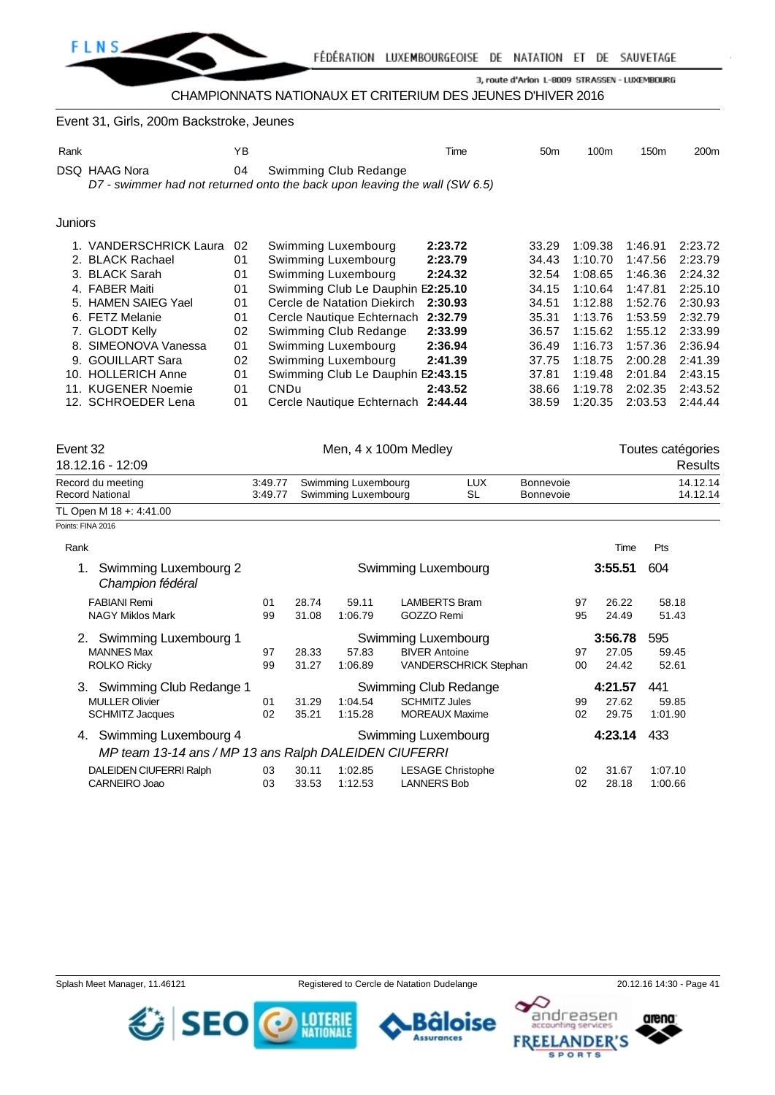

# CHAMPIONNATS NATIONAUX ET CRITERIUM DES JEUNES D'HIVER 2016

#### Event 31, Girls, 200m Backstroke, Jeunes

| Rank    |                        | ΥB |                                                                            | Time    | 50 <sub>m</sub> | 100m    | 150m    | 200 <sub>m</sub> |
|---------|------------------------|----|----------------------------------------------------------------------------|---------|-----------------|---------|---------|------------------|
|         | DSQ HAAG Nora          | 04 | Swimming Club Redange                                                      |         |                 |         |         |                  |
|         |                        |    | D7 - swimmer had not returned onto the back upon leaving the wall (SW 6.5) |         |                 |         |         |                  |
|         |                        |    |                                                                            |         |                 |         |         |                  |
| Juniors |                        |    |                                                                            |         |                 |         |         |                  |
|         | 1. VANDERSCHRICK Laura | 02 | Swimming Luxembourg                                                        | 2:23.72 | 33.29           | 1:09.38 | 1:46.91 | 2:23.72          |
|         | 2. BLACK Rachael       | 01 | Swimming Luxembourg                                                        | 2:23.79 | 34.43           | 1:10.70 | 1:47.56 | 2:23.79          |
|         | 3. BLACK Sarah         | 01 | Swimming Luxembourg                                                        | 2:24.32 | 32.54           | 1:08.65 | 1:46.36 | 2:24.32          |
|         | 4. FABER Maiti         | 01 | Swimming Club Le Dauphin E2:25.10                                          |         | 34.15           | 1:10.64 | 1:47.81 | 2:25.10          |
|         | 5. HAMEN SAIEG Yael    | 01 | Cercle de Natation Diekirch                                                | 2:30.93 | 34.51           | 1:12.88 | 1:52.76 | 2:30.93          |
|         | 6. FETZ Melanie        | 01 | Cercle Nautique Echternach                                                 | 2:32.79 | 35.31           | 1:13.76 | 1:53.59 | 2:32.79          |
|         | 7. GLODT Kelly         | 02 | Swimming Club Redange                                                      | 2:33.99 | 36.57           | 1:15.62 | 1:55.12 | 2:33.99          |
| 8.      | SIMEONOVA Vanessa      | 01 | Swimming Luxembourg                                                        | 2:36.94 | 36.49           | 1:16.73 | 1:57.36 | 2:36.94          |
| 9.      | <b>GOUILLART Sara</b>  | 02 | Swimming Luxembourg                                                        | 2:41.39 | 37.75           | 1:18.75 | 2:00.28 | 2:41.39          |
| 10.     | <b>HOLLERICH Anne</b>  | 01 | Swimming Club Le Dauphin E2:43.15                                          |         | 37.81           | 1:19.48 | 2:01.84 | 2:43.15          |
|         | 11. KUGENER Noemie     | 01 | CND <sub>u</sub>                                                           | 2:43.52 | 38.66           | 1:19.78 | 2:02.35 | 2:43.52          |
|         | 12. SCHROEDER Lena     | 01 | Cercle Nautique Echternach 2:44.44                                         |         | 38.59           | 1:20.35 | 2:03.53 | 2:44.44          |
|         |                        |    |                                                                            |         |                 |         |         |                  |

| Event 32                                        | Men, 4 x 100m Medley |       |                                            |                     |            |                               |         | Toutes catégories    |
|-------------------------------------------------|----------------------|-------|--------------------------------------------|---------------------|------------|-------------------------------|---------|----------------------|
| 18.12.16 - 12:09                                |                      |       |                                            |                     |            |                               |         | <b>Results</b>       |
| Record du meeting<br><b>Record National</b>     | 3:49.77<br>3:49.77   |       | Swimming Luxembourg<br>Swimming Luxembourg | SL                  | <b>LUX</b> | Bonnevoie<br><b>Bonnevoie</b> |         | 14.12.14<br>14.12.14 |
| TL Open M 18 +: 4:41.00                         |                      |       |                                            |                     |            |                               |         |                      |
| Points: FINA 2016                               |                      |       |                                            |                     |            |                               |         |                      |
| Rank                                            |                      |       |                                            |                     |            |                               | Time    | Pts                  |
| Swimming Luxembourg 2<br>1.<br>Champion fédéral |                      |       |                                            | Swimming Luxembourg |            |                               | 3:55.51 | 604                  |
| <b>FABIANI Remi</b>                             | 01                   | 28.74 | 59.11                                      | LAMBERTS Bram       |            | 97                            | 26.22   | 58.18                |
| <b>NAGY Miklos Mark</b>                         | 99                   | 31.08 | 1:06.79                                    | GOZZO Remi          |            | 95                            | 24.49   | 51.43                |
| Swimming Luxembourg 1<br>2.                     |                      |       |                                            | Swimming Luxembourg |            |                               | 3:56.78 | 595                  |

| <b>MANNES Max</b>                                     | 97 | 28.33 | 57.83   | <b>BIVER Antoine</b>         | 97 | 27.05   | 59.45   |
|-------------------------------------------------------|----|-------|---------|------------------------------|----|---------|---------|
| <b>ROLKO Ricky</b>                                    | 99 | 31.27 | 1:06.89 | <b>VANDERSCHRICK Stephan</b> | 00 | 24.42   | 52.61   |
| 3. Swimming Club Redange 1                            |    |       |         | Swimming Club Redange        |    | 4:21.57 | 441     |
| <b>MULLER Olivier</b>                                 | 01 | 31.29 | 1:04.54 | <b>SCHMITZ Jules</b>         | 99 | 27.62   | 59.85   |
| <b>SCHMITZ Jacques</b>                                | 02 | 35.21 | 1:15.28 | <b>MOREAUX Maxime</b>        | 02 | 29.75   | 1:01.90 |
| 4. Swimming Luxembourg 4                              |    |       |         | Swimming Luxembourg          |    | 4:23.14 | 433     |
| MP team 13-14 ans / MP 13 ans Ralph DALEIDEN CIUFERRI |    |       |         |                              |    |         |         |
| DALEIDEN CIUFERRI Ralph                               | 03 | 30.11 | 1:02.85 | <b>LESAGE Christophe</b>     | 02 | 31.67   | 1:07.10 |
| CARNEIRO Joao                                         | 03 | 33.53 | 1:12.53 | <b>LANNERS Bob</b>           | 02 | 28.18   | 1:00.66 |

CARNEIRO Joao 03 33.53 1:12.53 LANNERS Bob 02 28.18 1:00.66



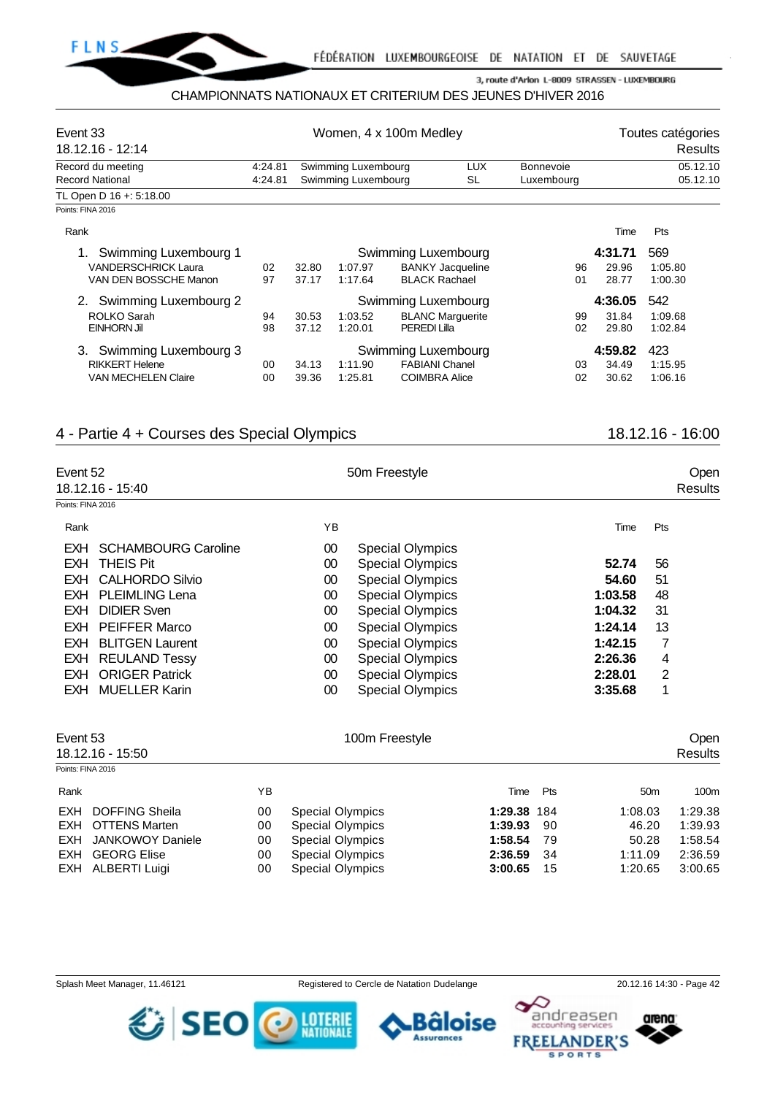

#### CHAMPIONNATS NATIONAUX ET CRITERIUM DES JEUNES D'HIVER 2016

| Event 33<br>18.12.16 - 12:14 |         | Women, 4 x 100m Medley | Toutes catégories<br>Results |                         |            |         |          |
|------------------------------|---------|------------------------|------------------------------|-------------------------|------------|---------|----------|
| Record du meeting            | 4:24.81 |                        | Swimming Luxembourg          | <b>LUX</b>              | Bonnevoie  |         | 05.12.10 |
| <b>Record National</b>       | 4:24.81 |                        | Swimming Luxembourg          | SL                      | Luxembourg |         | 05.12.10 |
| TL Open D 16 +: 5:18.00      |         |                        |                              |                         |            |         |          |
| Points: FINA 2016            |         |                        |                              |                         |            |         |          |
| Rank                         |         |                        |                              |                         |            | Time    | Pts      |
| Swimming Luxembourg 1        |         |                        |                              | Swimming Luxembourg     |            | 4:31.71 | 569      |
| <b>VANDERSCHRICK Laura</b>   | 02      | 32.80                  | 1:07.97                      | <b>BANKY Jacqueline</b> | 96         | 29.96   | 1:05.80  |
| VAN DEN BOSSCHE Manon        | 97      | 37.17                  | 1:17.64                      | <b>BLACK Rachael</b>    | 01         | 28.77   | 1:00.30  |
| Swimming Luxembourg 2        |         |                        |                              | Swimming Luxembourg     |            | 4:36.05 | 542      |
| ROLKO Sarah                  | 94      | 30.53                  | 1:03.52                      | <b>BLANC Marquerite</b> | 99         | 31.84   | 1:09.68  |
| EINHORN Jil                  | 98      | 37.12                  | 1:20.01                      | <b>PEREDI Lilla</b>     | 02         | 29.80   | 1:02.84  |
| Swimming Luxembourg 3        |         |                        |                              | Swimming Luxembourg     |            | 4:59.82 | 423      |
| <b>RIKKERT Helene</b>        | 00      | 34.13                  | 1:11.90                      | <b>FABIANI Chanel</b>   | 03         | 34.49   | 1:15.95  |
| <b>VAN MECHELEN Claire</b>   | 00      | 39.36                  | 1:25.81                      | <b>COIMBRA Alice</b>    | 02         | 30.62   | 1:06.16  |

# 4 - Partie 4 + Courses des Special Olympics 18.12.16 - 16:00

| Event 52          |                            |    | 50m Freestyle           | <b>Open</b> |         |
|-------------------|----------------------------|----|-------------------------|-------------|---------|
|                   | 18.12.16 - 15:40           |    |                         |             | Results |
| Points: FINA 2016 |                            |    |                         |             |         |
| Rank              |                            | YB |                         | Time        | Pts     |
| <b>EXH</b>        | <b>SCHAMBOURG Caroline</b> | 00 | <b>Special Olympics</b> |             |         |
| <b>EXH</b>        | <b>THEIS Pit</b>           | 00 | <b>Special Olympics</b> | 52.74       | 56      |
|                   | EXH CALHORDO Silvio        | 00 | <b>Special Olympics</b> | 54.60       | 51      |
| EXH               | <b>PLEIMLING Lena</b>      | 00 | <b>Special Olympics</b> | 1:03.58     | 48      |
|                   | <b>EXH DIDIER Sven</b>     | 00 | <b>Special Olympics</b> | 1:04.32     | 31      |
| <b>EXH</b>        | <b>PEIFFER Marco</b>       | 00 | <b>Special Olympics</b> | 1:24.14     | 13      |
|                   | <b>EXH BLITGEN Laurent</b> | 00 | <b>Special Olympics</b> | 1:42.15     | 7       |
| EXH               | <b>REULAND Tessy</b>       | 00 | <b>Special Olympics</b> | 2:26.36     | 4       |
|                   | <b>EXH ORIGER Patrick</b>  | 00 | <b>Special Olympics</b> | 2:28.01     | 2       |
|                   | <b>EXH MUELLER Karin</b>   | 00 | <b>Special Olympics</b> | 3:35.68     | 4       |

| Event 53          | 18.12.16 - 15:50      |    | 100m Freestyle          |             |     |                 | <b>Open</b><br>Results |
|-------------------|-----------------------|----|-------------------------|-------------|-----|-----------------|------------------------|
| Points: FINA 2016 |                       |    |                         |             |     |                 |                        |
| Rank              |                       | ΥB |                         | Time        | Pts | 50 <sub>m</sub> | 100m                   |
| EXH               | <b>DOFFING Sheila</b> | 00 | <b>Special Olympics</b> | 1:29.38 184 |     | 1:08.03         | 1:29.38                |
| EXH               | OTTENS Marten         | 00 | <b>Special Olympics</b> | 1:39.93     | 90  | 46.20           | 1:39.93                |
| EXH               | JANKOWOY Daniele      | 00 | <b>Special Olympics</b> | 1:58.54     | 79  | 50.28           | 1:58.54                |
| <b>EXH</b>        | <b>GEORG Elise</b>    | 00 | Special Olympics        | 2:36.59     | -34 | 1:11.09         | 2:36.59                |
| EXH               | ALBERTI Luigi         | 00 | <b>Special Olympics</b> | 3:00.65     | 15  | 1:20.65         | 3:00.65                |

*む* SEO

Splash Meet Manager, 11.46121 Registered to Cercle de Natation Dudelange 20.12.16 14:30 - Page 42

äloise

**Assurances** 

**LOTERIE**<br>NATIONALE



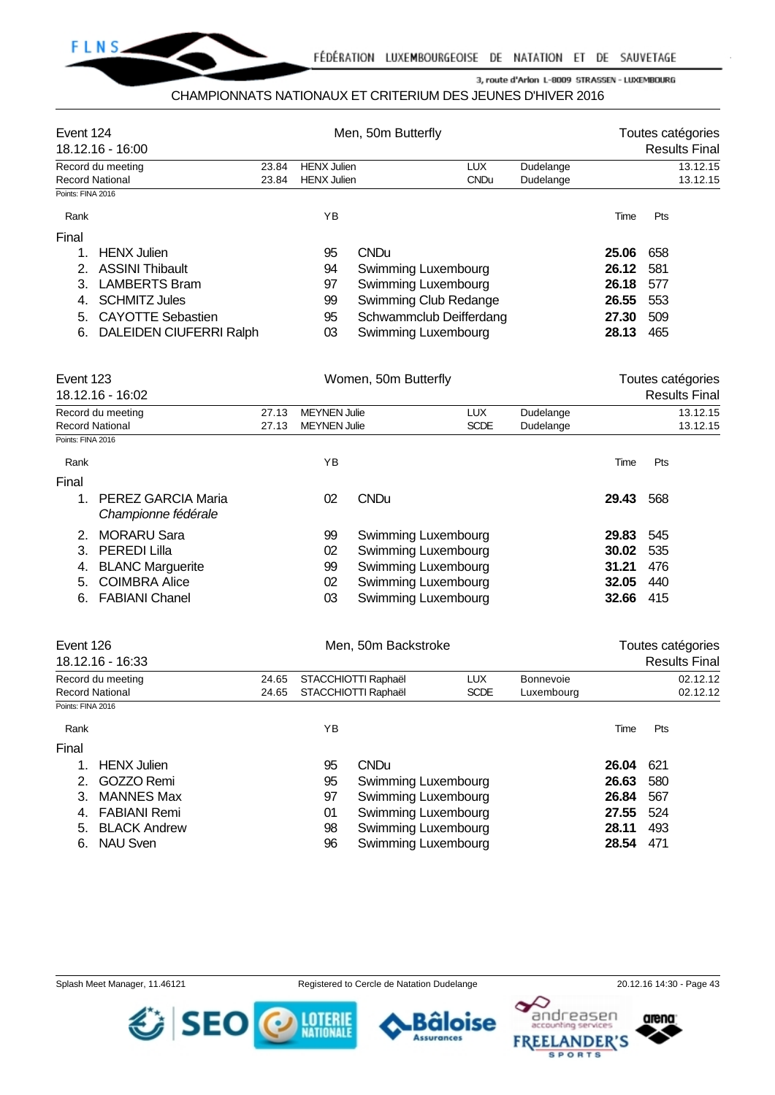

## CHAMPIONNATS NATIONAUX ET CRITERIUM DES JEUNES D'HIVER 2016

| Event 124<br>18.12.16 - 16:00                          |                           |                                                  | Men, 50m Butterfly   |                           | Toutes catégories<br><b>Results Final</b> |           |     |                                           |
|--------------------------------------------------------|---------------------------|--------------------------------------------------|----------------------|---------------------------|-------------------------------------------|-----------|-----|-------------------------------------------|
| Record du meeting                                      | 23.84                     | <b>HENX Julien</b>                               |                      | <b>LUX</b>                | Dudelange                                 |           |     | 13.12.15                                  |
| <b>Record National</b>                                 | 23.84                     | <b>HENX Julien</b>                               |                      | <b>CNDu</b>               | Dudelange                                 |           |     | 13.12.15                                  |
| Points: FINA 2016                                      |                           |                                                  |                      |                           |                                           |           |     |                                           |
| Rank                                                   |                           | YB                                               |                      |                           |                                           | Time      | Pts |                                           |
| Final                                                  |                           |                                                  |                      |                           |                                           |           |     |                                           |
| <b>HENX Julien</b><br>1.                               |                           | 95                                               | <b>CNDu</b>          |                           |                                           | 25.06     | 658 |                                           |
| 2.<br><b>ASSINI Thibault</b>                           |                           | 94                                               | Swimming Luxembourg  |                           |                                           | 26.12     | 581 |                                           |
| 3.<br><b>LAMBERTS Bram</b>                             |                           | 97                                               | Swimming Luxembourg  |                           |                                           | 26.18     | 577 |                                           |
| <b>SCHMITZ Jules</b><br>4.                             |                           | 99                                               |                      | Swimming Club Redange     |                                           | 26.55     | 553 |                                           |
| <b>CAYOTTE Sebastien</b><br>5.                         |                           | 95                                               |                      | Schwammclub Deifferdang   |                                           | 27.30     | 509 |                                           |
| DALEIDEN CIUFERRI Ralph<br>6.                          |                           | 03                                               | Swimming Luxembourg  |                           |                                           | 28.13     | 465 |                                           |
| Event 123                                              |                           |                                                  | Women, 50m Butterfly |                           |                                           |           |     | Toutes catégories                         |
| 18.12.16 - 16:02                                       |                           |                                                  |                      |                           |                                           |           |     | <b>Results Final</b>                      |
| Record du meeting                                      | 27.13                     | <b>MEYNEN Julie</b>                              |                      | <b>LUX</b><br><b>SCDE</b> | Dudelange                                 |           |     | 13.12.15                                  |
| <b>Record National</b><br>Points: FINA 2016            | 27.13                     | <b>MEYNEN Julie</b>                              |                      |                           | Dudelange                                 |           |     | 13.12.15                                  |
|                                                        |                           |                                                  |                      |                           |                                           |           |     |                                           |
| Rank                                                   |                           | YB                                               |                      |                           |                                           | Time      | Pts |                                           |
| Final                                                  |                           |                                                  |                      |                           |                                           |           |     |                                           |
| <b>PEREZ GARCIA Maria</b><br>1.<br>Championne fédérale |                           | 02                                               | <b>CNDu</b>          |                           |                                           | 29.43     | 568 |                                           |
| <b>MORARU Sara</b><br>2.                               |                           | 99                                               | Swimming Luxembourg  |                           |                                           | 29.83     | 545 |                                           |
| <b>PEREDI Lilla</b><br>3.                              |                           | 02                                               | Swimming Luxembourg  |                           |                                           | 30.02     | 535 |                                           |
| <b>BLANC Marguerite</b><br>4.                          |                           | 99                                               | Swimming Luxembourg  |                           |                                           | 31.21     | 476 |                                           |
| <b>COIMBRA Alice</b><br>5.                             |                           | 02                                               | Swimming Luxembourg  |                           |                                           | 32.05     | 440 |                                           |
| <b>FABIANI Chanel</b><br>6.                            |                           | 03                                               | Swimming Luxembourg  |                           |                                           | 32.66     | 415 |                                           |
| Event 126<br>18.12.16 - 16:33                          |                           |                                                  | Men, 50m Backstroke  |                           |                                           |           |     | Toutes catégories<br><b>Results Final</b> |
|                                                        |                           |                                                  |                      |                           |                                           |           |     |                                           |
| Record du meeting<br><b>Record National</b>            | 24.65                     | STACCHIOTTI Raphaël<br>24.65 STACCHIOTTI Raphaël |                      | <b>LUX</b><br><b>SCDE</b> | <b>Bonnevoie</b><br>Luxembourg            |           |     | 02.12.12<br>02.12.12                      |
| Points: FINA 2016                                      |                           |                                                  |                      |                           |                                           |           |     |                                           |
| Rank                                                   |                           | YB                                               |                      |                           |                                           | Time      | Pts |                                           |
| Final                                                  |                           |                                                  |                      |                           |                                           |           |     |                                           |
| <b>HENX Julien</b><br>1.                               |                           | 95                                               | <b>CNDu</b>          |                           |                                           | 26.04     | 621 |                                           |
| 2.<br>GOZZO Remi                                       | 95                        | Swimming Luxembourg                              |                      |                           | 26.63 580                                 |           |     |                                           |
| <b>MANNES Max</b><br>3.                                | Swimming Luxembourg<br>97 |                                                  |                      |                           | 26.84 567                                 |           |     |                                           |
| 4. FABIANI Remi                                        |                           | 01                                               | Swimming Luxembourg  |                           |                                           | 27.55 524 |     |                                           |

5. BLACK Andrew 98 Swimming Luxembourg **28.11** 493 6. NAU Sven 96 Swimming Luxembourg **28.54** 471

Splash Meet Manager, 11.46121 **Registered to Cercle de Natation Dudelange** 20.12.16 14:30 - Page 43



arena:

andreasen

١Q



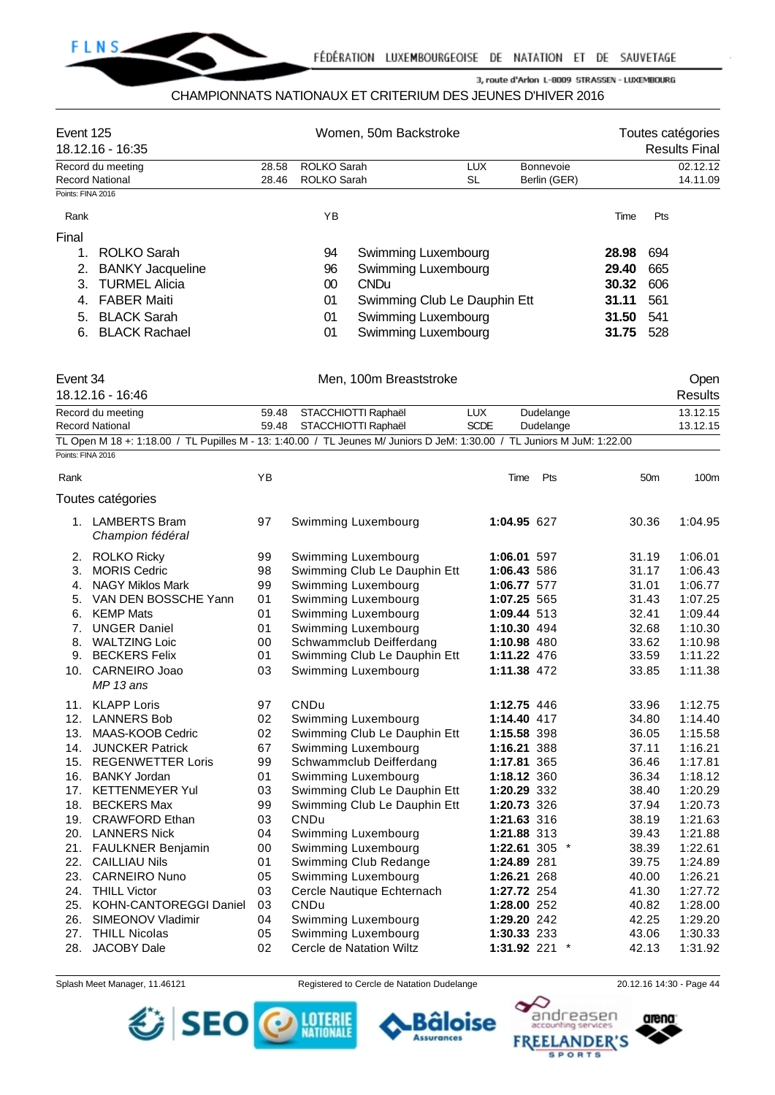

# CHAMPIONNATS NATIONAUX ET CRITERIUM DES JEUNES D'HIVER 2016

| Event 125         | 18.12.16 - 16:35                                                                                                        |                | Women, 50m Backstroke                      |                                                         | Toutes catégories<br><b>Results Final</b> |                            |                           |       |                 |                      |
|-------------------|-------------------------------------------------------------------------------------------------------------------------|----------------|--------------------------------------------|---------------------------------------------------------|-------------------------------------------|----------------------------|---------------------------|-------|-----------------|----------------------|
|                   | Record du meeting<br><b>Record National</b>                                                                             | 28.58<br>28.46 | <b>ROLKO Sarah</b><br>ROLKO Sarah          |                                                         | <b>LUX</b><br><b>SL</b>                   |                            | Bonnevoie<br>Berlin (GER) |       |                 | 02.12.12<br>14.11.09 |
| Points: FINA 2016 |                                                                                                                         |                |                                            |                                                         |                                           |                            |                           |       |                 |                      |
| Rank              |                                                                                                                         |                | YB                                         |                                                         |                                           |                            |                           | Time  | Pts             |                      |
| Final             |                                                                                                                         |                |                                            |                                                         |                                           |                            |                           |       |                 |                      |
| 1.                | <b>ROLKO Sarah</b>                                                                                                      |                | 94                                         | Swimming Luxembourg                                     |                                           |                            |                           | 28.98 | 694             |                      |
| 2.                | <b>BANKY Jacqueline</b>                                                                                                 |                | 96                                         | Swimming Luxembourg                                     |                                           |                            |                           | 29.40 | 665             |                      |
| 3.                | <b>TURMEL Alicia</b>                                                                                                    |                | 00                                         | <b>CNDu</b>                                             |                                           |                            |                           | 30.32 | 606             |                      |
| 4.                | <b>FABER Maiti</b>                                                                                                      |                | 01                                         | Swimming Club Le Dauphin Ett                            |                                           |                            |                           | 31.11 | 561             |                      |
| 5.                | <b>BLACK Sarah</b>                                                                                                      |                | 01                                         | Swimming Luxembourg                                     |                                           |                            |                           | 31.50 | 541             |                      |
| 6.                | <b>BLACK Rachael</b>                                                                                                    |                | 01                                         | Swimming Luxembourg                                     |                                           |                            |                           | 31.75 | 528             |                      |
| Event 34          |                                                                                                                         |                |                                            | Men, 100m Breaststroke                                  |                                           |                            |                           |       |                 | Open                 |
|                   | 18.12.16 - 16:46                                                                                                        |                |                                            |                                                         |                                           |                            |                           |       |                 | <b>Results</b>       |
|                   | Record du meeting<br><b>Record National</b>                                                                             | 59.48<br>59.48 | STACCHIOTTI Raphaël<br>STACCHIOTTI Raphaël |                                                         | <b>LUX</b><br><b>SCDE</b>                 |                            | Dudelange<br>Dudelange    |       |                 | 13.12.15<br>13.12.15 |
|                   | TL Open M 18 +: 1:18.00 / TL Pupilles M - 13: 1:40.00 / TL Jeunes M/ Juniors D JeM: 1:30.00 / TL Juniors M JuM: 1:22.00 |                |                                            |                                                         |                                           |                            |                           |       |                 |                      |
| Points: FINA 2016 |                                                                                                                         |                |                                            |                                                         |                                           |                            |                           |       |                 |                      |
| Rank              |                                                                                                                         | YB             |                                            |                                                         |                                           | Time                       | Pts                       |       | 50 <sub>m</sub> | 100m                 |
|                   | Toutes catégories                                                                                                       |                |                                            |                                                         |                                           |                            |                           |       |                 |                      |
|                   | 1. LAMBERTS Bram<br>Champion fédéral                                                                                    | 97             |                                            | Swimming Luxembourg                                     |                                           | 1:04.95 627                |                           |       | 30.36           | 1:04.95              |
|                   | 2. ROLKO Ricky                                                                                                          | 99             |                                            | Swimming Luxembourg                                     |                                           | 1:06.01 597                |                           |       | 31.19           | 1:06.01              |
| 3.                | <b>MORIS Cedric</b>                                                                                                     | 98             |                                            | Swimming Club Le Dauphin Ett                            |                                           | 1:06.43 586                |                           |       | 31.17           | 1:06.43              |
| 4.                | <b>NAGY Miklos Mark</b>                                                                                                 | 99             |                                            | Swimming Luxembourg                                     |                                           | 1:06.77 577                |                           |       | 31.01           | 1:06.77              |
| 5.                | VAN DEN BOSSCHE Yann                                                                                                    | 01             |                                            | Swimming Luxembourg                                     |                                           | 1:07.25 565                |                           |       | 31.43           | 1:07.25              |
| 6.                | <b>KEMP Mats</b>                                                                                                        | 01             |                                            | Swimming Luxembourg                                     |                                           | 1:09.44 513                |                           |       | 32.41           | 1:09.44              |
| 7.                | <b>UNGER Daniel</b>                                                                                                     | 01<br>00       |                                            | Swimming Luxembourg                                     |                                           | 1:10.30 494                |                           |       | 32.68<br>33.62  | 1:10.30<br>1:10.98   |
| 8.                | <b>WALTZING Loic</b><br>9. BECKERS Felix                                                                                | 01             |                                            | Schwammclub Deifferdang<br>Swimming Club Le Dauphin Ett |                                           | 1:10.98 480<br>1:11.22 476 |                           |       | 33.59           | 1:11.22              |
| 10.               | CARNEIRO Joao                                                                                                           | 03             |                                            | Swimming Luxembourg                                     |                                           | 1:11.38 472                |                           |       | 33.85           | 1:11.38              |
|                   | $MP$ 13 ans                                                                                                             |                |                                            |                                                         |                                           |                            |                           |       |                 |                      |
|                   | 11. KLAPP Loris                                                                                                         | 97             | CNDu                                       |                                                         |                                           | 1:12.75 446                |                           |       | 33.96           | 1:12.75              |
|                   | 12. LANNERS Bob                                                                                                         | 02             |                                            | Swimming Luxembourg                                     |                                           | 1:14.40 417                |                           |       | 34.80           | 1:14.40              |
| 13.               | MAAS-KOOB Cedric                                                                                                        | 02             |                                            | Swimming Club Le Dauphin Ett                            |                                           | 1:15.58 398                |                           |       | 36.05           | 1:15.58              |
|                   | 14. JUNCKER Patrick                                                                                                     | 67             |                                            | Swimming Luxembourg                                     |                                           | 1:16.21 388                |                           |       | 37.11           | 1:16.21              |
|                   | 15. REGENWETTER Loris                                                                                                   | 99             |                                            | Schwammclub Deifferdang                                 |                                           | 1:17.81 365                |                           |       | 36.46           | 1:17.81              |
|                   | 16. BANKY Jordan                                                                                                        | 01             |                                            | Swimming Luxembourg                                     |                                           | 1:18.12 360                |                           |       | 36.34           | 1:18.12              |
|                   | 17. KETTENMEYER Yul                                                                                                     | 03             |                                            | Swimming Club Le Dauphin Ett                            |                                           | 1:20.29 332                |                           |       | 38.40           | 1:20.29              |
| 18.<br>19.        | <b>BECKERS Max</b>                                                                                                      | 99             | <b>CNDu</b>                                | Swimming Club Le Dauphin Ett                            |                                           | 1:20.73 326                |                           |       | 37.94           | 1:20.73              |
|                   | <b>CRAWFORD Ethan</b><br>20. LANNERS Nick                                                                               | 03<br>04       |                                            | Swimming Luxembourg                                     |                                           | 1:21.63 316<br>1:21.88 313 |                           |       | 38.19<br>39.43  | 1:21.63<br>1:21.88   |
|                   | 21. FAULKNER Benjamin                                                                                                   | 00             |                                            | Swimming Luxembourg                                     |                                           |                            | 1:22.61 305 $*$           |       | 38.39           | 1:22.61              |
| 22.               | <b>CAILLIAU Nils</b>                                                                                                    | 01             |                                            | Swimming Club Redange                                   |                                           | 1:24.89 281                |                           |       | 39.75           | 1:24.89              |
| 23.               | <b>CARNEIRO Nuno</b>                                                                                                    | 05             |                                            | Swimming Luxembourg                                     |                                           | 1:26.21 268                |                           |       | 40.00           | 1:26.21              |
| 24.               | <b>THILL Victor</b>                                                                                                     | 03             |                                            | Cercle Nautique Echternach                              |                                           | 1:27.72 254                |                           |       | 41.30           | 1:27.72              |
|                   | 25. KOHN-CANTOREGGI Daniel                                                                                              | 03             | CNDu                                       |                                                         |                                           | 1:28.00 252                |                           |       | 40.82           | 1:28.00              |
| 26.               | SIMEONOV Vladimir                                                                                                       | 04             |                                            | Swimming Luxembourg                                     |                                           | 1:29.20 242                |                           |       | 42.25           | 1:29.20              |
| 27.               | <b>THILL Nicolas</b>                                                                                                    | 05             |                                            | Swimming Luxembourg                                     |                                           | 1:30.33 233                |                           |       | 43.06           | 1:30.33              |
| 28.               | JACOBY Dale                                                                                                             | 02             |                                            | Cercle de Natation Wiltz                                |                                           |                            | 1:31.92 221 *             |       | 42.13           | 1:31.92              |

SEO O MINE

Splash Meet Manager, 11.46121 Registered to Cercle de Natation Dudelange 20.12.16 14:30 - Page 44

**Assurances** 

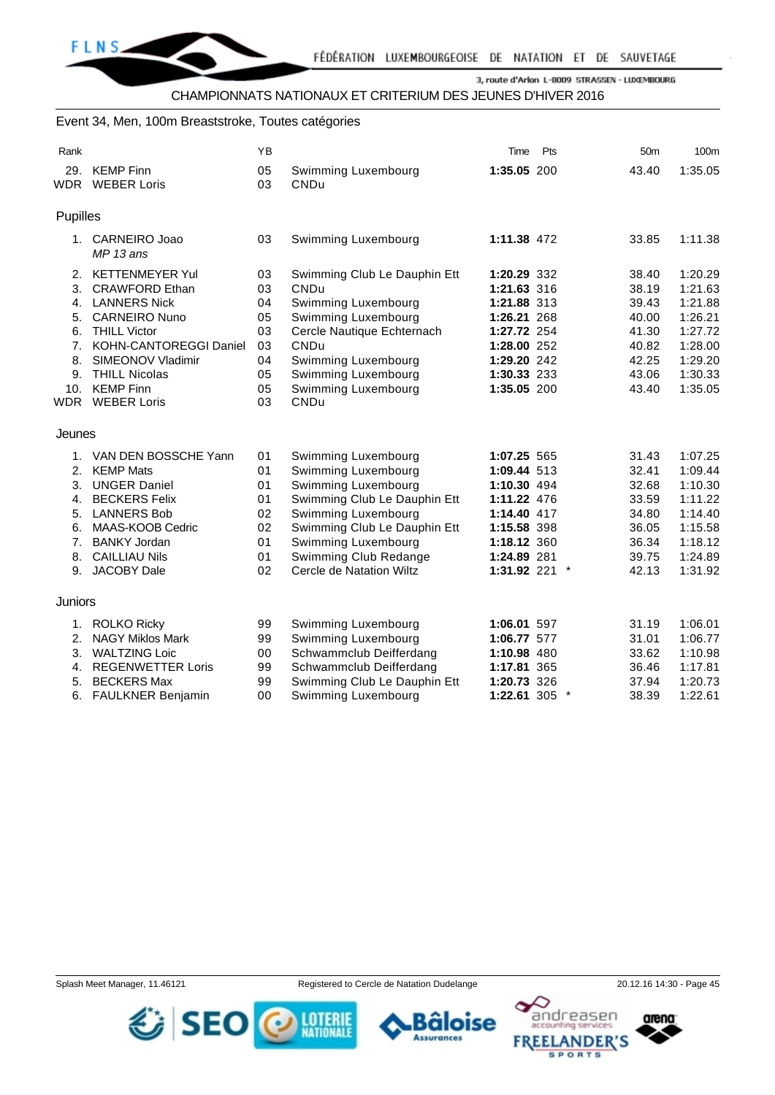#### Event 34, Men, 100m Breaststroke, Toutes catégories

| Rank       |                          | ΥB |                              | Time          | Pts     | 50 <sub>m</sub> | 100 <sub>m</sub> |
|------------|--------------------------|----|------------------------------|---------------|---------|-----------------|------------------|
| 29.        | <b>KEMP Finn</b>         | 05 | Swimming Luxembourg          | 1:35.05 200   |         | 43.40           | 1:35.05          |
| <b>WDR</b> | <b>WEBER Loris</b>       | 03 | CNDu                         |               |         |                 |                  |
|            |                          |    |                              |               |         |                 |                  |
| Pupilles   |                          |    |                              |               |         |                 |                  |
|            | 1. CARNEIRO Joao         | 03 | Swimming Luxembourg          | 1:11.38 472   |         | 33.85           | 1:11.38          |
|            | $MP13$ ans               |    |                              |               |         |                 |                  |
| 2.         | <b>KETTENMEYER Yul</b>   | 03 | Swimming Club Le Dauphin Ett | 1:20.29 332   |         | 38.40           | 1:20.29          |
| 3.         | <b>CRAWFORD Ethan</b>    | 03 | <b>CNDu</b>                  | 1:21.63 316   |         | 38.19           | 1:21.63          |
| 4.         | <b>LANNERS Nick</b>      | 04 | Swimming Luxembourg          | 1:21.88 313   |         | 39.43           | 1:21.88          |
| 5.         | <b>CARNEIRO Nuno</b>     | 05 | Swimming Luxembourg          | 1:26.21 268   |         | 40.00           | 1:26.21          |
| 6.         | <b>THILL Victor</b>      | 03 | Cercle Nautique Echternach   | 1:27.72 254   |         | 41.30           | 1:27.72          |
| 7.         | KOHN-CANTOREGGI Daniel   | 03 | <b>CNDu</b>                  | 1:28.00 252   |         | 40.82           | 1:28.00          |
| 8.         | SIMEONOV Vladimir        | 04 | Swimming Luxembourg          | 1:29.20 242   |         | 42.25           | 1:29.20          |
| 9.         | <b>THILL Nicolas</b>     | 05 | Swimming Luxembourg          | 1:30.33 233   |         | 43.06           | 1:30.33          |
| 10.        | <b>KEMP Finn</b>         | 05 | Swimming Luxembourg          | 1:35.05 200   |         | 43.40           | 1:35.05          |
| <b>WDR</b> | <b>WEBER Loris</b>       | 03 | <b>CNDu</b>                  |               |         |                 |                  |
| Jeunes     |                          |    |                              |               |         |                 |                  |
| 1.         | VAN DEN BOSSCHE Yann     | 01 | Swimming Luxembourg          | 1:07.25 565   |         | 31.43           | 1:07.25          |
| 2.         | <b>KEMP Mats</b>         | 01 | Swimming Luxembourg          | 1:09.44 513   |         | 32.41           | 1:09.44          |
| 3.         | <b>UNGER Daniel</b>      | 01 | Swimming Luxembourg          | 1:10.30 494   |         | 32.68           | 1:10.30          |
| 4.         | <b>BECKERS Felix</b>     | 01 | Swimming Club Le Dauphin Ett | 1:11.22 476   |         | 33.59           | 1:11.22          |
| 5.         | <b>LANNERS Bob</b>       | 02 | Swimming Luxembourg          | 1:14.40 417   |         | 34.80           | 1:14.40          |
| 6.         | MAAS-KOOB Cedric         | 02 | Swimming Club Le Dauphin Ett | 1:15.58 398   |         | 36.05           | 1:15.58          |
| 7.         | <b>BANKY Jordan</b>      | 01 | Swimming Luxembourg          | 1:18.12 360   |         | 36.34           | 1:18.12          |
| 8.         | <b>CAILLIAU Nils</b>     | 01 | Swimming Club Redange        | 1:24.89 281   |         | 39.75           | 1:24.89          |
| 9.         | JACOBY Dale              | 02 | Cercle de Natation Wiltz     | 1:31.92 221 * |         | 42.13           | 1:31.92          |
|            |                          |    |                              |               |         |                 |                  |
| Juniors    |                          |    |                              |               |         |                 |                  |
| 1.         | ROLKO Ricky              | 99 | Swimming Luxembourg          | 1:06.01 597   |         | 31.19           | 1:06.01          |
| 2.         | <b>NAGY Miklos Mark</b>  | 99 | Swimming Luxembourg          | 1:06.77 577   |         | 31.01           | 1:06.77          |
| 3.         | <b>WALTZING Loic</b>     | 00 | Schwammclub Deifferdang      | 1:10.98 480   |         | 33.62           | 1:10.98          |
| 4.         | <b>REGENWETTER Loris</b> | 99 | Schwammclub Deifferdang      | 1:17.81 365   |         | 36.46           | 1:17.81          |
| 5.         | <b>BECKERS Max</b>       | 99 | Swimming Club Le Dauphin Ett | 1:20.73 326   |         | 37.94           | 1:20.73          |
|            | 6. FAULKNER Benjamin     | 00 | Swimming Luxembourg          | 1:22.61 305   | $\star$ | 38.39           | 1:22.61          |

Splash Meet Manager, 11.46121 **Registered to Cercle de Natation Dudelange** 20.12.16 14:30 - Page 45





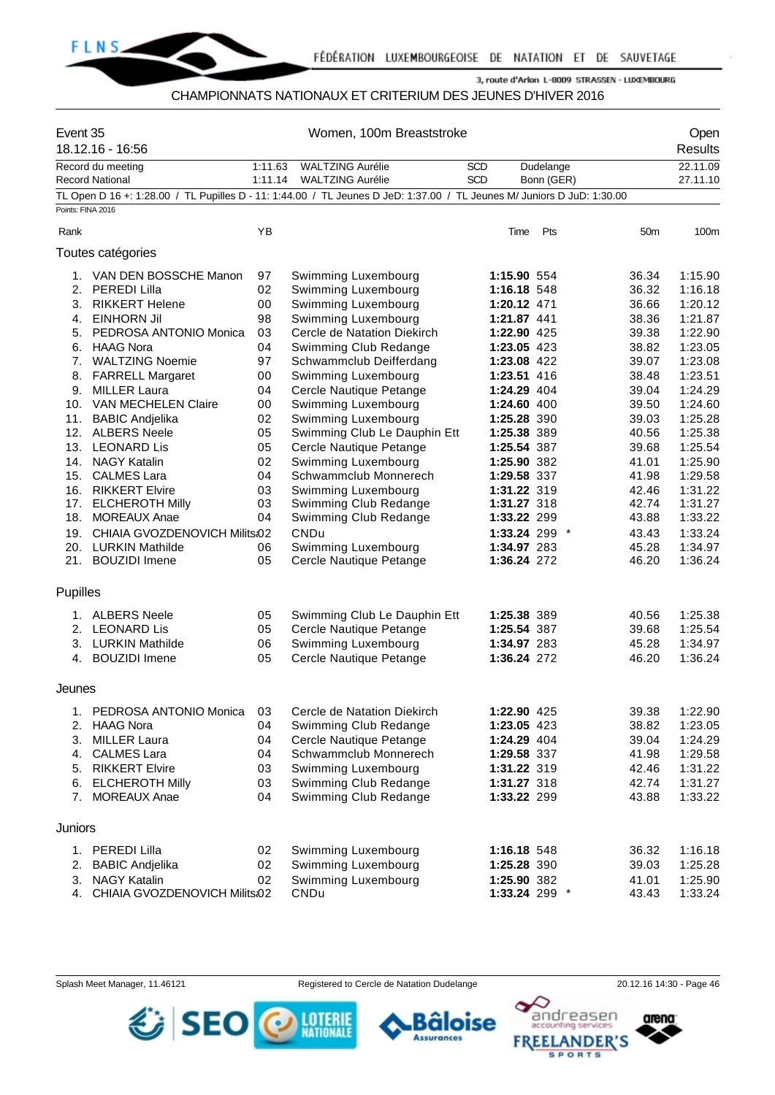

## CHAMPIONNATS NATIONAUX ET CRITERIUM DES JEUNES D'HIVER 2016

| Event 35          | 18.12.16 - 16:56                         |          |                                                                                                                        | Open<br><b>Results</b> |                            |               |                 |                    |
|-------------------|------------------------------------------|----------|------------------------------------------------------------------------------------------------------------------------|------------------------|----------------------------|---------------|-----------------|--------------------|
|                   | Record du meeting                        | 1:11.63  | <b>WALTZING Aurélie</b>                                                                                                | <b>SCD</b>             |                            | Dudelange     |                 | 22.11.09           |
|                   | <b>Record National</b>                   | 1:11.14  | <b>WALTZING Aurélie</b>                                                                                                | SCD                    |                            | Bonn (GER)    |                 | 27.11.10           |
|                   |                                          |          | TL Open D 16 +: 1:28.00 / TL Pupilles D - 11: 1:44.00 / TL Jeunes D JeD: 1:37.00 / TL Jeunes M/ Juniors D JuD: 1:30.00 |                        |                            |               |                 |                    |
| Points: FINA 2016 |                                          |          |                                                                                                                        |                        |                            |               |                 |                    |
| Rank              |                                          | YB       |                                                                                                                        |                        | Time                       | Pts           | 50 <sub>m</sub> | 100m               |
|                   | Toutes catégories                        |          |                                                                                                                        |                        |                            |               |                 |                    |
|                   | 1. VAN DEN BOSSCHE Manon                 | 97       | Swimming Luxembourg                                                                                                    |                        | 1:15.90 554                |               | 36.34           | 1:15.90            |
|                   | 2. PEREDI Lilla                          | 02       | Swimming Luxembourg                                                                                                    |                        | 1:16.18 548                |               | 36.32           | 1:16.18            |
| 3.                | <b>RIKKERT Helene</b>                    | 00       | Swimming Luxembourg                                                                                                    |                        | 1:20.12 471                |               | 36.66           | 1:20.12            |
| 4.                | <b>EINHORN Jil</b>                       | 98       | Swimming Luxembourg                                                                                                    |                        | 1:21.87 441                |               | 38.36           | 1:21.87            |
| 5.                | PEDROSA ANTONIO Monica                   | 03       | Cercle de Natation Diekirch                                                                                            |                        | 1:22.90 425                |               | 39.38           | 1:22.90            |
| 6.                | <b>HAAG Nora</b>                         | 04       | Swimming Club Redange                                                                                                  |                        | 1:23.05 423                |               | 38.82           | 1:23.05            |
|                   | 7. WALTZING Noemie                       | 97       | Schwammclub Deifferdang                                                                                                |                        | 1:23.08 422                |               | 39.07           | 1:23.08            |
| 8.                | <b>FARRELL Margaret</b>                  | 00       | Swimming Luxembourg                                                                                                    |                        | 1:23.51 416                |               | 38.48           | 1:23.51            |
| 9.                | <b>MILLER Laura</b>                      | 04       | Cercle Nautique Petange                                                                                                |                        | 1:24.29 404                |               | 39.04           | 1:24.29            |
|                   | 10. VAN MECHELEN Claire                  | 00       | Swimming Luxembourg                                                                                                    |                        | 1:24.60 400                |               | 39.50           | 1:24.60            |
| 11.               | <b>BABIC Andjelika</b>                   | 02       | Swimming Luxembourg                                                                                                    |                        | 1:25.28 390                |               | 39.03           | 1:25.28            |
| 12.               | <b>ALBERS Neele</b>                      | 05       | Swimming Club Le Dauphin Ett                                                                                           |                        | 1:25.38 389                |               | 40.56           | 1:25.38            |
|                   | 13. LEONARD Lis                          | 05       | Cercle Nautique Petange                                                                                                |                        | 1:25.54 387                |               | 39.68           | 1:25.54            |
|                   | 14. NAGY Katalin                         | 02       | Swimming Luxembourg                                                                                                    |                        | 1:25.90 382                |               | 41.01           | 1:25.90            |
|                   | 15. CALMES Lara                          | 04       | Schwammclub Monnerech                                                                                                  |                        | 1:29.58 337                |               | 41.98           | 1:29.58            |
|                   | 16. RIKKERT Elvire                       | 03       | Swimming Luxembourg                                                                                                    |                        | 1:31.22 319                |               | 42.46           | 1:31.22            |
|                   | 17. ELCHEROTH Milly                      | 03       | Swimming Club Redange                                                                                                  |                        | 1:31.27 318                |               | 42.74           | 1:31.27            |
| 18.               | <b>MOREAUX Anae</b>                      | 04       | Swimming Club Redange                                                                                                  |                        | 1:33.22 299                |               | 43.88           | 1:33.22            |
| 19.               | CHIAIA GVOZDENOVICH Milits:02            |          | CNDu                                                                                                                   |                        |                            | 1:33.24 299 * | 43.43           | 1:33.24            |
|                   |                                          |          |                                                                                                                        |                        |                            |               |                 |                    |
|                   | 20. LURKIN Mathilde<br>21. BOUZIDI Imene | 06<br>05 | Swimming Luxembourg<br>Cercle Nautique Petange                                                                         |                        | 1:34.97 283<br>1:36.24 272 |               | 45.28<br>46.20  | 1:34.97<br>1:36.24 |
| <b>Pupilles</b>   |                                          |          |                                                                                                                        |                        |                            |               |                 |                    |
|                   |                                          |          |                                                                                                                        |                        |                            |               |                 |                    |
|                   | 1. ALBERS Neele                          | 05       | Swimming Club Le Dauphin Ett                                                                                           |                        | 1:25.38 389                |               | 40.56           | 1:25.38            |
|                   | 2. LEONARD Lis                           | 05       | Cercle Nautique Petange                                                                                                |                        | 1:25.54 387                |               | 39.68           | 1:25.54            |
|                   | 3. LURKIN Mathilde                       | 06       | Swimming Luxembourg                                                                                                    |                        | 1:34.97 283                |               | 45.28           | 1:34.97            |
|                   | 4. BOUZIDI Imene                         | 05       | Cercle Nautique Petange                                                                                                |                        | 1:36.24 272                |               | 46.20           | 1:36.24            |
| Jeunes            |                                          |          |                                                                                                                        |                        |                            |               |                 |                    |
| 1.                | PEDROSA ANTONIO Monica                   | 03       | Cercle de Natation Diekirch                                                                                            |                        | 1:22.90 425                |               | 39.38           | 1:22.90            |
| 2.                | <b>HAAG Nora</b>                         | 04       | Swimming Club Redange                                                                                                  |                        | 1:23.05 423                |               | 38.82           | 1:23.05            |
| 3.                | <b>MILLER Laura</b>                      | 04       | Cercle Nautique Petange                                                                                                |                        | 1:24.29 404                |               | 39.04           | 1:24.29            |
| 4.                | <b>CALMES Lara</b>                       | 04       | Schwammclub Monnerech                                                                                                  |                        | 1:29.58 337                |               | 41.98           | 1:29.58            |
|                   | 5. RIKKERT Elvire                        | 03       | Swimming Luxembourg                                                                                                    |                        | 1:31.22 319                |               | 42.46           | 1:31.22            |
| 6.                | <b>ELCHEROTH Milly</b>                   | 03       | Swimming Club Redange                                                                                                  |                        | 1:31.27 318                |               | 42.74           | 1:31.27            |
| 7.                | <b>MOREAUX Anae</b>                      | 04       | Swimming Club Redange                                                                                                  |                        | 1:33.22 299                |               | 43.88           | 1:33.22            |
| Juniors           |                                          |          |                                                                                                                        |                        |                            |               |                 |                    |
|                   | 1. PEREDI Lilla                          | 02       | Swimming Luxembourg                                                                                                    |                        | 1:16.18 548                |               | 36.32           | 1:16.18            |
| 2.                | <b>BABIC Andjelika</b>                   | 02       | Swimming Luxembourg                                                                                                    |                        | 1:25.28 390                |               | 39.03           | 1:25.28            |
|                   | <b>NAGY Katalin</b>                      |          | Swimming Luxembourg                                                                                                    |                        | 1:25.90 382                |               |                 |                    |
| 3.<br>4.          | CHIAIA GVOZDENOVICH Milits:02            | 02       | CNDu                                                                                                                   |                        |                            | 1:33.24 299 * | 41.01<br>43.43  | 1:25.90<br>1:33.24 |

Splash Meet Manager, 11.46121 **Registered to Cercle de Natation Dudelange** 20.12.16 14:30 - Page 46







в

**Assurances**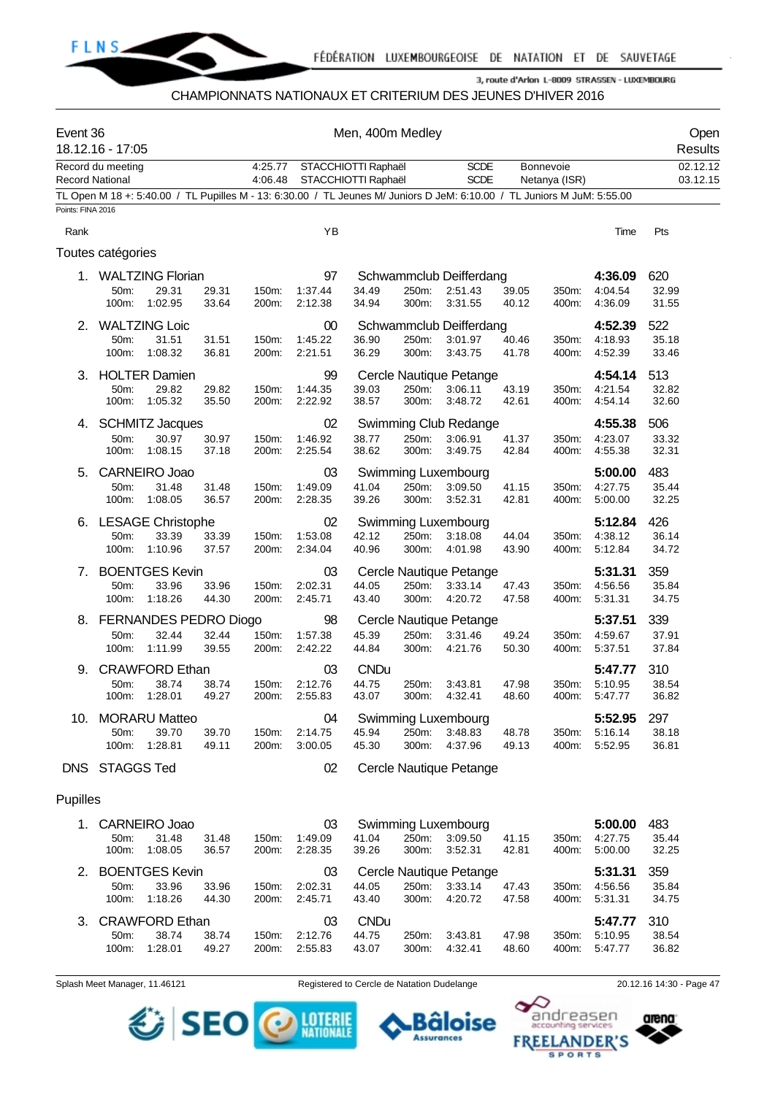

## CHAMPIONNATS NATIONAUX ET CRITERIUM DES JEUNES D'HIVER 2016

| Event 36               | 18.12.16 - 17:05  |                                          |                |                    |                          | Men, 400m Medley                           |                |                                                                                                                         |                |                            |                               | Open<br>Results       |
|------------------------|-------------------|------------------------------------------|----------------|--------------------|--------------------------|--------------------------------------------|----------------|-------------------------------------------------------------------------------------------------------------------------|----------------|----------------------------|-------------------------------|-----------------------|
| <b>Record National</b> | Record du meeting |                                          |                | 4:25.77<br>4:06.48 |                          | STACCHIOTTI Raphaël<br>STACCHIOTTI Raphaël |                | <b>SCDE</b><br><b>SCDE</b>                                                                                              |                | Bonnevoie<br>Netanya (ISR) |                               | 02.12.12<br>03.12.15  |
|                        |                   |                                          |                |                    |                          |                                            |                | TL Open M 18 +: 5:40.00 / TL Pupilles M - 13: 6:30.00 / TL Jeunes M/ Juniors D JeM: 6:10.00 / TL Juniors M JuM: 5:55.00 |                |                            |                               |                       |
| Points: FINA 2016      |                   |                                          |                |                    |                          |                                            |                |                                                                                                                         |                |                            |                               |                       |
| Rank                   |                   |                                          |                |                    | YB                       |                                            |                |                                                                                                                         |                |                            | Time                          | Pts                   |
|                        | Toutes catégories |                                          |                |                    |                          |                                            |                |                                                                                                                         |                |                            |                               |                       |
| 1.                     |                   | <b>WALTZING Florian</b>                  |                |                    | 97                       |                                            |                | Schwammclub Deifferdang                                                                                                 |                |                            | 4:36.09                       | 620                   |
|                        | 50m:<br>100m:     | 29.31<br>1:02.95                         | 29.31<br>33.64 | 150m:<br>200m:     | 1:37.44<br>2:12.38       | 34.49<br>34.94                             | 250m:<br>300m: | 2:51.43<br>3:31.55                                                                                                      | 39.05<br>40.12 | 350m:<br>400m:             | 4:04.54<br>4:36.09            | 32.99<br>31.55        |
| 2.                     | 50m:              | <b>WALTZING Loic</b><br>31.51            | 31.51          | 150m:              | 00<br>1:45.22            | 36.90                                      | 250m:          | Schwammclub Deifferdang<br>3:01.97                                                                                      | 40.46          | 350m:                      | 4:52.39<br>4:18.93            | 522<br>35.18          |
|                        | 100m:             | 1:08.32                                  | 36.81          | 200m:              | 2:21.51                  | 36.29                                      | 300m:          | 3:43.75                                                                                                                 | 41.78          | 400m:                      | 4:52.39                       | 33.46                 |
| 3.                     | 50m:<br>100m:     | <b>HOLTER Damien</b><br>29.82<br>1:05.32 | 29.82<br>35.50 | 150m:<br>200m:     | 99<br>1:44.35<br>2:22.92 | 39.03<br>38.57                             | 250m:<br>300m: | Cercle Nautique Petange<br>3:06.11<br>3:48.72                                                                           | 43.19<br>42.61 | 350m:<br>400m:             | 4:54.14<br>4:21.54<br>4:54.14 | 513<br>32.82<br>32.60 |
| 4.                     |                   | <b>SCHMITZ Jacques</b>                   |                |                    | 02                       |                                            |                | Swimming Club Redange                                                                                                   |                |                            | 4:55.38                       | 506                   |
|                        | 50m:<br>100m:     | 30.97<br>1:08.15                         | 30.97<br>37.18 | 150m:<br>200m:     | 1:46.92<br>2:25.54       | 38.77<br>38.62                             | 250m:<br>300m: | 3:06.91<br>3:49.75                                                                                                      | 41.37<br>42.84 | 350m:<br>400m:             | 4:23.07<br>4:55.38            | 33.32<br>32.31        |
| 5.                     |                   | CARNEIRO Joao                            |                |                    | 03                       |                                            |                | Swimming Luxembourg                                                                                                     |                |                            | 5:00.00                       | 483                   |
|                        | 50m:<br>100m:     | 31.48<br>1:08.05                         | 31.48<br>36.57 | 150m:<br>200m:     | 1:49.09<br>2:28.35       | 41.04<br>39.26                             | 250m:<br>300m: | 3:09.50<br>3:52.31                                                                                                      | 41.15<br>42.81 | 350m:<br>400m:             | 4:27.75<br>5:00.00            | 35.44<br>32.25        |
|                        |                   | 6. LESAGE Christophe                     |                |                    | 02                       |                                            |                | Swimming Luxembourg                                                                                                     |                |                            | 5:12.84                       | 426                   |
|                        | 50m:<br>100m:     | 33.39<br>1:10.96                         | 33.39<br>37.57 | 150m:<br>200m:     | 1:53.08<br>2:34.04       | 42.12<br>40.96                             | 250m:<br>300m: | 3:18.08<br>4:01.98                                                                                                      | 44.04<br>43.90 | 350m:<br>400m:             | 4:38.12<br>5:12.84            | 36.14<br>34.72        |
| 7.                     |                   | <b>BOENTGES Kevin</b>                    |                |                    | 03                       |                                            |                | Cercle Nautique Petange                                                                                                 |                |                            | 5:31.31                       | 359                   |
|                        | 50m:<br>100m:     | 33.96<br>1:18.26                         | 33.96<br>44.30 | 150m:<br>200m:     | 2:02.31<br>2:45.71       | 44.05<br>43.40                             | 250m:<br>300m: | 3:33.14<br>4:20.72                                                                                                      | 47.43<br>47.58 | 350m:<br>400m:             | 4:56.56<br>5.31.31            | 35.84<br>34.75        |
| 8.                     |                   | FERNANDES PEDRO Diogo                    |                |                    | 98                       |                                            |                | Cercle Nautique Petange                                                                                                 |                |                            | 5:37.51                       | 339                   |
|                        | 50m:<br>100m:     | 32.44<br>1:11.99                         | 32.44<br>39.55 | 150m:<br>200m:     | 1:57.38<br>2:42.22       | 45.39<br>44.84                             | 250m:<br>300m: | 3:31.46<br>4:21.76                                                                                                      | 49.24<br>50.30 | 350m:<br>400m:             | 4:59.67<br>5:37.51            | 37.91<br>37.84        |
| 9.                     |                   | <b>CRAWFORD Ethan</b>                    |                |                    | 03                       | <b>CNDu</b>                                |                |                                                                                                                         |                |                            | 5:47.77                       | 310                   |
|                        | 50m:              | 38.74<br>100m: 1:28.01                   | 38.74<br>49.27 | 150m:<br>200m:     | 2:12.76<br>2:55.83       | 44.75<br>43.07                             | 250m:<br>300m: | 3:43.81<br>4:32.41                                                                                                      | 47.98<br>48.60 | 350m:<br>400m:             | 5:10.95<br>5:47.77            | 38.54<br>36.82        |
|                        |                   | 10. MORARU Matteo                        |                |                    | 04                       |                                            |                | Swimming Luxembourg                                                                                                     |                |                            | 5:52.95                       | 297                   |
|                        | 50m:<br>100m:     | 39.70<br>1:28.81                         | 39.70<br>49.11 | 150m:<br>200m:     | 2:14.75<br>3:00.05       | 45.94<br>45.30                             | 250m:<br>300m: | 3:48.83<br>4:37.96                                                                                                      | 48.78<br>49.13 | 350m:<br>400m:             | 5:16.14<br>5:52.95            | 38.18<br>36.81        |
| <b>DNS</b>             | <b>STAGGS Ted</b> |                                          |                |                    | 02                       |                                            |                | Cercle Nautique Petange                                                                                                 |                |                            |                               |                       |
| Pupilles               |                   |                                          |                |                    |                          |                                            |                |                                                                                                                         |                |                            |                               |                       |
|                        |                   | 1. CARNEIRO Joao                         |                |                    | 03                       |                                            |                | Swimming Luxembourg                                                                                                     |                |                            | 5:00.00                       | 483                   |
|                        | 50m:<br>100m:     | 31.48<br>1:08.05                         | 31.48<br>36.57 | 150m:<br>200m:     | 1:49.09<br>2:28.35       | 41.04<br>39.26                             | 250m:<br>300m: | 3:09.50<br>3:52.31                                                                                                      | 41.15<br>42.81 | 350m:<br>400m:             | 4:27.75<br>5:00.00            | 35.44<br>32.25        |
| 2.                     |                   | <b>BOENTGES Kevin</b>                    |                |                    | 03                       |                                            |                | Cercle Nautique Petange                                                                                                 |                |                            | 5:31.31                       | 359                   |
|                        | 50m:<br>100m:     | 33.96<br>1:18.26                         | 33.96<br>44.30 | 150m:<br>200m:     | 2:02.31<br>2:45.71       | 44.05<br>43.40                             | 250m:<br>300m: | 3:33.14<br>4:20.72                                                                                                      | 47.43<br>47.58 | 350m:<br>400m:             | 4:56.56<br>5.31.31            | 35.84<br>34.75        |
| 3.                     |                   | <b>CRAWFORD Ethan</b>                    |                |                    | 03                       | <b>CNDu</b>                                |                |                                                                                                                         |                |                            | 5:47.77                       | 310                   |
|                        | 50m:<br>100m:     | 38.74<br>1:28.01                         | 38.74<br>49.27 | 150m:<br>200m:     | 2:12.76<br>2:55.83       | 44.75<br>43.07                             | 250m:<br>300m: | 3:43.81<br>4:32.41                                                                                                      | 47.98<br>48.60 | 350m:<br>400m:             | 5:10.95<br>5:47.77            | 38.54<br>36.82        |

Splash Meet Manager, 11.46121 Registered to Cercle de Natation Dudelange 20.12.16 14:30 - Page 47



arena:

andreasen

١Q



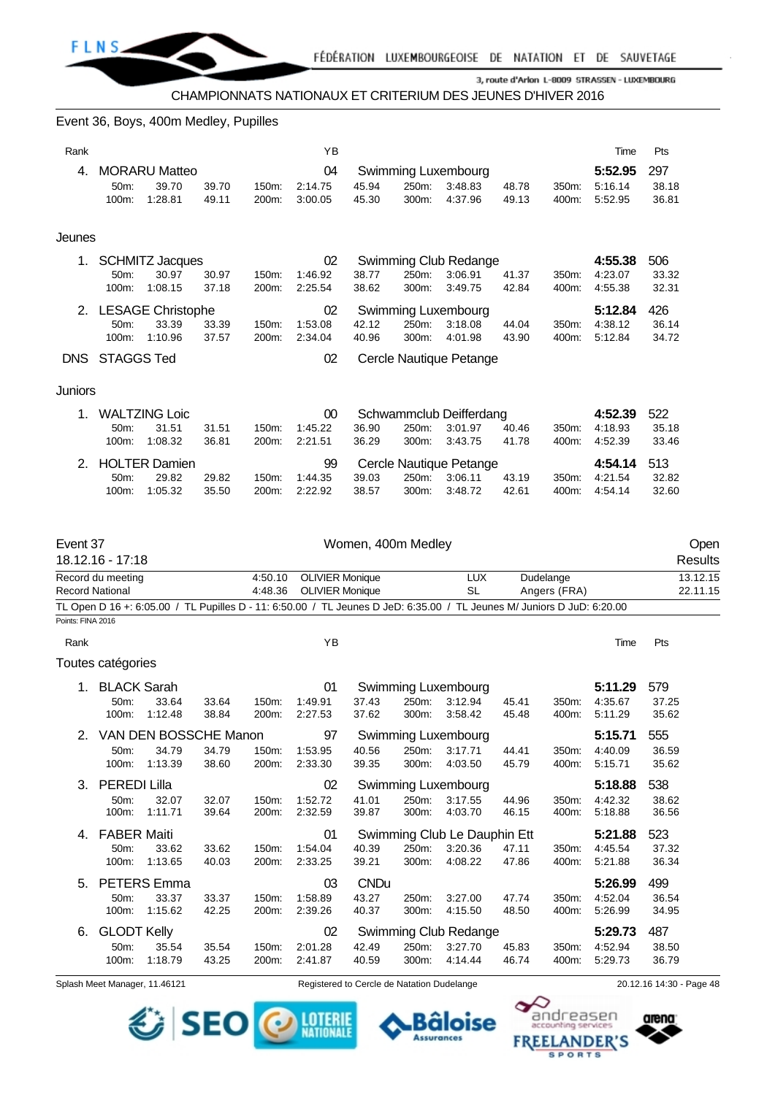

#### Event 36, Boys, 400m Medley, Pupilles

| Rank       |                   |                          |       |       | YB      |       |       |                         |       |       | Time    | Pts   |
|------------|-------------------|--------------------------|-------|-------|---------|-------|-------|-------------------------|-------|-------|---------|-------|
| 4.         |                   | <b>MORARU Matteo</b>     |       |       | 04      |       |       | Swimming Luxembourg     |       |       | 5:52.95 | 297   |
|            | 50m:              | 39.70                    | 39.70 | 150m: | 2:14.75 | 45.94 | 250m: | 3:48.83                 | 48.78 | 350m: | 5:16.14 | 38.18 |
|            | $100m$ :          | 1:28.81                  | 49.11 | 200m: | 3:00.05 | 45.30 | 300m: | 4:37.96                 | 49.13 | 400m: | 5:52.95 | 36.81 |
|            |                   |                          |       |       |         |       |       |                         |       |       |         |       |
| Jeunes     |                   |                          |       |       |         |       |       |                         |       |       |         |       |
|            |                   | <b>SCHMITZ Jacques</b>   |       |       | 02      |       |       | Swimming Club Redange   |       |       | 4:55.38 | 506   |
|            | $50m$ :           | 30.97                    | 30.97 | 150m: | 1:46.92 | 38.77 | 250m: | 3:06.91                 | 41.37 | 350m: | 4:23.07 | 33.32 |
|            | 100m:             | 1:08.15                  | 37.18 | 200m: | 2:25.54 | 38.62 | 300m: | 3:49.75                 | 42.84 | 400m: | 4:55.38 | 32.31 |
| 2.         |                   | <b>LESAGE Christophe</b> |       |       | 02      |       |       | Swimming Luxembourg     |       |       | 5:12.84 | 426   |
|            | 50m:              | 33.39                    | 33.39 | 150m: | 1:53.08 | 42.12 | 250m: | 3:18.08                 | 44.04 | 350m: | 4:38.12 | 36.14 |
|            | $100m$ :          | 1:10.96                  | 37.57 | 200m: | 2:34.04 | 40.96 | 300m: | 4:01.98                 | 43.90 | 400m: | 5:12.84 | 34.72 |
| <b>DNS</b> | <b>STAGGS Ted</b> |                          |       |       | 02      |       |       | Cercle Nautique Petange |       |       |         |       |
|            |                   |                          |       |       |         |       |       |                         |       |       |         |       |
| Juniors    |                   |                          |       |       |         |       |       |                         |       |       |         |       |
|            |                   | <b>WALTZING Loic</b>     |       |       | $00\,$  |       |       | Schwammclub Deifferdang |       |       | 4:52.39 | 522   |
|            | 50m:              | 31.51                    | 31.51 | 150m: | 1:45.22 | 36.90 | 250m: | 3:01.97                 | 40.46 | 350m: | 4:18.93 | 35.18 |
|            | 100m:             | 1:08.32                  | 36.81 | 200m: | 2:21.51 | 36.29 | 300m: | 3:43.75                 | 41.78 | 400m: | 4:52.39 | 33.46 |
| 2.         |                   | <b>HOLTER Damien</b>     |       |       | 99      |       |       | Cercle Nautique Petange |       |       | 4:54.14 | 513   |
|            | $50m$ :           | 29.82                    | 29.82 | 150m: | 1:44.35 | 39.03 | 250m: | 3:06.11                 | 43.19 | 350m: | 4:21.54 | 32.82 |
|            | 100m:             | 1:05.32                  | 35.50 | 200m: | 2:22.92 | 38.57 | 300m: | 3:48.72                 | 42.61 | 400m: | 4:54.14 | 32.60 |
|            |                   |                          |       |       |         |       |       |                         |       |       |         |       |

| Event 37               |                    |                       |       |         |                        | Women, 400m Medley |       |                                                                                                                        |       |              |         |       | Open     |
|------------------------|--------------------|-----------------------|-------|---------|------------------------|--------------------|-------|------------------------------------------------------------------------------------------------------------------------|-------|--------------|---------|-------|----------|
|                        | 18.12.16 - 17:18   |                       |       |         |                        |                    |       |                                                                                                                        |       |              |         |       | Results  |
|                        | Record du meeting  |                       |       | 4:50.10 | <b>OLIVIER Monique</b> |                    |       | <b>LUX</b>                                                                                                             |       | Dudelange    |         |       | 13.12.15 |
| <b>Record National</b> |                    |                       |       | 4:48.36 | <b>OLIVIER Monique</b> |                    |       | <b>SL</b>                                                                                                              |       | Angers (FRA) |         |       | 22.11.15 |
|                        |                    |                       |       |         |                        |                    |       | TL Open D 16 +: 6:05.00 / TL Pupilles D - 11: 6:50.00 / TL Jeunes D JeD: 6:35.00 / TL Jeunes M/ Juniors D JuD: 6:20.00 |       |              |         |       |          |
| Points: FINA 2016      |                    |                       |       |         |                        |                    |       |                                                                                                                        |       |              |         |       |          |
| Rank                   |                    |                       |       |         | YB                     |                    |       |                                                                                                                        |       |              | Time    | Pts   |          |
|                        | Toutes catégories  |                       |       |         |                        |                    |       |                                                                                                                        |       |              |         |       |          |
|                        | 1. BLACK Sarah     |                       |       |         | 01                     |                    |       | Swimming Luxembourg                                                                                                    |       |              | 5:11.29 | 579   |          |
|                        | 50m:               | 33.64                 | 33.64 | 150m:   | 1:49.91                | 37.43              | 250m: | 3:12.94                                                                                                                | 45.41 | 350m:        | 4:35.67 | 37.25 |          |
|                        | 100m:              | 1:12.48               | 38.84 | 200m:   | 2:27.53                | 37.62              | 300m: | 3:58.42                                                                                                                | 45.48 | 400m:        | 5:11.29 | 35.62 |          |
| 2.                     |                    | VAN DEN BOSSCHE Manon |       |         | 97                     |                    |       | Swimming Luxembourg                                                                                                    |       |              | 5:15.71 | 555   |          |
|                        | 50m:               | 34.79                 | 34.79 | 150m:   | 1:53.95                | 40.56              | 250m: | 3:17.71                                                                                                                | 44.41 | 350m:        | 4:40.09 | 36.59 |          |
|                        | 100m:              | 1:13.39               | 38.60 | 200m:   | 2:33.30                | 39.35              | 300m: | 4:03.50                                                                                                                | 45.79 | 400m:        | 5.15.71 | 35.62 |          |
| 3.                     | PEREDI Lilla       |                       |       |         | 02                     |                    |       | <b>Swimming Luxembourg</b>                                                                                             |       |              | 5:18.88 | 538   |          |
|                        | 50m:               | 32.07                 | 32.07 | 150m:   | 1:52.72                | 41.01              | 250m: | 3:17.55                                                                                                                | 44.96 | 350m:        | 4:42.32 | 38.62 |          |
|                        | 100m:              | 1:11.71               | 39.64 | 200m:   | 2:32.59                | 39.87              | 300m: | 4:03.70                                                                                                                | 46.15 | 400m:        | 5:18.88 | 36.56 |          |
| 4.                     | <b>FABER Maiti</b> |                       |       |         | 01                     |                    |       | Swimming Club Le Dauphin Ett                                                                                           |       |              | 5:21.88 | 523   |          |
|                        | 50m:               | 33.62                 | 33.62 | 150m:   | 1:54.04                | 40.39              | 250m: | 3:20.36                                                                                                                | 47.11 | 350m:        | 4:45.54 | 37.32 |          |
|                        | 100m:              | 1:13.65               | 40.03 | 200m:   | 2:33.25                | 39.21              | 300m: | 4:08.22                                                                                                                | 47.86 | 400m:        | 5:21.88 | 36.34 |          |
| 5.                     |                    | <b>PETERS</b> Emma    |       |         | 03                     | <b>CNDu</b>        |       |                                                                                                                        |       |              | 5:26.99 | 499   |          |
|                        | 50m:               | 33.37                 | 33.37 | 150m:   | 1:58.89                | 43.27              | 250m: | 3:27.00                                                                                                                | 47.74 | 350m:        | 4:52.04 | 36.54 |          |
|                        | 100m:              | 1:15.62               | 42.25 | 200m:   | 2:39.26                | 40.37              | 300m: | 4:15.50                                                                                                                | 48.50 | 400m:        | 5:26.99 | 34.95 |          |
| 6.                     | <b>GLODT Kelly</b> |                       |       |         | 02                     |                    |       | Swimming Club Redange                                                                                                  |       |              | 5:29.73 | 487   |          |
|                        | 50m:               | 35.54                 | 35.54 | 150m:   | 2:01.28                | 42.49              | 250m: | 3:27.70                                                                                                                | 45.83 | 350m:        | 4:52.94 | 38.50 |          |
|                        | 100m:              | 1:18.79               | 43.25 | 200m:   | 2:41.87                | 40.59              | 300m: | 4:14.44                                                                                                                | 46.74 | 400m:        | 5:29.73 | 36.79 |          |
|                        |                    |                       |       |         |                        |                    |       |                                                                                                                        |       |              |         |       |          |

Splash Meet Manager, 11.46121 Registered to Cercle de Natation Dudelange 20.12.16 14:30 - Page 48



arena:

andreasen

**SPORTS** 

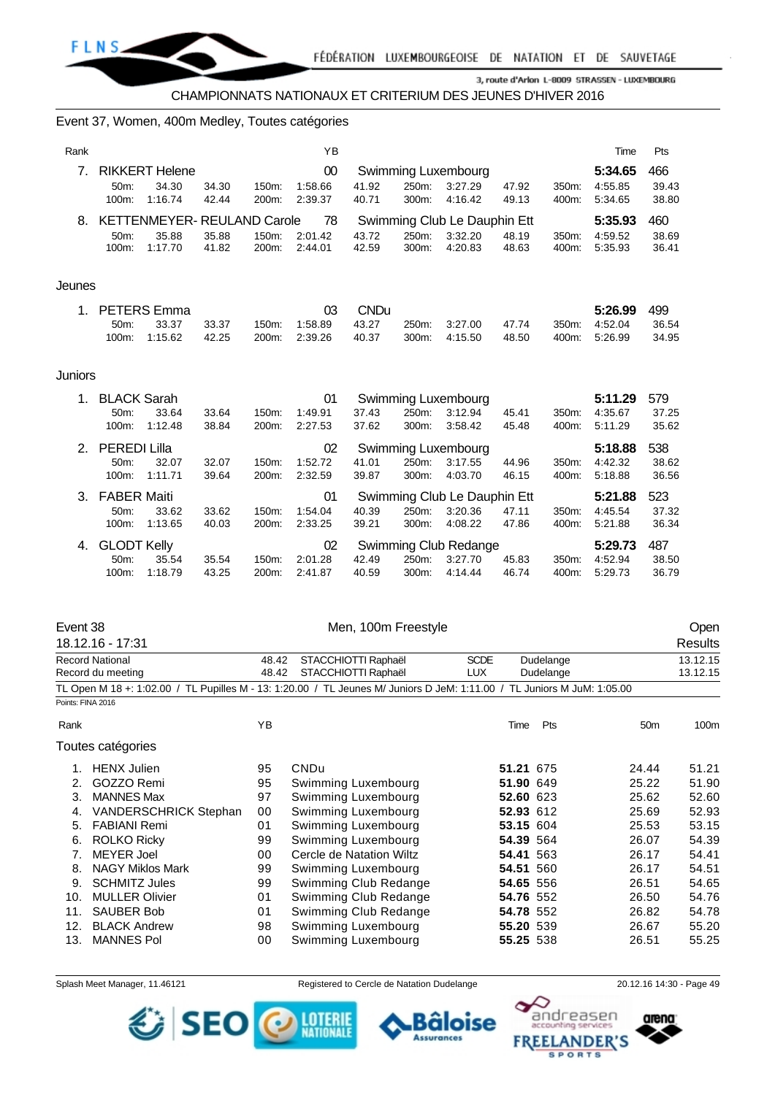

#### Event 37, Women, 400m Medley, Toutes catégories

| Rank |          |                                  |       |       | ΥB      |       |       |                              |       |       | Time    | Pts   |
|------|----------|----------------------------------|-------|-------|---------|-------|-------|------------------------------|-------|-------|---------|-------|
| 7    |          | <b>RIKKERT Helene</b>            |       |       | 00      |       |       | Swimming Luxembourg          |       |       | 5:34.65 | 466   |
|      | $50m$ :  | 34.30                            | 34.30 | 150m: | 1:58.66 | 41.92 | 250m: | 3:27.29                      | 47.92 | 350m: | 4:55.85 | 39.43 |
|      | $100m$ : | 1:16.74                          | 42.44 | 200m: | 2:39.37 | 40.71 | 300m: | 4:16.42                      | 49.13 | 400m: | 5:34.65 | 38.80 |
|      |          | 8. KETTENMEYER-REULAND Carole 78 |       |       |         |       |       | Swimming Club Le Dauphin Ett |       |       | 5:35.93 | 460   |
|      | $50m$ :  | 35.88                            | 35.88 | 150m: | 2:01.42 | 43.72 | 250m: | 3:32.20                      | 48.19 | 350m: | 4:59.52 | 38.69 |
|      | $100m$ : | 1:17.70                          | 41.82 | 200m: | 2:44.01 | 42.59 | 300m: | 4:20.83                      | 48.63 | 400m: | 5:35.93 | 36.41 |
|      |          |                                  |       |       |         |       |       |                              |       |       |         |       |

#### Jeunes

|         | 1. PETERS Emma |       | 03.                                                       | <b>CND</b> u |               |       | <b>5:26.99</b> 499 |         |
|---------|----------------|-------|-----------------------------------------------------------|--------------|---------------|-------|--------------------|---------|
| $50m$ : | 33.37          | 33.37 | 150m: 1:58.89  43.27  250m: 3:27.00  47.74  350m: 4:52.04 |              |               |       |                    | - 36.54 |
|         | 100m: 1:15.62  | 42.25 | 200m. 2:39.26                                             | 40.37        | 300m: 4:15.50 | 48.50 | 400m: 5:26.99      | - 34.95 |

#### Juniors

| 1. | <b>BLACK Sarah</b>                               |         |       |                    | 01                           |       |          | Swimming Luxembourg   |       |          | 5:11.29 | 579   |
|----|--------------------------------------------------|---------|-------|--------------------|------------------------------|-------|----------|-----------------------|-------|----------|---------|-------|
|    | $50m$ :                                          | 33.64   | 33.64 | 150m:              | 1:49.91                      | 37.43 | 250m:    | 3:12.94               | 45.41 | 350m:    | 4:35.67 | 37.25 |
|    | 100m:                                            | 1:12.48 | 38.84 | 200m:              | 2:27.53                      | 37.62 | 300m.    | 3:58.42               | 45.48 | 400m:    | 5:11.29 | 35.62 |
| 2  | <b>PEREDI Lilla</b><br>02<br>Swimming Luxembourg |         |       |                    |                              |       |          | 5:18.88               | 538   |          |         |       |
|    | 50m                                              | 32.07   | 32.07 | $150m$ :           | 1:52.72                      | 41.01 | 250m:    | 3:17.55               | 44.96 | $350m$ : | 4:42.32 | 38.62 |
|    | $100m$ :                                         | 1:11.71 | 39.64 | 200m:              | 2:32.59                      | 39.87 | 300m:    | 4:03.70               | 46.15 | 400m:    | 5:18.88 | 36.56 |
|    | <b>FABER Maiti</b><br>01<br>3.                   |         |       |                    | Swimming Club Le Dauphin Ett |       |          |                       |       |          |         |       |
|    |                                                  |         |       |                    |                              |       |          |                       |       |          | 5:21.88 | 523   |
|    | 50 <sub>m</sub> :                                | 33.62   | 33.62 | 150m:              | 1:54.04                      | 40.39 | 250m:    | 3:20.36               | 47.11 | 350m:    | 4:45.54 | 37.32 |
|    | $100m$ :                                         | 1:13.65 | 40.03 | 200 <sub>m</sub> : | 2:33.25                      | 39.21 | $300m$ : | 4:08.22               | 47.86 | 400m:    | 5:21.88 | 36.34 |
| 4. | <b>GLODT Kelly</b>                               |         |       |                    | 02                           |       |          | Swimming Club Redange |       |          | 5:29.73 | 487   |
|    | $50m$ :                                          | 35.54   | 35.54 | 150m:              | 2:01.28                      | 42.49 | 250m:    | 3:27.70               | 45.83 | 350m:    | 4:52.94 | 38.50 |

#### Event 38 Communication of the Men, 100m Freestyle Communication of the Open

|      | 18.12.16 - 17:31                                                                                                        |       |                          |             |              |                 | Results  |
|------|-------------------------------------------------------------------------------------------------------------------------|-------|--------------------------|-------------|--------------|-----------------|----------|
|      | <b>Record National</b>                                                                                                  | 48.42 | STACCHIOTTI Raphaël      | <b>SCDE</b> | Dudelange    |                 | 13.12.15 |
|      | Record du meeting                                                                                                       | 48.42 | STACCHIOTTI Raphaël      | <b>LUX</b>  | Dudelange    |                 | 13.12.15 |
|      | TL Open M 18 +: 1:02.00 / TL Pupilles M - 13: 1:20.00 / TL Jeunes M/ Juniors D JeM: 1:11.00 / TL Juniors M JuM: 1:05.00 |       |                          |             |              |                 |          |
|      | Points: FINA 2016                                                                                                       |       |                          |             |              |                 |          |
| Rank |                                                                                                                         | YB    |                          |             | Pts<br>Time  | 50 <sub>m</sub> | 100m     |
|      | Toutes catégories                                                                                                       |       |                          |             |              |                 |          |
|      | <b>HENX Julien</b>                                                                                                      | 95    | <b>CNDu</b>              |             | 51.21 675    | 24.44           | 51.21    |
| 2.   | GOZZO Remi                                                                                                              | 95    | Swimming Luxembourg      |             | 51.90 649    | 25.22           | 51.90    |
| 3.   | <b>MANNES Max</b>                                                                                                       | 97    | Swimming Luxembourg      |             | 52.60 623    | 25.62           | 52.60    |
| 4.   | <b>VANDERSCHRICK Stephan</b>                                                                                            | 00    | Swimming Luxembourg      |             | 52.93 612    | 25.69           | 52.93    |
| 5.   | <b>FABIANI Remi</b>                                                                                                     | 01    | Swimming Luxembourg      |             | 53.15 604    | 25.53           | 53.15    |
| 6.   | <b>ROLKO Ricky</b>                                                                                                      | 99    | Swimming Luxembourg      |             | 54.39 564    | 26.07           | 54.39    |
| 7.   | <b>MEYER Joel</b>                                                                                                       | 00    | Cercle de Natation Wiltz |             | 54.41<br>563 | 26.17           | 54.41    |
| 8.   | <b>NAGY Miklos Mark</b>                                                                                                 | 99    | Swimming Luxembourg      |             | 54.51 560    | 26.17           | 54.51    |
| 9.   | <b>SCHMITZ Jules</b>                                                                                                    | 99    | Swimming Club Redange    |             | 54.65 556    | 26.51           | 54.65    |
| 10.  | <b>MULLER Olivier</b>                                                                                                   | 01    | Swimming Club Redange    |             | 54.76 552    | 26.50           | 54.76    |
| 11.  | <b>SAUBER Bob</b>                                                                                                       | 01    | Swimming Club Redange    |             | 54.78 552    | 26.82           | 54.78    |
| 12.  | <b>BLACK Andrew</b>                                                                                                     | 98    | Swimming Luxembourg      |             | 55.20 539    | 26.67           | 55.20    |
| 13.  | <b>MANNES Pol</b>                                                                                                       | 00    | Swimming Luxembourg      |             | 55.25 538    | 26.51           | 55.25    |

SEO

Splash Meet Manager, 11.46121 Registered to Cercle de Natation Dudelange 20.12.16 14:30 - Page 49

oise

፣ **Assurances** 

**LOTERIE**<br>NATIONALE

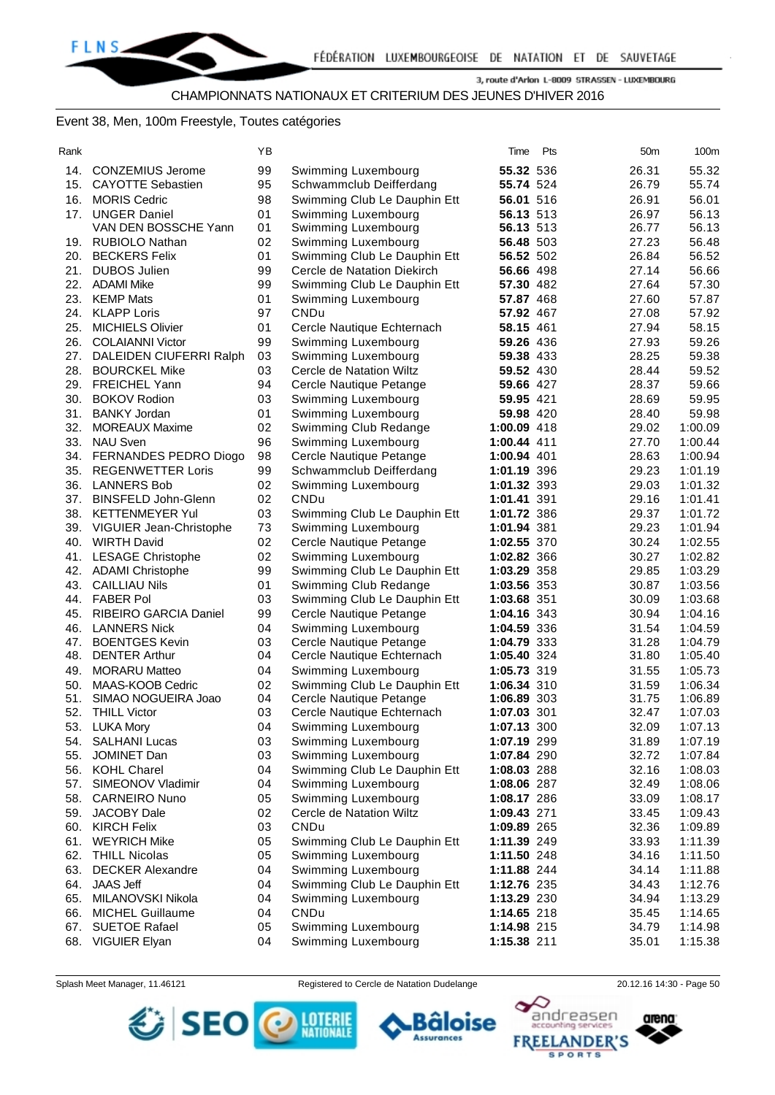# CHAMPIONNATS NATIONAUX ET CRITERIUM DES JEUNES D'HIVER 2016

## Event 38, Men, 100m Freestyle, Toutes catégories

| ш |  |
|---|--|

| Rank |                                          | ΥB       |                                            | Time                   | Pts | 50 <sub>m</sub> | 100m           |
|------|------------------------------------------|----------|--------------------------------------------|------------------------|-----|-----------------|----------------|
|      | 14. CONZEMIUS Jerome                     | 99       | Swimming Luxembourg                        | 55.32 536              |     | 26.31           | 55.32          |
|      | 15. CAYOTTE Sebastien                    | 95       | Schwammclub Deifferdang                    | 55.74 524              |     | 26.79           | 55.74          |
|      | 16. MORIS Cedric                         | 98       | Swimming Club Le Dauphin Ett               | 56.01 516              |     | 26.91           | 56.01          |
|      |                                          |          |                                            |                        |     |                 |                |
|      | 17. UNGER Daniel<br>VAN DEN BOSSCHE Yann | 01<br>01 | Swimming Luxembourg<br>Swimming Luxembourg | 56.13 513<br>56.13 513 |     | 26.97<br>26.77  | 56.13<br>56.13 |
|      |                                          |          |                                            |                        |     |                 | 56.48          |
|      | 19. RUBIOLO Nathan                       | 02       | Swimming Luxembourg                        | 56.48 503              |     | 27.23           |                |
| 20.  | <b>BECKERS Felix</b>                     | 01       | Swimming Club Le Dauphin Ett               | 56.52 502              |     | 26.84           | 56.52          |
|      | 21. DUBOS Julien                         | 99       | Cercle de Natation Diekirch                | 56.66 498              |     | 27.14           | 56.66          |
|      | 22. ADAMI Mike                           | 99       | Swimming Club Le Dauphin Ett               | 57.30 482              |     | 27.64           | 57.30          |
|      | 23. KEMP Mats                            | 01       | Swimming Luxembourg                        | 57.87 468              |     | 27.60           | 57.87          |
| 24.  | <b>KLAPP Loris</b>                       | 97       | <b>CNDu</b>                                | 57.92 467              |     | 27.08           | 57.92          |
| 25.  | <b>MICHIELS Olivier</b>                  | 01       | Cercle Nautique Echternach                 | 58.15 461              |     | 27.94           | 58.15          |
| 26.  | <b>COLAIANNI Victor</b>                  | 99       | Swimming Luxembourg                        | 59.26 436              |     | 27.93           | 59.26          |
|      | 27. DALEIDEN CIUFERRI Ralph              | 03       | Swimming Luxembourg                        | 59.38 433              |     | 28.25           | 59.38          |
|      | 28. BOURCKEL Mike                        | 03       | Cercle de Natation Wiltz                   | 59.52 430              |     | 28.44           | 59.52          |
|      | 29. FREICHEL Yann                        | 94       | Cercle Nautique Petange                    | 59.66 427              |     | 28.37           | 59.66          |
| 30.  | <b>BOKOV Rodion</b>                      | 03       | Swimming Luxembourg                        | 59.95 421              |     | 28.69           | 59.95          |
| 31.  | <b>BANKY Jordan</b>                      | 01       | Swimming Luxembourg                        | 59.98 420              |     | 28.40           | 59.98          |
| 32.  | <b>MOREAUX Maxime</b>                    | 02       | Swimming Club Redange                      | 1:00.09 418            |     | 29.02           | 1:00.09        |
|      | 33. NAU Sven                             | 96       | Swimming Luxembourg                        | 1:00.44 411            |     | 27.70           | 1:00.44        |
|      | 34. FERNANDES PEDRO Diogo                | 98       | Cercle Nautique Petange                    | 1:00.94 401            |     | 28.63           | 1:00.94        |
|      | 35. REGENWETTER Loris                    | 99       | Schwammclub Deifferdang                    | 1:01.19 396            |     | 29.23           | 1:01.19        |
| 36.  | <b>LANNERS Bob</b>                       | 02       | Swimming Luxembourg                        | 1:01.32 393            |     | 29.03           | 1:01.32        |
| 37.  | <b>BINSFELD John-Glenn</b>               | 02       | CNDu                                       | 1:01.41 391            |     | 29.16           | 1:01.41        |
|      | 38. KETTENMEYER Yul                      | 03       | Swimming Club Le Dauphin Ett               | 1:01.72 386            |     | 29.37           | 1:01.72        |
|      | 39. VIGUIER Jean-Christophe              | 73       | Swimming Luxembourg                        | 1:01.94 381            |     | 29.23           | 1:01.94        |
|      | 40. WIRTH David                          | 02       | Cercle Nautique Petange                    | 1:02.55 370            |     | 30.24           | 1:02.55        |
|      | 41. LESAGE Christophe                    | 02       | Swimming Luxembourg                        | 1:02.82 366            |     | 30.27           | 1:02.82        |
|      | 42. ADAMI Christophe                     | 99       | Swimming Club Le Dauphin Ett               | 1:03.29 358            |     | 29.85           | 1:03.29        |
|      | 43. CAILLIAU Nils                        | 01       | Swimming Club Redange                      | 1:03.56 353            |     | 30.87           | 1:03.56        |
|      | 44. FABER Pol                            | 03       | Swimming Club Le Dauphin Ett               | 1:03.68 351            |     | 30.09           | 1:03.68        |
| 45.  | <b>RIBEIRO GARCIA Daniel</b>             | 99       | Cercle Nautique Petange                    | 1:04.16 343            |     | 30.94           | 1:04.16        |
|      | 46. LANNERS Nick                         | 04       | Swimming Luxembourg                        | 1:04.59 336            |     | 31.54           | 1:04.59        |
| 47.  | <b>BOENTGES Kevin</b>                    | 03       | Cercle Nautique Petange                    | 1:04.79 333            |     | 31.28           | 1:04.79        |
| 48.  | <b>DENTER Arthur</b>                     | 04       | Cercle Nautique Echternach                 | 1:05.40 324            |     | 31.80           | 1:05.40        |
| 49.  | <b>MORARU Matteo</b>                     | 04       | Swimming Luxembourg                        | 1:05.73 319            |     | 31.55           | 1:05.73        |
| 50.  | MAAS-KOOB Cedric                         | 02       | Swimming Club Le Dauphin Ett               | 1:06.34 310            |     | 31.59           | 1:06.34        |
| 51.  | SIMAO NOGUEIRA Joao                      | 04       | Cercle Nautique Petange                    | 1:06.89 303            |     | 31.75           | 1:06.89        |
|      | 52. THILL Victor                         | 03       | Cercle Nautique Echternach                 | 1:07.03 301            |     | 32.47           | 1:07.03        |
| 53.  | LUKA Mory                                | 04       | Swimming Luxembourg                        | 1:07.13 300            |     | 32.09           | 1:07.13        |
|      | 54. SALHANI Lucas                        | 03       | Swimming Luxembourg                        | 1:07.19 299            |     | 31.89           | 1:07.19        |
|      | 55. JOMINET Dan                          | 03       | Swimming Luxembourg                        | 1:07.84 290            |     | 32.72           | 1:07.84        |
|      | 56. KOHL Charel                          | 04       | Swimming Club Le Dauphin Ett               | 1:08.03 288            |     | 32.16           | 1:08.03        |
|      | 57. SIMEONOV Vladimir                    | 04       | Swimming Luxembourg                        | 1:08.06 287            |     | 32.49           | 1:08.06        |
|      | 58. CARNEIRO Nuno                        | 05       | Swimming Luxembourg                        | 1:08.17 286            |     | 33.09           | 1:08.17        |
|      | 59. JACOBY Dale                          |          |                                            |                        |     |                 |                |
|      |                                          | 02       | Cercle de Natation Wiltz<br><b>CNDu</b>    | 1:09.43 271            |     | 33.45           | 1:09.43        |
|      | 60. KIRCH Felix<br>61. WEYRICH Mike      | 03       |                                            | 1:09.89 265            |     | 32.36           | 1:09.89        |
|      |                                          | 05       | Swimming Club Le Dauphin Ett               | 1:11.39 249            |     | 33.93           | 1:11.39        |
|      | 62. THILL Nicolas                        | 05       | Swimming Luxembourg                        | 1:11.50 248            |     | 34.16           | 1:11.50        |
|      | 63. DECKER Alexandre                     | 04       | Swimming Luxembourg                        | 1:11.88 244            |     | 34.14           | 1:11.88        |
|      | 64. JAAS Jeff                            | 04       | Swimming Club Le Dauphin Ett               | 1:12.76 235            |     | 34.43           | 1:12.76        |
|      | 65. MILANOVSKI Nikola                    | 04       | Swimming Luxembourg                        | 1:13.29 230            |     | 34.94           | 1:13.29        |
|      | 66. MICHEL Guillaume                     | 04       | CNDu                                       | 1:14.65 218            |     | 35.45           | 1:14.65        |
| 67.  | <b>SUETOE Rafael</b>                     | 05       | Swimming Luxembourg                        | 1:14.98 215            |     | 34.79           | 1:14.98        |
|      | 68. VIGUIER Elyan                        | 04       | Swimming Luxembourg                        | 1:15.38 211            |     | 35.01           | 1:15.38        |

Splash Meet Manager, 11.46121 Registered to Cercle de Natation Dudelange 20.12.16 14:30 - Page 50



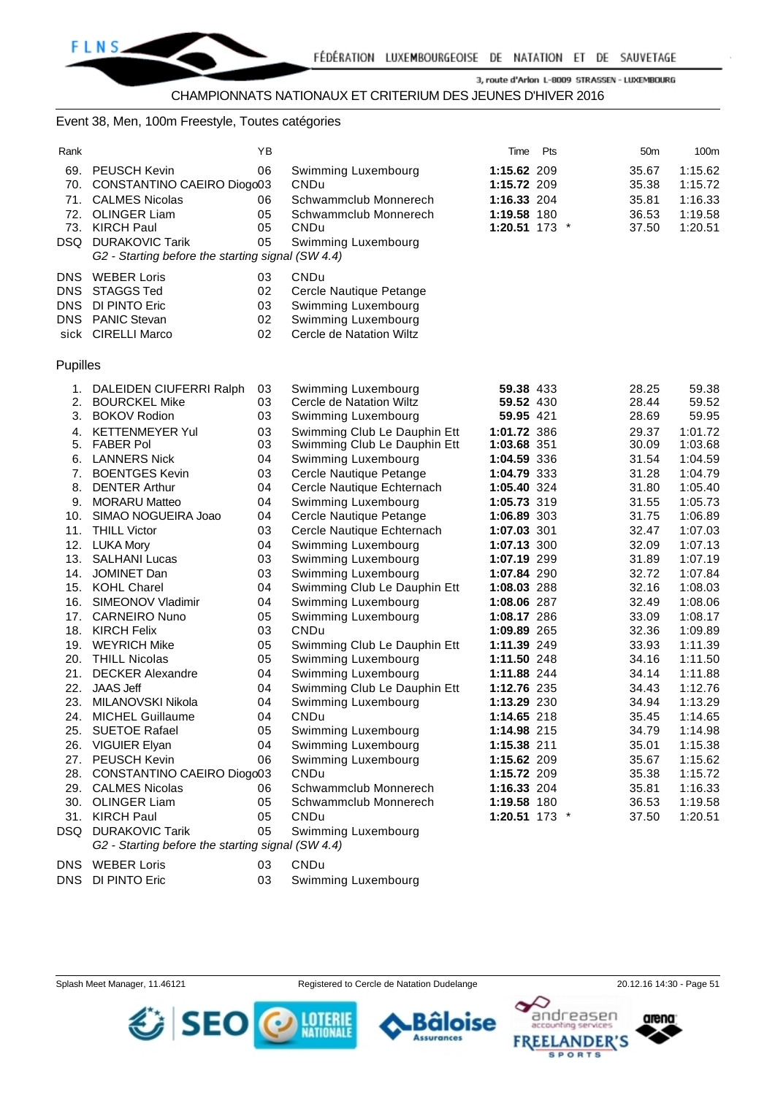#### Event 38, Men, 100m Freestyle, Toutes catégories

| Rank     |                                                   | ΥB       |                                                     | Time                       | Pts | 50 <sub>m</sub> | 100m               |
|----------|---------------------------------------------------|----------|-----------------------------------------------------|----------------------------|-----|-----------------|--------------------|
|          | 69. PEUSCH Kevin                                  | 06       | Swimming Luxembourg                                 | 1:15.62 209                |     | 35.67           | 1:15.62            |
| 70.      | CONSTANTINO CAEIRO Diogo03                        |          | CNDu                                                | 1:15.72 209                |     | 35.38           | 1:15.72            |
| 71.      | <b>CALMES Nicolas</b>                             | 06       | Schwammclub Monnerech                               | 1:16.33 204                |     | 35.81           | 1:16.33            |
|          | 72. OLINGER Liam                                  | 05       | Schwammclub Monnerech                               | 1:19.58 180                |     | 36.53           | 1:19.58            |
| 73.      | <b>KIRCH Paul</b>                                 | 05       | CNDu                                                | 1:20.51 173 *              |     | 37.50           | 1:20.51            |
|          | DSQ DURAKOVIC Tarik                               | 05       | Swimming Luxembourg                                 |                            |     |                 |                    |
|          | G2 - Starting before the starting signal (SW 4.4) |          |                                                     |                            |     |                 |                    |
| DNS.     | <b>WEBER Loris</b>                                | 03       | CNDu                                                |                            |     |                 |                    |
| DNS.     | <b>STAGGS Ted</b>                                 | 02       | Cercle Nautique Petange                             |                            |     |                 |                    |
| DNS      | DI PINTO Eric                                     | 03       | Swimming Luxembourg                                 |                            |     |                 |                    |
|          | DNS PANIC Stevan                                  | 02       | Swimming Luxembourg                                 |                            |     |                 |                    |
|          | sick CIRELLI Marco                                | 02       | Cercle de Natation Wiltz                            |                            |     |                 |                    |
|          |                                                   |          |                                                     |                            |     |                 |                    |
| Pupilles |                                                   |          |                                                     |                            |     |                 |                    |
| 1.       | DALEIDEN CIUFERRI Ralph                           | 03       | Swimming Luxembourg                                 | 59.38 433                  |     | 28.25           | 59.38              |
| 2.       | <b>BOURCKEL Mike</b>                              | 03       | Cercle de Natation Wiltz                            | 59.52 430                  |     | 28.44           | 59.52              |
| 3.       | <b>BOKOV Rodion</b>                               | 03       | Swimming Luxembourg                                 | 59.95 421                  |     | 28.69           | 59.95              |
| 4.       | <b>KETTENMEYER Yul</b>                            | 03       | Swimming Club Le Dauphin Ett                        | 1:01.72 386                |     | 29.37           | 1:01.72            |
| 5.       | <b>FABER Pol</b>                                  | 03       | Swimming Club Le Dauphin Ett                        | 1:03.68 351                |     | 30.09           | 1:03.68            |
| 6.       | <b>LANNERS Nick</b>                               | 04       | Swimming Luxembourg                                 | 1:04.59 336                |     | 31.54           | 1:04.59            |
| 7.       | <b>BOENTGES Kevin</b>                             | 03       | Cercle Nautique Petange                             | 1:04.79 333                |     | 31.28           | 1:04.79            |
| 8.       | <b>DENTER Arthur</b>                              | 04       | Cercle Nautique Echternach                          | 1:05.40 324                |     | 31.80           | 1:05.40            |
| 9.       | <b>MORARU Matteo</b>                              | 04       | Swimming Luxembourg                                 | 1:05.73 319                |     | 31.55           | 1:05.73            |
| 10.      | SIMAO NOGUEIRA Joao                               | 04       | Cercle Nautique Petange                             | 1:06.89 303                |     | 31.75           | 1:06.89            |
| 11.      | <b>THILL Victor</b>                               | 03       | Cercle Nautique Echternach                          | 1:07.03 301                |     | 32.47           | 1:07.03            |
|          | 12. LUKA Mory                                     | 04       | Swimming Luxembourg                                 | 1:07.13 300                |     | 32.09           | 1:07.13            |
| 13.      | <b>SALHANI Lucas</b>                              | 03       | Swimming Luxembourg                                 | 1:07.19 299                |     | 31.89           | 1:07.19            |
| 14.      | JOMINET Dan<br>15. KOHL Charel                    | 03<br>04 | Swimming Luxembourg                                 | 1:07.84 290<br>1:08.03 288 |     | 32.72<br>32.16  | 1:07.84<br>1:08.03 |
| 16.      | SIMEONOV Vladimir                                 | 04       | Swimming Club Le Dauphin Ett<br>Swimming Luxembourg | 1:08.06 287                |     | 32.49           | 1:08.06            |
| 17.      | <b>CARNEIRO Nuno</b>                              | 05       | Swimming Luxembourg                                 | 1:08.17 286                |     | 33.09           | 1:08.17            |
|          | 18. KIRCH Felix                                   | 03       | CNDu                                                | 1:09.89 265                |     | 32.36           | 1:09.89            |
|          | 19. WEYRICH Mike                                  | 05       | Swimming Club Le Dauphin Ett                        | 1:11.39 249                |     | 33.93           | 1:11.39            |
| 20.      | <b>THILL Nicolas</b>                              | 05       | Swimming Luxembourg                                 | 1:11.50 248                |     | 34.16           | 1:11.50            |
| 21.      | <b>DECKER Alexandre</b>                           | 04       | Swimming Luxembourg                                 | 1:11.88 244                |     | 34.14           | 1:11.88            |
| 22.      | <b>JAAS Jeff</b>                                  | 04       | Swimming Club Le Dauphin Ett                        | 1:12.76 235                |     | 34.43           | 1:12.76            |
| 23.      | MILANOVSKI Nikola                                 | 04       | Swimming Luxembourg                                 | 1:13.29 230                |     | 34.94           | 1:13.29            |
|          | 24. MICHEL Guillaume                              | 04       | CNDu                                                | 1:14.65 218                |     | 35.45           | 1:14.65            |
|          | 25. SUETOE Rafael                                 | 05       | Swimming Luxembourg                                 | 1:14.98 215                |     | 34.79           | 1:14.98            |
| 26.      | <b>VIGUIER Elyan</b>                              | 04       | Swimming Luxembourg                                 | 1:15.38 211                |     | 35.01           | 1:15.38            |
| 27.      | PEUSCH Kevin                                      | 06       | Swimming Luxembourg                                 | 1:15.62 209                |     | 35.67           | 1:15.62            |
| 28.      | CONSTANTINO CAEIRO Diogo03                        |          | CNDu                                                | 1:15.72 209                |     | 35.38           | 1:15.72            |
|          | 29. CALMES Nicolas                                | 06       | Schwammclub Monnerech                               | 1:16.33 204                |     | 35.81           | 1:16.33            |
|          | 30. OLINGER Liam                                  | 05       | Schwammclub Monnerech                               | 1:19.58 180                |     | 36.53           | 1:19.58            |
|          | 31. KIRCH Paul                                    | 05       | CNDu                                                | 1:20.51 173 *              |     | 37.50           | 1:20.51            |

*G2 - Starting before the starting signal (SW 4.4)* DNS WEBER Loris 03 CNDu

SEO

DNS DI PINTO Eric 03 Swimming Luxembourg

DSQ DURAKOVIC Tarik 05 Swimming Luxembourg

Splash Meet Manager, 11.46121 Registered to Cercle de Natation Dudelange 20.12.16 14:30 - Page 51





arena:

andreasen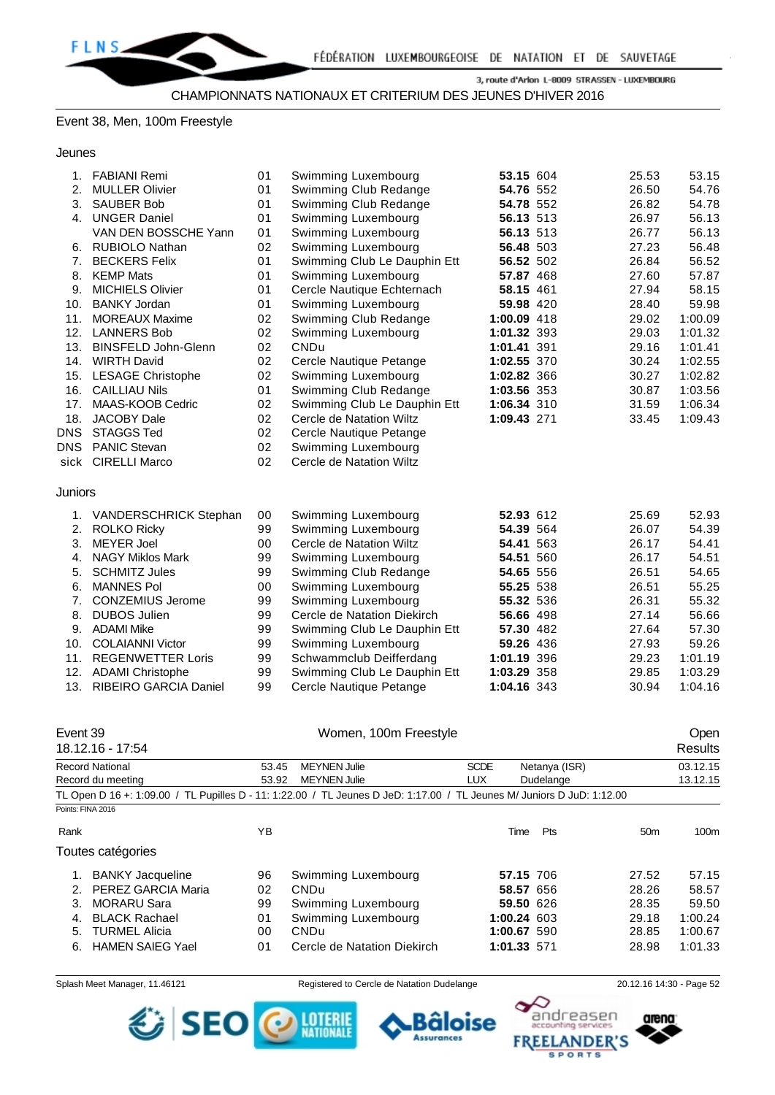### Event 38, Men, 100m Freestyle

Jeunes

| 1.         | <b>FABIANI Remi</b>          | 01 | Swimming Luxembourg          | 53.15 604   | 25.53 | 53.15   |
|------------|------------------------------|----|------------------------------|-------------|-------|---------|
| 2.         | <b>MULLER Olivier</b>        | 01 | Swimming Club Redange        | 54.76 552   | 26.50 | 54.76   |
| 3.         | <b>SAUBER Bob</b>            | 01 | Swimming Club Redange        | 54.78 552   | 26.82 | 54.78   |
| 4.         | <b>UNGER Daniel</b>          | 01 | Swimming Luxembourg          | 56.13 513   | 26.97 | 56.13   |
|            | VAN DEN BOSSCHE Yann         | 01 | Swimming Luxembourg          | 56.13 513   | 26.77 | 56.13   |
| 6.         | <b>RUBIOLO Nathan</b>        | 02 | Swimming Luxembourg          | 56.48 503   | 27.23 | 56.48   |
| 7.         | <b>BECKERS Felix</b>         | 01 | Swimming Club Le Dauphin Ett | 56.52 502   | 26.84 | 56.52   |
| 8.         | <b>KEMP Mats</b>             | 01 | Swimming Luxembourg          | 57.87 468   | 27.60 | 57.87   |
| 9.         | <b>MICHIELS Olivier</b>      | 01 | Cercle Nautique Echternach   | 58.15 461   | 27.94 | 58.15   |
| 10.        | <b>BANKY Jordan</b>          | 01 | Swimming Luxembourg          | 59.98 420   | 28.40 | 59.98   |
| 11.        | <b>MOREAUX Maxime</b>        | 02 | Swimming Club Redange        | 1:00.09 418 | 29.02 | 1:00.09 |
| 12.        | <b>LANNERS Bob</b>           | 02 | Swimming Luxembourg          | 1:01.32 393 | 29.03 | 1:01.32 |
| 13.        | <b>BINSFELD John-Glenn</b>   | 02 | <b>CNDu</b>                  | 1:01.41 391 | 29.16 | 1:01.41 |
| 14.        | <b>WIRTH David</b>           | 02 | Cercle Nautique Petange      | 1:02.55 370 | 30.24 | 1:02.55 |
| 15.        | <b>LESAGE Christophe</b>     | 02 | Swimming Luxembourg          | 1:02.82 366 | 30.27 | 1:02.82 |
| 16.        | <b>CAILLIAU Nils</b>         | 01 | Swimming Club Redange        | 1:03.56 353 | 30.87 | 1:03.56 |
| 17.        | MAAS-KOOB Cedric             | 02 | Swimming Club Le Dauphin Ett | 1:06.34 310 | 31.59 | 1:06.34 |
| 18.        | <b>JACOBY Dale</b>           | 02 | Cercle de Natation Wiltz     | 1:09.43 271 | 33.45 | 1:09.43 |
| <b>DNS</b> | <b>STAGGS Ted</b>            | 02 | Cercle Nautique Petange      |             |       |         |
| DNS        | <b>PANIC Stevan</b>          | 02 | Swimming Luxembourg          |             |       |         |
| sick       | <b>CIRELLI Marco</b>         | 02 | Cercle de Natation Wiltz     |             |       |         |
| Juniors    |                              |    |                              |             |       |         |
|            |                              |    |                              |             |       |         |
| 1.         | <b>VANDERSCHRICK Stephan</b> | 00 | Swimming Luxembourg          | 52.93 612   | 25.69 | 52.93   |
| 2.         | <b>ROLKO Ricky</b>           | 99 | Swimming Luxembourg          | 54.39 564   | 26.07 | 54.39   |
| 3.         | <b>MEYER Joel</b>            | 00 | Cercle de Natation Wiltz     | 54.41 563   | 26.17 | 54.41   |
| 4.         | <b>NAGY Miklos Mark</b>      | 99 | Swimming Luxembourg          | 54.51 560   | 26.17 | 54.51   |
| 5.         | <b>SCHMITZ Jules</b>         | 99 | Swimming Club Redange        | 54.65 556   | 26.51 | 54.65   |
| 6.         | <b>MANNES Pol</b>            | 00 | Swimming Luxembourg          | 55.25 538   | 26.51 | 55.25   |
| 7.         | <b>CONZEMIUS Jerome</b>      | 99 | Swimming Luxembourg          | 55.32 536   | 26.31 | 55.32   |
| 8.         | <b>DUBOS Julien</b>          | 99 | Cercle de Natation Diekirch  | 56.66 498   | 27.14 | 56.66   |
| 9.         | <b>ADAMI Mike</b>            | 99 | Swimming Club Le Dauphin Ett | 57.30 482   | 27.64 | 57.30   |
| 10.        | <b>COLAIANNI Victor</b>      | 99 | Swimming Luxembourg          | 59.26 436   | 27.93 | 59.26   |
| 11.        | <b>REGENWETTER Loris</b>     | 99 | Schwammclub Deifferdang      | 1:01.19 396 | 29.23 | 1:01.19 |
| 12.        | <b>ADAMI Christophe</b>      | 99 | Swimming Club Le Dauphin Ett | 1:03.29 358 | 29.85 | 1:03.29 |
| 13.        | RIBEIRO GARCIA Daniel        | 99 | Cercle Nautique Petange      | 1:04.16 343 | 30.94 | 1:04.16 |

| Event 39          |                         |       | Women, 100m Freestyle                                                                                                  |             |               |                 |                |
|-------------------|-------------------------|-------|------------------------------------------------------------------------------------------------------------------------|-------------|---------------|-----------------|----------------|
|                   | 18.12.16 - 17:54        |       |                                                                                                                        |             |               |                 | <b>Results</b> |
|                   | <b>Record National</b>  | 53.45 | <b>MEYNEN Julie</b>                                                                                                    | <b>SCDE</b> | Netanya (ISR) |                 | 03.12.15       |
|                   | Record du meeting       | 53.92 | <b>MEYNEN Julie</b>                                                                                                    | <b>LUX</b>  | Dudelange     |                 | 13.12.15       |
|                   |                         |       | TL Open D 16 +: 1:09.00 / TL Pupilles D - 11: 1:22.00 / TL Jeunes D JeD: 1:17.00 / TL Jeunes M/ Juniors D JuD: 1:12.00 |             |               |                 |                |
| Points: FINA 2016 |                         |       |                                                                                                                        |             |               |                 |                |
| Rank              |                         | YB    |                                                                                                                        | Time        | Pts           | 50 <sub>m</sub> | 100m           |
|                   | Toutes catégories       |       |                                                                                                                        |             |               |                 |                |
|                   | <b>BANKY Jacqueline</b> | 96    | Swimming Luxembourg                                                                                                    |             | 57.15 706     | 27.52           | 57.15          |
|                   | PEREZ GARCIA Maria      | 02    | CNDu                                                                                                                   |             | 58.57 656     | 28.26           | 58.57          |
| 3.                | <b>MORARU Sara</b>      | 99    | Swimming Luxembourg                                                                                                    |             | 59.50 626     | 28.35           | 59.50          |
| 4.                | <b>BLACK Rachael</b>    | 01    | Swimming Luxembourg                                                                                                    | 1:00.24 603 |               | 29.18           | 1:00.24        |
| 5.                | <b>TURMEL Alicia</b>    | 00    | CNDu                                                                                                                   | 1:00.67 590 |               | 28.85           | 1:00.67        |
| 6.                | <b>HAMEN SAIEG Yael</b> | 01    | Cercle de Natation Diekirch                                                                                            | 1:01.33 571 |               | 28.98           | 1:01.33        |

SEO O MINE

Splash Meet Manager, 11.46121 Registered to Cercle de Natation Dudelange 20.12.16 14:30 - Page 52

Bâloise

**Assurances** 

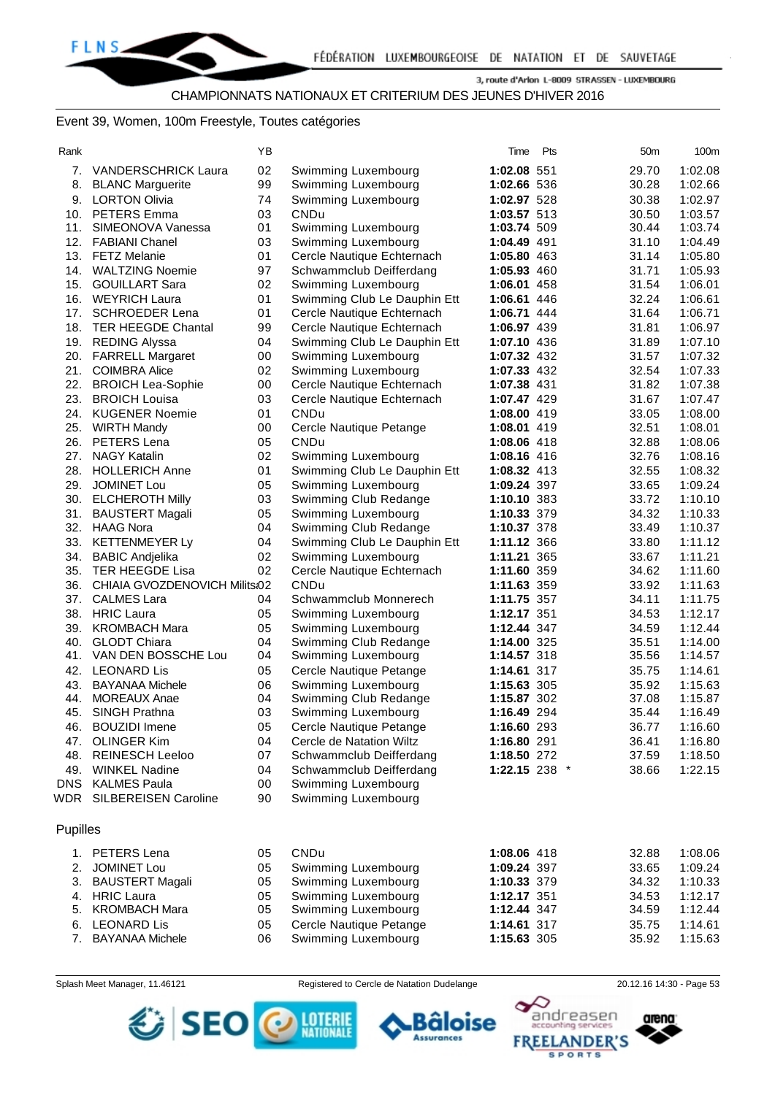## CHAMPIONNATS NATIONAUX ET CRITERIUM DES JEUNES D'HIVER 2016

#### Event 39, Women, 100m Freestyle, Toutes catégories

| . |
|---|
|---|

| Rank     |                               | ΥB |                              | Time               | Pts | 50 <sub>m</sub> | 100m    |
|----------|-------------------------------|----|------------------------------|--------------------|-----|-----------------|---------|
|          | 7. VANDERSCHRICK Laura        | 02 | Swimming Luxembourg          | 1:02.08 551        |     | 29.70           | 1:02.08 |
| 8.       | <b>BLANC Marguerite</b>       | 99 | Swimming Luxembourg          | 1:02.66 536        |     | 30.28           | 1:02.66 |
| 9.       | <b>LORTON Olivia</b>          | 74 | Swimming Luxembourg          | 1:02.97 528        |     | 30.38           | 1:02.97 |
|          | 10. PETERS Emma               | 03 | CNDu                         | 1:03.57 513        |     | 30.50           | 1:03.57 |
| 11.      | SIMEONOVA Vanessa             | 01 | Swimming Luxembourg          | 1:03.74 509        |     | 30.44           | 1:03.74 |
|          | 12. FABIANI Chanel            | 03 | Swimming Luxembourg          | 1:04.49 491        |     | 31.10           | 1:04.49 |
|          | 13. FETZ Melanie              | 01 | Cercle Nautique Echternach   | 1:05.80 463        |     | 31.14           | 1:05.80 |
|          | 14. WALTZING Noemie           | 97 | Schwammclub Deifferdang      | 1:05.93 460        |     | 31.71           | 1:05.93 |
|          | 15. GOUILLART Sara            | 02 | Swimming Luxembourg          | 1:06.01 458        |     | 31.54           | 1:06.01 |
|          | 16. WEYRICH Laura             | 01 | Swimming Club Le Dauphin Ett | 1:06.61 446        |     | 32.24           | 1:06.61 |
| 17.      | <b>SCHROEDER Lena</b>         | 01 | Cercle Nautique Echternach   | 1:06.71 444        |     | 31.64           | 1:06.71 |
|          | 18. TER HEEGDE Chantal        | 99 | Cercle Nautique Echternach   | 1:06.97 439        |     | 31.81           | 1:06.97 |
|          | 19. REDING Alyssa             | 04 | Swimming Club Le Dauphin Ett | 1:07.10 436        |     | 31.89           | 1:07.10 |
|          | 20. FARRELL Margaret          | 00 | Swimming Luxembourg          | 1:07.32 432        |     | 31.57           | 1:07.32 |
|          | 21. COIMBRA Alice             | 02 | Swimming Luxembourg          | 1:07.33 432        |     | 32.54           | 1:07.33 |
|          | 22. BROICH Lea-Sophie         | 00 | Cercle Nautique Echternach   | 1:07.38 431        |     | 31.82           | 1:07.38 |
| 23.      | <b>BROICH Louisa</b>          | 03 | Cercle Nautique Echternach   | 1:07.47 429        |     | 31.67           | 1:07.47 |
|          | 24. KUGENER Noemie            | 01 | <b>CNDu</b>                  | 1:08.00 419        |     | 33.05           | 1:08.00 |
|          | 25. WIRTH Mandy               | 00 | Cercle Nautique Petange      | 1:08.01 419        |     | 32.51           | 1:08.01 |
|          | 26. PETERS Lena               | 05 | <b>CNDu</b>                  | 1:08.06 418        |     | 32.88           | 1:08.06 |
|          | 27. NAGY Katalin              | 02 | Swimming Luxembourg          | 1:08.16 416        |     | 32.76           | 1:08.16 |
|          | 28. HOLLERICH Anne            | 01 | Swimming Club Le Dauphin Ett | 1:08.32 413        |     | 32.55           | 1:08.32 |
| 29.      | JOMINET Lou                   | 05 | Swimming Luxembourg          | <b>1:09.24 397</b> |     | 33.65           | 1:09.24 |
|          | 30. ELCHEROTH Milly           | 03 | Swimming Club Redange        | 1:10.10 383        |     | 33.72           | 1:10.10 |
| 31.      | <b>BAUSTERT Magali</b>        | 05 | Swimming Luxembourg          | 1:10.33 379        |     | 34.32           | 1:10.33 |
|          | 32. HAAG Nora                 | 04 | Swimming Club Redange        | 1:10.37 378        |     | 33.49           | 1:10.37 |
|          | 33. KETTENMEYER Ly            | 04 | Swimming Club Le Dauphin Ett | 1:11.12 366        |     | 33.80           | 1:11.12 |
| 34.      | <b>BABIC Andjelika</b>        | 02 | Swimming Luxembourg          | 1:11.21 365        |     | 33.67           | 1:11.21 |
| 35.      | <b>TER HEEGDE Lisa</b>        | 02 | Cercle Nautique Echternach   | 1:11.60 359        |     | 34.62           | 1:11.60 |
| 36.      | CHIAIA GVOZDENOVICH Milits:02 |    | <b>CNDu</b>                  | 1:11.63 359        |     | 33.92           | 1:11.63 |
| 37.      | <b>CALMES Lara</b>            | 04 | Schwammclub Monnerech        | 1:11.75 357        |     | 34.11           | 1:11.75 |
|          | 38. HRIC Laura                | 05 | Swimming Luxembourg          | 1:12.17 351        |     | 34.53           | 1:12.17 |
|          | 39. KROMBACH Mara             | 05 | Swimming Luxembourg          | 1:12.44 347        |     | 34.59           | 1:12.44 |
| 40.      | <b>GLODT Chiara</b>           | 04 | Swimming Club Redange        | 1:14.00 325        |     | 35.51           | 1:14.00 |
| 41.      | VAN DEN BOSSCHE Lou           | 04 | Swimming Luxembourg          | 1:14.57 318        |     | 35.56           | 1:14.57 |
| 42.      | <b>LEONARD Lis</b>            | 05 | Cercle Nautique Petange      | 1:14.61 317        |     | 35.75           | 1:14.61 |
| 43.      | <b>BAYANAA Michele</b>        | 06 | Swimming Luxembourg          | 1:15.63 305        |     | 35.92           | 1:15.63 |
| 44.      | <b>MOREAUX Anae</b>           | 04 | Swimming Club Redange        | 1:15.87 302        |     | 37.08           | 1:15.87 |
| 45.      | SINGH Prathna                 | 03 | Swimming Luxembourg          | 1:16.49 294        |     | 35.44           | 1:16.49 |
| 46.      | <b>BOUZIDI</b> Imene          | 05 | Cercle Nautique Petange      | 1:16.60 293        |     | 36.77           | 1:16.60 |
|          | 47. OLINGER Kim               | 04 | Cercle de Natation Wiltz     | 1:16.80 291        |     | 36.41           | 1:16.80 |
|          | 48. REINESCH Leeloo           | 07 | Schwammclub Deifferdang      | 1:18.50 272        |     | 37.59           | 1:18.50 |
|          | 49. WINKEL Nadine             | 04 | Schwammclub Deifferdang      | 1:22.15 238 *      |     | 38.66           | 1:22.15 |
|          | DNS KALMES Paula              | 00 | Swimming Luxembourg          |                    |     |                 |         |
|          | WDR SILBEREISEN Caroline      | 90 | Swimming Luxembourg          |                    |     |                 |         |
|          |                               |    |                              |                    |     |                 |         |
| Pupilles |                               |    |                              |                    |     |                 |         |
|          |                               |    |                              |                    |     |                 |         |
|          | 1. PETERS Lena                | 05 | CNDu                         | 1:08.06 418        |     | 32.88           | 1:08.06 |
| 2.       | <b>JOMINET Lou</b>            | 05 | Swimming Luxembourg          | 1:09.24 397        |     | 33.65           | 1:09.24 |
|          | 3. BAUSTERT Magali            | 05 | Swimming Luxembourg          | 1:10.33 379        |     | 34.32           | 1:10.33 |
|          | 4. HRIC Laura                 | 05 | Swimming Luxembourg          | 1:12.17 351        |     | 34.53           | 1:12.17 |
|          | 5. KROMBACH Mara              | 05 | Swimming Luxembourg          | 1:12.44 347        |     | 34.59           | 1:12.44 |
|          | 6. LEONARD Lis                | 05 | Cercle Nautique Petange      | 1:14.61 317        |     | 35.75           | 1:14.61 |
|          | 7. BAYANAA Michele            | 06 | Swimming Luxembourg          | 1:15.63 305        |     | 35.92           | 1:15.63 |

Splash Meet Manager, 11.46121 **Registered to Cercle de Natation Dudelange** 20.12.16 14:30 - Page 53





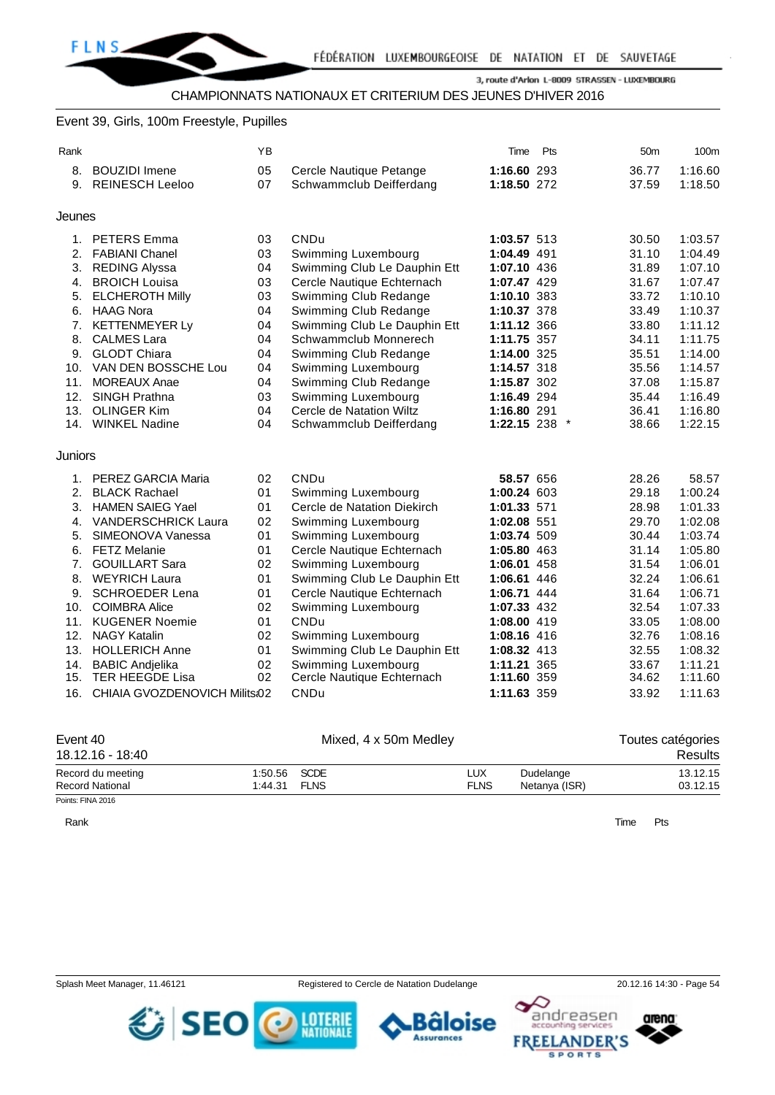# Event 39, Girls, 100m Freestyle, Pupilles

| Rank    |                               | ΥB |                              | Time          | Pts | 50 <sub>m</sub> | 100m    |
|---------|-------------------------------|----|------------------------------|---------------|-----|-----------------|---------|
| 8.      | <b>BOUZIDI</b> Imene          | 05 | Cercle Nautique Petange      | 1:16.60 293   |     | 36.77           | 1:16.60 |
| 9.      | <b>REINESCH Leeloo</b>        | 07 | Schwammclub Deifferdang      | 1:18.50 272   |     | 37.59           | 1:18.50 |
|         |                               |    |                              |               |     |                 |         |
| Jeunes  |                               |    |                              |               |     |                 |         |
|         | 1. PETERS Emma                | 03 | <b>CNDu</b>                  | 1:03.57 513   |     | 30.50           | 1:03.57 |
| 2.      | <b>FABIANI Chanel</b>         | 03 | Swimming Luxembourg          | 1:04.49 491   |     | 31.10           | 1:04.49 |
| 3.      | <b>REDING Alyssa</b>          | 04 | Swimming Club Le Dauphin Ett | 1:07.10 436   |     | 31.89           | 1:07.10 |
| 4.      | <b>BROICH Louisa</b>          | 03 | Cercle Nautique Echternach   | 1:07.47 429   |     | 31.67           | 1:07.47 |
| 5.      | <b>ELCHEROTH Milly</b>        | 03 | Swimming Club Redange        | 1:10.10 383   |     | 33.72           | 1:10.10 |
| 6.      | <b>HAAG Nora</b>              | 04 | Swimming Club Redange        | 1:10.37 378   |     | 33.49           | 1:10.37 |
| 7.      | <b>KETTENMEYER Ly</b>         | 04 | Swimming Club Le Dauphin Ett | 1:11.12 366   |     | 33.80           | 1:11.12 |
| 8.      | <b>CALMES Lara</b>            | 04 | Schwammclub Monnerech        | 1:11.75 357   |     | 34.11           | 1:11.75 |
| 9.      | <b>GLODT Chiara</b>           | 04 | Swimming Club Redange        | 1:14.00 325   |     | 35.51           | 1:14.00 |
| 10.     | VAN DEN BOSSCHE Lou           | 04 | Swimming Luxembourg          | 1:14.57 318   |     | 35.56           | 1:14.57 |
| 11.     | <b>MOREAUX Anae</b>           | 04 | Swimming Club Redange        | 1:15.87 302   |     | 37.08           | 1:15.87 |
| 12.     | <b>SINGH Prathna</b>          | 03 | Swimming Luxembourg          | 1:16.49 294   |     | 35.44           | 1:16.49 |
| 13.     | <b>OLINGER Kim</b>            | 04 | Cercle de Natation Wiltz     | 1:16.80 291   |     | 36.41           | 1:16.80 |
|         | 14. WINKEL Nadine             | 04 | Schwammclub Deifferdang      | 1:22.15 238 * |     | 38.66           | 1:22.15 |
| Juniors |                               |    |                              |               |     |                 |         |
|         | 1. PEREZ GARCIA Maria         | 02 | <b>CNDu</b>                  | 58.57 656     |     | 28.26           | 58.57   |
| 2.      | <b>BLACK Rachael</b>          | 01 | Swimming Luxembourg          | 1:00.24 603   |     | 29.18           | 1:00.24 |
| 3.      | <b>HAMEN SAIEG Yael</b>       | 01 | Cercle de Natation Diekirch  | 1:01.33 571   |     | 28.98           | 1:01.33 |
| 4.      | <b>VANDERSCHRICK Laura</b>    | 02 | Swimming Luxembourg          | 1:02.08 551   |     | 29.70           | 1:02.08 |
| 5.      | SIMEONOVA Vanessa             | 01 | Swimming Luxembourg          | 1:03.74 509   |     | 30.44           | 1:03.74 |
| 6.      | <b>FETZ Melanie</b>           | 01 | Cercle Nautique Echternach   | 1:05.80 463   |     | 31.14           | 1:05.80 |
| 7.      | <b>GOUILLART Sara</b>         | 02 | Swimming Luxembourg          | 1:06.01 458   |     | 31.54           | 1:06.01 |
| 8.      | <b>WEYRICH Laura</b>          | 01 | Swimming Club Le Dauphin Ett | 1:06.61 446   |     | 32.24           | 1:06.61 |
| 9.      | <b>SCHROEDER Lena</b>         | 01 | Cercle Nautique Echternach   | 1:06.71 444   |     | 31.64           | 1:06.71 |
| 10.     | <b>COIMBRA Alice</b>          | 02 | Swimming Luxembourg          | 1:07.33 432   |     | 32.54           | 1:07.33 |
| 11.     | <b>KUGENER Noemie</b>         | 01 | CNDu                         | 1:08.00 419   |     | 33.05           | 1:08.00 |
| 12.     | <b>NAGY Katalin</b>           | 02 | Swimming Luxembourg          | 1:08.16 416   |     | 32.76           | 1:08.16 |
| 13.     | <b>HOLLERICH Anne</b>         | 01 | Swimming Club Le Dauphin Ett | 1:08.32 413   |     | 32.55           | 1:08.32 |
| 14.     | <b>BABIC Andjelika</b>        | 02 | Swimming Luxembourg          | 1:11.21 365   |     | 33.67           | 1:11.21 |
| 15.     | <b>TER HEEGDE Lisa</b>        | 02 | Cercle Nautique Echternach   | 1:11.60 359   |     | 34.62           | 1:11.60 |
| 16.     | CHIAIA GVOZDENOVICH Milits:02 |    | CNDu                         | 1:11.63 359   |     | 33.92           | 1:11.63 |

| Event 40<br>18.12.16 - 18:40 |              |      | Toutes catégories<br>Results |               |          |
|------------------------------|--------------|------|------------------------------|---------------|----------|
| Record du meeting            | 1:50.56 SCDE |      | LUX                          | Dudelange     | 13.12.15 |
| Record National              | 1:44.31      | FLNS | <b>FLNS</b>                  | Netanya (ISR) | 03.12.15 |

Points: FINA 2016

Rank **Time Pts** 

SEO O MERE

**Assurances**